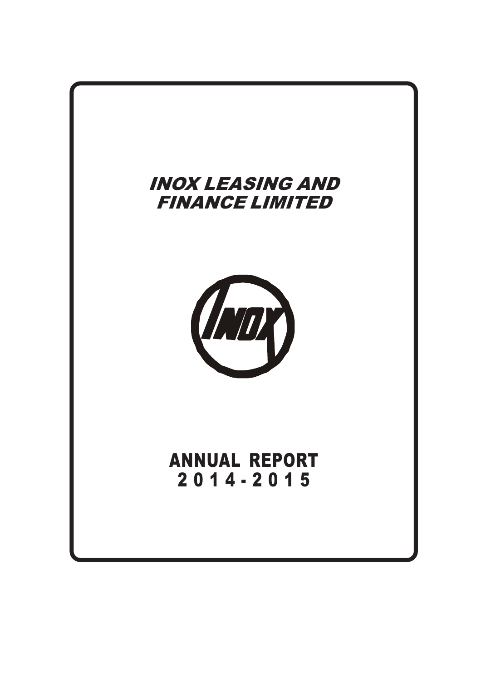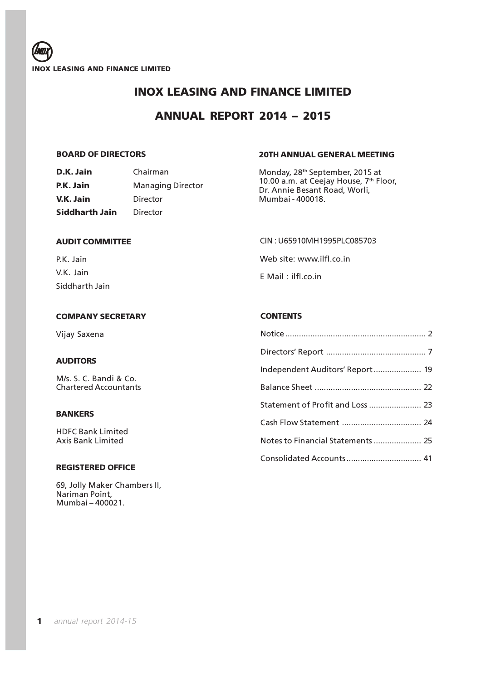

## ANNUAL REPORT 2014 – 2015

#### BOARD OF DIRECTORS

| D.K. Jain      | Chairman                 |
|----------------|--------------------------|
| P.K. Jain      | <b>Managing Director</b> |
| V.K. Jain      | Director                 |
| Siddharth Jain | Director                 |

#### 20TH ANNUAL GENERAL MEETING

Monday, 28th September, 2015 at 10.00 a.m. at Ceejay House, 7<sup>th</sup> Floor, Dr. Annie Besant Road, Worli, Mumbai - 400018.

CIN : U65910MH1995PLC085703

Web site: www.ilfl.co.in

#### AUDIT COMMITTEE

P.K. Jain V.K. Jain Siddharth Jain

#### COMPANY SECRETARY

Vijay Saxena

#### AUDITORS

M/s. S. C. Bandi & Co. Chartered Accountants

#### BANKERS

HDFC Bank Limited Axis Bank Limited

#### REGISTERED OFFICE

69, Jolly Maker Chambers II, Nariman Point, Mumbai – 400021.

#### **CONTENTS**

E Mail : ilfl.co.in

| Independent Auditors' Report 19   |  |
|-----------------------------------|--|
|                                   |  |
| Statement of Profit and Loss  23  |  |
|                                   |  |
| Notes to Financial Statements  25 |  |
|                                   |  |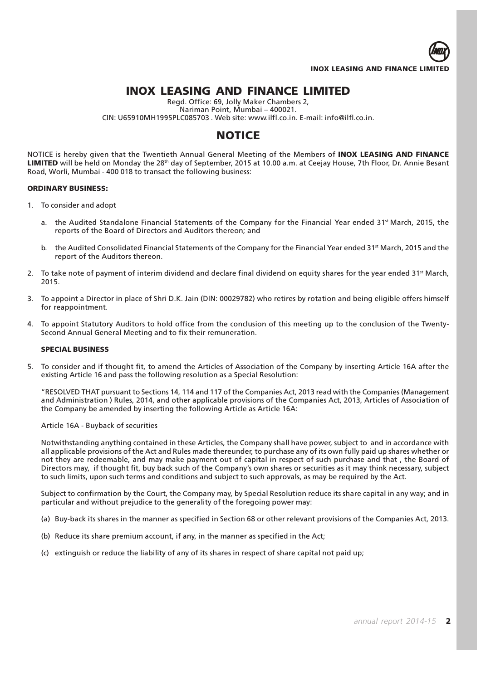

Regd. Office: 69, Jolly Maker Chambers 2, Nariman Point, Mumbai – 400021. CIN: U65910MH1995PLC085703 . Web site: www.ilfl.co.in. E-mail: info@ilfl.co.in.

## **NOTICE**

NOTICE is hereby given that the Twentieth Annual General Meeting of the Members of INOX LEASING AND FINANCE LIMITED will be held on Monday the 28<sup>th</sup> day of September, 2015 at 10.00 a.m. at Ceejay House, 7th Floor, Dr. Annie Besant Road, Worli, Mumbai - 400 018 to transact the following business:

#### ORDINARY BUSINESS:

- 1. To consider and adopt
	- a. the Audited Standalone Financial Statements of the Company for the Financial Year ended 31<sup>st</sup> March, 2015, the reports of the Board of Directors and Auditors thereon; and
	- b. the Audited Consolidated Financial Statements of the Company for the Financial Year ended 31<sup>st</sup> March, 2015 and the report of the Auditors thereon.
- 2. To take note of payment of interim dividend and declare final dividend on equity shares for the year ended 31<sup>st</sup> March, 2015.
- 3. To appoint a Director in place of Shri D.K. Jain (DIN: 00029782) who retires by rotation and being eligible offers himself for reappointment.
- 4. To appoint Statutory Auditors to hold office from the conclusion of this meeting up to the conclusion of the Twenty-Second Annual General Meeting and to fix their remuneration.

#### SPECIAL BUSINESS

5. To consider and if thought fit, to amend the Articles of Association of the Company by inserting Article 16A after the existing Article 16 and pass the following resolution as a Special Resolution:

"RESOLVED THAT pursuant to Sections 14, 114 and 117 of the Companies Act, 2013 read with the Companies (Management and Administration ) Rules, 2014, and other applicable provisions of the Companies Act, 2013, Articles of Association of the Company be amended by inserting the following Article as Article 16A:

#### Article 16A - Buyback of securities

Notwithstanding anything contained in these Articles, the Company shall have power, subject to and in accordance with all applicable provisions of the Act and Rules made thereunder, to purchase any of its own fully paid up shares whether or not they are redeemable, and may make payment out of capital in respect of such purchase and that , the Board of Directors may, if thought fit, buy back such of the Company's own shares or securities as it may think necessary, subject to such limits, upon such terms and conditions and subject to such approvals, as may be required by the Act.

Subject to confirmation by the Court, the Company may, by Special Resolution reduce its share capital in any way; and in particular and without prejudice to the generality of the foregoing power may:

- (a) Buy-back its shares in the manner as specified in Section 68 or other relevant provisions of the Companies Act, 2013.
- (b) Reduce its share premium account, if any, in the manner as specified in the Act;
- (c) extinguish or reduce the liability of any of its shares in respect of share capital not paid up;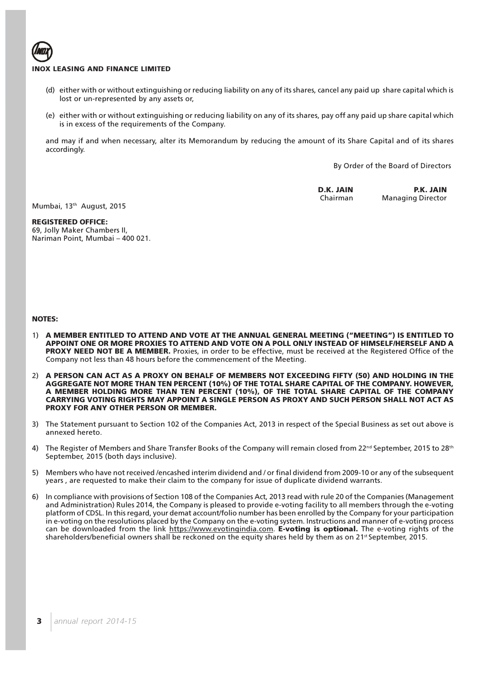- (d) either with or without extinguishing or reducing liability on any of its shares, cancel any paid up share capital which is lost or un-represented by any assets or,
- (e) either with or without extinguishing or reducing liability on any of its shares, pay off any paid up share capital which is in excess of the requirements of the Company.

and may if and when necessary, alter its Memorandum by reducing the amount of its Share Capital and of its shares accordingly.

By Order of the Board of Directors

**D.K. JAIN P.K. JAIN**<br>Chairman Managing Director **Managing Director** 

Mumbai, 13<sup>th</sup> August, 2015

#### REGISTERED OFFICE: 69, Jolly Maker Chambers II,

Nariman Point, Mumbai – 400 021.

#### NOTES:

- 1) A MEMBER ENTITLED TO ATTEND AND VOTE AT THE ANNUAL GENERAL MEETING ("MEETING") IS ENTITLED TO APPOINT ONE OR MORE PROXIES TO ATTEND AND VOTE ON A POLL ONLY INSTEAD OF HIMSELF/HERSELF AND A PROXY NEED NOT BE A MEMBER. Proxies, in order to be effective, must be received at the Registered Office of the Company not less than 48 hours before the commencement of the Meeting.
- 2) A PERSON CAN ACT AS A PROXY ON BEHALF OF MEMBERS NOT EXCEEDING FIFTY (50) AND HOLDING IN THE AGGREGATE NOT MORE THAN TEN PERCENT (10%) OF THE TOTAL SHARE CAPITAL OF THE COMPANY. HOWEVER, A MEMBER HOLDING MORE THAN TEN PERCENT (10%), OF THE TOTAL SHARE CAPITAL OF THE COMPANY CARRYING VOTING RIGHTS MAY APPOINT A SINGLE PERSON AS PROXY AND SUCH PERSON SHALL NOT ACT AS PROXY FOR ANY OTHER PERSON OR MEMBER.
- 3) The Statement pursuant to Section 102 of the Companies Act, 2013 in respect of the Special Business as set out above is annexed hereto.
- 4) The Register of Members and Share Transfer Books of the Company will remain closed from 22<sup>nd</sup> September, 2015 to 28<sup>th</sup> September, 2015 (both days inclusive).
- 5) Members who have not received /encashed interim dividend and / or final dividend from 2009-10 or any of the subsequent years , are requested to make their claim to the company for issue of duplicate dividend warrants.
- 6) In compliance with provisions of Section 108 of the Companies Act, 2013 read with rule 20 of the Companies (Management and Administration) Rules 2014, the Company is pleased to provide e-voting facility to all members through the e-voting platform of CDSL. In this regard, your demat account/folio number has been enrolled by the Company for your participation in e-voting on the resolutions placed by the Company on the e-voting system. Instructions and manner of e-voting process can be downloaded from the link https://www.evotingindia.com. E-voting is optional. The e-voting rights of the shareholders/beneficial owners shall be reckoned on the equity shares held by them as on 21<sup>st</sup> September, 2015.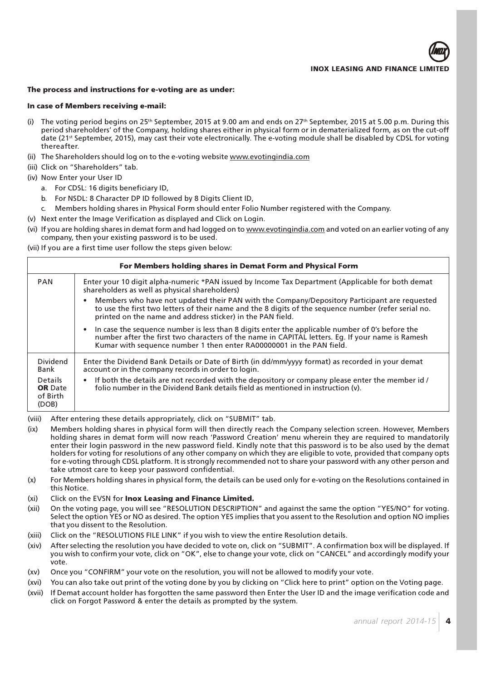

#### The process and instructions for e-voting are as under:

#### In case of Members receiving e-mail:

- (i) The voting period begins on 25<sup>th</sup> September, 2015 at 9.00 am and ends on 27<sup>th</sup> September, 2015 at 5.00 p.m. During this period shareholders' of the Company, holding shares either in physical form or in dematerialized form, as on the cut-off date (21st September, 2015), may cast their vote electronically. The e-voting module shall be disabled by CDSL for voting thereafter.
- (ii) The Shareholders should log on to the e-voting website www.evotingindia.com
- (iii) Click on "Shareholders" tab.
- (iv) Now Enter your User ID
	- a. For CDSL: 16 digits beneficiary ID,
	- b. For NSDL: 8 Character DP ID followed by 8 Digits Client ID,
	- c. Members holding shares in Physical Form should enter Folio Number registered with the Company.
- (v) Next enter the Image Verification as displayed and Click on Login.
- (vi) If you are holding shares in demat form and had logged on to www.evotingindia.com and voted on an earlier voting of any company, then your existing password is to be used.
- (vii) If you are a first time user follow the steps given below:

|                                                       | For Members holding shares in Demat Form and Physical Form                                                                                                                                                                                                                  |
|-------------------------------------------------------|-----------------------------------------------------------------------------------------------------------------------------------------------------------------------------------------------------------------------------------------------------------------------------|
| <b>PAN</b>                                            | Enter your 10 digit alpha-numeric *PAN issued by Income Tax Department (Applicable for both demat<br>shareholders as well as physical shareholders)                                                                                                                         |
|                                                       | Members who have not updated their PAN with the Company/Depository Participant are requested<br>to use the first two letters of their name and the 8 digits of the sequence number (refer serial no.<br>printed on the name and address sticker) in the PAN field.          |
|                                                       | In case the sequence number is less than 8 digits enter the applicable number of 0's before the<br>number after the first two characters of the name in CAPITAL letters. Eq. If your name is Ramesh<br>Kumar with sequence number 1 then enter RA00000001 in the PAN field. |
| <b>Dividend</b><br>Bank                               | Enter the Dividend Bank Details or Date of Birth (in dd/mm/yyyy format) as recorded in your demat<br>account or in the company records in order to login.                                                                                                                   |
| <b>Details</b><br><b>OR</b> Date<br>of Birth<br>(DOB) | If both the details are not recorded with the depository or company please enter the member id /<br>folio number in the Dividend Bank details field as mentioned in instruction (v).                                                                                        |

- (viii) After entering these details appropriately, click on "SUBMIT" tab.
- (ix) Members holding shares in physical form will then directly reach the Company selection screen. However, Members holding shares in demat form will now reach 'Password Creation' menu wherein they are required to mandatorily enter their login password in the new password field. Kindly note that this password is to be also used by the demat holders for voting for resolutions of any other company on which they are eligible to vote, provided that company opts for e-voting through CDSL platform. It is strongly recommended not to share your password with any other person and take utmost care to keep your password confidential.
- (x) For Members holding shares in physical form, the details can be used only for e-voting on the Resolutions contained in this Notice.
- (xi) Click on the EVSN for Inox Leasing and Finance Limited.
- (xii) On the voting page, you will see "RESOLUTION DESCRIPTION" and against the same the option "YES/NO" for voting. Select the option YES or NO as desired. The option YES implies that you assent to the Resolution and option NO implies that you dissent to the Resolution.
- (xiii) Click on the "RESOLUTIONS FILE LINK" if you wish to view the entire Resolution details.
- (xiv) After selecting the resolution you have decided to vote on, click on "SUBMIT". A confirmation box will be displayed. If you wish to confirm your vote, click on "OK", else to change your vote, click on "CANCEL" and accordingly modify your vote.
- (xv) Once you "CONFIRM" your vote on the resolution, you will not be allowed to modify your vote.
- (xvi) You can also take out print of the voting done by you by clicking on "Click here to print" option on the Voting page.
- (xvii) If Demat account holder has forgotten the same password then Enter the User ID and the image verification code and click on Forgot Password & enter the details as prompted by the system.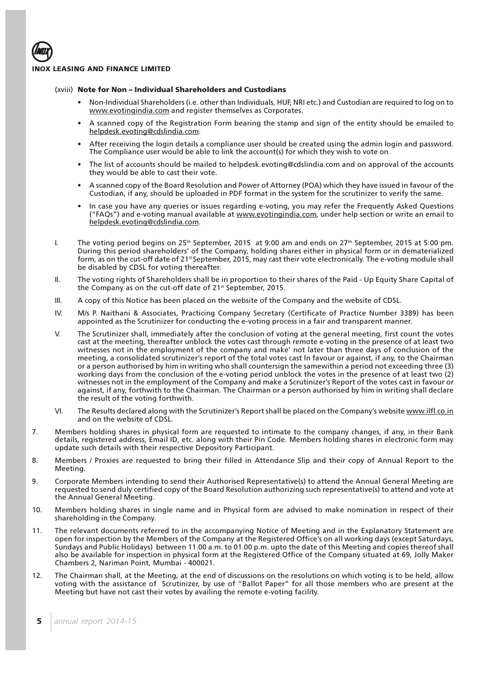#### (xviii) Note for Non – Individual Shareholders and Custodians

- Non-Individual Shareholders (i.e. other than Individuals, HUF, NRI etc.) and Custodian are required to log on to www.evotingindia.com and register themselves as Corporates.
- A scanned copy of the Registration Form bearing the stamp and sign of the entity should be emailed to helpdesk.evoting@cdslindia.com.
- After receiving the login details a compliance user should be created using the admin login and password. The Compliance user would be able to link the account(s) for which they wish to vote on.
- The list of accounts should be mailed to helpdesk.evoting@cdslindia.com and on approval of the accounts they would be able to cast their vote.
- A scanned copy of the Board Resolution and Power of Attorney (POA) which they have issued in favour of the Custodian, if any, should be uploaded in PDF format in the system for the scrutinizer to verify the same.
- In case you have any queries or issues regarding e-voting, you may refer the Frequently Asked Questions ("FAQs") and e-voting manual available at www.evotingindia.com, under help section or write an email to helpdesk.evoting@cdslindia.com.
- I. The voting period begins on 25<sup>th</sup> September, 2015 at 9:00 am and ends on 27<sup>th</sup> September, 2015 at 5:00 pm. During this period shareholders' of the Company, holding shares either in physical form or in dematerialized form, as on the cut-off date of 21<sup>st</sup> September, 2015, may cast their vote electronically. The e-voting module shall be disabled by CDSL for voting thereafter.
- II. The voting rights of Shareholders shall be in proportion to their shares of the Paid Up Equity Share Capital of the Company as on the cut-off date of 21<sup>st</sup> September, 2015.
- III. A copy of this Notice has been placed on the website of the Company and the website of CDSL.
- IV. M/s P. Naithani & Associates, Practicing Company Secretary (Certificate of Practice Number 3389) has been appointed as the Scrutinizer for conducting the e-voting process in a fair and transparent manner.
- V. The Scrutinizer shall, immediately after the conclusion of voting at the general meeting, first count the votes cast at the meeting, thereafter unblock the votes cast through remote e-voting in the presence of at least two witnesses not in the employment of the company and make' not later than three days of conclusion of the meeting, a consolidated scrutinizer's report of the total votes cast ln favour or against, if any, to the Chairman or a person authorised by him in writing who shall countersign the samewithin a period not exceeding three (3) working days from the conclusion of the e-voting period unblock the votes in the presence of at least two (2) witnesses not in the employment of the Company and make a Scrutinizer's Report of the votes cast in favour or against, if any, forthwith to the Chairman. The Chairman or a person authorised by him in writing shall declare the result of the voting forthwith.
- VI. The Results declared along with the Scrutinizer's Report shall be placed on the Company's website www.ilfl.co.in and on the website of CDSL.
- 7. Members holding shares in physical form are requested to intimate to the company changes, if any, in their Bank details, registered address, Email ID, etc. along with their Pin Code. Members holding shares in electronic form may update such details with their respective Depository Participant.
- 8. Members / Proxies are requested to bring their filled in Attendance Slip and their copy of Annual Report to the Meeting.
- 9. Corporate Members intending to send their Authorised Representative(s) to attend the Annual General Meeting are requested to send duly certified copy of the Board Resolution authorizing such representative(s) to attend and vote at the Annual General Meeting.
- 10. Members holding shares in single name and in Physical form are advised to make nomination in respect of their shareholding in the Company.
- 11. The relevant documents referred to in the accompanying Notice of Meeting and in the Explanatory Statement are open for inspection by the Members of the Company at the Registered Office's on all working days (except Saturdays, Sundays and Public Holidays) between 11.00 a.m. to 01.00 p.m. upto the date of this Meeting and copies thereof shall also be available for inspection in physical form at the Registered Office of the Company situated at 69, Jolly Maker Chambers 2, Nariman Point, Mumbai - 400021.
- 12. The Chairman shall, at the Meeting, at the end of discussions on the resolutions on which voting is to be held, allow voting with the assistance of Scrutinizer, by use of "Ballot Paper" for all those members who are present at the Meeting but have not cast their votes by availing the remote e-voting facility.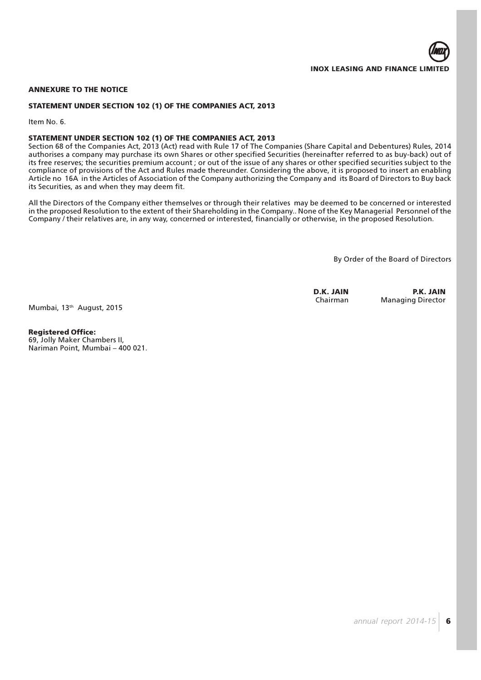

#### ANNEXURE TO THE NOTICE

#### STATEMENT UNDER SECTION 102 (1) OF THE COMPANIES ACT, 2013

Item No. 6.

#### STATEMENT UNDER SECTION 102 (1) OF THE COMPANIES ACT, 2013

Section 68 of the Companies Act, 2013 (Act) read with Rule 17 of The Companies (Share Capital and Debentures) Rules, 2014 authorises a company may purchase its own Shares or other specified Securities (hereinafter referred to as buy-back) out of its free reserves; the securities premium account ; or out of the issue of any shares or other specified securities subject to the compliance of provisions of the Act and Rules made thereunder. Considering the above, it is proposed to insert an enabling Article no 16A in the Articles of Association of the Company authorizing the Company and its Board of Directors to Buy back its Securities, as and when they may deem fit.

All the Directors of the Company either themselves or through their relatives may be deemed to be concerned or interested in the proposed Resolution to the extent of their Shareholding in the Company.. None of the Key Managerial Personnel of the Company / their relatives are, in any way, concerned or interested, financially or otherwise, in the proposed Resolution.

By Order of the Board of Directors

**D.K. JAIN P.K. JAIN**<br>Chairman Managing Director **Managing Director** 

Mumbai, 13<sup>th</sup> August, 2015

#### Registered Office:

69, Jolly Maker Chambers II, Nariman Point, Mumbai – 400 021.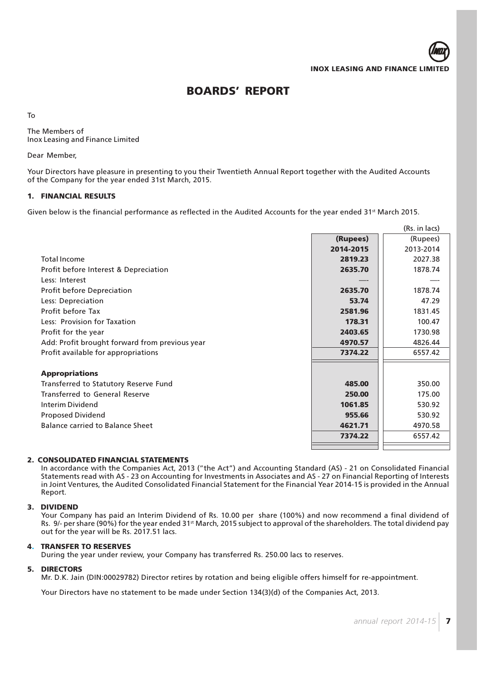## BOARDS' REPORT

To

The Members of Inox Leasing and Finance Limited

Dear Member,

Your Directors have pleasure in presenting to you their Twentieth Annual Report together with the Audited Accounts of the Company for the year ended 31st March, 2015.

#### 1. FINANCIAL RESULTS

Given below is the financial performance as reflected in the Audited Accounts for the year ended 31<sup>st</sup> March 2015.

|                                                |           | (Rs. in lacs) |
|------------------------------------------------|-----------|---------------|
|                                                | (Rupees)  | (Rupees)      |
|                                                | 2014-2015 | 2013-2014     |
| <b>Total Income</b>                            | 2819.23   | 2027.38       |
| Profit before Interest & Depreciation          | 2635.70   | 1878.74       |
| Less: Interest                                 |           |               |
| <b>Profit before Depreciation</b>              | 2635.70   | 1878.74       |
| Less: Depreciation                             | 53.74     | 47.29         |
| Profit before Tax                              | 2581.96   | 1831.45       |
| Less: Provision for Taxation                   | 178.31    | 100.47        |
| Profit for the year                            | 2403.65   | 1730.98       |
| Add: Profit brought forward from previous year | 4970.57   | 4826.44       |
| Profit available for appropriations            | 7374.22   | 6557.42       |
|                                                |           |               |
| <b>Appropriations</b>                          |           |               |
| Transferred to Statutory Reserve Fund          | 485.00    | 350.00        |
| Transferred to General Reserve                 | 250.00    | 175.00        |
| Interim Dividend                               | 1061.85   | 530.92        |
| <b>Proposed Dividend</b>                       | 955.66    | 530.92        |
| <b>Balance carried to Balance Sheet</b>        | 4621.71   | 4970.58       |
|                                                | 7374.22   | 6557.42       |
|                                                |           |               |

#### 2. CONSOLIDATED FINANCIAL STATEMENTS

In accordance with the Companies Act, 2013 ("the Act") and Accounting Standard (AS) - 21 on Consolidated Financial Statements read with AS - 23 on Accounting for Investments in Associates and AS - 27 on Financial Reporting of Interests in Joint Ventures, the Audited Consolidated Financial Statement for the Financial Year 2014-15 is provided in the Annual Report.

#### 3. DIVIDEND

Your Company has paid an Interim Dividend of Rs. 10.00 per share (100%) and now recommend a final dividend of Rs. 9/- per share (90%) for the year ended 31<sup>st</sup> March, 2015 subject to approval of the shareholders. The total dividend pay out for the year will be Rs. 2017.51 lacs.

#### 4. TRANSFER TO RESERVES

During the year under review, your Company has transferred Rs. 250.00 lacs to reserves.

#### 5. DIRECTORS

Mr. D.K. Jain (DIN:00029782) Director retires by rotation and being eligible offers himself for re-appointment.

Your Directors have no statement to be made under Section 134(3)(d) of the Companies Act, 2013.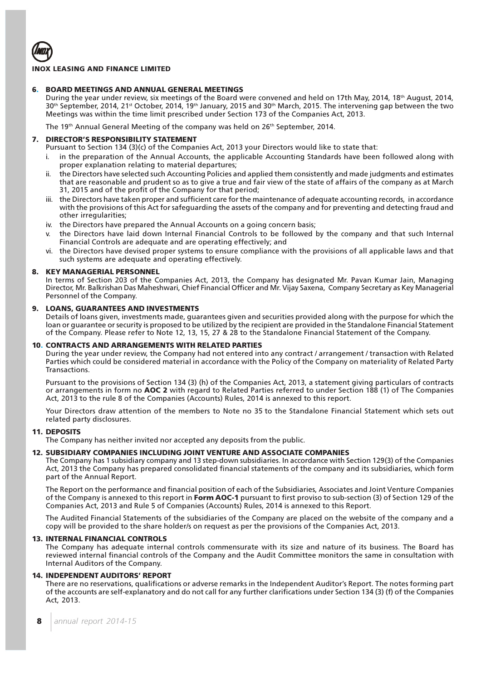

#### 6. BOARD MEETINGS AND ANNUAL GENERAL MEETINGS

During the year under review, six meetings of the Board were convened and held on 17th May, 2014, 18<sup>th</sup> August, 2014, 30<sup>th</sup> September, 2014, 21<sup>st</sup> October, 2014, 19<sup>th</sup> January, 2015 and 30<sup>th</sup> March, 2015. The intervening gap between the two Meetings was within the time limit prescribed under Section 173 of the Companies Act, 2013.

The 19<sup>th</sup> Annual General Meeting of the company was held on 26<sup>th</sup> September, 2014.

#### 7. DIRECTOR'S RESPONSIBILITY STATEMENT

Pursuant to Section 134 (3)(c) of the Companies Act, 2013 your Directors would like to state that:

- i. in the preparation of the Annual Accounts, the applicable Accounting Standards have been followed along with proper explanation relating to material departures;
- ii. the Directors have selected such Accounting Policies and applied them consistently and made judgments and estimates that are reasonable and prudent so as to give a true and fair view of the state of affairs of the company as at March 31, 2015 and of the profit of the Company for that period;
- iii. the Directors have taken proper and sufficient care for the maintenance of adequate accounting records, in accordance with the provisions of this Act for safeguarding the assets of the company and for preventing and detecting fraud and other irregularities;
- iv. the Directors have prepared the Annual Accounts on a going concern basis;
- v. the Directors have laid down Internal Financial Controls to be followed by the company and that such Internal Financial Controls are adequate and are operating effectively; and
- vi. the Directors have devised proper systems to ensure compliance with the provisions of all applicable laws and that such systems are adequate and operating effectively.

#### 8. KEY MANAGERIAL PERSONNEL

In terms of Section 203 of the Companies Act, 2013, the Company has designated Mr. Pavan Kumar Jain, Managing Director, Mr. Balkrishan Das Maheshwari, Chief Financial Officer and Mr. Vijay Saxena, Company Secretary as Key Managerial Personnel of the Company.

#### 9. LOANS, GUARANTEES AND INVESTMENTS

Details of loans given, investments made, guarantees given and securities provided along with the purpose for which the loan or guarantee or security is proposed to be utilized by the recipient are provided in the Standalone Financial Statement of the Company. Please refer to Note 12, 13, 15, 27 & 28 to the Standalone Financial Statement of the Company.

#### 10. CONTRACTS AND ARRANGEMENTS WITH RELATED PARTIES

During the year under review, the Company had not entered into any contract / arrangement / transaction with Related Parties which could be considered material in accordance with the Policy of the Company on materiality of Related Party Transactions.

Pursuant to the provisions of Section 134 (3) (h) of the Companies Act, 2013, a statement giving particulars of contracts or arrangements in form no AOC 2 with regard to Related Parties referred to under Section 188 (1) of The Companies Act, 2013 to the rule 8 of the Companies (Accounts) Rules, 2014 is annexed to this report.

Your Directors draw attention of the members to Note no 35 to the Standalone Financial Statement which sets out related party disclosures.

#### 11. DEPOSITS

The Company has neither invited nor accepted any deposits from the public.

#### 12. SUBSIDIARY COMPANIES INCLUDING JOINT VENTURE AND ASSOCIATE COMPANIES

The Company has 1 subsidiary company and 13 step-down subsidiaries. In accordance with Section 129(3) of the Companies Act, 2013 the Company has prepared consolidated financial statements of the company and its subsidiaries, which form part of the Annual Report.

The Report on the performance and financial position of each of the Subsidiaries, Associates and Joint Venture Companies of the Company is annexed to this report in Form AOC-1 pursuant to first proviso to sub-section (3) of Section 129 of the Companies Act, 2013 and Rule 5 of Companies (Accounts) Rules, 2014 is annexed to this Report.

The Audited Financial Statements of the subsidiaries of the Company are placed on the website of the company and a copy will be provided to the share holder/s on request as per the provisions of the Companies Act, 2013.

#### 13. INTERNAL FINANCIAL CONTROLS

The Company has adequate internal controls commensurate with its size and nature of its business. The Board has reviewed internal financial controls of the Company and the Audit Committee monitors the same in consultation with Internal Auditors of the Company.

#### 14. INDEPENDENT AUDITORS' REPORT

There are no reservations, qualifications or adverse remarks in the Independent Auditor's Report. The notes forming part of the accounts are self-explanatory and do not call for any further clarifications under Section 134 (3) (f) of the Companies Act, 2013.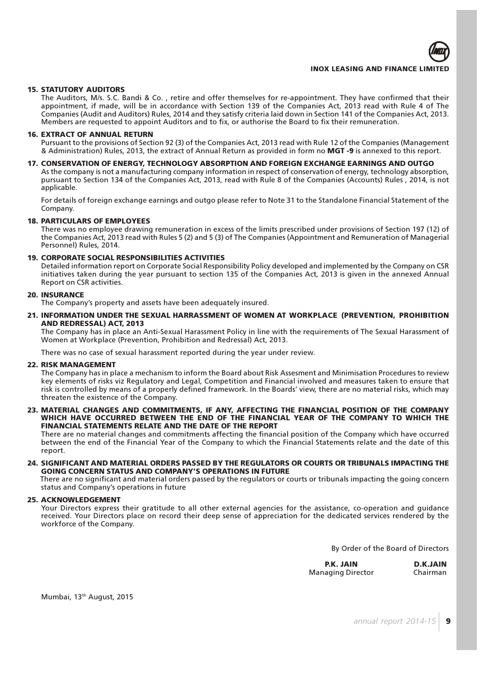

#### 15. STATUTORY AUDITORS

The Auditors, M/s. S.C. Bandi & Co. , retire and offer themselves for re-appointment. They have confirmed that their appointment, if made, will be in accordance with Section 139 of the Companies Act, 2013 read with Rule 4 of The Companies (Audit and Auditors) Rules, 2014 and they satisfy criteria laid down in Section 141 of the Companies Act, 2013. Members are requested to appoint Auditors and to fix, or authorise the Board to fix their remuneration.

#### 16. EXTRACT OF ANNUAL RETURN

Pursuant to the provisions of Section 92 (3) of the Companies Act, 2013 read with Rule 12 of the Companies (Management & Administration) Rules, 2013, the extract of Annual Return as provided in form no MGT -9 is annexed to this report.

#### 17. CONSERVATION OF ENERGY, TECHNOLOGY ABSORPTION AND FOREIGN EXCHANGE EARNINGS AND OUTGO

As the company is not a manufacturing company information in respect of conservation of energy, technology absorption, pursuant to Section 134 of the Companies Act, 2013, read with Rule 8 of the Companies (Accounts) Rules , 2014, is not applicable.

For details of foreign exchange earnings and outgo please refer to Note 31 to the Standalone Financial Statement of the Company.

#### 18. PARTICULARS OF EMPLOYEES

There was no employee drawing remuneration in excess of the limits prescribed under provisions of Section 197 (12) of the Companies Act, 2013 read with Rules 5 (2) and 5 (3) of The Companies (Appointment and Remuneration of Managerial Personnel) Rules, 2014.

#### 19. CORPORATE SOCIAL RESPONSIBILITIES ACTIVITIES

Detailed information report on Corporate Social Responsibility Policy developed and implemented by the Company on CSR initiatives taken during the year pursuant to section 135 of the Companies Act, 2013 is given in the annexed Annual Report on CSR activities.

#### 20. INSURANCE

The Company's property and assets have been adequately insured.

21. INFORMATION UNDER THE SEXUAL HARRASSMENT OF WOMEN AT WORKPLACE (PREVENTION, PROHIBITION AND REDRESSAL) ACT, 2013

The Company has in place an Anti-Sexual Harassment Policy in line with the requirements of The Sexual Harassment of Women at Workplace (Prevention, Prohibition and Redressal) Act, 2013.

There was no case of sexual harassment reported during the year under review.

#### 22. RISK MANAGEMENT

The Company has in place a mechanism to inform the Board about Risk Assesment and Minimisation Procedures to review key elements of risks viz Regulatory and Legal, Competition and Financial involved and measures taken to ensure that risk is controlled by means of a properly defined framework. In the Boards' view, there are no material risks, which may threaten the existence of the Company.

23. MATERIAL CHANGES AND COMMITMENTS, IF ANY, AFFECTING THE FINANCIAL POSITION OF THE COMPANY WHICH HAVE OCCURRED BETWEEN THE END OF THE FINANCIAL YEAR OF THE COMPANY TO WHICH THE FINANCIAL STATEMENTS RELATE AND THE DATE OF THE REPORT

There are no material changes and commitments affecting the financial position of the Company which have occurred between the end of the Financial Year of the Company to which the Financial Statements relate and the date of this report.

#### 24. SIGNIFICANT AND MATERIAL ORDERS PASSED BY THE REGULATORS OR COURTS OR TRIBUNALS IMPACTING THE GOING CONCERN STATUS AND COMPANY'S OPERATIONS IN FUTURE

 There are no significant and material orders passed by the regulators or courts or tribunals impacting the going concern status and Company's operations in future

#### 25. ACKNOWLEDGEMENT

Your Directors express their gratitude to all other external agencies for the assistance, co-operation and guidance received. Your Directors place on record their deep sense of appreciation for the dedicated services rendered by the workforce of the Company.

By Order of the Board of Directors

| P.K. JAIN                | <b>D.K.JAIN</b> |
|--------------------------|-----------------|
| <b>Managing Director</b> | Chairman        |

Mumbai, 13th August, 2015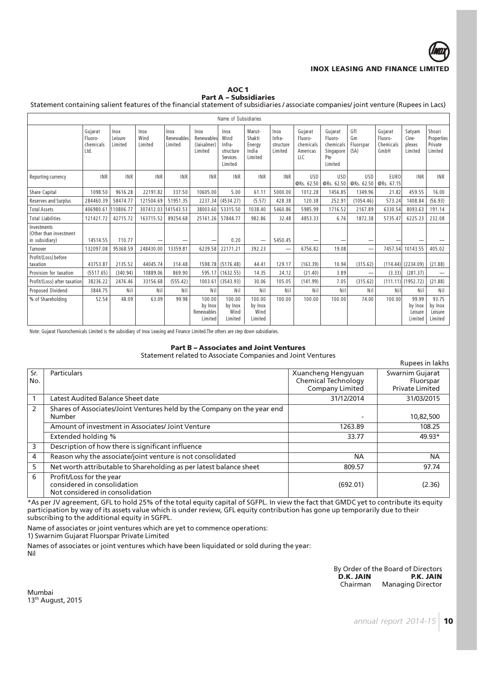

#### AOC 1 Part A – Subsidiaries

Statement containing salient features of the financial statement of subsidiaries / associate companies/ joint venture (Rupees in Lacs)

| Name of Subsidiaries                                    |                                         |                            |                         |                               |                                              |                                                            |                                                |                                        |                                                    |                                                                |                                |                                         |                                        |                                            |
|---------------------------------------------------------|-----------------------------------------|----------------------------|-------------------------|-------------------------------|----------------------------------------------|------------------------------------------------------------|------------------------------------------------|----------------------------------------|----------------------------------------------------|----------------------------------------------------------------|--------------------------------|-----------------------------------------|----------------------------------------|--------------------------------------------|
|                                                         | Gujarat<br>Fluoro-<br>chemicals<br>Ltd. | Inox<br>Leisure<br>Limited | Inox<br>Wind<br>Limited | Inox<br>Renewables<br>Limited | Inox<br>Renewables<br>(Jaisalmer)<br>Limited | Inox<br>Wind<br>Infra-<br>structure<br>Services<br>Limited | Marut-<br>Shakti<br>Energy<br>India<br>Limited | Inox<br>Infra-<br>structure<br>Limited | Gujarat<br>Fluoro-<br>chemicals<br>Americas<br>LLC | Gujarat<br>Fluoro-<br>chemicals<br>Singapore<br>Pte<br>Limited | Gfl<br>Gm<br>Fluorspar<br>(SA) | Gujarat<br>Fluoro-<br>Chemicals<br>GmbH | Satyam<br>Cine-<br>plexes<br>Limited   | Shouri<br>Properties<br>Private<br>Limited |
| Reporting currency                                      | <b>INR</b>                              | <b>INR</b>                 | <b>INR</b>              | <b>INR</b>                    | <b>INR</b>                                   | <b>INR</b>                                                 | <b>INR</b>                                     | <b>INR</b>                             | <b>USD</b><br>@Rs. 62.50                           | USD<br>@Rs. 62.50                                              | <b>USD</b><br>@Rs. 62.50       | <b>EURO</b><br>@Rs. 67.15               | <b>INR</b>                             | <b>INR</b>                                 |
| Share Capital                                           | 1098.50                                 | 9616.28                    | 22191.82                | 337.50                        | 10605.00                                     | 5.00                                                       | 61.11                                          | 5000.00                                | 1012.28                                            | 1456.85                                                        | 1349.96                        | 21.82                                   | 459.55                                 | 16.00                                      |
| Reserves and Surplus                                    | 284460.39                               | 58474.77                   | 121504.69               | 51951.35                      | 2237.34                                      | (4534.27)                                                  | (5.57)                                         | 428.38                                 | 120.38                                             | 252.91                                                         | (1054.46)                      | 573.24                                  | 1408.84                                | (56.93)                                    |
| <b>Total Assets</b>                                     | 406980.61                               | 110806.77                  | 307412.03 141543.53     |                               | 38003.60                                     | 53315.50                                                   | 1038.40                                        | 5460.86                                | 5985.99                                            | 1716.52                                                        | 2167.89                        | 6330.54                                 | 8093.63                                | 191.14                                     |
| <b>Total Liabilities</b>                                | 121421.72                               | 42715.72                   | 163715.52               | 89254.68                      | 25161.26                                     | 57844.77                                                   | 982.86                                         | 32.48                                  | 4853.33                                            | 6.76                                                           | 1872.38                        | 5735.47                                 | 6225.23                                | 232.08                                     |
| Investments<br>(Other than investment<br>in subsidiary) | 14514.55                                | 710.77                     |                         |                               |                                              | 0.20                                                       |                                                | 5450.45                                |                                                    |                                                                | -                              |                                         |                                        |                                            |
| Turnover                                                | 132097.08                               | 95368.59                   | 248430.00               | 13359.81                      | 6239.58                                      | 22171.21                                                   | 392.23                                         |                                        | 6756.82                                            | 19.08                                                          | $\overline{\phantom{0}}$       |                                         | 7457.54 10143.55                       | 405.02                                     |
| Profit/(Loss) before<br>taxation                        | 43753.87                                | 2135.52                    | 44045.74                | 314.48                        |                                              | 1598.78 (5176.48)                                          | 44.41                                          | 129.17                                 | (163.39)                                           | 10.94                                                          | (315.62)                       |                                         | $(114.44)$ (2234.09)                   | (21.88)                                    |
| Provision for taxation                                  | (5517.65)                               | (340.94)                   | 10889.06                | 869.90                        | 595.17                                       | (1632.55)                                                  | 14.35                                          | 24.12                                  | (21.40)                                            | 3.89                                                           |                                | (3.33)                                  | (281.37)                               |                                            |
| Profit/(Loss) after taxation                            | 38236.22                                | 2476.46                    | 33156.68                | (555.42)                      | 1003.61                                      | (3543.93)                                                  | 30.06                                          | 105.05                                 | (141.99)                                           | 7.05                                                           | (315.62)                       |                                         | $(111.11)$ (1952.72)                   | (21.88)                                    |
| Proposed Dividend                                       | 3844.75                                 | Nil                        | Nil                     | Nil                           | Nil                                          | Nil                                                        | Nil                                            | Nil                                    | Nil                                                | Nil                                                            | Nil                            | Nil                                     | Nil                                    | Nil                                        |
| % of Shareholding                                       | 52.54                                   | 48.09                      | 63.09                   | 99.98                         | 100.00<br>by Inox<br>Renewables<br>Limited   | 100.00<br>by Inox<br>Wind<br>Limited                       | 100.00<br>by Inox<br>Wind<br>Limited           | 100.00                                 | 100.00                                             | 100.00                                                         | 74.00                          | 100.00                                  | 99.99<br>by Inox<br>Leisure<br>Limited | 93.75<br>by Inox<br>Leisure<br>Limited     |

Note: Gujarat Fluorochemicals Limited is the subsidiary of Inox Leasing and Finance Limited.The others are step down subsidiaries.

#### Part B – Associates and Joint Ventures

Statement related to Associate Companies and Joint Ventures

 Rupees in lakhs Sr. Particulars **Sr. Particulars St. Particulars** Swarnim Gujarat Chemical Technology **Swarnim Gujarat** Chemical Technology **Swarnim Gujarat** Chemical Technology **Swarnim Gujarat** Chemical Technology<br>
Company Limited Private Limited Company Limited 1 Latest Audited Balance Sheet date 31/12/2014 31/03/2015 2 Shares of Associates/Joint Ventures held by the Company on the year end Number - 10,82,500 - 10,82,500 - 10,82,500 - 10,82,500 - 10,82,500 - 10,82,500 - 10,82,500 - 10,82,500 - 10,82 Amount of investment in Associates/ Joint Venture 1263.89 108.25 Extended holding % 33.77 49.93\* 3 Description of how there is significant influence 4 Reason why the associate/joint venture is not consolidated NA NA NA NA NA NA NA 5 Net worth attributable to Shareholding as per latest balance sheet 809.57 809.57 87.74 6 Profit/Loss for the year considered in consolidation (2.36) (2.36) Not considered in consolidation

\*As per JV agreement, GFL to hold 25% of the total equity capital of SGFPL. In view the fact that GMDC yet to contribute its equity participation by way of its assets value which is under review, GFL equity contribution has gone up temporarily due to their subscribing to the additional equity in SGFPL.

Name of associates or joint ventures which are yet to commence operations:

1) Swarnim Gujarat Fluorspar Private Limited

Names of associates or joint ventures which have been liquidated or sold during the year: Nil

> By Order of the Board of Directors **D.K. JAIN P.K. JAIN**<br>Chairman Managing Director **Managing Director**

Mumbai 13th August, 2015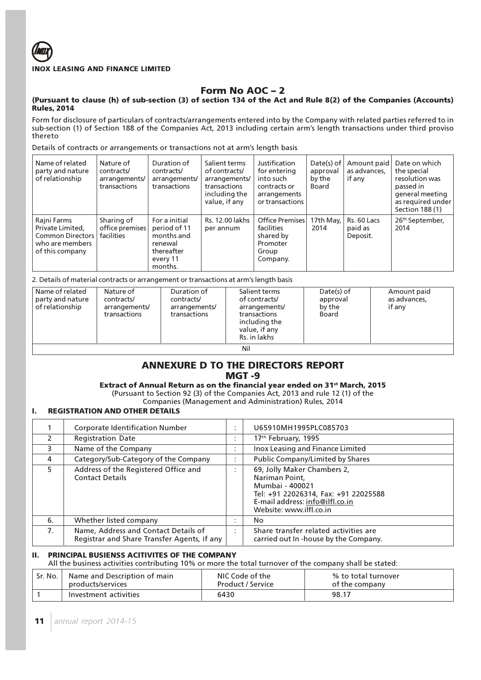#### Form No AOC – 2

#### (Pursuant to clause (h) of sub-section (3) of section 134 of the Act and Rule 8(2) of the Companies (Accounts) Rules, 2014

Form for disclosure of particulars of contracts/arrangements entered into by the Company with related parties referred to in sub-section (1) of Section 188 of the Companies Act, 2013 including certain arm's length transactions under third proviso thereto

Details of contracts or arrangements or transactions not at arm's length basis

| Name of related<br>party and nature<br>of relationship                                           | Nature of<br>contracts/<br>arrangements/<br>transactions | Duration of<br>contracts/<br>arrangements/<br>transactions                                  | Salient terms<br>of contracts/<br>arrangements/<br>transactions<br>including the<br>value, if any | Justification<br>for entering<br>into such<br>contracts or<br>arrangements<br>or transactions | Date(s) of<br>approval<br>by the<br>Board | Amount paid<br>as advances.<br>if any | Date on which<br>the special<br>resolution was<br>passed in<br>general meeting<br>as required under<br>Section 188 (1) |
|--------------------------------------------------------------------------------------------------|----------------------------------------------------------|---------------------------------------------------------------------------------------------|---------------------------------------------------------------------------------------------------|-----------------------------------------------------------------------------------------------|-------------------------------------------|---------------------------------------|------------------------------------------------------------------------------------------------------------------------|
| Rajni Farms<br>Private Limited,<br><b>Common Directors</b><br>who are members<br>of this company | Sharing of<br>office premises<br>facilities              | For a initial<br>period of 11<br>months and<br>renewal<br>thereafter<br>every 11<br>months. | Rs. 12.00 lakhs<br>per annum                                                                      | <b>Office Premises</b><br>facilities<br>shared by<br>Promoter<br>Group<br>Company.            | 17th May,<br>2014                         | Rs. 60 Lacs<br>paid as<br>Deposit.    | 26 <sup>th</sup> September,<br>2014                                                                                    |

2. Details of material contracts or arrangement or transactions at arm's length basis

| Name of related<br>party and nature<br>of relationship | Nature of<br>contracts/<br>arrangements/<br>transactions | Duration of<br>contracts/<br>arrangements/<br>transactions | Salient terms<br>of contracts/<br>arrangements/<br>transactions<br>including the<br>value, if any<br>Rs. in lakhs | Date(s) of<br>approval<br>by the<br>Board | Amount paid<br>as advances,<br>if any |  |  |  |
|--------------------------------------------------------|----------------------------------------------------------|------------------------------------------------------------|-------------------------------------------------------------------------------------------------------------------|-------------------------------------------|---------------------------------------|--|--|--|
| Nil                                                    |                                                          |                                                            |                                                                                                                   |                                           |                                       |  |  |  |

### ANNEXURE D TO THE DIRECTORS REPORT MGT -9

#### Extract of Annual Return as on the financial year ended on 31st March, 2015

(Pursuant to Section 92 (3) of the Companies Act, 2013 and rule 12 (1) of the Companies (Management and Administration) Rules, 2014

#### I. REGISTRATION AND OTHER DETAILS

| 3              | <b>Corporate Identification Number</b><br><b>Registration Date</b><br>Name of the Company | ٠.<br>٠<br>٠<br>٠             | U65910MH1995PLC085703<br>17 <sup>th</sup> February, 1995<br>Inox Leasing and Finance Limited                                                                           |
|----------------|-------------------------------------------------------------------------------------------|-------------------------------|------------------------------------------------------------------------------------------------------------------------------------------------------------------------|
| 4              | Category/Sub-Category of the Company                                                      | ٠<br>$\overline{\phantom{a}}$ | <b>Public Company/Limited by Shares</b>                                                                                                                                |
| 5              | Address of the Registered Office and<br><b>Contact Details</b>                            | $\overline{\phantom{a}}$      | 69, Jolly Maker Chambers 2,<br>Nariman Point,<br>Mumbai - 400021<br>Tel: +91 22026314, Fax: +91 22025588<br>E-mail address: info@ilfl.co.in<br>Website: www.ilfl.co.in |
| 6.             | Whether listed company                                                                    |                               | No.                                                                                                                                                                    |
| 7 <sub>1</sub> | Name, Address and Contact Details of<br>Registrar and Share Transfer Agents, if any       | $\mathbf{r}$                  | Share transfer related activities are<br>carried out In-house by the Company.                                                                                          |

#### II. PRINCIPAL BUSIENSS ACITIVITES OF THE COMPANY

All the business activities contributing 10% or more the total turnover of the company shall be stated:

| Sr. No. | Name and Description of main | NIC Code of the          | % to total turnover |
|---------|------------------------------|--------------------------|---------------------|
|         | products/services            | <b>Product / Service</b> | of the company      |
|         | Investment activities        | 6430                     | 98.17               |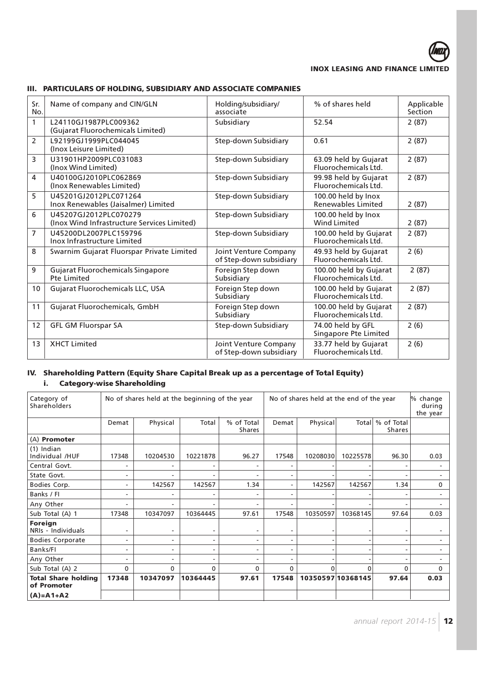

## III. PARTICULARS OF HOLDING, SUBSIDIARY AND ASSOCIATE COMPANIES  $\sqrt{\frac{S_r}{S_r}}$  Name of company and CIN/GLN Holding/subsidiary/  $\frac{96}{6}$  of shares held Applicable

| . اد<br>No.    | <b>Native Of Company and Chivally</b>                                | <u>HUIUHIYOUUSIUIAHY</u><br>associate            | ווסווכסוומוני וט                                      | Applicable<br>Section |
|----------------|----------------------------------------------------------------------|--------------------------------------------------|-------------------------------------------------------|-----------------------|
| 1              | L24110GJ1987PLC009362<br>(Gujarat Fluorochemicals Limited)           | Subsidiary                                       | 52.54                                                 | 2(87)                 |
| $\overline{2}$ | L92199GJ1999PLC044045<br>(Inox Leisure Limited)                      | Step-down Subsidiary                             | 0.61                                                  | 2(87)                 |
| 3              | U31901HP2009PLC031083<br>(Inox Wind Limited)                         | <b>Step-down Subsidiary</b>                      | 63.09 held by Gujarat<br>Fluorochemicals Ltd.         | 2(87)                 |
| 4              | U40100GJ2010PLC062869<br>(Inox Renewables Limited)                   | Step-down Subsidiary                             | 99.98 held by Gujarat<br><b>Fluorochemicals Ltd.</b>  | 2(87)                 |
| 5              | U45201GJ2012PLC071264<br>Inox Renewables (Jaisalmer) Limited         | Step-down Subsidiary                             | 100.00 held by Inox<br>Renewables Limited             | 2(87)                 |
| 6              | U45207GJ2012PLC070279<br>(Inox Wind Infrastructure Services Limited) | <b>Step-down Subsidiary</b>                      | 100.00 held by Inox<br><b>Wind Limited</b>            | 2(87)                 |
| $\overline{7}$ | U45200DL2007PLC159796<br>Inox Infrastructure Limited                 | <b>Step-down Subsidiary</b>                      | 100.00 held by Gujarat<br>Fluorochemicals Ltd.        | 2(87)                 |
| 8              | Swarnim Gujarat Fluorspar Private Limited                            | Joint Venture Company<br>of Step-down subsidiary | 49.93 held by Gujarat<br>Fluorochemicals Ltd.         | 2(6)                  |
| 9              | <b>Gujarat Fluorochemicals Singapore</b><br>Pte Limited              | Foreign Step down<br>Subsidiary                  | 100.00 held by Gujarat<br>Fluorochemicals Ltd.        | 2(87)                 |
| 10             | Gujarat Fluorochemicals LLC, USA                                     | Foreign Step down<br>Subsidiary                  | 100.00 held by Gujarat<br><b>Fluorochemicals Ltd.</b> | 2(87)                 |
| 11             | Gujarat Fluorochemicals, GmbH                                        | Foreign Step down<br>Subsidiary                  | 100.00 held by Gujarat<br>Fluorochemicals Ltd.        | 2(87)                 |
| 12             | <b>GFL GM Fluorspar SA</b>                                           | <b>Step-down Subsidiary</b>                      | 74.00 held by GFL<br><b>Singapore Pte Limited</b>     | 2(6)                  |
| 13             | <b>XHCT Limited</b>                                                  | Joint Venture Company<br>of Step-down subsidiary | 33.77 held by Gujarat<br>Fluorochemicals Ltd.         | 2(6)                  |

#### IV. Shareholding Pattern (Equity Share Capital Break up as a percentage of Total Equity) i. Category-wise Shareholding

| Category of<br>Shareholders               | No of shares held at the beginning of the year |              |          |                             | No of shares held at the end of the year |          |                   |                      | % change<br>during<br>the year |
|-------------------------------------------|------------------------------------------------|--------------|----------|-----------------------------|------------------------------------------|----------|-------------------|----------------------|--------------------------------|
|                                           | Demat                                          | Physical     | Total    | % of Total<br><b>Shares</b> | Demat                                    | Physical | Totall            | % of Total<br>Shares |                                |
| (A) Promoter                              |                                                |              |          |                             |                                          |          |                   |                      |                                |
| $(1)$ Indian<br>Individual /HUF           | 17348                                          | 10204530     | 10221878 | 96.27                       | 17548                                    | 10208030 | 10225578          | 96.30                | 0.03                           |
| Central Govt.                             |                                                |              |          |                             |                                          |          |                   |                      |                                |
| State Govt.                               |                                                |              |          | ٠                           |                                          |          |                   |                      |                                |
| Bodies Corp.                              | $\overline{\phantom{0}}$                       | 142567       | 142567   | 1.34                        | ۰                                        | 142567   | 142567            | 1.34                 | 0                              |
| Banks / FI                                |                                                |              |          | ٠                           |                                          |          |                   |                      |                                |
| Any Other                                 |                                                |              |          |                             |                                          |          |                   |                      |                                |
| Sub Total (A) 1                           | 17348                                          | 10347097     | 10364445 | 97.61                       | 17548                                    | 10350597 | 10368145          | 97.64                | 0.03                           |
| Foreign<br>NRIs - Individuals             | ٠                                              |              |          | ٠                           |                                          |          |                   |                      |                                |
| <b>Bodies Corporate</b>                   |                                                |              | ٠        | ۰                           |                                          |          |                   |                      |                                |
| Banks/FI                                  | $\overline{\phantom{0}}$                       |              | ٠        | ٠                           | ۰                                        |          |                   |                      |                                |
| Any Other                                 |                                                |              |          | ۰                           |                                          |          |                   |                      |                                |
| Sub Total (A) 2                           | 0                                              | $\mathbf{0}$ | 0        | 0                           | $\mathbf{0}$                             | $\Omega$ | 0                 | 0                    | 0                              |
| <b>Total Share holding</b><br>of Promoter | 17348                                          | 10347097     | 10364445 | 97.61                       | 17548                                    |          | 10350597 10368145 | 97.64                | 0.03                           |
| $(A)=A1+A2$                               |                                                |              |          |                             |                                          |          |                   |                      |                                |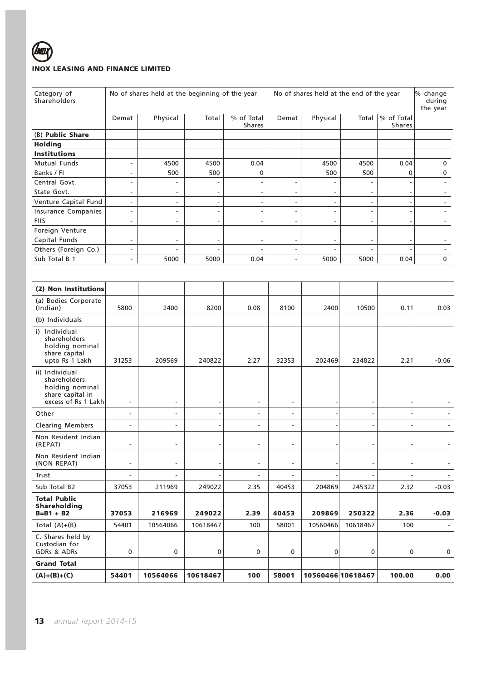| Category of<br>Shareholders                                                                  |                          | No of shares held at the beginning of the year |                              |                             | No of shares held at the end of the year |                          |                              | $%$ change<br>during<br>the year |              |  |
|----------------------------------------------------------------------------------------------|--------------------------|------------------------------------------------|------------------------------|-----------------------------|------------------------------------------|--------------------------|------------------------------|----------------------------------|--------------|--|
|                                                                                              | Demat                    | Physical                                       | Total                        | % of Total<br><b>Shares</b> | Demat                                    | Physical                 | Total                        | % of Total<br>Shares             |              |  |
| (B) Public Share                                                                             |                          |                                                |                              |                             |                                          |                          |                              |                                  |              |  |
| Holding                                                                                      |                          |                                                |                              |                             |                                          |                          |                              |                                  |              |  |
| <b>Institutions</b>                                                                          |                          |                                                |                              |                             |                                          |                          |                              |                                  |              |  |
| Mutual Funds                                                                                 | ٠                        | 4500                                           | 4500                         | 0.04                        |                                          | 4500                     | 4500                         | 0.04                             | 0            |  |
| Banks / Fl                                                                                   | ٠                        | 500                                            | 500                          | 0                           |                                          | 500                      | 500                          | 0                                | $\mathsf{O}$ |  |
| Central Govt.                                                                                | ٠                        |                                                |                              | $\sim$                      |                                          |                          |                              |                                  |              |  |
| State Govt.                                                                                  | $\overline{\phantom{a}}$ | $\overline{\phantom{a}}$                       | $\overline{\phantom{a}}$     | $\overline{\phantom{a}}$    | $\sim$                                   |                          | $\overline{\phantom{a}}$     |                                  |              |  |
| Venture Capital Fund                                                                         | $\overline{\phantom{a}}$ | $\overline{\phantom{a}}$                       | $\overline{\phantom{a}}$     | $\overline{\phantom{a}}$    | $\overline{a}$                           | $\overline{\phantom{a}}$ | $\overline{\phantom{a}}$     |                                  |              |  |
| <b>Insurance Companies</b>                                                                   | $\overline{\phantom{a}}$ | $\overline{\phantom{a}}$                       | $\overline{a}$               | $\overline{\phantom{a}}$    | $\sim$                                   | $\overline{\phantom{a}}$ | $\overline{\phantom{a}}$     |                                  |              |  |
| FIIS                                                                                         | -                        | $\overline{\phantom{a}}$                       | $\overline{a}$               | $\overline{\phantom{a}}$    | $\overline{\phantom{m}}$                 |                          | $\qquad \qquad \blacksquare$ |                                  |              |  |
| Foreign Venture                                                                              |                          |                                                |                              |                             |                                          |                          |                              |                                  |              |  |
| Capital Funds                                                                                | $\overline{\phantom{a}}$ | $\overline{\phantom{a}}$                       |                              | $\overline{\phantom{a}}$    | $\overline{\phantom{m}}$                 |                          | $\overline{\phantom{a}}$     |                                  |              |  |
| Others (Foreign Co.)                                                                         | $\overline{\phantom{a}}$ |                                                |                              |                             | $\overline{\phantom{a}}$                 |                          |                              |                                  |              |  |
| Sub Total B 1                                                                                | ÷,                       | 5000                                           | 5000                         | 0.04                        | $\blacksquare$                           | 5000                     | 5000                         | 0.04                             | 0            |  |
|                                                                                              |                          |                                                |                              |                             |                                          |                          |                              |                                  |              |  |
| (2) Non Institutions                                                                         |                          |                                                |                              |                             |                                          |                          |                              |                                  |              |  |
| (a) Bodies Corporate<br>(Indian)                                                             | 5800                     | 2400                                           | 8200                         | 0.08                        | 8100                                     | 2400                     | 10500                        | 0.11                             | 0.03         |  |
| (b) Individuals                                                                              |                          |                                                |                              |                             |                                          |                          |                              |                                  |              |  |
| i) Individual<br>shareholders<br>holding nominal<br>share capital<br>upto Rs 1 Lakh          | 31253                    | 209569                                         | 240822                       | 2.27                        | 32353                                    | 202469                   | 234822                       | 2.21                             | -0.06        |  |
| ii) Individual<br>shareholders<br>holding nominal<br>share capital in<br>excess of Rs 1 Lakh | $\overline{\phantom{a}}$ | $\overline{\phantom{a}}$                       |                              | $\overline{\phantom{a}}$    | $\overline{a}$                           |                          |                              |                                  |              |  |
| Other                                                                                        | $\blacksquare$           | ÷                                              |                              | $\sim$                      | $\blacksquare$                           |                          |                              |                                  |              |  |
| <b>Clearing Members</b>                                                                      | $\blacksquare$           | $\overline{a}$                                 |                              | $\blacksquare$              | $\overline{a}$                           |                          |                              |                                  |              |  |
| Non Resident Indian<br>(REPAT)                                                               | ٠                        | ٠                                              | $\qquad \qquad \blacksquare$ | ٠                           | $\blacksquare$                           |                          |                              |                                  |              |  |
| Non Resident Indian<br>(NON REPAT)                                                           | $\blacksquare$           | ٠                                              |                              | $\overline{\phantom{a}}$    | $\overline{\phantom{a}}$                 |                          | ÷                            |                                  |              |  |
| Trust                                                                                        | $\overline{\phantom{a}}$ | $\blacksquare$                                 |                              | $\overline{\phantom{a}}$    | $\blacksquare$                           |                          |                              |                                  | $\sim$       |  |
| Sub Total B2                                                                                 | 37053                    | 211969                                         | 249022                       | 2.35                        | 40453                                    | 204869                   | 245322                       | 2.32                             | $-0.03$      |  |
| <b>Total Public</b>                                                                          |                          |                                                |                              |                             |                                          |                          |                              |                                  |              |  |
| Shareholding<br>$B=B1 + B2$                                                                  | 37053                    | 216969                                         | 249022                       | 2.39                        | 40453                                    | 209869                   | 250322                       | 2.36                             | $-0.03$      |  |
| Total $(A)+(B)$                                                                              | 54401                    | 10564066                                       | 10618467                     | 100                         | 58001                                    | 10560466                 | 10618467                     | 100                              |              |  |
| C. Shares held by<br>Custodian for<br>GDRs & ADRs                                            | 0                        | 0                                              | 0                            | 0                           | 0                                        | 0                        | 0                            | 0                                | 0            |  |
| <b>Grand Total</b>                                                                           |                          |                                                |                              |                             |                                          |                          |                              |                                  |              |  |
| $(A)+(B)+(C)$                                                                                | 54401                    | 10564066                                       | 10618467                     | 100                         | 58001                                    |                          | 10560466 10618467            | 100.00                           | 0.00         |  |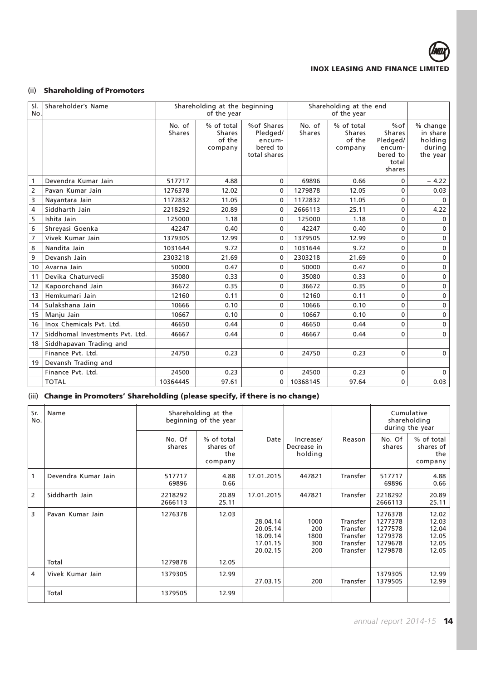

#### (ii) Shareholding of Promoters

| SI.<br>No. | Shareholder's Name              | Shareholding at the beginning<br>Shareholding at the end<br>of the year<br>of the year |                                           |                                                               |                         |                                                  |                                                                              |                                                       |
|------------|---------------------------------|----------------------------------------------------------------------------------------|-------------------------------------------|---------------------------------------------------------------|-------------------------|--------------------------------------------------|------------------------------------------------------------------------------|-------------------------------------------------------|
|            |                                 | No. of<br><b>Shares</b>                                                                | % of total<br>Shares<br>of the<br>company | % of Shares<br>Pledged/<br>encum-<br>bered to<br>total shares | No. of<br><b>Shares</b> | % of total<br><b>Shares</b><br>of the<br>company | $%$ of<br><b>Shares</b><br>Pledged/<br>encum-<br>bered to<br>total<br>shares | % change<br>in share<br>holding<br>during<br>the year |
| 1          | Devendra Kumar Jain             | 517717                                                                                 | 4.88                                      | 0                                                             | 69896                   | 0.66                                             | $\mathbf{0}$                                                                 | $-4.22$                                               |
| 2          | Pavan Kumar Jain                | 1276378                                                                                | 12.02                                     | 0                                                             | 1279878                 | 12.05                                            | $\mathbf{0}$                                                                 | 0.03                                                  |
| 3          | Nayantara Jain                  | 1172832                                                                                | 11.05                                     | 0                                                             | 1172832                 | 11.05                                            | 0                                                                            | $\mathbf{0}$                                          |
| 4          | Siddharth Jain                  | 2218292                                                                                | 20.89                                     | 0                                                             | 2666113                 | 25.11                                            | 0                                                                            | 4.22                                                  |
| 5          | Ishita Jain                     | 125000                                                                                 | 1.18                                      | $\mathbf{0}$                                                  | 125000                  | 1.18                                             | $\mathbf 0$                                                                  | 0                                                     |
| 6          | Shreyasi Goenka                 | 42247                                                                                  | 0.40                                      | $\Omega$                                                      | 42247                   | 0.40                                             | $\mathbf 0$                                                                  | $\mathbf 0$                                           |
| 7          | Vivek Kumar Jain                | 1379305                                                                                | 12.99                                     | 0                                                             | 1379505                 | 12.99                                            | 0                                                                            | $\mathbf 0$                                           |
| 8          | Nandita Jain                    | 1031644                                                                                | 9.72                                      | 0                                                             | 1031644                 | 9.72                                             | 0                                                                            | 0                                                     |
| 9          | Devansh Jain                    | 2303218                                                                                | 21.69                                     | $\mathbf{0}$                                                  | 2303218                 | 21.69                                            | $\Omega$                                                                     | $\mathbf 0$                                           |
| 10         | Avarna Jain                     | 50000                                                                                  | 0.47                                      | 0                                                             | 50000                   | 0.47                                             | 0                                                                            | 0                                                     |
| 11         | Devika Chaturvedi               | 35080                                                                                  | 0.33                                      | 0                                                             | 35080                   | 0.33                                             | $\mathbf 0$                                                                  | $\mathbf 0$                                           |
| 12         | Kapoorchand Jain                | 36672                                                                                  | 0.35                                      | 0                                                             | 36672                   | 0.35                                             | $\mathbf 0$                                                                  | $\mathbf 0$                                           |
| 13         | Hemkumari Jain                  | 12160                                                                                  | 0.11                                      | 0                                                             | 12160                   | 0.11                                             | $\mathbf 0$                                                                  | $\mathbf 0$                                           |
| 14         | Sulakshana Jain                 | 10666                                                                                  | 0.10                                      | 0                                                             | 10666                   | 0.10                                             | $\mathbf{0}$                                                                 | $\mathbf 0$                                           |
| 15         | Manju Jain                      | 10667                                                                                  | 0.10                                      | $\mathbf{0}$                                                  | 10667                   | 0.10                                             | $\mathbf{0}$                                                                 | $\mathbf 0$                                           |
| 16         | Inox Chemicals Pvt. Ltd.        | 46650                                                                                  | 0.44                                      | $\mathbf 0$                                                   | 46650                   | 0.44                                             | $\mathbf{0}$                                                                 | $\mathbf 0$                                           |
| 17         | Siddhomal Investments Pyt. Ltd. | 46667                                                                                  | 0.44                                      | $\mathbf{0}$                                                  | 46667                   | 0.44                                             | $\mathbf 0$                                                                  | $\mathbf 0$                                           |
| 18         | Siddhapavan Trading and         |                                                                                        |                                           |                                                               |                         |                                                  |                                                                              |                                                       |
|            | Finance Pvt. Ltd.               | 24750                                                                                  | 0.23                                      | 0                                                             | 24750                   | 0.23                                             | 0                                                                            | $\mathbf 0$                                           |
| 19         | Devansh Trading and             |                                                                                        |                                           |                                                               |                         |                                                  |                                                                              |                                                       |
|            | Finance Pvt. Ltd.               | 24500                                                                                  | 0.23                                      | $\mathbf 0$                                                   | 24500                   | 0.23                                             | $\mathbf 0$                                                                  | $\mathbf 0$                                           |
|            | <b>TOTAL</b>                    | 10364445                                                                               | 97.61                                     | 0                                                             | 10368145                | 97.64                                            | 0                                                                            | 0.03                                                  |

#### (iii) Change in Promoters' Shareholding (please specify, if there is no change)

| Sr.<br>No. | Name                |                    | Shareholding at the<br>beginning of the year |                                                          |                                     |                                                                 |                                                                | Cumulative<br>shareholding<br>during the year      |
|------------|---------------------|--------------------|----------------------------------------------|----------------------------------------------------------|-------------------------------------|-----------------------------------------------------------------|----------------------------------------------------------------|----------------------------------------------------|
|            |                     | No. Of<br>shares   | % of total<br>shares of<br>the<br>company    | Date                                                     | Increase/<br>Decrease in<br>holding | Reason                                                          | No. Of<br>shares                                               | % of total<br>shares of<br>the<br>company          |
| 1          | Devendra Kumar Jain | 517717<br>69896    | 4.88<br>0.66                                 | 17.01.2015                                               | 447821                              | Transfer                                                        | 517717<br>69896                                                | 4.88<br>0.66                                       |
| 2          | Siddharth Jain      | 2218292<br>2666113 | 20.89<br>25.11                               | 17.01.2015                                               | 447821                              | Transfer                                                        | 2218292<br>2666113                                             | 20.89<br>25.11                                     |
| 3          | Pavan Kumar Jain    | 1276378            | 12.03                                        | 28.04.14<br>20.05.14<br>18.09.14<br>17.01.15<br>20.02.15 | 1000<br>200<br>1800<br>300<br>200   | Transfer<br>Transfer<br>Transfer<br>Transfer<br><b>Transfer</b> | 1276378<br>1277378<br>1277578<br>1279378<br>1279678<br>1279878 | 12.02<br>12.03<br>12.04<br>12.05<br>12.05<br>12.05 |
|            | Total               | 1279878            | 12.05                                        |                                                          |                                     |                                                                 |                                                                |                                                    |
| 4          | Vivek Kumar Jain    | 1379305            | 12.99                                        | 27.03.15                                                 | 200                                 | Transfer                                                        | 1379305<br>1379505                                             | 12.99<br>12.99                                     |
|            | Total               | 1379505            | 12.99                                        |                                                          |                                     |                                                                 |                                                                |                                                    |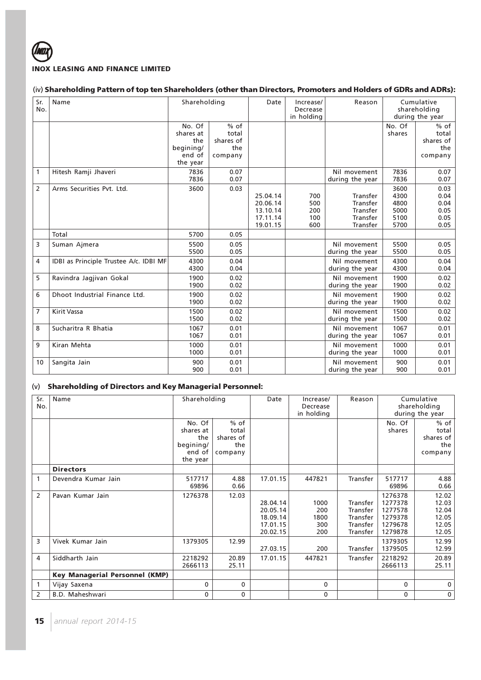

#### (iv) Shareholding Pattern of top ten Shareholders (other than Directors, Promoters and Holders of GDRs and ADRs):

| Sr.<br>No.     | Name                                   | Shareholding                                                  |                                                | Date                                                     | Increase/<br>Decrease<br>in holding | Reason                                                   |                                              | Cumulative<br>shareholding<br>during the year  |
|----------------|----------------------------------------|---------------------------------------------------------------|------------------------------------------------|----------------------------------------------------------|-------------------------------------|----------------------------------------------------------|----------------------------------------------|------------------------------------------------|
|                |                                        | No. Of<br>shares at<br>the<br>begining/<br>end of<br>the year | $%$ of<br>total<br>shares of<br>the<br>company |                                                          |                                     |                                                          | No. Of<br>shares                             | $%$ of<br>total<br>shares of<br>the<br>company |
| $\mathbf{1}$   | Hitesh Ramji Jhaveri                   | 7836<br>7836                                                  | 0.07<br>0.07                                   |                                                          |                                     | Nil movement<br>during the year                          | 7836<br>7836                                 | 0.07<br>0.07                                   |
| $\overline{2}$ | Arms Securities Pvt. Ltd.              | 3600                                                          | 0.03                                           | 25.04.14<br>20.06.14<br>13.10.14<br>17.11.14<br>19.01.15 | 700<br>500<br>200<br>100<br>600     | Transfer<br>Transfer<br>Transfer<br>Transfer<br>Transfer | 3600<br>4300<br>4800<br>5000<br>5100<br>5700 | 0.03<br>0.04<br>0.04<br>0.05<br>0.05<br>0.05   |
|                | Total                                  | 5700                                                          | 0.05                                           |                                                          |                                     |                                                          |                                              |                                                |
| 3              | Suman Aimera                           | 5500<br>5500                                                  | 0.05<br>0.05                                   |                                                          |                                     | Nil movement<br>during the year                          | 5500<br>5500                                 | 0.05<br>0.05                                   |
| 4              | IDBI as Principle Trustee A/c. IDBI MF | 4300<br>4300                                                  | 0.04<br>0.04                                   |                                                          |                                     | Nil movement<br>during the year                          | 4300<br>4300                                 | 0.04<br>0.04                                   |
| 5              | Ravindra Jagjivan Gokal                | 1900<br>1900                                                  | 0.02<br>0.02                                   |                                                          |                                     | Nil movement<br>during the year                          | 1900<br>1900                                 | 0.02<br>0.02                                   |
| 6              | Dhoot Industrial Finance Ltd.          | 1900<br>1900                                                  | 0.02<br>0.02                                   |                                                          |                                     | Nil movement<br>during the year                          | 1900<br>1900                                 | 0.02<br>0.02                                   |
| $\overline{7}$ | <b>Kirit Vassa</b>                     | 1500<br>1500                                                  | 0.02<br>0.02                                   |                                                          |                                     | Nil movement<br>during the year                          | 1500<br>1500                                 | 0.02<br>0.02                                   |
| 8              | Sucharitra R Bhatia                    | 1067<br>1067                                                  | 0.01<br>0.01                                   |                                                          |                                     | Nil movement<br>during the year                          | 1067<br>1067                                 | 0.01<br>0.01                                   |
| 9              | Kiran Mehta                            | 1000<br>1000                                                  | 0.01<br>0.01                                   |                                                          |                                     | Nil movement<br>during the year                          | 1000<br>1000                                 | 0.01<br>0.01                                   |
| 10             | Sangita Jain                           | 900<br>900                                                    | 0.01<br>0.01                                   |                                                          |                                     | Nil movement<br>during the year                          | 900<br>900                                   | 0.01<br>0.01                                   |

#### (v) Shareholding of Directors and Key Managerial Personnel:

| Sr.<br>No.     | Name                                  | Shareholding |              | Date     | Increase/<br>Decrease<br>in holding | Reason          |         | Cumulative<br>shareholding<br>during the year |
|----------------|---------------------------------------|--------------|--------------|----------|-------------------------------------|-----------------|---------|-----------------------------------------------|
|                |                                       | No. Of       | $%$ of       |          |                                     |                 | No. Of  | $%$ of                                        |
|                |                                       | shares at    | total        |          |                                     |                 | shares  | total                                         |
|                |                                       | the          | shares of    |          |                                     |                 |         | shares of                                     |
|                |                                       | begining/    | the          |          |                                     |                 |         | the                                           |
|                |                                       | end of $ $   | company      |          |                                     |                 |         | company                                       |
|                |                                       | the year     |              |          |                                     |                 |         |                                               |
|                | <b>Directors</b>                      |              |              |          |                                     |                 |         |                                               |
| 1              | Devendra Kumar Jain                   | 517717       | 4.88         | 17.01.15 | 447821                              | <b>Transfer</b> | 517717  | 4.88                                          |
|                |                                       | 69896        | 0.66         |          |                                     |                 | 69896   | 0.66                                          |
| $\overline{2}$ | Pavan Kumar Jain                      | 1276378      | 12.03        |          |                                     |                 | 1276378 | 12.02                                         |
|                |                                       |              |              | 28.04.14 | 1000                                | Transfer        | 1277378 | 12.03                                         |
|                |                                       |              |              | 20.05.14 | 200                                 | <b>Transfer</b> | 1277578 | 12.04                                         |
|                |                                       |              |              | 18.09.14 | 1800                                | <b>Transfer</b> | 1279378 | 12.05                                         |
|                |                                       |              |              | 17.01.15 | 300                                 | Transfer        | 1279678 | 12.05                                         |
|                |                                       |              |              | 20.02.15 | 200                                 | Transfer        | 1279878 | 12.05                                         |
| 3              | Vivek Kumar Jain                      | 1379305      | 12.99        |          |                                     |                 | 1379305 | 12.99                                         |
|                |                                       |              |              | 27.03.15 | 200                                 | Transfer        | 1379505 | 12.99                                         |
| 4              | Siddharth Jain                        | 2218292      | 20.89        | 17.01.15 | 447821                              | Transfer        | 2218292 | 20.89                                         |
|                |                                       | 2666113      | 25.11        |          |                                     |                 | 2666113 | 25.11                                         |
|                | <b>Key Managerial Personnel (KMP)</b> |              |              |          |                                     |                 |         |                                               |
| 1              | Vijay Saxena                          | $\mathbf{0}$ | $\mathbf{0}$ |          | 0                                   |                 | 0       | 0                                             |
| 2              | B.D. Maheshwari                       | $\mathbf{0}$ | $\mathbf{0}$ |          | 0                                   |                 | 0       | 0                                             |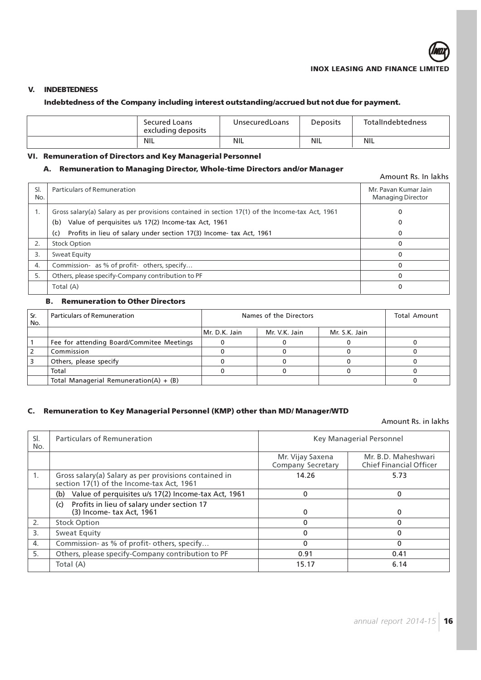#### V. INDEBTEDNESS

#### Indebtedness of the Company including interest outstanding/accrued but not due for payment.

| <b>Secured Loans</b><br>excluding deposits | <b>Unsecured Loans</b> | Deposits   | <b>TotalIndebtedness</b> |
|--------------------------------------------|------------------------|------------|--------------------------|
| <b>NIL</b>                                 | <b>NIL</b>             | <b>NIL</b> | <b>NIL</b>               |

#### VI. Remuneration of Directors and Key Managerial Personnel

#### A. Remuneration to Managing Director, Whole-time Directors and/or Manager

|            |                                                                                                 | Amount Rs. In lakhs                              |
|------------|-------------------------------------------------------------------------------------------------|--------------------------------------------------|
| SI.<br>No. | Particulars of Remuneration                                                                     | Mr. Pavan Kumar Jain<br><b>Managing Director</b> |
| 1.         | Gross salary(a) Salary as per provisions contained in section 17(1) of the Income-tax Act, 1961 |                                                  |
|            | Value of perquisites u/s 17(2) Income-tax Act, 1961<br>(b)                                      |                                                  |
|            | Profits in lieu of salary under section 17(3) Income- tax Act, 1961<br>(c)                      | 0                                                |
| 2.         | <b>Stock Option</b>                                                                             | 0                                                |
| 3.         | Sweat Equity                                                                                    | $\Omega$                                         |
| 4.         | Commission- as % of profit- others, specify                                                     | 0                                                |
| 5.         | Others, please specify-Company contribution to PF                                               | 0                                                |
|            | Total (A)                                                                                       | 0                                                |

#### B. Remuneration to Other Directors

| Sr.<br>No. | Particulars of Remuneration               | Names of the Directors |               |               | <b>Total Amount</b> |
|------------|-------------------------------------------|------------------------|---------------|---------------|---------------------|
|            |                                           | Mr. D.K. Jain          | Mr. V.K. Jain | Mr. S.K. Jain |                     |
|            | Fee for attending Board/Commitee Meetings |                        |               |               |                     |
|            | Commission                                |                        |               |               |                     |
|            | Others, please specify                    |                        |               |               |                     |
|            | Total                                     |                        |               |               |                     |
|            | Total Managerial Remuneration(A) + $(B)$  |                        |               |               |                     |

#### C. Remuneration to Key Managerial Personnel (KMP) other than MD/ Manager/WTD

Amount Rs. in lakhs

| SI.<br>No.     | <b>Particulars of Remuneration</b>                                                                 |                                       | Key Managerial Personnel                              |
|----------------|----------------------------------------------------------------------------------------------------|---------------------------------------|-------------------------------------------------------|
|                |                                                                                                    | Mr. Vijay Saxena<br>Company Secretary | Mr. B.D. Maheshwari<br><b>Chief Financial Officer</b> |
| 1.             | Gross salary(a) Salary as per provisions contained in<br>section 17(1) of the Income-tax Act, 1961 | 14.26                                 | 5.73                                                  |
|                | Value of perquisites u/s 17(2) Income-tax Act, 1961<br>(b)                                         | 0                                     | $\Omega$                                              |
|                | Profits in lieu of salary under section 17<br>(c)<br>(3) Income- tax Act, 1961                     | 0                                     | 0                                                     |
| 2.             | <b>Stock Option</b>                                                                                | 0                                     | $\Omega$                                              |
| $\mathbf{3}$ . | <b>Sweat Equity</b>                                                                                | 0                                     | $\Omega$                                              |
| 4.             | Commission- as % of profit- others, specify                                                        | 0                                     | $\mathbf 0$                                           |
| 5.             | Others, please specify-Company contribution to PF                                                  | 0.91                                  | 0.41                                                  |
|                | Total (A)                                                                                          | 15.17                                 | 6.14                                                  |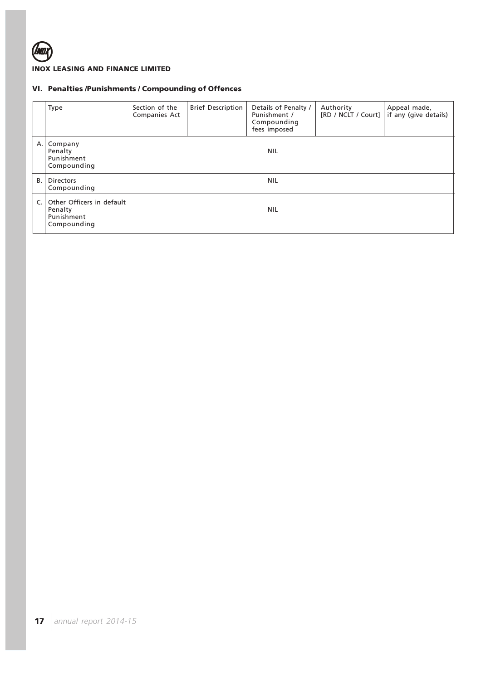

#### VI. Penalties /Punishments / Compounding of Offences

|    | Type                                                              | Section of the<br>Companies Act | <b>Brief Description</b> | Details of Penalty /<br>Punishment /<br>Compounding<br>fees imposed | Authority<br>[RD / NCLT / Court] | Appeal made,<br>if any (give details) |
|----|-------------------------------------------------------------------|---------------------------------|--------------------------|---------------------------------------------------------------------|----------------------------------|---------------------------------------|
| А. | Company<br>Penalty<br>Punishment<br>Compounding                   |                                 |                          | <b>NIL</b>                                                          |                                  |                                       |
| В. | <b>Directors</b><br>Compounding                                   |                                 |                          | <b>NIL</b>                                                          |                                  |                                       |
|    | Other Officers in default<br>Penalty<br>Punishment<br>Compounding |                                 |                          | <b>NIL</b>                                                          |                                  |                                       |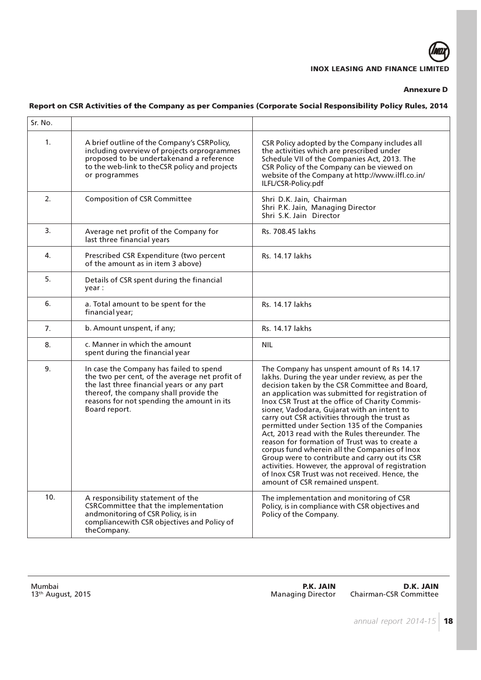

#### Annexure D

#### Report on CSR Activities of the Company as per Companies (Corporate Social Responsibility Policy Rules, 2014

| Sr. No.         |                                                                                                                                                                                                                                                  |                                                                                                                                                                                                                                                                                                                                                                                                                                                                                                                                                                                                                                                                                                                                                       |
|-----------------|--------------------------------------------------------------------------------------------------------------------------------------------------------------------------------------------------------------------------------------------------|-------------------------------------------------------------------------------------------------------------------------------------------------------------------------------------------------------------------------------------------------------------------------------------------------------------------------------------------------------------------------------------------------------------------------------------------------------------------------------------------------------------------------------------------------------------------------------------------------------------------------------------------------------------------------------------------------------------------------------------------------------|
| 1 <sub>1</sub>  | A brief outline of the Company's CSRPolicy.<br>including overview of projects orprogrammes<br>proposed to be undertakenand a reference<br>to the web-link to the CSR policy and projects<br>or programmes                                        | CSR Policy adopted by the Company includes all<br>the activities which are prescribed under<br>Schedule VII of the Companies Act, 2013. The<br>CSR Policy of the Company can be viewed on<br>website of the Company at http://www.ilfl.co.in/<br>ILFL/CSR-Policy.pdf                                                                                                                                                                                                                                                                                                                                                                                                                                                                                  |
| 2.              | <b>Composition of CSR Committee</b>                                                                                                                                                                                                              | Shri D.K. Jain, Chairman<br>Shri P.K. Jain, Managing Director<br>Shri S.K. Jain Director                                                                                                                                                                                                                                                                                                                                                                                                                                                                                                                                                                                                                                                              |
| 3.              | Average net profit of the Company for<br>last three financial years                                                                                                                                                                              | Rs. 708.45 lakhs                                                                                                                                                                                                                                                                                                                                                                                                                                                                                                                                                                                                                                                                                                                                      |
| 4.              | Prescribed CSR Expenditure (two percent<br>of the amount as in item 3 above)                                                                                                                                                                     | Rs. 14.17 lakhs                                                                                                                                                                                                                                                                                                                                                                                                                                                                                                                                                                                                                                                                                                                                       |
| 5.              | Details of CSR spent during the financial<br>year:                                                                                                                                                                                               |                                                                                                                                                                                                                                                                                                                                                                                                                                                                                                                                                                                                                                                                                                                                                       |
| 6.              | a. Total amount to be spent for the<br>financial year;                                                                                                                                                                                           | Rs. 14.17 lakhs                                                                                                                                                                                                                                                                                                                                                                                                                                                                                                                                                                                                                                                                                                                                       |
| 7 <sub>1</sub>  | b. Amount unspent, if any;                                                                                                                                                                                                                       | Rs. 14.17 lakhs                                                                                                                                                                                                                                                                                                                                                                                                                                                                                                                                                                                                                                                                                                                                       |
| 8.              | c. Manner in which the amount<br>spent during the financial year                                                                                                                                                                                 | <b>NIL</b>                                                                                                                                                                                                                                                                                                                                                                                                                                                                                                                                                                                                                                                                                                                                            |
| 9.              | In case the Company has failed to spend<br>the two per cent, of the average net profit of<br>the last three financial years or any part<br>thereof, the company shall provide the<br>reasons for not spending the amount in its<br>Board report. | The Company has unspent amount of Rs 14.17<br>lakhs. During the year under review, as per the<br>decision taken by the CSR Committee and Board,<br>an application was submitted for registration of<br>Inox CSR Trust at the office of Charity Commis-<br>sioner, Vadodara, Gujarat with an intent to<br>carry out CSR activities through the trust as<br>permitted under Section 135 of the Companies<br>Act, 2013 read with the Rules thereunder. The<br>reason for formation of Trust was to create a<br>corpus fund wherein all the Companies of Inox<br>Group were to contribute and carry out its CSR<br>activities. However, the approval of registration<br>of Inox CSR Trust was not received. Hence, the<br>amount of CSR remained unspent. |
| 10 <sub>1</sub> | A responsibility statement of the<br>CSRCommittee that the implementation<br>andmonitoring of CSR Policy, is in<br>compliancewith CSR objectives and Policy of<br>theCompany.                                                                    | The implementation and monitoring of CSR<br>Policy, is in compliance with CSR objectives and<br>Policy of the Company.                                                                                                                                                                                                                                                                                                                                                                                                                                                                                                                                                                                                                                |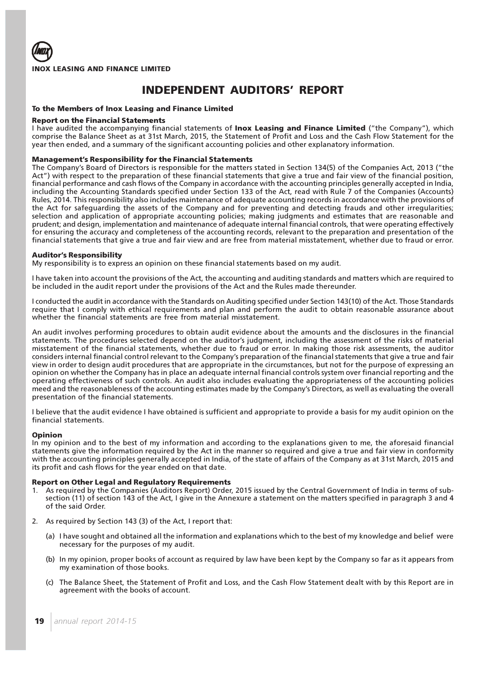

## INDEPENDENT AUDITORS' REPORT

#### To the Members of Inox Leasing and Finance Limited

#### Report on the Financial Statements

I have audited the accompanying financial statements of **Inox Leasing and Finance Limited** ("the Company"), which comprise the Balance Sheet as at 31st March, 2015, the Statement of Profit and Loss and the Cash Flow Statement for the year then ended, and a summary of the significant accounting policies and other explanatory information.

#### Management's Responsibility for the Financial Statements

The Company's Board of Directors is responsible for the matters stated in Section 134(5) of the Companies Act, 2013 ("the Act") with respect to the preparation of these financial statements that give a true and fair view of the financial position, financial performance and cash flows of the Company in accordance with the accounting principles generally accepted in India, including the Accounting Standards specified under Section 133 of the Act, read with Rule 7 of the Companies (Accounts) Rules, 2014. This responsibility also includes maintenance of adequate accounting records in accordance with the provisions of the Act for safeguarding the assets of the Company and for preventing and detecting frauds and other irregularities; selection and application of appropriate accounting policies; making judgments and estimates that are reasonable and prudent; and design, implementation and maintenance of adequate internal financial controls, that were operating effectively for ensuring the accuracy and completeness of the accounting records, relevant to the preparation and presentation of the financial statements that give a true and fair view and are free from material misstatement, whether due to fraud or error.

#### Auditor's Responsibility

My responsibility is to express an opinion on these financial statements based on my audit.

I have taken into account the provisions of the Act, the accounting and auditing standards and matters which are required to be included in the audit report under the provisions of the Act and the Rules made thereunder.

I conducted the audit in accordance with the Standards on Auditing specified under Section 143(10) of the Act. Those Standards require that I comply with ethical requirements and plan and perform the audit to obtain reasonable assurance about whether the financial statements are free from material misstatement.

An audit involves performing procedures to obtain audit evidence about the amounts and the disclosures in the financial statements. The procedures selected depend on the auditor's judgment, including the assessment of the risks of material misstatement of the financial statements, whether due to fraud or error. In making those risk assessments, the auditor considers internal financial control relevant to the Company's preparation of the financial statements that give a true and fair view in order to design audit procedures that are appropriate in the circumstances, but not for the purpose of expressing an opinion on whether the Company has in place an adequate internal financial controls system over financial reporting and the operating effectiveness of such controls. An audit also includes evaluating the appropriateness of the accounting policies meed and the reasonableness of the accounting estimates made by the Company's Directors, as well as evaluating the overall presentation of the financial statements.

I believe that the audit evidence I have obtained is sufficient and appropriate to provide a basis for my audit opinion on the financial statements.

#### Opinion

In my opinion and to the best of my information and according to the explanations given to me, the aforesaid financial statements give the information required by the Act in the manner so required and give a true and fair view in conformity with the accounting principles generally accepted in India, of the state of affairs of the Company as at 31st March, 2015 and its profit and cash flows for the year ended on that date.

#### Report on Other Legal and Regulatory Requirements

- 1. As required by the Companies (Auditors Report) Order, 2015 issued by the Central Government of India in terms of subsection (11) of section 143 of the Act, I give in the Annexure a statement on the matters specified in paragraph 3 and 4 of the said Order.
- 2. As required by Section 143 (3) of the Act, I report that:
	- (a) I have sought and obtained all the information and explanations which to the best of my knowledge and belief were necessary for the purposes of my audit.
	- (b) In my opinion, proper books of account as required by law have been kept by the Company so far as it appears from my examination of those books.
	- (c) The Balance Sheet, the Statement of Profit and Loss, and the Cash Flow Statement dealt with by this Report are in agreement with the books of account.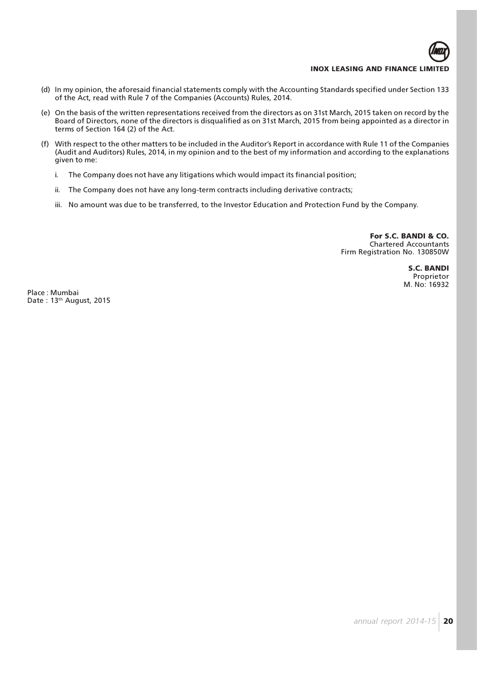

- (d) In my opinion, the aforesaid financial statements comply with the Accounting Standards specified under Section 133 of the Act, read with Rule 7 of the Companies (Accounts) Rules, 2014.
- (e) On the basis of the written representations received from the directors as on 31st March, 2015 taken on record by the Board of Directors, none of the directors is disqualified as on 31st March, 2015 from being appointed as a director in terms of Section 164 (2) of the Act.
- (f) With respect to the other matters to be included in the Auditor's Report in accordance with Rule 11 of the Companies (Audit and Auditors) Rules, 2014, in my opinion and to the best of my information and according to the explanations given to me:
	- i. The Company does not have any litigations which would impact its financial position;
	- ii. The Company does not have any long-term contracts including derivative contracts;
	- iii. No amount was due to be transferred, to the Investor Education and Protection Fund by the Company.

For S.C. BANDI & CO. Chartered Accountants Firm Registration No. 130850W

> S.C. BANDI Proprietor M. No: 16932

Place : Mumbai Date: 13th August, 2015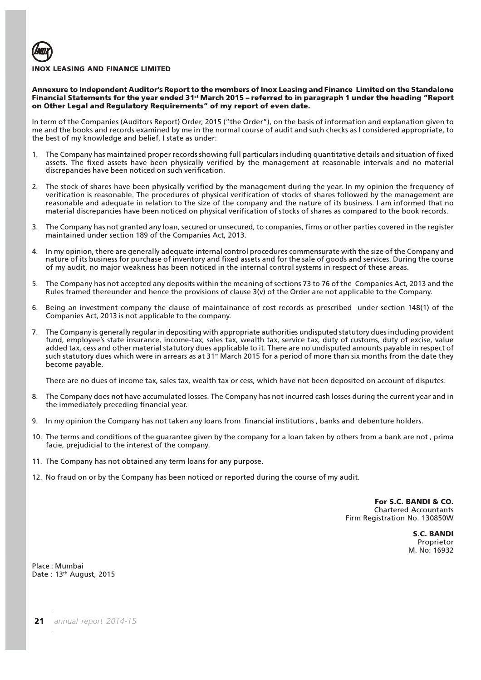

Annexure to Independent Auditor's Report to the members of Inox Leasing and Finance Limited on the Standalone Financial Statements for the year ended 31st March 2015 – referred to in paragraph 1 under the heading "Report on Other Legal and Regulatory Requirements" of my report of even date.

In term of the Companies (Auditors Report) Order, 2015 ("the Order"), on the basis of information and explanation given to me and the books and records examined by me in the normal course of audit and such checks as I considered appropriate, to the best of my knowledge and belief, I state as under:

- 1. The Company has maintained proper records showing full particulars including quantitative details and situation of fixed assets. The fixed assets have been physically verified by the management at reasonable intervals and no material discrepancies have been noticed on such verification.
- 2. The stock of shares have been physically verified by the management during the year. In my opinion the frequency of verification is reasonable. The procedures of physical verification of stocks of shares followed by the management are reasonable and adequate in relation to the size of the company and the nature of its business. I am informed that no material discrepancies have been noticed on physical verification of stocks of shares as compared to the book records.
- 3. The Company has not granted any loan, secured or unsecured, to companies, firms or other parties covered in the register maintained under section 189 of the Companies Act, 2013.
- In my opinion, there are generally adequate internal control procedures commensurate with the size of the Company and nature of its business for purchase of inventory and fixed assets and for the sale of goods and services. During the course of my audit, no major weakness has been noticed in the internal control systems in respect of these areas.
- 5. The Company has not accepted any deposits within the meaning of sections 73 to 76 of the Companies Act, 2013 and the Rules framed thereunder and hence the provisions of clause 3(v) of the Order are not applicable to the Company.
- 6. Being an investment company the clause of maintainance of cost records as prescribed under section 148(1) of the Companies Act, 2013 is not applicable to the company.
- 7. The Company is generally regular in depositing with appropriate authorities undisputed statutory dues including provident fund, employee's state insurance, income-tax, sales tax, wealth tax, service tax, duty of customs, duty of excise, value added tax, cess and other material statutory dues applicable to it. There are no undisputed amounts payable in respect of such statutory dues which were in arrears as at 31<sup>st</sup> March 2015 for a period of more than six months from the date they become payable.

There are no dues of income tax, sales tax, wealth tax or cess, which have not been deposited on account of disputes.

- 8. The Company does not have accumulated losses. The Company has not incurred cash losses during the current year and in the immediately preceding financial year.
- 9. In my opinion the Company has not taken any loans from financial institutions , banks and debenture holders.
- 10. The terms and conditions of the guarantee given by the company for a loan taken by others from a bank are not , prima facie, prejudicial to the interest of the company.
- 11. The Company has not obtained any term loans for any purpose.
- 12. No fraud on or by the Company has been noticed or reported during the course of my audit.

For S.C. BANDI & CO. Chartered Accountants Firm Registration No. 130850W

> S.C. BANDI Proprietor M. No: 16932

Place : Mumbai Date: 13<sup>th</sup> August, 2015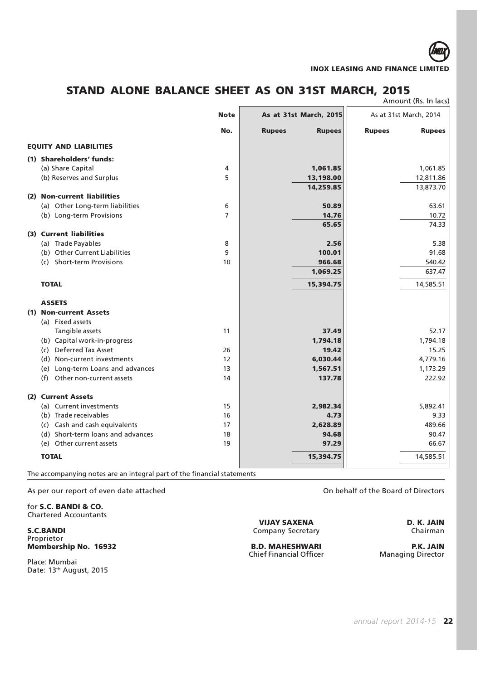## STAND ALONE BALANCE SHEET AS ON 31ST MARCH, 2015

|                                   |                | Amount (Rs. In lacs)           |                                |  |  |  |
|-----------------------------------|----------------|--------------------------------|--------------------------------|--|--|--|
|                                   | <b>Note</b>    | As at 31st March, 2015         | As at 31st March, 2014         |  |  |  |
|                                   | No.            | <b>Rupees</b><br><b>Rupees</b> | <b>Rupees</b><br><b>Rupees</b> |  |  |  |
| <b>EQUITY AND LIABILITIES</b>     |                |                                |                                |  |  |  |
| (1) Shareholders' funds:          |                |                                |                                |  |  |  |
| (a) Share Capital                 | 4              | 1,061.85                       | 1,061.85                       |  |  |  |
| (b) Reserves and Surplus          | 5              | 13,198.00                      | 12,811.86                      |  |  |  |
| (2) Non-current liabilities       |                | 14,259.85                      | 13,873.70                      |  |  |  |
| (a) Other Long-term liabilities   | 6              | 50.89                          | 63.61                          |  |  |  |
| (b) Long-term Provisions          | $\overline{7}$ | 14.76                          | 10.72                          |  |  |  |
|                                   |                | 65.65                          | 74.33                          |  |  |  |
| (3) Current liabilities           |                |                                |                                |  |  |  |
| (a) Trade Payables                | 8              | 2.56                           | 5.38                           |  |  |  |
| (b) Other Current Liabilities     | 9              | 100.01                         | 91.68                          |  |  |  |
| (c) Short-term Provisions         | 10             | 966.68                         | 540.42                         |  |  |  |
|                                   |                | 1,069.25                       | 637.47                         |  |  |  |
| <b>TOTAL</b>                      |                | 15,394.75                      | 14,585.51                      |  |  |  |
| <b>ASSETS</b>                     |                |                                |                                |  |  |  |
| (1) Non-current Assets            |                |                                |                                |  |  |  |
| (a) Fixed assets                  |                |                                |                                |  |  |  |
| Tangible assets                   | 11             | 37.49                          | 52.17                          |  |  |  |
| (b) Capital work-in-progress      |                | 1,794.18                       | 1,794.18                       |  |  |  |
| (c) Deferred Tax Asset            | 26             | 19.42                          | 15.25                          |  |  |  |
| (d) Non-current investments       | 12             | 6,030.44                       | 4,779.16                       |  |  |  |
| (e) Long-term Loans and advances  | 13             | 1,567.51                       | 1,173.29                       |  |  |  |
| Other non-current assets<br>(f)   | 14             | 137.78                         | 222.92                         |  |  |  |
| (2) Current Assets                |                |                                |                                |  |  |  |
| (a) Current investments           | 15             | 2,982.34                       | 5,892.41                       |  |  |  |
| (b) Trade receivables             | 16             | 4.73                           | 9.33                           |  |  |  |
| (c) Cash and cash equivalents     | 17             | 2,628.89                       | 489.66                         |  |  |  |
| (d) Short-term loans and advances | 18             | 94.68                          | 90.47                          |  |  |  |
| (e) Other current assets          | 19             | 97.29                          | 66.67                          |  |  |  |
| <b>TOTAL</b>                      |                | 15,394.75                      | 14,585.51                      |  |  |  |
|                                   |                |                                |                                |  |  |  |

The accompanying notes are an integral part of the financial statements

As per our report of even date attached and of the Board of Directors on behalf of the Board of Directors

for S.C. BANDI & CO. Chartered Accountants

S.C.BANDI Company Secretary Proprietor

Place: Mumbai Date: 13<sup>th</sup> August, 2015 VIJAY SAXENA D. K. JAIN

Membership No. 16932 **B.D. MAHESHWARI P.K. JAIN** P.K. JAIN P.R. AIN Chief Financial Officer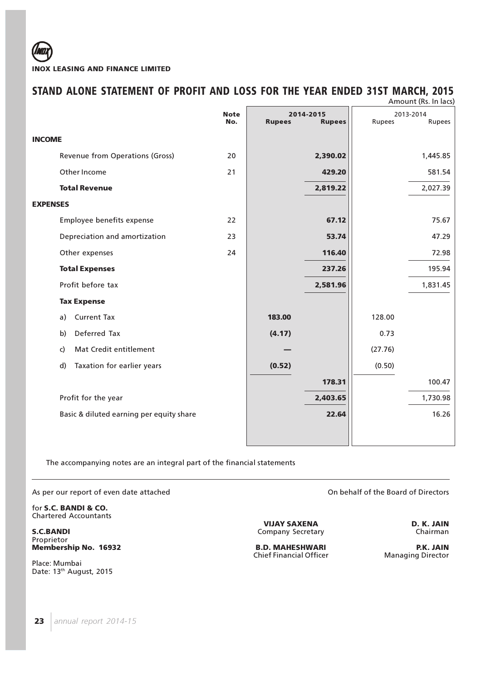## STAND ALONE STATEMENT OF PROFIT AND LOSS FOR THE YEAR ENDED 31ST MARCH, 2015

|                                          |                    |               |                            | Amount (Rs. In lacs) |                     |  |  |
|------------------------------------------|--------------------|---------------|----------------------------|----------------------|---------------------|--|--|
|                                          | <b>Note</b><br>No. | <b>Rupees</b> | 2014-2015<br><b>Rupees</b> | Rupees               | 2013-2014<br>Rupees |  |  |
| <b>INCOME</b>                            |                    |               |                            |                      |                     |  |  |
| Revenue from Operations (Gross)          | 20                 |               | 2,390.02                   |                      | 1,445.85            |  |  |
| Other Income                             | 21                 |               | 429.20                     |                      | 581.54              |  |  |
| <b>Total Revenue</b>                     |                    |               | 2,819.22                   |                      | 2,027.39            |  |  |
| <b>EXPENSES</b>                          |                    |               |                            |                      |                     |  |  |
| Employee benefits expense                | 22                 |               | 67.12                      |                      | 75.67               |  |  |
| Depreciation and amortization            | 23                 |               | 53.74                      |                      | 47.29               |  |  |
| Other expenses                           | 24                 |               | 116.40                     |                      | 72.98               |  |  |
| <b>Total Expenses</b>                    |                    |               | 237.26                     |                      | 195.94              |  |  |
| Profit before tax                        |                    |               | 2,581.96                   |                      | 1,831.45            |  |  |
| <b>Tax Expense</b>                       |                    |               |                            |                      |                     |  |  |
| <b>Current Tax</b><br>a)                 |                    | 183.00        |                            | 128.00               |                     |  |  |
| Deferred Tax<br>b)                       |                    | (4.17)        |                            | 0.73                 |                     |  |  |
| Mat Credit entitlement<br>c)             |                    |               |                            | (27.76)              |                     |  |  |
| Taxation for earlier years<br>d)         |                    | (0.52)        |                            | (0.50)               |                     |  |  |
|                                          |                    |               | 178.31                     |                      | 100.47              |  |  |
| Profit for the year                      |                    |               | 2,403.65                   |                      | 1,730.98            |  |  |
| Basic & diluted earning per equity share |                    |               | 22.64                      |                      | 16.26               |  |  |
|                                          |                    |               |                            |                      |                     |  |  |
|                                          |                    |               |                            |                      |                     |  |  |

The accompanying notes are an integral part of the financial statements

As per our report of even date attached **On behalf of the Board of Directors** 

for S.C. BANDI & CO. Chartered Accountants

S.C.BANDI Company Secretary Proprietor

Place: Mumbai Date: 13<sup>th</sup> August, 2015

VIJAY SAXENA<br>
ompany Secretary 
D. K. JAIN

Chairman

Chairman

O. The Chairman

D. K. JAIN

D. K. JAIN

D. K. JAIN

D. K. JAIN

Membership No. 16932 **B.D. MAHESHWARI P.K. JAIN** P.K. JAIN P.K. JAIN P.K. JAIN P.K. JAIN P.K. JAIN P.K. JAIN Chief Financial Officer

annual report 2014-15 23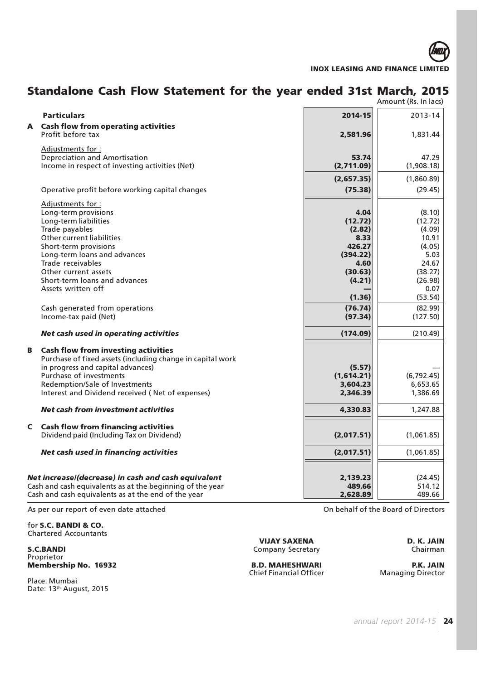

## Standalone Cash Flow Statement for the year ended 31st March, 2015

|   |                                                            |            | Amount (Rs. In lacs) |
|---|------------------------------------------------------------|------------|----------------------|
|   | <b>Particulars</b>                                         | 2014-15    | 2013-14              |
|   | <b>Cash flow from operating activities</b>                 |            |                      |
| A |                                                            |            |                      |
|   | Profit before tax                                          | 2,581.96   | 1,831.44             |
|   | Adjustments for:                                           |            |                      |
|   | <b>Depreciation and Amortisation</b>                       | 53.74      | 47.29                |
|   | Income in respect of investing activities (Net)            | (2,711.09) | (1,908.18)           |
|   |                                                            | (2,657.35) | (1,860.89)           |
|   | Operative profit before working capital changes            | (75.38)    | (29.45)              |
|   |                                                            |            |                      |
|   | Adjustments for:                                           |            |                      |
|   | Long-term provisions                                       | 4.04       | (8.10)               |
|   | Long-term liabilities                                      | (12.72)    | (12.72)              |
|   | Trade payables                                             | (2.82)     | (4.09)               |
|   | <b>Other current liabilities</b>                           | 8.33       | 10.91                |
|   | Short-term provisions                                      | 426.27     | (4.05)               |
|   | Long-term loans and advances                               | (394.22)   | 5.03                 |
|   | Trade receivables                                          | 4.60       | 24.67                |
|   | Other current assets                                       | (30.63)    | (38.27)              |
|   | Short-term loans and advances                              | (4.21)     | (26.98)              |
|   | Assets written off                                         |            | 0.07                 |
|   |                                                            | (1.36)     | (53.54)              |
|   | Cash generated from operations                             | (76.74)    | (82.99)              |
|   | Income-tax paid (Net)                                      | (97.34)    | (127.50)             |
|   |                                                            |            |                      |
|   | Net cash used in operating activities                      | (174.09)   | (210.49)             |
|   |                                                            |            |                      |
| B | <b>Cash flow from investing activities</b>                 |            |                      |
|   | Purchase of fixed assets (including change in capital work |            |                      |
|   | in progress and capital advances)                          | (5.57)     |                      |
|   | Purchase of investments                                    | (1,614.21) | (6, 792.45)          |
|   | Redemption/Sale of Investments                             | 3,604.23   | 6,653.65             |
|   | Interest and Dividend received (Net of expenses)           | 2,346.39   | 1,386.69             |
|   | Net cash from investment activities                        | 4,330.83   | 1,247.88             |
|   |                                                            |            |                      |
| C | <b>Cash flow from financing activities</b>                 |            |                      |
|   | Dividend paid (Including Tax on Dividend)                  | (2,017.51) | (1,061.85)           |
|   |                                                            |            |                      |
|   | Net cash used in financing activities                      | (2,017.51) | (1,061.85)           |
|   |                                                            |            |                      |
|   | Net increase/(decrease) in cash and cash equivalent        | 2,139.23   | (24.45)              |
|   | Cash and cash equivalents as at the beginning of the year  | 489.66     | 514.12               |
|   | Cash and cash equivalents as at the end of the year        | 2,628.89   | 489.66               |

for S.C. BANDI & CO. Chartered Accountants

S.C.BANDI Company Secretary Proprietor

Place: Mumbai Date: 13<sup>th</sup> August, 2015

As per our report of even date attached and of Directors on behalf of the Board of Directors

**VIJAY SAXENA D. K. JAIN**<br>
D. K. JAIN<br>
Chairman

Chief Financial Officer

Membership No. 16932 **B.D. MAHESHWARI P.K. JAIN** P.K. JAIN P.K. JAIN P.K. JAIN P.K. JAIN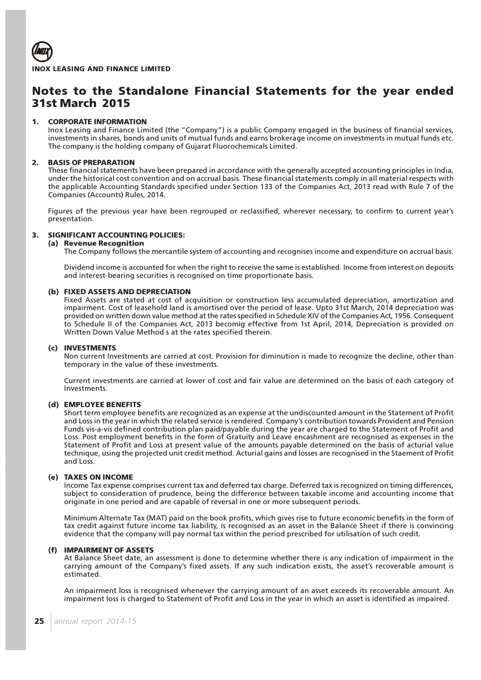

## Notes to the Standalone Financial Statements for the year ended 31st March 2015

#### 1. CORPORATE INFORMATION

Inox Leasing and Finance Limited (the "Company") is a public Company engaged in the business of financial services, investments in shares, bonds and units of mutual funds and earns brokerage income on investments in mutual funds etc. The company is the holding company of Gujarat Fluorochemicals Limited.

#### 2. BASIS OF PREPARATION

These financial statements have been prepared in accordance with the generally accepted accounting principles in India, under the historical cost convention and on accrual basis. These financial statements comply in all material respects with the applicable Accounting Standards specified under Section 133 of the Companies Act, 2013 read with Rule 7 of the Companies (Accounts) Rules, 2014.

Figures of the previous year have been regrouped or reclassified, wherever necessary, to confirm to current year's presentation.

#### 3. SIGNIFICANT ACCOUNTING POLICIES:

#### (a) Revenue Recognition

The Company follows the mercantile system of accounting and recognises income and expenditure on accrual basis.

Dividend income is accounted for when the right to receive the same is established. Income from interest on deposits and interest-bearing securities is recognised on time proportionate basis.

#### (b) FIXED ASSETS AND DEPRECIATION

Fixed Assets are stated at cost of acquisition or construction less accumulated depreciation, amortization and impairment. Cost of leasehold land is amortised over the period of lease. Upto 31st March, 2014 depreciation was provided on written down value method at the rates specified in Schedule XIV of the Companies Act, 1956. Consequent to Schedule II of the Companies Act, 2013 becomig effective from 1st April, 2014, Depreciation is provided on Written Down Value Method s at the rates specified therein.

#### (c) INVESTMENTS

Non current Investments are carried at cost. Provision for diminution is made to recognize the decline, other than temporary in the value of these investments.

Current investments are carried at lower of cost and fair value are determined on the basis of each category of Investments.

#### (d) EMPLOYEE BENEFITS

Short term employee benefits are recognized as an expense at the undiscounted amount in the Statement of Profit and Loss in the year in which the related service is rendered. Company's contribution towards Provident and Pension Funds vis-a-vis defined contribution plan paid/payable during the year are charged to the Statement of Profit and Loss. Post employment benefits in the form of Gratuity and Leave encashment are recognised as expenses in the Statement of Profit and Loss at present value of the amounts payable determined on the basis of acturial value technique, using the projected unit credit method. Acturial gains and losses are recognised in the Staement of Profit and Loss.

#### (e) TAXES ON INCOME

Income Tax expense comprises current tax and deferred tax charge. Deferred tax is recognized on timing differences, subject to consideration of prudence, being the difference between taxable income and accounting income that originate in one period and are capable of reversal in one or more subsequent periods.

Minimum Alternate Tax (MAT) paid on the book profits, which gives rise to future economic benefits in the form of tax credit against future income tax liability, is recognised as an asset in the Balance Sheet if there is convincing evidence that the company will pay normal tax within the period prescribed for utilisation of such credit.

#### (f) IMPAIRMENT OF ASSETS

At Balance Sheet date, an assessment is done to determine whether there is any indication of impairment in the carrying amount of the Company's fixed assets. If any such indication exists, the asset's recoverable amount is estimated.

An impairment loss is recognised whenever the carrying amount of an asset exceeds its recoverable amount. An impairment loss is charged to Statement of Profit and Loss in the year in which an asset is identified as impaired.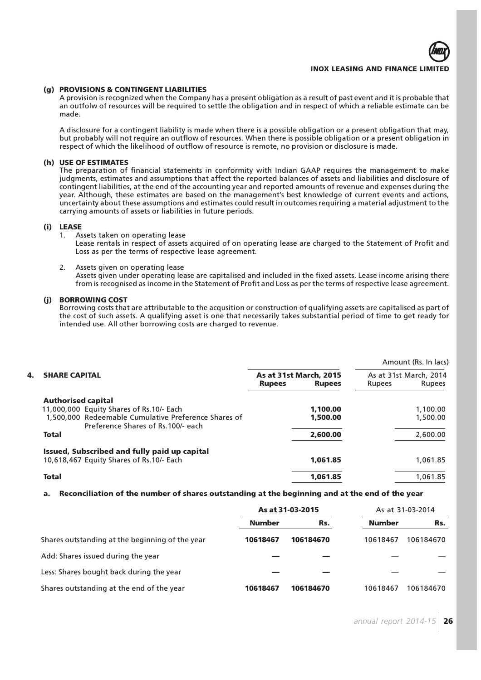

#### (g) PROVISIONS & CONTINGENT LIABILITIES

A provision is recognized when the Company has a present obligation as a result of past event and it is probable that an outfolw of resources will be required to settle the obligation and in respect of which a reliable estimate can be made.

A disclosure for a contingent liability is made when there is a possible obligation or a present obligation that may, but probably will not require an outflow of resources. When there is possible obligation or a present obligation in respect of which the likelihood of outflow of resource is remote, no provision or disclosure is made.

#### (h) USE OF ESTIMATES

The preparation of financial statements in conformity with Indian GAAP requires the management to make judgments, estimates and assumptions that affect the reported balances of assets and liabilities and disclosure of contingent liabilities, at the end of the accounting year and reported amounts of revenue and expenses during the year. Although, these estimates are based on the management's best knowledge of current events and actions, uncertainty about these assumptions and estimates could result in outcomes requiring a material adjustment to the carrying amounts of assets or liabilities in future periods.

#### (i) LEASE

1. Assets taken on operating lease

Lease rentals in respect of assets acquired of on operating lease are charged to the Statement of Profit and Loss as per the terms of respective lease agreement.

#### 2. Assets given on operating lease

Assets given under operating lease are capitalised and included in the fixed assets. Lease income arising there from is recognised as income in the Statement of Profit and Loss as per the terms of respective lease agreement.

#### (j) BORROWING COST

Borrowing costs that are attributable to the acqusition or construction of qualifying assets are capitalised as part of the cost of such assets. A qualifying asset is one that necessarily takes substantial period of time to get ready for intended use. All other borrowing costs are charged to revenue.

|    |                                                                                            |                                                                 | Amount (Rs. In lacs)                                     |
|----|--------------------------------------------------------------------------------------------|-----------------------------------------------------------------|----------------------------------------------------------|
| 4. | <b>SHARE CAPITAL</b>                                                                       | <b>As at 31st March, 2015</b><br><b>Rupees</b><br><b>Rupees</b> | As at 31st March, 2014<br><b>Rupees</b><br><b>Rupees</b> |
|    | <b>Authorised capital</b>                                                                  |                                                                 |                                                          |
|    | 11,000,000 Equity Shares of Rs.10/- Each                                                   | 1,100.00                                                        | 1,100.00                                                 |
|    | 1,500,000 Redeemable Cumulative Preference Shares of<br>Preference Shares of Rs.100/- each | 1,500.00                                                        | 1,500.00                                                 |
|    | <b>Total</b>                                                                               | 2,600.00                                                        | 2,600.00                                                 |
|    | Issued, Subscribed and fully paid up capital                                               |                                                                 |                                                          |
|    | 10,618,467 Equity Shares of Rs.10/- Each                                                   | 1,061.85                                                        | 1.061.85                                                 |
|    | <b>Total</b>                                                                               | 1,061.85                                                        | 1,061.85                                                 |
|    |                                                                                            |                                                                 |                                                          |

#### a. Reconciliation of the number of shares outstanding at the beginning and at the end of the year

|                                                 | As at 31-03-2015 |           |               | As at 31-03-2014 |  |
|-------------------------------------------------|------------------|-----------|---------------|------------------|--|
|                                                 | <b>Number</b>    | Rs.       | <b>Number</b> | Rs.              |  |
| Shares outstanding at the beginning of the year | 10618467         | 106184670 | 10618467      | 106184670        |  |
| Add: Shares issued during the year              |                  |           |               |                  |  |
| Less: Shares bought back during the year        |                  |           |               |                  |  |
| Shares outstanding at the end of the year       | 10618467         | 106184670 | 10618467      | 106184670        |  |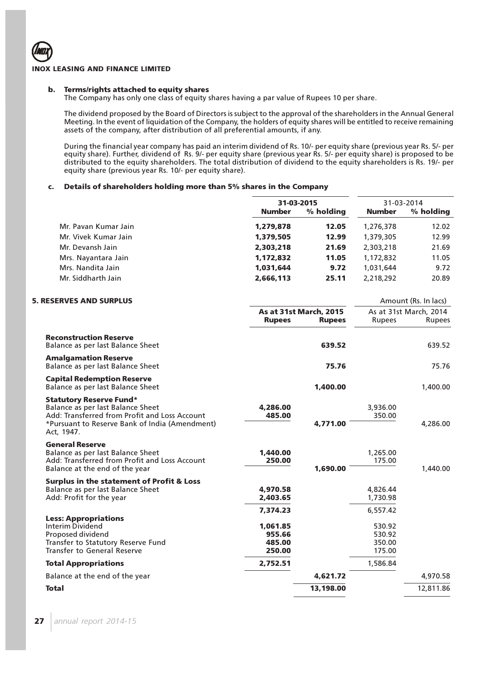#### b. Terms/rights attached to equity shares

The Company has only one class of equity shares having a par value of Rupees 10 per share.

The dividend proposed by the Board of Directors is subject to the approval of the shareholders in the Annual General Meeting. In the event of liquidation of the Company, the holders of equity shares will be entitled to receive remaining assets of the company, after distribution of all preferential amounts, if any.

During the financial year company has paid an interim dividend of Rs. 10/- per equity share (previous year Rs. 5/- per equity share). Further, dividend of Rs. 9/- per equity share (previous year Rs. 5/- per equity share) is proposed to be distributed to the equity shareholders. The total distribution of dividend to the equity shareholders is Rs. 19/- per equity share (previous year Rs. 10/- per equity share).

#### c. Details of shareholders holding more than 5% shares in the Company

|                                                                                                                                                                                      |                                                    | 31-03-2015                    |                                                  | 31-03-2014             |
|--------------------------------------------------------------------------------------------------------------------------------------------------------------------------------------|----------------------------------------------------|-------------------------------|--------------------------------------------------|------------------------|
|                                                                                                                                                                                      | <b>Number</b>                                      | % holding                     | <b>Number</b>                                    | % holding              |
| Mr. Pavan Kumar Jain                                                                                                                                                                 | 1,279,878                                          | 12.05                         | 1,276,378                                        | 12.02                  |
| Mr. Vivek Kumar Jain                                                                                                                                                                 | 1,379,505                                          | 12.99                         | 1,379,305                                        | 12.99                  |
| Mr. Devansh Jain                                                                                                                                                                     | 2,303,218                                          | 21.69                         | 2,303,218                                        | 21.69                  |
| Mrs. Nayantara Jain                                                                                                                                                                  | 1,172,832                                          | 11.05                         | 1,172,832                                        | 11.05                  |
| Mrs. Nandita Jain                                                                                                                                                                    | 1,031,644                                          | 9.72                          | 1,031,644                                        | 9.72                   |
| Mr. Siddharth Jain                                                                                                                                                                   | 2,666,113                                          | 25.11                         | 2,218,292                                        | 20.89                  |
| <b>5. RESERVES AND SURPLUS</b>                                                                                                                                                       |                                                    |                               |                                                  | Amount (Rs. In lacs)   |
|                                                                                                                                                                                      |                                                    | <b>As at 31st March, 2015</b> |                                                  | As at 31st March, 2014 |
|                                                                                                                                                                                      | <b>Rupees</b>                                      | <b>Rupees</b>                 | <b>Rupees</b>                                    | <b>Rupees</b>          |
| <b>Reconstruction Reserve</b><br>Balance as per last Balance Sheet                                                                                                                   |                                                    | 639.52                        |                                                  | 639.52                 |
| <b>Amalgamation Reserve</b><br>Balance as per last Balance Sheet                                                                                                                     |                                                    | 75.76                         |                                                  | 75.76                  |
| <b>Capital Redemption Reserve</b><br>Balance as per last Balance Sheet                                                                                                               |                                                    | 1,400.00                      |                                                  | 1,400.00               |
| <b>Statutory Reserve Fund*</b><br>Balance as per last Balance Sheet<br>Add: Transferred from Profit and Loss Account<br>*Pursuant to Reserve Bank of India (Amendment)<br>Act, 1947. | 4,286.00<br>485.00                                 | 4,771.00                      | 3,936.00<br>350.00                               | 4,286.00               |
| <b>General Reserve</b><br>Balance as per last Balance Sheet<br>Add: Transferred from Profit and Loss Account<br>Balance at the end of the year                                       | 1,440.00<br>250.00                                 | 1,690.00                      | 1,265.00<br>175.00                               | 1,440.00               |
| <b>Surplus in the statement of Profit &amp; Loss</b><br>Balance as per last Balance Sheet<br>Add: Profit for the year                                                                | 4,970.58<br>2,403.65                               |                               | 4,826.44<br>1,730.98                             |                        |
| <b>Less: Appropriations</b><br><b>Interim Dividend</b><br>Proposed dividend<br>Transfer to Statutory Reserve Fund<br>Transfer to General Reserve                                     | 7,374.23<br>1,061.85<br>955.66<br>485.00<br>250.00 |                               | 6,557.42<br>530.92<br>530.92<br>350.00<br>175.00 |                        |
| <b>Total Appropriations</b>                                                                                                                                                          | 2,752.51                                           |                               | 1,586.84                                         |                        |
| Balance at the end of the year                                                                                                                                                       |                                                    | 4,621.72                      |                                                  | 4,970.58               |
| <b>Total</b>                                                                                                                                                                         |                                                    | 13,198.00                     |                                                  | 12,811.86              |
|                                                                                                                                                                                      |                                                    |                               |                                                  |                        |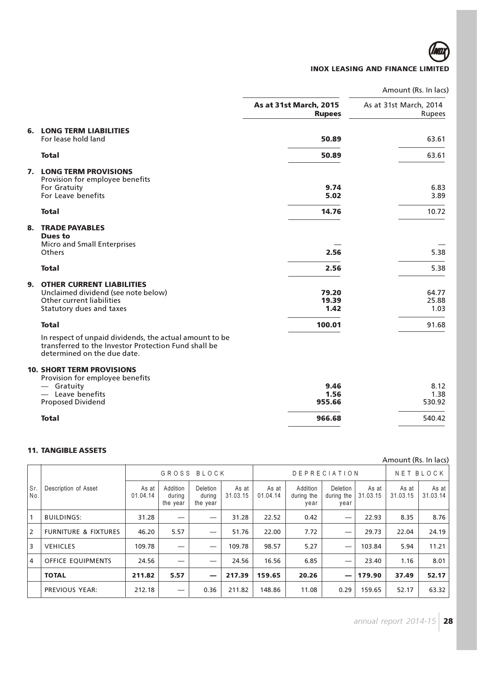| Amount (Rs. In lacs) |  |  |
|----------------------|--|--|
|                      |  |  |

|    |                                                                                                                                                | <b>As at 31st March, 2015</b><br><b>Rupees</b> | As at 31st March, 2014<br><b>Rupees</b> |
|----|------------------------------------------------------------------------------------------------------------------------------------------------|------------------------------------------------|-----------------------------------------|
| 6. | <b>LONG TERM LIABILITIES</b><br>For lease hold land                                                                                            | 50.89                                          | 63.61                                   |
|    | <b>Total</b>                                                                                                                                   | 50.89                                          | 63.61                                   |
|    | 7. LONG TERM PROVISIONS<br>Provision for employee benefits                                                                                     |                                                |                                         |
|    | For Gratuity<br>For Leave benefits                                                                                                             | 9.74<br>5.02                                   | 6.83<br>3.89                            |
|    |                                                                                                                                                |                                                |                                         |
|    | <b>Total</b>                                                                                                                                   | 14.76                                          | 10.72                                   |
| 8. | <b>TRADE PAYABLES</b><br>Dues to<br><b>Micro and Small Enterprises</b>                                                                         |                                                |                                         |
|    | <b>Others</b>                                                                                                                                  | 2.56                                           | 5.38                                    |
|    | <b>Total</b>                                                                                                                                   | 2.56                                           | 5.38                                    |
| 9. | <b>OTHER CURRENT LIABILITIES</b>                                                                                                               |                                                |                                         |
|    | Unclaimed dividend (see note below)<br><b>Other current liabilities</b>                                                                        | 79.20<br>19.39                                 | 64.77<br>25.88                          |
|    | Statutory dues and taxes                                                                                                                       | 1.42                                           | 1.03                                    |
|    | <b>Total</b>                                                                                                                                   | 100.01                                         | 91.68                                   |
|    | In respect of unpaid dividends, the actual amount to be<br>transferred to the Investor Protection Fund shall be<br>determined on the due date. |                                                |                                         |
|    | <b>10. SHORT TERM PROVISIONS</b>                                                                                                               |                                                |                                         |
|    | Provision for employee benefits<br>- Gratuity                                                                                                  | 9.46                                           | 8.12                                    |
|    | - Leave benefits                                                                                                                               | 1.56                                           | 1.38                                    |
|    | <b>Proposed Dividend</b>                                                                                                                       | 955.66                                         | 530.92                                  |
|    | <b>Total</b>                                                                                                                                   | 966.68                                         | 540.42                                  |

#### 11. TANGIBLE ASSETS

#### Amount (Rs. In lacs)

|                |                                 | GROSS<br><b>BLOCK</b> |                                |                                | <b>DEPRECIATION</b> |                   |                                |                                | BLOCK<br>NET      |                   |                   |
|----------------|---------------------------------|-----------------------|--------------------------------|--------------------------------|---------------------|-------------------|--------------------------------|--------------------------------|-------------------|-------------------|-------------------|
| lSr.<br>INo.   | Description of Asset            | As at<br>01.04.14     | Addition<br>durina<br>the year | Deletion<br>during<br>the year | As at<br>31.03.15   | As at<br>01.04.14 | Addition<br>during the<br>year | Deletion<br>during the<br>year | As at<br>31.03.15 | As at<br>31.03.15 | As at<br>31.03.14 |
| $\overline{1}$ | <b>BUILDINGS:</b>               | 31.28                 |                                |                                | 31.28               | 22.52             | 0.42                           |                                | 22.93             | 8.35              | 8.76              |
| 2              | <b>FURNITURE &amp; FIXTURES</b> | 46.20                 | 5.57                           |                                | 51.76               | 22.00             | 7.72                           |                                | 29.73             | 22.04             | 24.19             |
| 3              | <b>VEHICLES</b>                 | 109.78                |                                |                                | 109.78              | 98.57             | 5.27                           |                                | 103.84            | 5.94              | 11.21             |
| l 4            | <b>OFFICE EQUIPMENTS</b>        | 24.56                 |                                |                                | 24.56               | 16.56             | 6.85                           |                                | 23.40             | 1.16              | 8.01              |
|                | <b>TOTAL</b>                    | 211.82                | 5.57                           | $\overline{\phantom{0}}$       | 217.39              | 159.65            | 20.26                          | $\overline{\phantom{0}}$       | 179.90            | 37.49             | 52.17             |
|                | <b>PREVIOUS YEAR:</b>           | 212.18                |                                | 0.36                           | 211.82              | 148.86            | 11.08                          | 0.29                           | 159.65            | 52.17             | 63.32             |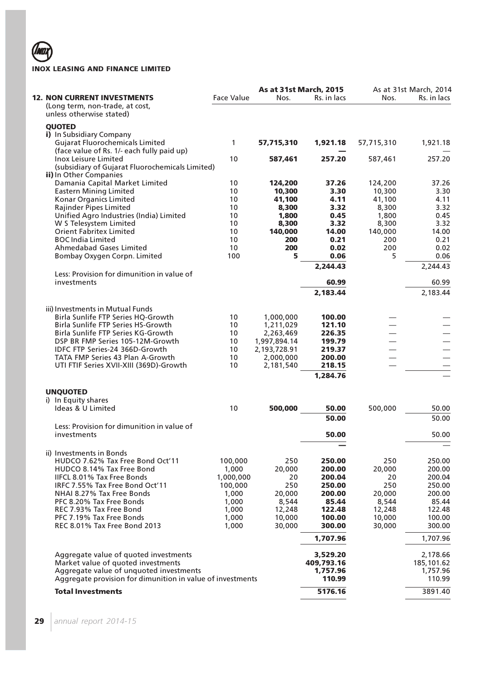*VM* 

|                                                                    |                   |              | As at 31st March, 2015 |            | As at 31st March, 2014 |
|--------------------------------------------------------------------|-------------------|--------------|------------------------|------------|------------------------|
| <b>12. NON CURRENT INVESTMENTS</b>                                 | <b>Face Value</b> | Nos.         | Rs. in lacs            | Nos.       | Rs. in lacs            |
| (Long term, non-trade, at cost,<br>unless otherwise stated)        |                   |              |                        |            |                        |
|                                                                    |                   |              |                        |            |                        |
| <b>QUOTED</b>                                                      |                   |              |                        |            |                        |
| i) In Subsidiary Company<br><b>Gujarat Fluorochemicals Limited</b> | $\mathbf{1}$      | 57,715,310   | 1,921.18               | 57,715,310 | 1,921.18               |
| (face value of Rs. 1/- each fully paid up)                         |                   |              |                        |            |                        |
| <b>Inox Leisure Limited</b>                                        | 10                | 587,461      | 257.20                 | 587,461    | 257.20                 |
| (subsidiary of Gujarat Fluorochemicals Limited)                    |                   |              |                        |            |                        |
| ii) In Other Companies                                             |                   |              |                        |            |                        |
| Damania Capital Market Limited                                     | 10                | 124,200      | 37.26                  | 124,200    | 37.26                  |
| <b>Eastern Mining Limited</b>                                      | 10                | 10,300       | 3.30                   | 10,300     | 3.30                   |
| <b>Konar Organics Limited</b>                                      | 10                | 41,100       | 4.11                   | 41,100     | 4.11                   |
| <b>Rajinder Pipes Limited</b>                                      | 10                | 8,300        | 3.32                   | 8,300      | 3.32                   |
| Unified Agro Industries (India) Limited                            | 10                | 1,800        | 0.45                   | 1,800      | 0.45                   |
| W S Telesystem Limited                                             | 10                | 8,300        | 3.32                   | 8,300      | 3.32                   |
| <b>Orient Fabritex Limited</b>                                     | 10                | 140,000      | 14.00                  | 140,000    | 14.00                  |
| <b>BOC India Limited</b>                                           | 10                | 200          | 0.21                   | 200        | 0.21                   |
| Ahmedabad Gases Limited                                            | 10                | 200          | 0.02                   | 200        | 0.02                   |
| Bombay Oxygen Corpn. Limited                                       | 100               | 5            | 0.06                   | 5          | 0.06                   |
|                                                                    |                   |              | 2,244.43               |            | 2,244.43               |
| Less: Provision for dimunition in value of                         |                   |              |                        |            |                        |
| investments                                                        |                   |              | 60.99                  |            | 60.99                  |
|                                                                    |                   |              | 2,183.44               |            | 2,183.44               |
| iii) Investments in Mutual Funds                                   |                   |              |                        |            |                        |
| Birla Sunlife FTP Series HQ-Growth                                 | 10                | 1,000,000    | 100.00                 |            |                        |
| <b>Birla Sunlife FTP Series HS-Growth</b>                          | 10                | 1,211,029    | 121.10                 |            |                        |
| Birla Sunlife FTP Series KG-Growth                                 | 10                | 2,263,469    | 226.35                 |            |                        |
| DSP BR FMP Series 105-12M-Growth                                   | 10 <sup>°</sup>   | 1,997,894.14 | 199.79                 |            |                        |
| IDFC FTP Series-24 366D-Growth                                     | 10                | 2,193,728.91 | 219.37                 |            |                        |
| TATA FMP Series 43 Plan A-Growth                                   | 10                | 2,000,000    | 200.00                 |            |                        |
| UTI FTIF Series XVII-XIII (369D)-Growth                            | 10                | 2,181,540    | 218.15                 |            |                        |
|                                                                    |                   |              | 1,284.76               |            |                        |
|                                                                    |                   |              |                        |            |                        |
| <b>UNQUOTED</b>                                                    |                   |              |                        |            |                        |
| i) In Equity shares                                                |                   |              |                        |            |                        |
| Ideas & U Limited                                                  | 10                | 500,000      | 50.00                  | 500,000    | 50.00                  |
|                                                                    |                   |              | 50.00                  |            | 50.00                  |
| Less: Provision for dimunition in value of<br>investments          |                   |              | 50.00                  |            | 50.00                  |
|                                                                    |                   |              |                        |            |                        |
| ii) Investments in Bonds                                           |                   |              |                        |            |                        |
| HUDCO 7.62% Tax Free Bond Oct'11                                   | 100,000           | 250          | 250.00                 | 250        | 250.00                 |
| HUDCO 8.14% Tax Free Bond                                          | 1,000             | 20,000       | 200.00                 | 20,000     | 200.00                 |
| IIFCL 8.01% Tax Free Bonds                                         | 1,000,000         | 20           | 200.04                 | 20         | 200.04                 |
| IRFC 7.55% Tax Free Bond Oct'11                                    | 100,000           | 250          | 250.00                 | 250        | 250.00                 |
| NHAI 8.27% Tax Free Bonds                                          | 1,000             | 20,000       | 200.00                 | 20,000     | 200.00                 |
| PFC 8.20% Tax Free Bonds                                           | 1,000             | 8,544        | 85.44                  | 8,544      | 85.44                  |
| REC 7.93% Tax Free Bond                                            | 1,000             | 12,248       | 122.48                 | 12,248     | 122.48                 |
| PFC 7.19% Tax Free Bonds                                           | 1,000             | 10,000       | 100.00                 | 10,000     | 100.00                 |
| REC 8.01% Tax Free Bond 2013                                       | 1,000             | 30,000       | 300.00                 | 30,000     | 300.00                 |
|                                                                    |                   |              | 1,707.96               |            | 1,707.96               |
| Aggregate value of quoted investments                              |                   |              | 3,529.20               |            | 2,178.66               |
| Market value of quoted investments                                 |                   |              | 409,793.16             |            | 185, 101.62            |
| Aggregate value of unquoted investments                            |                   |              | 1,757.96               |            | 1,757.96               |
| Aggregate provision for dimunition in value of investments         |                   |              | 110.99                 |            | 110.99                 |
| <b>Total Investments</b>                                           |                   |              | 5176.16                |            | 3891.40                |
|                                                                    |                   |              |                        |            |                        |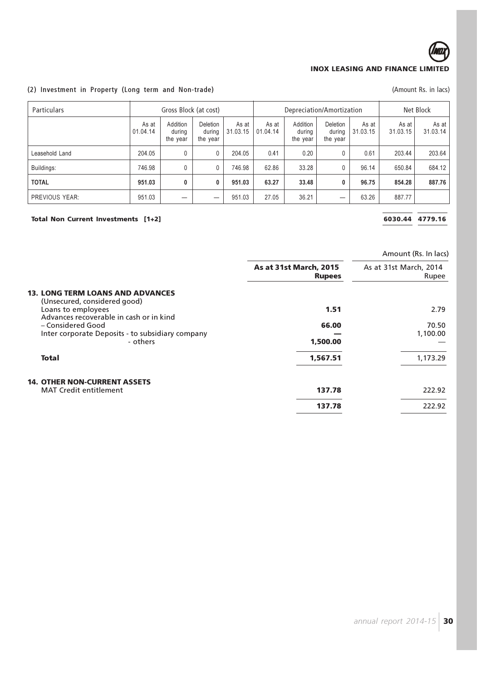

#### (2) Investment in Property (Long term and Non-trade) (2) Investment in Property (Long term and Non-trade)

| <b>Particulars</b> |                   | Gross Block (at cost)          |                                |                   |                   | Depreciation/Amortization      |                                |                   | Net Block         |                   |  |
|--------------------|-------------------|--------------------------------|--------------------------------|-------------------|-------------------|--------------------------------|--------------------------------|-------------------|-------------------|-------------------|--|
|                    | As at<br>01.04.14 | Addition<br>durina<br>the year | Deletion<br>during<br>the year | As at<br>31.03.15 | As at<br>01.04.14 | Addition<br>durina<br>the year | Deletion<br>durina<br>the year | As at<br>31.03.15 | As at<br>31.03.15 | As at<br>31.03.14 |  |
| Leasehold Land     | 204.05            | 0                              |                                | 204.05            | 0.41              | 0.20                           | 0                              | 0.61              | 203.44            | 203.64            |  |
| Buildings:         | 746.98            | 0                              |                                | 746.98            | 62.86             | 33.28                          | 0                              | 96.14             | 650.84            | 684.12            |  |
| <b>TOTAL</b>       | 951.03            | 0                              | 0                              | 951.03            | 63.27             | 33.48                          | 0                              | 96.75             | 854.28            | 887.76            |  |
| PREVIOUS YEAR:     | 951.03            |                                |                                | 951.03            | 27.05             | 36.21                          |                                | 63.26             | 887.77            |                   |  |

#### Total Non Current Investments [1+2] 6030.44 4779.16

|                                                                                                                              |                                                | Amount (Rs. In lacs)            |
|------------------------------------------------------------------------------------------------------------------------------|------------------------------------------------|---------------------------------|
|                                                                                                                              | <b>As at 31st March, 2015</b><br><b>Rupees</b> | As at 31st March, 2014<br>Rupee |
| <b>13. LONG TERM LOANS AND ADVANCES</b><br>(Unsecured, considered good)<br>Loans to employees                                | 1.51                                           | 2.79                            |
| Advances recoverable in cash or in kind<br>- Considered Good<br>Inter corporate Deposits - to subsidiary company<br>- others | 66.00<br>1,500.00                              | 70.50<br>1,100.00               |
| <b>Total</b>                                                                                                                 | 1,567.51                                       | 1,173.29                        |
| <b>14. OTHER NON-CURRENT ASSETS</b><br><b>MAT Credit entitlement</b>                                                         | 137.78                                         | 222.92                          |
|                                                                                                                              | 137.78                                         | 222.92                          |

annual report 2014-15 | 30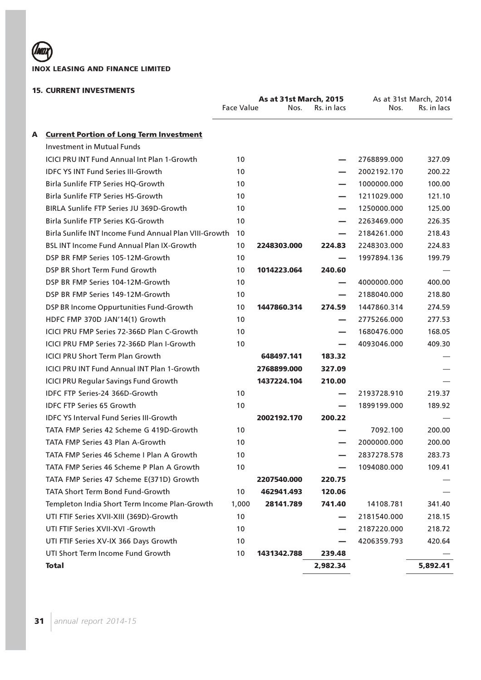#### 15. CURRENT INVESTMENTS

V.M

|   |                                                       |                   | As at 31st March, 2015 |                          |             | As at 31st March, 2014 |  |
|---|-------------------------------------------------------|-------------------|------------------------|--------------------------|-------------|------------------------|--|
|   |                                                       | <b>Face Value</b> | Nos.                   | Rs. in lacs              | Nos.        | Rs. in lacs            |  |
| A | <b>Current Portion of Long Term Investment</b>        |                   |                        |                          |             |                        |  |
|   | <b>Investment in Mutual Funds</b>                     |                   |                        |                          |             |                        |  |
|   | <b>ICICI PRU INT Fund Annual Int Plan 1-Growth</b>    | 10                |                        |                          | 2768899.000 | 327.09                 |  |
|   | <b>IDFC YS INT Fund Series III-Growth</b>             | 10 <sup>°</sup>   |                        |                          | 2002192.170 | 200.22                 |  |
|   | Birla Sunlife FTP Series HQ-Growth                    | 10                |                        |                          | 1000000.000 | 100.00                 |  |
|   | <b>Birla Sunlife FTP Series HS-Growth</b>             | 10                |                        |                          | 1211029.000 | 121.10                 |  |
|   | BIRLA Sunlife FTP Series JU 369D-Growth               | 10                |                        |                          | 1250000.000 | 125.00                 |  |
|   | Birla Sunlife FTP Series KG-Growth                    | 10                |                        |                          | 2263469.000 | 226.35                 |  |
|   | Birla Sunlife INT Income Fund Annual Plan VIII-Growth | 10                |                        |                          | 2184261.000 | 218.43                 |  |
|   | <b>BSL INT Income Fund Annual Plan IX-Growth</b>      | 10                | 2248303.000            | 224.83                   | 2248303.000 | 224.83                 |  |
|   | DSP BR FMP Series 105-12M-Growth                      | 10                |                        |                          | 1997894.136 | 199.79                 |  |
|   | DSP BR Short Term Fund Growth                         | 10                | 1014223.064            | 240.60                   |             |                        |  |
|   | DSP BR FMP Series 104-12M-Growth                      | 10                |                        |                          | 4000000.000 | 400.00                 |  |
|   | DSP BR FMP Series 149-12M-Growth                      | 10                |                        | $\overline{\phantom{0}}$ | 2188040.000 | 218.80                 |  |
|   | DSP BR Income Oppurtunities Fund-Growth               | 10                | 1447860.314            | 274.59                   | 1447860.314 | 274.59                 |  |
|   | HDFC FMP 370D JAN'14(1) Growth                        | 10                |                        | $\overline{\phantom{0}}$ | 2775266.000 | 277.53                 |  |
|   | <b>ICICI PRU FMP Series 72-366D Plan C-Growth</b>     | 10                |                        |                          | 1680476.000 | 168.05                 |  |
|   | ICICI PRU FMP Series 72-366D Plan I-Growth            | 10                |                        |                          | 4093046.000 | 409.30                 |  |
|   | <b>ICICI PRU Short Term Plan Growth</b>               |                   | 648497.141             | 183.32                   |             |                        |  |
|   | <b>ICICI PRU INT Fund Annual INT Plan 1-Growth</b>    |                   | 2768899.000            | 327.09                   |             |                        |  |
|   | <b>ICICI PRU Regular Savings Fund Growth</b>          |                   | 1437224.104            | 210.00                   |             |                        |  |
|   | IDFC FTP Series-24 366D-Growth                        | 10                |                        |                          | 2193728.910 | 219.37                 |  |
|   | <b>IDFC FTP Series 65 Growth</b>                      | 10                |                        |                          | 1899199.000 | 189.92                 |  |
|   | <b>IDFC YS Interval Fund Series III-Growth</b>        |                   | 2002192.170            | 200.22                   |             |                        |  |
|   | TATA FMP Series 42 Scheme G 419D-Growth               | 10                |                        |                          | 7092.100    | 200.00                 |  |
|   | <b>TATA FMP Series 43 Plan A-Growth</b>               | 10 <sup>°</sup>   |                        |                          | 2000000.000 | 200.00                 |  |
|   | TATA FMP Series 46 Scheme I Plan A Growth             | 10                |                        |                          | 2837278.578 | 283.73                 |  |
|   | TATA FMP Series 46 Scheme P Plan A Growth             | 10                |                        |                          | 1094080.000 | 109.41                 |  |
|   | TATA FMP Series 47 Scheme E(371D) Growth              |                   | 2207540.000            | 220.75                   |             |                        |  |
|   | TATA Short Term Bond Fund-Growth                      | 10                | 462941.493             | 120.06                   |             |                        |  |
|   | Templeton India Short Term Income Plan-Growth         | 1,000             | 28141.789              | 741.40                   | 14108.781   | 341.40                 |  |
|   | UTI FTIF Series XVII-XIII (369D)-Growth               | 10                |                        |                          | 2181540.000 | 218.15                 |  |
|   | UTI FTIF Series XVII-XVI - Growth                     | 10                |                        |                          | 2187220.000 | 218.72                 |  |
|   | UTI FTIF Series XV-IX 366 Days Growth                 | 10                |                        |                          | 4206359.793 | 420.64                 |  |
|   | UTI Short Term Income Fund Growth                     | 10                | 1431342.788            | 239.48                   |             |                        |  |
|   | <b>Total</b>                                          |                   |                        | 2,982.34                 |             | 5,892.41               |  |
|   |                                                       |                   |                        |                          |             |                        |  |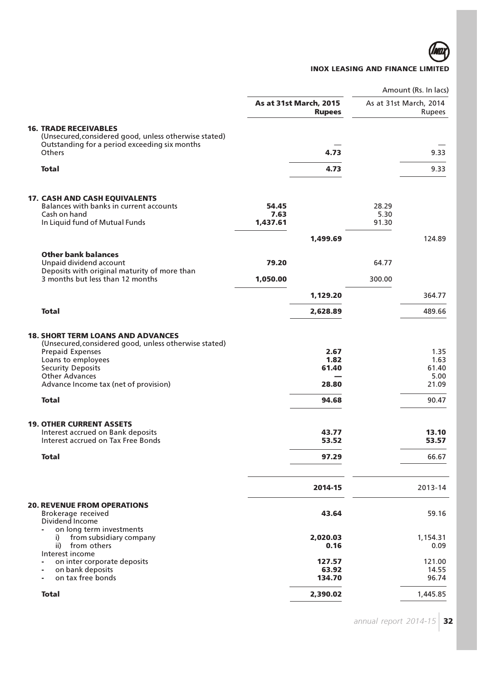|  |                                                                                                                                                                                                                                                                  |                           |                                         |                        | Amount (Rs. In lacs)                            |
|--|------------------------------------------------------------------------------------------------------------------------------------------------------------------------------------------------------------------------------------------------------------------|---------------------------|-----------------------------------------|------------------------|-------------------------------------------------|
|  |                                                                                                                                                                                                                                                                  |                           | As at 31st March, 2015<br><b>Rupees</b> |                        | As at 31st March, 2014<br><b>Rupees</b>         |
|  | <b>16. TRADE RECEIVABLES</b><br>(Unsecured, considered good, unless otherwise stated)<br>Outstanding for a period exceeding six months<br><b>Others</b>                                                                                                          |                           | 4.73                                    |                        | 9.33                                            |
|  | <b>Total</b>                                                                                                                                                                                                                                                     |                           | 4.73                                    |                        | 9.33                                            |
|  | 17. CASH AND CASH EQUIVALENTS<br>Balances with banks in current accounts<br>Cash on hand<br>In Liquid fund of Mutual Funds                                                                                                                                       | 54.45<br>7.63<br>1,437.61 |                                         | 28.29<br>5.30<br>91.30 |                                                 |
|  |                                                                                                                                                                                                                                                                  |                           | 1,499.69                                |                        | 124.89                                          |
|  | <b>Other bank balances</b><br>Unpaid dividend account<br>Deposits with original maturity of more than<br>3 months but less than 12 months                                                                                                                        | 79.20                     |                                         | 64.77                  |                                                 |
|  |                                                                                                                                                                                                                                                                  | 1,050.00                  |                                         | 300.00                 |                                                 |
|  |                                                                                                                                                                                                                                                                  |                           | 1,129.20                                |                        | 364.77                                          |
|  | <b>Total</b>                                                                                                                                                                                                                                                     |                           | 2,628.89                                |                        | 489.66                                          |
|  | <b>18. SHORT TERM LOANS AND ADVANCES</b><br>(Unsecured, considered good, unless otherwise stated)<br><b>Prepaid Expenses</b><br>Loans to employees<br><b>Security Deposits</b><br><b>Other Advances</b><br>Advance Income tax (net of provision)<br><b>Total</b> |                           | 2.67<br>1.82<br>61.40<br>28.80<br>94.68 |                        | 1.35<br>1.63<br>61.40<br>5.00<br>21.09<br>90.47 |
|  | <b>19. OTHER CURRENT ASSETS</b><br>Interest accrued on Bank deposits<br>Interest accrued on Tax Free Bonds                                                                                                                                                       |                           | 43.77<br>53.52                          |                        | 13.10<br>53.57                                  |
|  | <b>Total</b>                                                                                                                                                                                                                                                     |                           | 97.29                                   |                        | 66.67                                           |
|  |                                                                                                                                                                                                                                                                  |                           | 2014-15                                 |                        | 2013-14                                         |
|  | <b>20. REVENUE FROM OPERATIONS</b><br>Brokerage received<br>Dividend Income<br>on long term investments                                                                                                                                                          |                           | 43.64                                   |                        | 59.16                                           |
|  | from subsidiary company<br>i)<br>ii) from others<br>Interest income                                                                                                                                                                                              |                           | 2,020.03<br>0.16                        |                        | 1,154.31<br>0.09                                |
|  | on inter corporate deposits<br>on bank deposits<br>on tax free bonds                                                                                                                                                                                             |                           | 127.57<br>63.92<br>134.70               |                        | 121.00<br>14.55<br>96.74                        |
|  | <b>Total</b>                                                                                                                                                                                                                                                     |                           | 2,390.02                                |                        | 1,445.85                                        |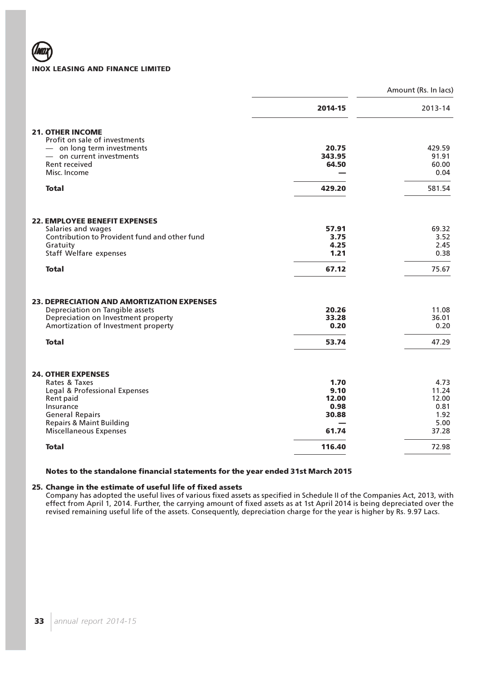|                                                               |               | Amount (Rs. In lacs) |
|---------------------------------------------------------------|---------------|----------------------|
|                                                               | 2014-15       | 2013-14              |
| <b>21. OTHER INCOME</b>                                       |               |                      |
| Profit on sale of investments<br>$-$ on long term investments | 20.75         | 429.59               |
| $-$ on current investments                                    | 343.95        | 91.91                |
| Rent received                                                 | 64.50         | 60.00                |
| Misc. Income                                                  |               | 0.04                 |
| <b>Total</b>                                                  | 429.20        | 581.54               |
| <b>22. EMPLOYEE BENEFIT EXPENSES</b>                          |               |                      |
| Salaries and wages                                            | 57.91         | 69.32                |
| Contribution to Provident fund and other fund                 | 3.75          | 3.52                 |
| Gratuity                                                      | 4.25          | 2.45                 |
| Staff Welfare expenses                                        | 1.21          | 0.38                 |
| <b>Total</b>                                                  | 67.12         | 75.67                |
| <b>23. DEPRECIATION AND AMORTIZATION EXPENSES</b>             |               |                      |
| Depreciation on Tangible assets                               | 20.26         | 11.08                |
| Depreciation on Investment property                           | 33.28         | 36.01                |
| Amortization of Investment property                           | 0.20          | 0.20                 |
| <b>Total</b>                                                  | 53.74         | 47.29                |
| <b>24. OTHER EXPENSES</b>                                     |               |                      |
| Rates & Taxes                                                 | 1.70          | 4.73                 |
| Legal & Professional Expenses                                 | 9.10          | 11.24                |
| Rent paid                                                     | 12.00         | 12.00                |
| Insurance<br><b>General Repairs</b>                           | 0.98<br>30.88 | 0.81<br>1.92         |
| <b>Repairs &amp; Maint Building</b>                           |               | 5.00                 |
| <b>Miscellaneous Expenses</b>                                 | 61.74         | 37.28                |
| <b>Total</b>                                                  | 116.40        | 72.98                |

#### Notes to the standalone financial statements for the year ended 31st March 2015

#### 25. Change in the estimate of useful life of fixed assets

Company has adopted the useful lives of various fixed assets as specified in Schedule II of the Companies Act, 2013, with effect from April 1, 2014. Further, the carrying amount of fixed assets as at 1st April 2014 is being depreciated over the revised remaining useful life of the assets. Consequently, depreciation charge for the year is higher by Rs. 9.97 Lacs.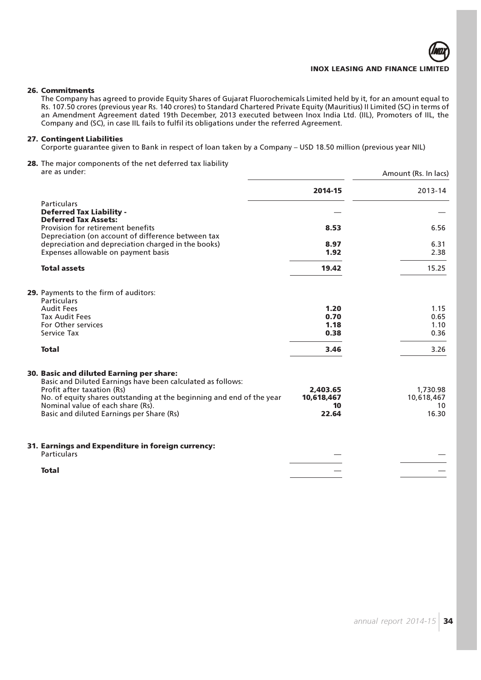

#### 26. Commitments

The Company has agreed to provide Equity Shares of Gujarat Fluorochemicals Limited held by it, for an amount equal to Rs. 107.50 crores (previous year Rs. 140 crores) to Standard Chartered Private Equity (Mauritius) II Limited (SC) in terms of an Amendment Agreement dated 19th December, 2013 executed between Inox India Ltd. (IIL), Promoters of IIL, the Company and (SC), in case IIL fails to fulfil its obligations under the referred Agreement.

#### 27. Contingent Liabilities

Corporte guarantee given to Bank in respect of loan taken by a Company – USD 18.50 million (previous year NIL)

## 28. The major components of the net deferred tax liability

| are as under:                                                                                                                         |              | Amount (Rs. In lacs) |
|---------------------------------------------------------------------------------------------------------------------------------------|--------------|----------------------|
|                                                                                                                                       | 2014-15      | 2013-14              |
| <b>Particulars</b><br><b>Deferred Tax Liability -</b><br><b>Deferred Tax Assets:</b>                                                  |              |                      |
| Provision for retirement benefits<br>Depreciation (on account of difference between tax                                               | 8.53         | 6.56                 |
| depreciation and depreciation charged in the books)<br>Expenses allowable on payment basis                                            | 8.97<br>1.92 | 6.31<br>2.38         |
| <b>Total assets</b>                                                                                                                   | 19.42        | 15.25                |
| <b>29.</b> Payments to the firm of auditors:<br><b>Particulars</b>                                                                    |              |                      |
| <b>Audit Fees</b>                                                                                                                     | 1.20         | 1.15                 |
| <b>Tax Audit Fees</b>                                                                                                                 | 0.70         | 0.65                 |
| For Other services                                                                                                                    | 1.18         | 1.10                 |
| Service Tax                                                                                                                           | 0.38         | 0.36                 |
| <b>Total</b>                                                                                                                          | 3.46         | 3.26                 |
| 30. Basic and diluted Earning per share:<br>Basic and Diluted Earnings have been calculated as follows:<br>Profit after taxation (Rs) | 2,403.65     | 1,730.98             |
| No. of equity shares outstanding at the beginning and end of the year                                                                 | 10,618,467   | 10,618,467           |
| Nominal value of each share (Rs).                                                                                                     | 10           | 10                   |
| Basic and diluted Earnings per Share (Rs)                                                                                             | 22.64        | 16.30                |
| 31. Earnings and Expenditure in foreign currency:<br><b>Particulars</b>                                                               |              |                      |
| <b>Total</b>                                                                                                                          |              |                      |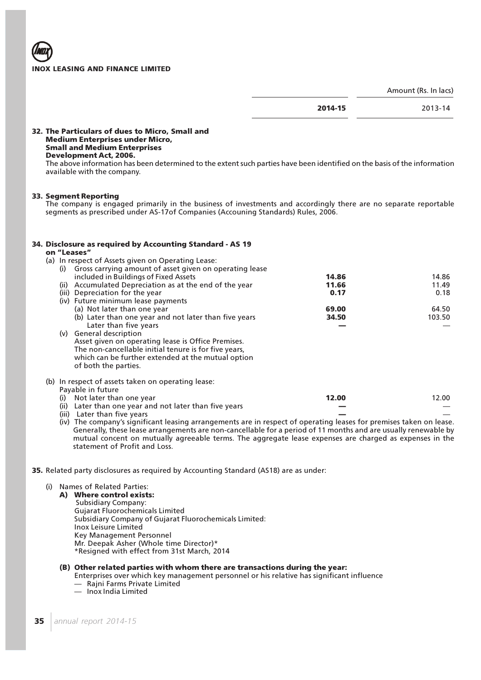

Amount (Rs. In lacs)

2014-15 2013-14

32. The Particulars of dues to Micro, Small and Medium Enterprises under Micro, Small and Medium Enterprises Development Act, 2006.

The above information has been determined to the extent such parties have been identified on the basis of the information available with the company.

#### 33. Segment Reporting

The company is engaged primarily in the business of investments and accordingly there are no separate reportable segments as prescribed under AS-17of Companies (Accouning Standards) Rules, 2006.

#### 34. Disclosure as required by Accounting Standard - AS 19 on "Leases"

|     | VII LCGJCJ                                                 |       |        |
|-----|------------------------------------------------------------|-------|--------|
|     | (a) In respect of Assets given on Operating Lease:         |       |        |
| (i) | Gross carrying amount of asset given on operating lease    |       |        |
|     | included in Buildings of Fixed Assets                      | 14.86 | 14.86  |
|     | Accumulated Depreciation as at the end of the year<br>(ii) | 11.66 | 11.49  |
|     | (iii) Depreciation for the year                            | 0.17  | 0.18   |
|     | (iv) Future minimum lease payments                         |       |        |
|     | (a) Not later than one year                                | 69.00 | 64.50  |
|     | (b) Later than one year and not later than five years      | 34.50 | 103.50 |
|     | Later than five years                                      |       |        |
|     | <b>General description</b><br>(v)                          |       |        |
|     | Asset given on operating lease is Office Premises.         |       |        |
|     | The non-cancellable initial tenure is for five years,      |       |        |
|     | which can be further extended at the mutual option         |       |        |
|     | of both the parties.                                       |       |        |
|     | (b) In respect of assets taken on operating lease:         |       |        |
|     | Payable in future                                          |       |        |
|     |                                                            | 12.00 | 12.00  |
| (i) | Not later than one year                                    |       |        |
|     | Later than one year and not later than five years<br>(ii)  |       |        |

(iii) Later than five years

(iv) The company's significant leasing arrangements are in respect of operating leases for premises taken on lease. Generally, these lease arrangements are non-cancellable for a period of 11 months and are usually renewable by mutual concent on mutually agreeable terms. The aggregate lease expenses are charged as expenses in the statement of Profit and Loss.

#### 35. Related party disclosures as required by Accounting Standard (AS18) are as under:

#### (i) Names of Related Parties:

A) Where control exists: Subsidiary Company: Gujarat Fluorochemicals Limited Subsidiary Company of Gujarat Fluorochemicals Limited: Inox Leisure Limited Key Management Personnel Mr. Deepak Asher (Whole time Director)\* \*Resigned with effect from 31st March, 2014

#### (B) Other related parties with whom there are transactions during the year:

- Enterprises over which key management personnel or his relative has significant influence
	- Rajni Farms Private Limited
	- Inox India Limited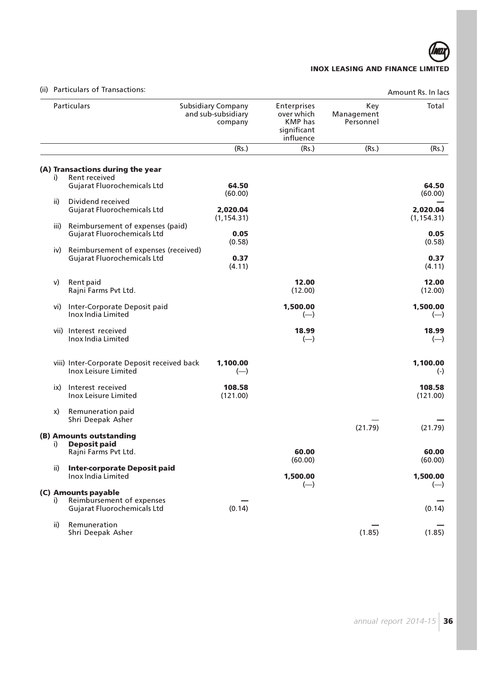

#### (ii) Particulars of Transactions:

|      | (ii) Particulars of Transactions:                                                      |                                                            |                                                                                |                                | Amount Rs. In lacs       |
|------|----------------------------------------------------------------------------------------|------------------------------------------------------------|--------------------------------------------------------------------------------|--------------------------------|--------------------------|
|      | <b>Particulars</b>                                                                     | <b>Subsidiary Company</b><br>and sub-subsidiary<br>company | <b>Enterprises</b><br>over which<br><b>KMP</b> has<br>significant<br>influence | Key<br>Management<br>Personnel | Total                    |
|      |                                                                                        | (Rs.)                                                      | (Rs.)                                                                          | (Rs.)                          | (Rs.)                    |
| i)   | (A) Transactions during the year<br>Rent received                                      |                                                            |                                                                                |                                |                          |
|      | <b>Gujarat Fluorochemicals Ltd</b>                                                     | 64.50<br>(60.00)                                           |                                                                                |                                | 64.50<br>(60.00)         |
| ii)  | Dividend received<br>Gujarat Fluorochemicals Ltd                                       | 2,020.04<br>(1, 154.31)                                    |                                                                                |                                | 2,020.04<br>(1, 154.31)  |
| iii) | Reimbursement of expenses (paid)<br><b>Gujarat Fluorochemicals Ltd</b>                 | 0.05<br>(0.58)                                             |                                                                                |                                | 0.05<br>(0.58)           |
| iv)  | Reimbursement of expenses (received)<br>Gujarat Fluorochemicals Ltd                    | 0.37<br>(4.11)                                             |                                                                                |                                | 0.37<br>(4.11)           |
| V)   | Rent paid<br>Rajni Farms Pvt Ltd.                                                      |                                                            | 12.00<br>(12.00)                                                               |                                | 12.00<br>(12.00)         |
| Vi)  | Inter-Corporate Deposit paid<br>Inox India Limited                                     |                                                            | 1,500.00<br>$(-)$                                                              |                                | 1,500.00<br>$(-)$        |
|      | vii) Interest received<br>Inox India Limited                                           |                                                            | 18.99<br>$(-)$                                                                 |                                | 18.99<br>$(-)$           |
|      | viii) Inter-Corporate Deposit received back<br><b>Inox Leisure Limited</b>             | 1,100.00<br>$(-)$                                          |                                                                                |                                | 1,100.00<br>$(\text{-})$ |
| ix)  | Interest received<br><b>Inox Leisure Limited</b>                                       | 108.58<br>(121.00)                                         |                                                                                |                                | 108.58<br>(121.00)       |
| X)   | <b>Remuneration paid</b><br>Shri Deepak Asher                                          |                                                            |                                                                                | (21.79)                        | (21.79)                  |
| i)   | (B) Amounts outstanding<br><b>Deposit paid</b><br>Rajni Farms Pvt Ltd.                 |                                                            | 60.00                                                                          |                                | 60.00                    |
| ii)  | <b>Inter-corporate Deposit paid</b><br>Inox India Limited                              |                                                            | (60.00)<br>1,500.00                                                            |                                | (60.00)<br>1,500.00      |
| i)   | (C) Amounts payable<br>Reimbursement of expenses<br><b>Gujarat Fluorochemicals Ltd</b> | (0.14)                                                     | $(-)$                                                                          |                                | $(-)$<br>(0.14)          |
| ii)  | Remuneration<br>Shri Deepak Asher                                                      |                                                            |                                                                                | (1.85)                         | (1.85)                   |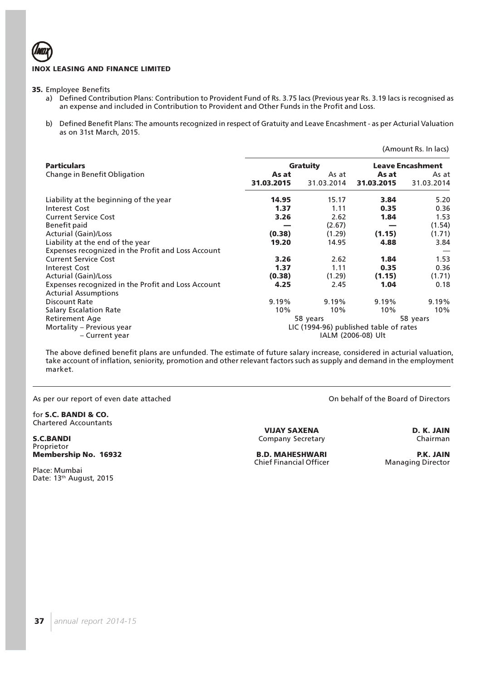#### INOX LEASING AND FINANCE LIMITED

35. Employee Benefits

- a) Defined Contribution Plans: Contribution to Provident Fund of Rs. 3.75 lacs (Previous year Rs. 3.19 lacs is recognised as an expense and included in Contribution to Provident and Other Funds in the Profit and Loss.
- b) Defined Benefit Plans: The amounts recognized in respect of Gratuity and Leave Encashment as per Acturial Valuation as on 31st March, 2015.

|                                                    |                     |                     |                                        | (Amount Rs. In lacs) |
|----------------------------------------------------|---------------------|---------------------|----------------------------------------|----------------------|
| <b>Particulars</b>                                 | Gratuity            |                     | <b>Leave Encashment</b>                |                      |
| Change in Benefit Obligation                       | As at<br>31.03.2015 | As at<br>31.03.2014 | As at<br>31.03.2015                    | As at<br>31.03.2014  |
| Liability at the beginning of the year             | 14.95               | 15.17               | 3.84                                   | 5.20                 |
| Interest Cost                                      | 1.37                | 1.11                | 0.35                                   | 0.36                 |
| <b>Current Service Cost</b>                        | 3.26                | 2.62                | 1.84                                   | 1.53                 |
| Benefit paid                                       |                     | (2.67)              |                                        | (1.54)               |
| <b>Acturial (Gain)/Loss</b>                        | (0.38)              | (1.29)              | (1.15)                                 | (1.71)               |
| Liability at the end of the year                   | 19.20               | 14.95               | 4.88                                   | 3.84                 |
| Expenses recognized in the Profit and Loss Account |                     |                     |                                        |                      |
| <b>Current Service Cost</b>                        | 3.26                | 2.62                | 1.84                                   | 1.53                 |
| Interest Cost                                      | 1.37                | 1.11                | 0.35                                   | 0.36                 |
| <b>Acturial (Gain)/Loss</b>                        | (0.38)              | (1.29)              | (1.15)                                 | (1.71)               |
| Expenses recognized in the Profit and Loss Account | 4.25                | 2.45                | 1.04                                   | 0.18                 |
| <b>Acturial Assumptions</b>                        |                     |                     |                                        |                      |
| <b>Discount Rate</b>                               | 9.19%               | 9.19%               | 9.19%                                  | 9.19%                |
| <b>Salary Escalation Rate</b>                      | 10%                 | 10%                 | 10%                                    | 10%                  |
| <b>Retirement Age</b>                              |                     | 58 years            |                                        | 58 years             |
| Mortality - Previous year                          |                     |                     | LIC (1994-96) published table of rates |                      |
| – Current year                                     | IALM (2006-08) Ult  |                     |                                        |                      |

The above defined benefit plans are unfunded. The estimate of future salary increase, considered in acturial valuation, take account of inflation, seniority, promotion and other relevant factors such as supply and demand in the employment market.

As per our report of even date attached **On behalf of the Board of Directors** 

for S.C. BANDI & CO. Chartered Accountants

S.C.BANDI Company Secretary Company Secretary Proprietor

Place: Mumbai Date: 13th August, 2015 **VIJAY SAXENA D. K. JAIN**<br>
D. K. JAIN

Membership No. 16932 **B.D. MAHESHWARI P.K. JAIN** P.K. JAIN P.K. JAIN P.K. JAIN P.K. JAIN Chief Financial Officer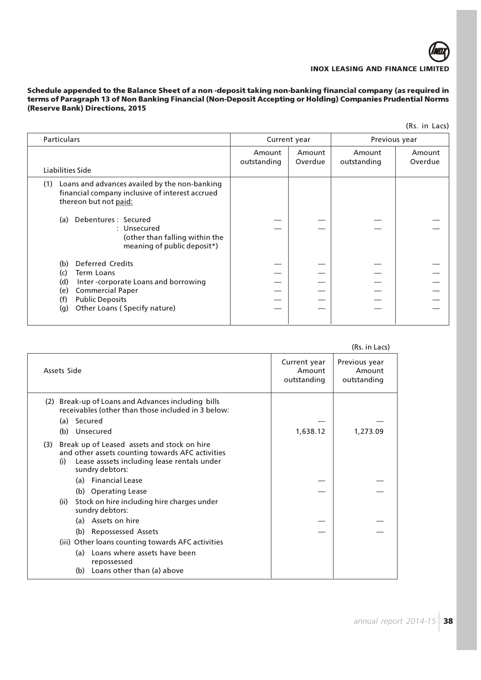#### Schedule appended to the Balance Sheet of a non -deposit taking non-banking financial company (as required in terms of Paragraph 13 of Non Banking Financial (Non-Deposit Accepting or Holding) Companies Prudential Norms (Reserve Bank) Directions, 2015

|  | (Rs. in Lacs) |
|--|---------------|
|  |               |

| <b>Particulars</b>                                                                                                                                                                                                                              |                       | Current year      |                       | Previous year     |  |  |
|-------------------------------------------------------------------------------------------------------------------------------------------------------------------------------------------------------------------------------------------------|-----------------------|-------------------|-----------------------|-------------------|--|--|
| Liabilities Side                                                                                                                                                                                                                                | Amount<br>outstanding | Amount<br>Overdue | Amount<br>outstanding | Amount<br>Overdue |  |  |
| Loans and advances availed by the non-banking<br>(1)<br>financial company inclusive of interest accrued<br>thereon but not paid:<br>Debentures : Secured<br>(a)<br>: Unsecured<br>(other than falling within the<br>meaning of public deposit*) |                       |                   |                       |                   |  |  |
| <b>Deferred Credits</b><br>(b)<br><b>Term Loans</b><br>(c)<br>(d)<br>Inter-corporate Loans and borrowing<br><b>Commercial Paper</b><br>(e)<br><b>Public Deposits</b><br>(f)<br>Other Loans (Specify nature)<br>(g)                              |                       |                   |                       |                   |  |  |

|                                                                                                                                                                                 |                                       | (Rs. in Lacs)                          |
|---------------------------------------------------------------------------------------------------------------------------------------------------------------------------------|---------------------------------------|----------------------------------------|
| Assets Side                                                                                                                                                                     | Current year<br>Amount<br>outstanding | Previous year<br>Amount<br>outstanding |
| (2) Break-up of Loans and Advances including bills<br>receivables (other than those included in 3 below:<br>Secured<br>(a)                                                      |                                       |                                        |
| Unsecured<br>(b)                                                                                                                                                                | 1,638.12                              | 1,273.09                               |
| Break up of Leased assets and stock on hire<br>(3)<br>and other assets counting towards AFC activities<br>Lease asssets including lease rentals under<br>(i)<br>sundry debtors: |                                       |                                        |
| (a) Financial Lease                                                                                                                                                             |                                       |                                        |
| (b) Operating Lease                                                                                                                                                             |                                       |                                        |
| Stock on hire including hire charges under<br>(ii)<br>sundry debtors:                                                                                                           |                                       |                                        |
| (a) Assets on hire                                                                                                                                                              |                                       |                                        |
| <b>Repossessed Assets</b><br>(b)                                                                                                                                                |                                       |                                        |
| (iii) Other loans counting towards AFC activities                                                                                                                               |                                       |                                        |
| Loans where assets have been<br>(a)<br>repossessed                                                                                                                              |                                       |                                        |
| Loans other than (a) above<br>(b)                                                                                                                                               |                                       |                                        |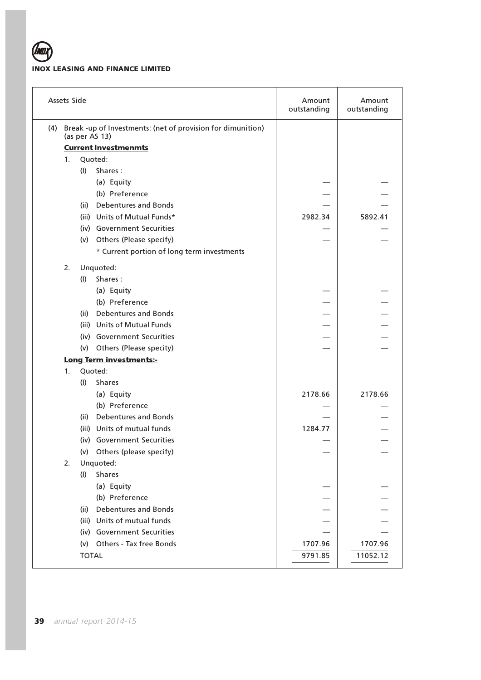

| Assets Side |    |                                                                               | Amount<br>outstanding | Amount<br>outstanding |
|-------------|----|-------------------------------------------------------------------------------|-----------------------|-----------------------|
| (4)         |    | Break -up of Investments: (net of provision for dimunition)<br>(as per AS 13) |                       |                       |
|             |    | <b>Current Investmenmts</b>                                                   |                       |                       |
|             | 1. | Quoted:                                                                       |                       |                       |
|             |    | Shares:<br>(1)                                                                |                       |                       |
|             |    | (a) Equity                                                                    |                       |                       |
|             |    | (b) Preference                                                                |                       |                       |
|             |    | <b>Debentures and Bonds</b><br>(ii)                                           |                       |                       |
|             |    | (iii) Units of Mutual Funds*                                                  | 2982.34               | 5892.41               |
|             |    | (iv) Government Securities                                                    |                       |                       |
|             |    | (v) Others (Please specify)                                                   |                       |                       |
|             |    | * Current portion of long term investments                                    |                       |                       |
|             | 2. | Unquoted:                                                                     |                       |                       |
|             |    | (1)<br>Shares:                                                                |                       |                       |
|             |    | (a) Equity                                                                    |                       |                       |
|             |    | (b) Preference                                                                |                       |                       |
|             |    | <b>Debentures and Bonds</b><br>(ii)                                           |                       |                       |
|             |    | (iii) Units of Mutual Funds                                                   |                       |                       |
|             |    | (iv) Government Securities                                                    |                       |                       |
|             |    | Others (Please specity)<br>(v)                                                |                       |                       |
|             |    | <b>Long Term investments:-</b>                                                |                       |                       |
|             | 1. | Quoted:                                                                       |                       |                       |
|             |    | (1)<br><b>Shares</b>                                                          |                       |                       |
|             |    | (a) Equity                                                                    | 2178.66               | 2178.66               |
|             |    | (b) Preference                                                                |                       |                       |
|             |    | <b>Debentures and Bonds</b><br>(ii)                                           |                       |                       |
|             |    | Units of mutual funds<br>(iii)                                                | 1284.77               |                       |
|             |    | (iv) Government Securities                                                    |                       |                       |
|             |    | (v) Others (please specify)                                                   |                       |                       |
|             | 2. | Unquoted:                                                                     |                       |                       |
|             |    | <b>Shares</b><br>(1)                                                          |                       |                       |
|             |    | (a) Equity                                                                    |                       |                       |
|             |    | (b) Preference                                                                |                       |                       |
|             |    | <b>Debentures and Bonds</b><br>(ii)                                           |                       |                       |
|             |    | (iii) Units of mutual funds                                                   |                       |                       |
|             |    | (iv) Government Securities                                                    |                       |                       |
|             |    | (v) Others - Tax free Bonds                                                   | 1707.96               | 1707.96               |
|             |    | <b>TOTAL</b>                                                                  | 9791.85               | 11052.12              |
|             |    |                                                                               |                       |                       |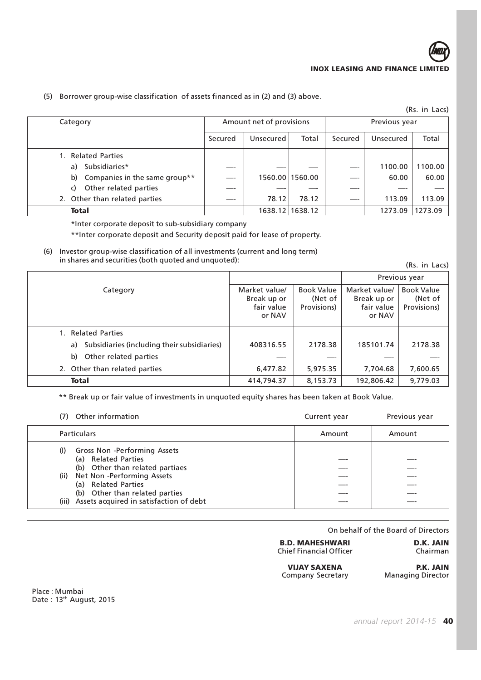

#### (5) Borrower group-wise classification of assets financed as in (2) and (3) above.

|                                     |                          |           |         |               |           | (Rs. in Lacs) |
|-------------------------------------|--------------------------|-----------|---------|---------------|-----------|---------------|
| Category                            | Amount net of provisions |           |         | Previous year |           |               |
|                                     | Secured                  | Unsecured | Total   | Secured       | Unsecured | Total         |
| 1. Related Parties                  |                          |           |         |               |           |               |
| Subsidiaries*<br>a)                 |                          |           |         | __            | 1100.00   | 1100.00       |
| Companies in the same group**<br>b) |                          | 1560.00   | 1560.00 | __            | 60.00     | 60.00         |
| Other related parties<br>C)         |                          |           |         |               |           |               |
| 2. Other than related parties       |                          | 78.12     | 78.12   | —-            | 113.09    | 113.09        |
| Total                               |                          | 1638.12   | 1638.12 |               | 1273.09   | 1273.09       |

\*Inter corporate deposit to sub-subsidiary company

\*\*Inter corporate deposit and Security deposit paid for lease of property.

#### (6) Investor group-wise classification of all investments (current and long term) in shares and securities (both quoted and unquoted):

(Rs. in Lacs)

|                                                   |                                                      |                                             |                                                      | Previous year                               |
|---------------------------------------------------|------------------------------------------------------|---------------------------------------------|------------------------------------------------------|---------------------------------------------|
| Category                                          | Market value/<br>Break up or<br>fair value<br>or NAV | <b>Book Value</b><br>(Net of<br>Provisions) | Market value/<br>Break up or<br>fair value<br>or NAV | <b>Book Value</b><br>(Net of<br>Provisions) |
| <b>Related Parties</b>                            |                                                      |                                             |                                                      |                                             |
| Subsidiaries (including their subsidiaries)<br>a) | 408316.55                                            | 2178.38                                     | 185101.74                                            | 2178.38                                     |
| Other related parties<br>b)                       |                                                      |                                             |                                                      |                                             |
| 2. Other than related parties                     | 6,477.82                                             | 5,975.35                                    | 7,704.68                                             | 7,600.65                                    |
| <b>Total</b>                                      | 414,794.37                                           | 8,153.73                                    | 192,806.42                                           | 9,779.03                                    |

\*\* Break up or fair value of investments in unquoted equity shares has been taken at Book Value.

| Other information                                                                                                                                                                                                                                       | Current year | Previous year |
|---------------------------------------------------------------------------------------------------------------------------------------------------------------------------------------------------------------------------------------------------------|--------------|---------------|
| <b>Particulars</b>                                                                                                                                                                                                                                      | Amount       | Amount        |
| <b>Gross Non -Performing Assets</b><br>(1)<br>(a) Related Parties<br>(b) Other than related partiaes<br>Net Non -Performing Assets<br>(ii)<br>(a) Related Parties<br>(b) Other than related parties<br>Assets acquired in satisfaction of debt<br>(iii) |              |               |

On behalf of the Board of Directors

| <b>B.D. MAHESHWARI</b>         | D.K. JAIN |
|--------------------------------|-----------|
| <b>Chief Financial Officer</b> | Chairman  |
| <b>VIJAY SAXENA</b>            | P.K. JAIN |

Company Secretary Managing Director

Place : Mumbai Date: 13<sup>th</sup> August, 2015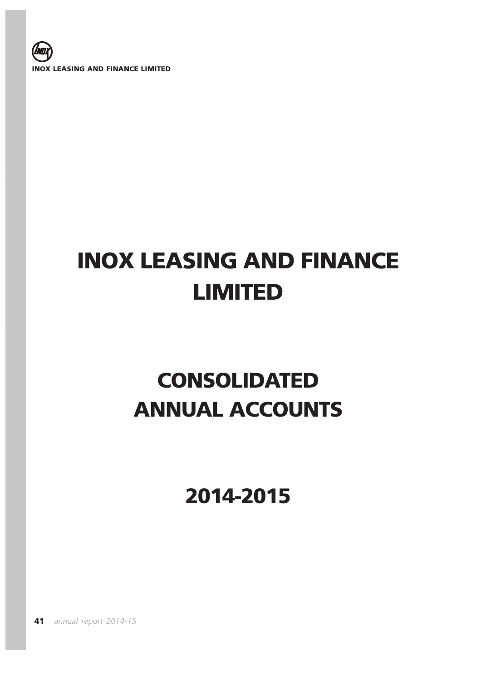

# INOX LEASING AND FINANCE LIMITED

# CONSOLIDATED ANNUAL ACCOUNTS

2014-2015

annual report 2014-15 41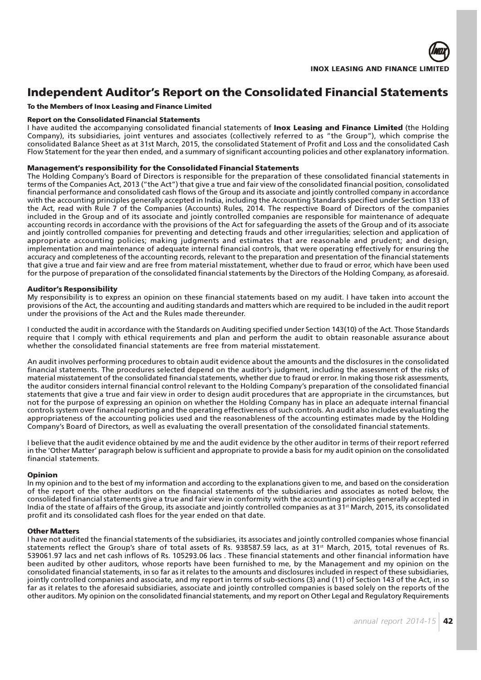

## Independent Auditor's Report on the Consolidated Financial Statements

#### To the Members of Inox Leasing and Finance Limited

#### Report on the Consolidated Financial Statements

I have audited the accompanying consolidated financial statements of Inox Leasing and Finance Limited (the Holding Company), its subsidiaries, joint ventures and associates (collectively referred to as "the Group"), which comprise the consolidated Balance Sheet as at 31st March, 2015, the consolidated Statement of Profit and Loss and the consolidated Cash Flow Statement for the year then ended, and a summary of significant accounting policies and other explanatory information.

#### Management's responsibility for the Consolidated Financial Statements

The Holding Company's Board of Directors is responsible for the preparation of these consolidated financial statements in terms of the Companies Act, 2013 ("the Act") that give a true and fair view of the consolidated financial position, consolidated financial performance and consolidated cash flows of the Group and its associate and jointly controlled company in accordance with the accounting principles generally accepted in India, including the Accounting Standards specified under Section 133 of the Act, read with Rule 7 of the Companies (Accounts) Rules, 2014. The respective Board of Directors of the companies included in the Group and of its associate and jointly controlled companies are responsible for maintenance of adequate accounting records in accordance with the provisions of the Act for safeguarding the assets of the Group and of its associate and jointly controlled companies for preventing and detecting frauds and other irregularities; selection and application of appropriate accounting policies; making judgments and estimates that are reasonable and prudent; and design, implementation and maintenance of adequate internal financial controls, that were operating effectively for ensuring the accuracy and completeness of the accounting records, relevant to the preparation and presentation of the financial statements that give a true and fair view and are free from material misstatement, whether due to fraud or error, which have been used for the purpose of preparation of the consolidated financial statements by the Directors of the Holding Company, as aforesaid.

#### Auditor's Responsibility

My responsibility is to express an opinion on these financial statements based on my audit. I have taken into account the provisions of the Act, the accounting and auditing standards and matters which are required to be included in the audit report under the provisions of the Act and the Rules made thereunder.

I conducted the audit in accordance with the Standards on Auditing specified under Section 143(10) of the Act. Those Standards require that I comply with ethical requirements and plan and perform the audit to obtain reasonable assurance about whether the consolidated financial statements are free from material misstatement.

An audit involves performing procedures to obtain audit evidence about the amounts and the disclosures in the consolidated financial statements. The procedures selected depend on the auditor's judgment, including the assessment of the risks of material misstatement of the consolidated financial statements, whether due to fraud or error. In making those risk assessments, the auditor considers internal financial control relevant to the Holding Company's preparation of the consolidated financial statements that give a true and fair view in order to design audit procedures that are appropriate in the circumstances, but not for the purpose of expressing an opinion on whether the Holding Company has in place an adequate internal financial controls system over financial reporting and the operating effectiveness of such controls. An audit also includes evaluating the appropriateness of the accounting policies used and the reasonableness of the accounting estimates made by the Holding Company's Board of Directors, as well as evaluating the overall presentation of the consolidated financial statements.

I believe that the audit evidence obtained by me and the audit evidence by the other auditor in terms of their report referred in the 'Other Matter' paragraph below is sufficient and appropriate to provide a basis for my audit opinion on the consolidated financial statements.

#### Opinion

In my opinion and to the best of my information and according to the explanations given to me, and based on the consideration of the report of the other auditors on the financial statements of the subsidiaries and associates as noted below, the consolidated financial statements give a true and fair view in conformity with the accounting principles generally accepted in India of the state of affairs of the Group, its associate and jointly controlled companies as at 31<sup>st</sup> March, 2015, its consolidated profit and its consolidated cash floes for the year ended on that date.

#### Other Matters

I have not audited the financial statements of the subsidiaries, its associates and jointly controlled companies whose financial statements reflect the Group's share of total assets of Rs. 938587.59 lacs, as at 31st March, 2015, total revenues of Rs. 539061.97 lacs and net cash inflows of Rs. 105293.06 lacs . These financial statements and other financial information have been audited by other auditors, whose reports have been furnished to me, by the Management and my opinion on the consolidated financial statements, in so far as it relates to the amounts and disclosures included in respect of these subsidiaries, jointly controlled companies and associate, and my report in terms of sub-sections (3) and (11) of Section 143 of the Act, in so far as it relates to the aforesaid subsidiaries, associate and jointly controlled companies is based solely on the reports of the other auditors. My opinion on the consolidated financial statements, and my report on Other Legal and Regulatory Requirements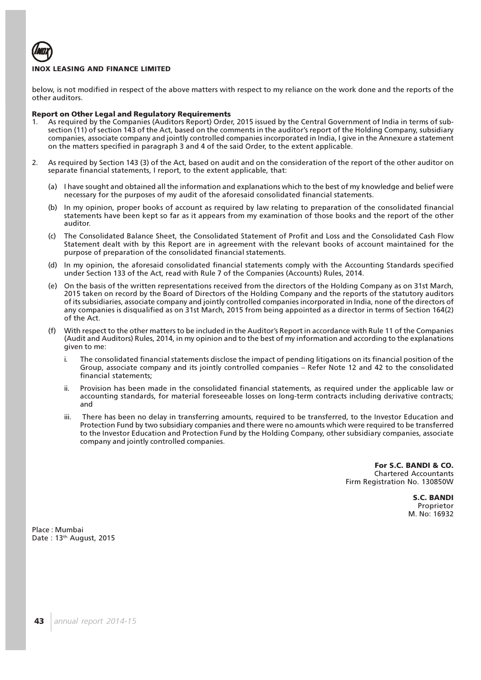

below, is not modified in respect of the above matters with respect to my reliance on the work done and the reports of the other auditors.

#### Report on Other Legal and Regulatory Requirements

- 1. As required by the Companies (Auditors Report) Order, 2015 issued by the Central Government of India in terms of subsection (11) of section 143 of the Act, based on the comments in the auditor's report of the Holding Company, subsidiary companies, associate company and jointly controlled companies incorporated in India, I give in the Annexure a statement on the matters specified in paragraph 3 and 4 of the said Order, to the extent applicable.
- 2. As required by Section 143 (3) of the Act, based on audit and on the consideration of the report of the other auditor on separate financial statements, I report, to the extent applicable, that:
	- (a) I have sought and obtained all the information and explanations which to the best of my knowledge and belief were necessary for the purposes of my audit of the aforesaid consolidated financial statements.
	- (b) In my opinion, proper books of account as required by law relating to preparation of the consolidated financial statements have been kept so far as it appears from my examination of those books and the report of the other auditor.
	- (c) The Consolidated Balance Sheet, the Consolidated Statement of Profit and Loss and the Consolidated Cash Flow Statement dealt with by this Report are in agreement with the relevant books of account maintained for the purpose of preparation of the consolidated financial statements.
	- (d) In my opinion, the aforesaid consolidated financial statements comply with the Accounting Standards specified under Section 133 of the Act, read with Rule 7 of the Companies (Accounts) Rules, 2014.
	- (e) On the basis of the written representations received from the directors of the Holding Company as on 31st March, 2015 taken on record by the Board of Directors of the Holding Company and the reports of the statutory auditors of its subsidiaries, associate company and jointly controlled companies incorporated in India, none of the directors of any companies is disqualified as on 31st March, 2015 from being appointed as a director in terms of Section 164(2) of the Act.
	- (f) With respect to the other matters to be included in the Auditor's Report in accordance with Rule 11 of the Companies (Audit and Auditors) Rules, 2014, in my opinion and to the best of my information and according to the explanations given to me:
		- i. The consolidated financial statements disclose the impact of pending litigations on its financial position of the Group, associate company and its jointly controlled companies – Refer Note 12 and 42 to the consolidated financial statements;
		- ii. Provision has been made in the consolidated financial statements, as required under the applicable law or accounting standards, for material foreseeable losses on long-term contracts including derivative contracts; and
		- iii. There has been no delay in transferring amounts, required to be transferred, to the Investor Education and Protection Fund by two subsidiary companies and there were no amounts which were required to be transferred to the Investor Education and Protection Fund by the Holding Company, other subsidiary companies, associate company and jointly controlled companies.

For S.C. BANDI & CO. Chartered Accountants Firm Registration No. 130850W

> S.C. BANDI Proprietor M. No: 16932

Place : Mumbai Date: 13<sup>th</sup> August, 2015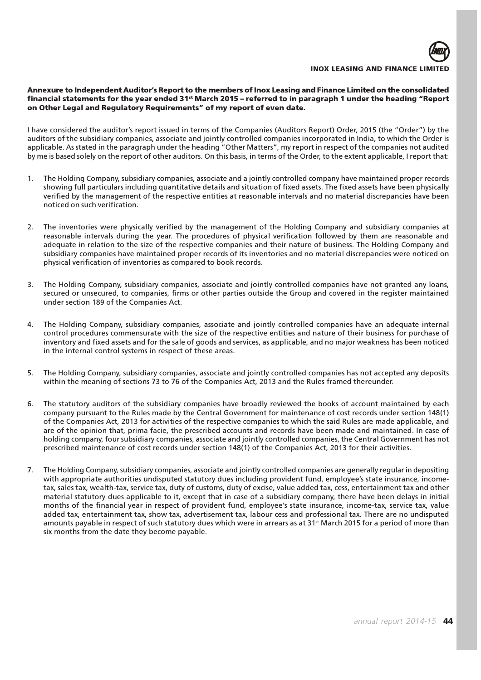#### Annexure to Independent Auditor's Report to the members of Inox Leasing and Finance Limited on the consolidated financial statements for the year ended 31<sup>st</sup> March 2015 – referred to in paragraph 1 under the heading "Report on Other Legal and Regulatory Requirements" of my report of even date.

I have considered the auditor's report issued in terms of the Companies (Auditors Report) Order, 2015 (the "Order") by the auditors of the subsidiary companies, associate and jointly controlled companies incorporated in India, to which the Order is applicable. As stated in the paragraph under the heading "Other Matters", my report in respect of the companies not audited by me is based solely on the report of other auditors. On this basis, in terms of the Order, to the extent applicable, I report that:

- 1. The Holding Company, subsidiary companies, associate and a jointly controlled company have maintained proper records showing full particulars including quantitative details and situation of fixed assets. The fixed assets have been physically verified by the management of the respective entities at reasonable intervals and no material discrepancies have been noticed on such verification.
- 2. The inventories were physically verified by the management of the Holding Company and subsidiary companies at reasonable intervals during the year. The procedures of physical verification followed by them are reasonable and adequate in relation to the size of the respective companies and their nature of business. The Holding Company and subsidiary companies have maintained proper records of its inventories and no material discrepancies were noticed on physical verification of inventories as compared to book records.
- 3. The Holding Company, subsidiary companies, associate and jointly controlled companies have not granted any loans, secured or unsecured, to companies, firms or other parties outside the Group and covered in the register maintained under section 189 of the Companies Act.
- 4. The Holding Company, subsidiary companies, associate and jointly controlled companies have an adequate internal control procedures commensurate with the size of the respective entities and nature of their business for purchase of inventory and fixed assets and for the sale of goods and services, as applicable, and no major weakness has been noticed in the internal control systems in respect of these areas.
- 5. The Holding Company, subsidiary companies, associate and jointly controlled companies has not accepted any deposits within the meaning of sections 73 to 76 of the Companies Act, 2013 and the Rules framed thereunder.
- 6. The statutory auditors of the subsidiary companies have broadly reviewed the books of account maintained by each company pursuant to the Rules made by the Central Government for maintenance of cost records under section 148(1) of the Companies Act, 2013 for activities of the respective companies to which the said Rules are made applicable, and are of the opinion that, prima facie, the prescribed accounts and records have been made and maintained. In case of holding company, four subsidiary companies, associate and jointly controlled companies, the Central Government has not prescribed maintenance of cost records under section 148(1) of the Companies Act, 2013 for their activities.
- 7. The Holding Company, subsidiary companies, associate and jointly controlled companies are generally regular in depositing with appropriate authorities undisputed statutory dues including provident fund, employee's state insurance, incometax, sales tax, wealth-tax, service tax, duty of customs, duty of excise, value added tax, cess, entertainment tax and other material statutory dues applicable to it, except that in case of a subsidiary company, there have been delays in initial months of the financial year in respect of provident fund, employee's state insurance, income-tax, service tax, value added tax, entertainment tax, show tax, advertisement tax, labour cess and professional tax. There are no undisputed amounts payable in respect of such statutory dues which were in arrears as at 31<sup>st</sup> March 2015 for a period of more than six months from the date they become payable.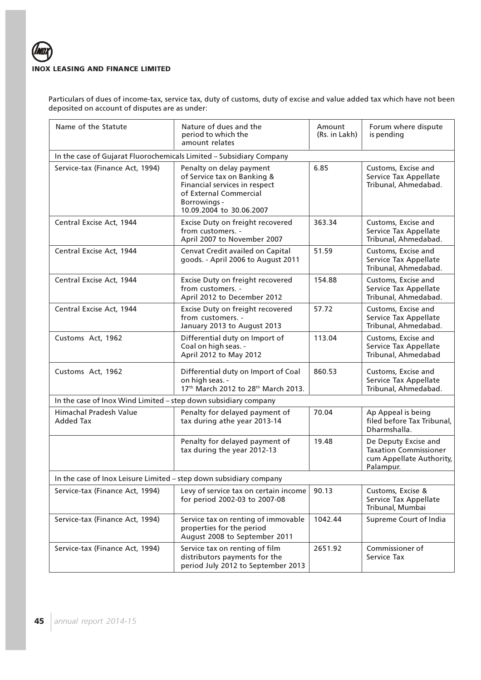# INOX LEASING AND FINANCE LIMITED

Particulars of dues of income-tax, service tax, duty of customs, duty of excise and value added tax which have not been deposited on account of disputes are as under:

| Name of the Statute                                                 | Nature of dues and the<br>period to which the<br>amount relates                                                                                                | Amount<br>(Rs. in Lakh) | Forum where dispute<br>is pending                                                             |
|---------------------------------------------------------------------|----------------------------------------------------------------------------------------------------------------------------------------------------------------|-------------------------|-----------------------------------------------------------------------------------------------|
| In the case of Gujarat Fluorochemicals Limited - Subsidiary Company |                                                                                                                                                                |                         |                                                                                               |
| Service-tax (Finance Act, 1994)                                     | Penalty on delay payment<br>of Service tax on Banking &<br>Financial services in respect<br>of External Commercial<br>Borrowings -<br>10.09.2004 to 30.06.2007 | 6.85                    | Customs, Excise and<br><b>Service Tax Appellate</b><br>Tribunal, Ahmedabad.                   |
| Central Excise Act, 1944                                            | Excise Duty on freight recovered<br>from customers. -<br>April 2007 to November 2007                                                                           | 363.34                  | Customs, Excise and<br><b>Service Tax Appellate</b><br>Tribunal, Ahmedabad.                   |
| Central Excise Act, 1944                                            | Cenvat Credit availed on Capital<br>goods. - April 2006 to August 2011                                                                                         | 51.59                   | Customs, Excise and<br><b>Service Tax Appellate</b><br>Tribunal, Ahmedabad.                   |
| Central Excise Act, 1944                                            | Excise Duty on freight recovered<br>from customers. -<br>April 2012 to December 2012                                                                           | 154.88                  | Customs, Excise and<br><b>Service Tax Appellate</b><br>Tribunal, Ahmedabad.                   |
| Central Excise Act, 1944                                            | Excise Duty on freight recovered<br>from customers. -<br>January 2013 to August 2013                                                                           | 57.72                   | Customs, Excise and<br><b>Service Tax Appellate</b><br>Tribunal, Ahmedabad.                   |
| Customs Act, 1962                                                   | Differential duty on Import of<br>Coal on high seas. -<br>April 2012 to May 2012                                                                               | 113.04                  | Customs, Excise and<br>Service Tax Appellate<br>Tribunal, Ahmedabad                           |
| Customs Act, 1962                                                   | Differential duty on Import of Coal<br>on high seas. -<br>17 <sup>th</sup> March 2012 to 28 <sup>th</sup> March 2013.                                          | 860.53                  | Customs, Excise and<br><b>Service Tax Appellate</b><br>Tribunal, Ahmedabad.                   |
| In the case of Inox Wind Limited - step down subsidiary company     |                                                                                                                                                                |                         |                                                                                               |
| <b>Himachal Pradesh Value</b><br><b>Added Tax</b>                   | Penalty for delayed payment of<br>tax during athe year 2013-14                                                                                                 | 70.04                   | Ap Appeal is being<br>filed before Tax Tribunal,<br>Dharmshalla.                              |
|                                                                     | Penalty for delayed payment of<br>tax during the year 2012-13                                                                                                  | 19.48                   | De Deputy Excise and<br><b>Taxation Commissioner</b><br>cum Appellate Authority,<br>Palampur. |
| In the case of Inox Leisure Limited - step down subsidiary company  |                                                                                                                                                                |                         |                                                                                               |
| Service-tax (Finance Act, 1994)                                     | Levy of service tax on certain income<br>for period 2002-03 to 2007-08                                                                                         | 90.13                   | Customs, Excise &<br>Service Tax Appellate<br>Tribunal, Mumbai                                |
| Service-tax (Finance Act, 1994)                                     | Service tax on renting of immovable<br>properties for the period<br>August 2008 to September 2011                                                              | 1042.44                 | Supreme Court of India                                                                        |
| Service-tax (Finance Act, 1994)                                     | Service tax on renting of film<br>distributors payments for the<br>period July 2012 to September 2013                                                          | 2651.92                 | Commissioner of<br>Service Tax                                                                |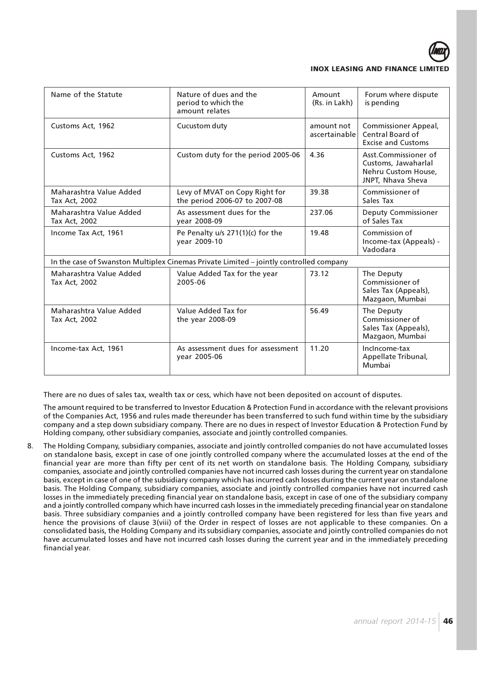

#### **INOX LEASING AND FINANCE LIM**

| Name of the Statute                      | Nature of dues and the<br>period to which the<br>amount relates                        | Amount<br>(Rs. in Lakh)     | Forum where dispute<br>is pending                                                       |
|------------------------------------------|----------------------------------------------------------------------------------------|-----------------------------|-----------------------------------------------------------------------------------------|
| Customs Act, 1962                        | Cucustom duty                                                                          | amount not<br>ascertainable | Commissioner Appeal,<br>Central Board of<br><b>Excise and Customs</b>                   |
| Customs Act, 1962                        | Custom duty for the period 2005-06                                                     | 4.36                        | Asst Commissioner of<br>Customs, Jawaharlal<br>Nehru Custom House.<br>JNPT, Nhava Sheva |
| Maharashtra Value Added<br>Tax Act, 2002 | Levy of MVAT on Copy Right for<br>the period 2006-07 to 2007-08                        | 39.38                       | Commissioner of<br>Sales Tax                                                            |
| Maharashtra Value Added<br>Tax Act, 2002 | As assessment dues for the<br>vear 2008-09                                             | 237.06                      | <b>Deputy Commissioner</b><br>of Sales Tax                                              |
| Income Tax Act, 1961                     | Pe Penalty $u/s$ 271(1)(c) for the<br>year 2009-10                                     | 19.48                       | Commission of<br>Income-tax (Appeals) -<br>Vadodara                                     |
|                                          | In the case of Swanston Multiplex Cinemas Private Limited - jointly controlled company |                             |                                                                                         |
| Maharashtra Value Added<br>Tax Act, 2002 | Value Added Tax for the year<br>2005-06                                                | 73.12                       | The Deputy<br>Commissioner of<br>Sales Tax (Appeals),<br>Mazgaon, Mumbai                |
| Maharashtra Value Added<br>Tax Act, 2002 | Value Added Tax for<br>the year 2008-09                                                | 56.49                       | The Deputy<br>Commissioner of<br>Sales Tax (Appeals),<br>Mazgaon, Mumbai                |
| Income-tax Act, 1961                     | As assessment dues for assessment<br>vear 2005-06                                      | 11.20                       | Inclncome-tax<br>Appellate Tribunal,<br>Mumbai                                          |

There are no dues of sales tax, wealth tax or cess, which have not been deposited on account of disputes.

The amount required to be transferred to Investor Education & Protection Fund in accordance with the relevant provisions of the Companies Act, 1956 and rules made thereunder has been transferred to such fund within time by the subsidiary company and a step down subsidiary company. There are no dues in respect of Investor Education & Protection Fund by Holding company, other subsidiary companies, associate and jointly controlled companies.

8. The Holding Company, subsidiary companies, associate and jointly controlled companies do not have accumulated losses on standalone basis, except in case of one jointly controlled company where the accumulated losses at the end of the financial year are more than fifty per cent of its net worth on standalone basis. The Holding Company, subsidiary companies, associate and jointly controlled companies have not incurred cash losses during the current year on standalone basis, except in case of one of the subsidiary company which has incurred cash losses during the current year on standalone basis. The Holding Company, subsidiary companies, associate and jointly controlled companies have not incurred cash losses in the immediately preceding financial year on standalone basis, except in case of one of the subsidiary company and a jointly controlled company which have incurred cash losses in the immediately preceding financial year on standalone basis. Three subsidiary companies and a jointly controlled company have been registered for less than five years and hence the provisions of clause 3(viii) of the Order in respect of losses are not applicable to these companies. On a consolidated basis, the Holding Company and its subsidiary companies, associate and jointly controlled companies do not have accumulated losses and have not incurred cash losses during the current year and in the immediately preceding financial year.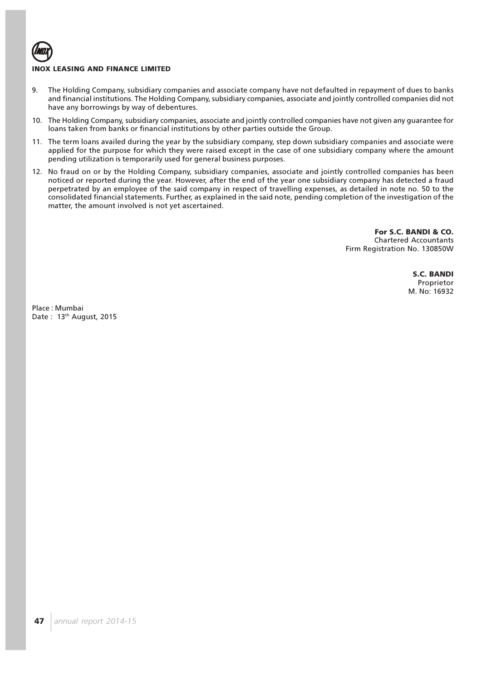

#### INOX LEASING AND FINANCE LIMITED

- 9. The Holding Company, subsidiary companies and associate company have not defaulted in repayment of dues to banks and financial institutions. The Holding Company, subsidiary companies, associate and jointly controlled companies did not have any borrowings by way of debentures.
- 10. The Holding Company, subsidiary companies, associate and jointly controlled companies have not given any guarantee for loans taken from banks or financial institutions by other parties outside the Group.
- 11. The term loans availed during the year by the subsidiary company, step down subsidiary companies and associate were applied for the purpose for which they were raised except in the case of one subsidiary company where the amount pending utilization is temporarily used for general business purposes.
- 12. No fraud on or by the Holding Company, subsidiary companies, associate and jointly controlled companies has been noticed or reported during the year. However, after the end of the year one subsidiary company has detected a fraud perpetrated by an employee of the said company in respect of travelling expenses, as detailed in note no. 50 to the consolidated financial statements. Further, as explained in the said note, pending completion of the investigation of the matter, the amount involved is not yet ascertained.

For S.C. BANDI & CO. Chartered Accountants Firm Registration No. 130850W

> S.C. BANDI Proprietor M. No: 16932

Place : Mumbai Date: 13<sup>th</sup> August, 2015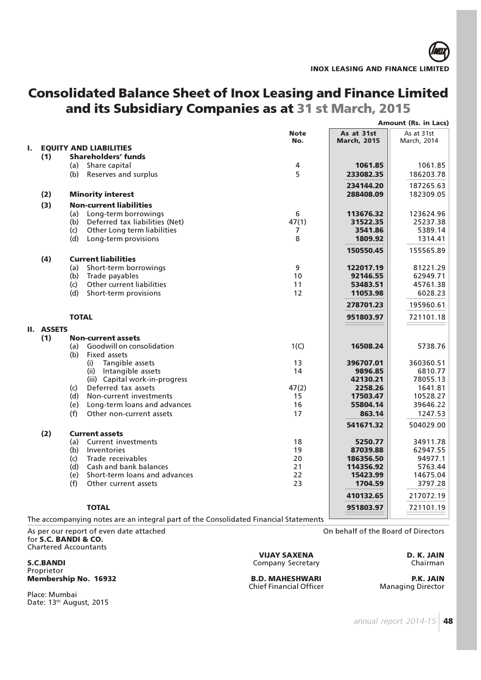## Consolidated Balance Sheet of Inox Leasing and Finance Limited and its Subsidiary Companies as at 31 st March, 2015

|    | <b>Amount (Rs. in Lacs)</b> |              |                                                                                      |                    |                                  |                           |
|----|-----------------------------|--------------|--------------------------------------------------------------------------------------|--------------------|----------------------------------|---------------------------|
|    |                             |              |                                                                                      | <b>Note</b><br>No. | As at 31st<br><b>March, 2015</b> | As at 31st<br>March, 2014 |
| Τ. |                             |              | <b>EQUITY AND LIABILITIES</b>                                                        |                    |                                  |                           |
|    | (1)                         |              | <b>Shareholders' funds</b>                                                           |                    |                                  |                           |
|    |                             | (a)          | Share capital                                                                        | 4                  | 1061.85                          | 1061.85                   |
|    |                             | (b)          | Reserves and surplus                                                                 | 5                  | 233082.35                        | 186203.78                 |
|    |                             |              |                                                                                      |                    |                                  |                           |
|    | (2)                         |              | <b>Minority interest</b>                                                             |                    | 234144.20<br>288408.09           | 187265.63<br>182309.05    |
|    |                             |              |                                                                                      |                    |                                  |                           |
|    | (3)                         |              | <b>Non-current liabilities</b>                                                       |                    |                                  |                           |
|    |                             | (a)          | Long-term borrowings                                                                 | 6                  | 113676.32                        | 123624.96                 |
|    |                             |              | (b) Deferred tax liabilities (Net)                                                   | 47(1)              | 31522.35                         | 25237.38                  |
|    |                             | (c)          | Other Long term liabilities                                                          | 7                  | 3541.86                          | 5389.14                   |
|    |                             | (d)          | Long-term provisions                                                                 | 8                  | 1809.92                          | 1314.41                   |
|    |                             |              |                                                                                      |                    | 150550.45                        | 155565.89                 |
|    | (4)                         |              | <b>Current liabilities</b>                                                           |                    |                                  |                           |
|    |                             | (a)          | Short-term borrowings                                                                | 9                  | 122017.19                        | 81221.29                  |
|    |                             | (b)          | Trade payables                                                                       | 10                 | 92146.55                         | 62949.71                  |
|    |                             | (c)          | <b>Other current liabilities</b>                                                     | 11                 | 53483.51                         | 45761.38                  |
|    |                             | (d)          | Short-term provisions                                                                | 12                 | 11053.98                         | 6028.23                   |
|    |                             |              |                                                                                      |                    | 278701.23                        | 195960.61                 |
|    |                             | <b>TOTAL</b> |                                                                                      |                    | 951803.97                        | 721101.18                 |
|    | II. ASSETS                  |              |                                                                                      |                    |                                  |                           |
|    | (1)                         |              | <b>Non-current assets</b>                                                            |                    |                                  |                           |
|    |                             | (a)          | Goodwill on consolidation                                                            | 1(C)               | 16508.24                         | 5738.76                   |
|    |                             | (b)          | Fixed assets                                                                         |                    |                                  |                           |
|    |                             |              | Tangible assets<br>(i)                                                               | 13                 | 396707.01                        | 360360.51                 |
|    |                             |              | (ii) Intangible assets                                                               | 14                 | 9896.85                          | 6810.77                   |
|    |                             |              | (iii) Capital work-in-progress                                                       |                    | 42130.21                         | 78055.13                  |
|    |                             | (c)          | Deferred tax assets                                                                  | 47(2)              | 2258.26                          | 1641.81                   |
|    |                             |              | (d) Non-current investments                                                          | 15                 | 17503.47                         | 10528.27                  |
|    |                             |              | (e) Long-term loans and advances                                                     | 16                 | 55804.14                         | 39646.22                  |
|    |                             | (f)          | Other non-current assets                                                             | 17                 | 863.14                           | 1247.53                   |
|    |                             |              |                                                                                      |                    | 541671.32                        | 504029.00                 |
|    | (2)                         |              | <b>Current assets</b>                                                                |                    |                                  |                           |
|    |                             | (a)          | <b>Current investments</b>                                                           | 18                 | 5250.77                          | 34911.78                  |
|    |                             | (b)          | Inventories                                                                          | 19                 | 87039.88                         | 62947.55                  |
|    |                             | (c)          | Trade receivables                                                                    | 20                 | 186356.50                        | 94977.1                   |
|    |                             |              | (d) Cash and bank balances                                                           | 21                 | 114356.92                        | 5763.44                   |
|    |                             |              | (e) Short-term loans and advances                                                    | 22                 | 15423.99                         | 14675.04                  |
|    |                             | (f)          | Other current assets                                                                 | 23                 | 1704.59                          | 3797.28                   |
|    |                             |              |                                                                                      |                    | 410132.65                        | 217072.19                 |
|    |                             |              | <b>TOTAL</b>                                                                         |                    | 951803.97                        | 721101.19                 |
|    |                             |              | The accompanying notes are an integral part of the Consolidated Financial Statements |                    |                                  |                           |

As per our report of even date attached and of the Board of Directors on behalf of the Board of Directors for S.C. BANDI & CO. Chartered Accountants

S.C.BANDI Company Secretary Proprietor

VIJAY SAXENA<br>
Sampany Secretary<br>
Chairman

Chief Financial Officer

Membership No. 16932 **B.D. MAHESHWARI** P.K. JAIN P.K. JAIN P.K. JAIN

Place: Mumbai Date: 13th August, 2015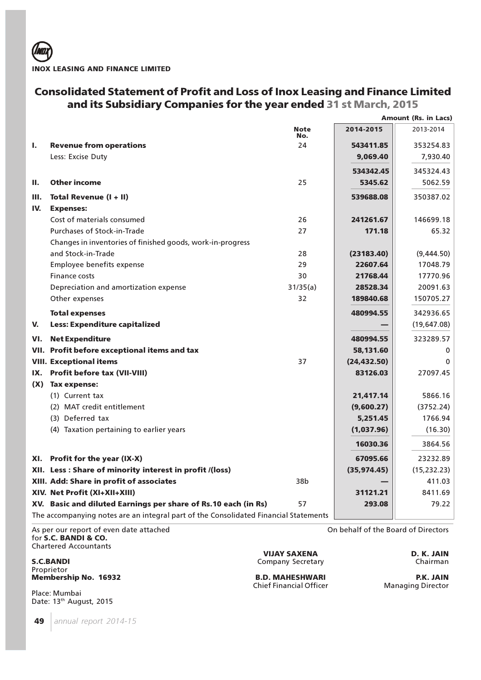## Consolidated Statement of Profit and Loss of Inox Leasing and Finance Limited and its Subsidiary Companies for the year ended 31 st March, 2015

|      | Amount (Rs. in Lacs)                                                                 |                    |              |              |
|------|--------------------------------------------------------------------------------------|--------------------|--------------|--------------|
|      |                                                                                      | <b>Note</b><br>No. | 2014-2015    | 2013-2014    |
| ı.   | <b>Revenue from operations</b>                                                       | 24                 | 543411.85    | 353254.83    |
|      | Less: Excise Duty                                                                    |                    | 9,069.40     | 7,930.40     |
|      |                                                                                      |                    | 534342.45    | 345324.43    |
| н.   | Other income                                                                         | 25                 | 5345.62      | 5062.59      |
| III. | Total Revenue (I + II)                                                               |                    | 539688.08    | 350387.02    |
| IV.  | <b>Expenses:</b>                                                                     |                    |              |              |
|      | Cost of materials consumed                                                           | 26                 | 241261.67    | 146699.18    |
|      | Purchases of Stock-in-Trade                                                          | 27                 | 171.18       | 65.32        |
|      | Changes in inventories of finished goods, work-in-progress                           |                    |              |              |
|      | and Stock-in-Trade                                                                   | 28                 | (23183.40)   | (9,444.50)   |
|      | Employee benefits expense                                                            | 29                 | 22607.64     | 17048.79     |
|      | Finance costs                                                                        | 30                 | 21768.44     | 17770.96     |
|      | Depreciation and amortization expense                                                | 31/35(a)           | 28528.34     | 20091.63     |
|      | Other expenses                                                                       | 32                 | 189840.68    | 150705.27    |
|      | <b>Total expenses</b>                                                                |                    | 480994.55    | 342936.65    |
| V.   | Less: Expenditure capitalized                                                        |                    |              | (19, 647.08) |
| VI.  | <b>Net Expenditure</b>                                                               |                    | 480994.55    | 323289.57    |
| VII. | Profit before exceptional items and tax                                              |                    | 58,131.60    | 0            |
|      | <b>VIII. Exceptional items</b>                                                       | 37                 | (24, 432.50) | 0            |
| IX.  | <b>Profit before tax (VII-VIII)</b>                                                  |                    | 83126.03     | 27097.45     |
|      | (X) Tax expense:                                                                     |                    |              |              |
|      | (1) Current tax                                                                      |                    | 21,417.14    | 5866.16      |
|      | (2) MAT credit entitlement                                                           |                    | (9,600.27)   | (3752.24)    |
|      | (3) Deferred tax                                                                     |                    | 5,251.45     | 1766.94      |
|      | (4) Taxation pertaining to earlier years                                             |                    | (1,037.96)   | (16.30)      |
|      |                                                                                      |                    | 16030.36     | 3864.56      |
| XI.  | Profit for the year (IX-X)                                                           |                    | 67095.66     | 23232.89     |
|      | XII. Less: Share of minority interest in profit /(loss)                              |                    | (35, 974.45) | (15, 232.23) |
|      | XIII. Add: Share in profit of associates                                             | 38 <sub>b</sub>    |              | 411.03       |
|      | XIV. Net Profit (XI+XII+XIII)                                                        |                    | 31121.21     | 8411.69      |
|      | XV. Basic and diluted Earnings per share of Rs.10 each (in Rs)                       | 57                 | 293.08       | 79.22        |
|      | The accompanying notes are an integral part of the Consolidated Financial Statements |                    |              |              |

As per our report of even date attached On behalf of the Board of Directors for S.C. BANDI & CO. Chartered Accountants

S.C.BANDI Company Secretary Proprietor

VIJAY SAXENA D. K. JAIN

Membership No. 16932<br>
Managing Director Chief Financial Officer Managing Director

**Managing Director** 

Place: Mumbai Date: 13<sup>th</sup> August, 2015

annual report 2014-15 49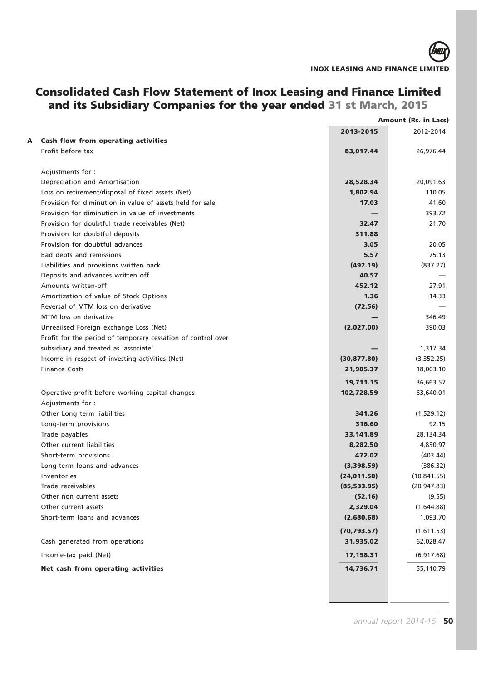## Consolidated Cash Flow Statement of Inox Leasing and Finance Limited and its Subsidiary Companies for the year ended 31 st March, 2015

|                                                              | <b>Amount (Rs. in Lacs)</b> |              |
|--------------------------------------------------------------|-----------------------------|--------------|
|                                                              | 2013-2015                   | 2012-2014    |
| Cash flow from operating activities<br>А                     |                             |              |
| Profit before tax                                            | 83,017.44                   | 26,976.44    |
| Adjustments for:                                             |                             |              |
| Depreciation and Amortisation                                | 28,528.34                   | 20,091.63    |
| Loss on retirement/disposal of fixed assets (Net)            | 1,802.94                    | 110.05       |
| Provision for diminution in value of assets held for sale    | 17.03                       | 41.60        |
| Provision for diminution in value of investments             |                             | 393.72       |
| Provision for doubtful trade receivables (Net)               | 32.47                       | 21.70        |
| Provision for doubtful deposits                              | 311.88                      |              |
| Provision for doubtful advances                              | 3.05                        | 20.05        |
| <b>Bad debts and remissions</b>                              | 5.57                        | 75.13        |
| Liabilities and provisions written back                      | (492.19)                    | (837.27)     |
| Deposits and advances written off                            | 40.57                       |              |
| Amounts written-off                                          | 452.12                      | 27.91        |
| Amortization of value of Stock Options                       | 1.36                        | 14.33        |
| Reversal of MTM loss on derivative                           | (72.56)                     |              |
| MTM loss on derivative                                       |                             | 346.49       |
| Unreailsed Foreign exchange Loss (Net)                       | (2,027.00)                  | 390.03       |
| Profit for the period of temporary cessation of control over |                             |              |
| subsidiary and treated as 'associate'.                       |                             | 1,317.34     |
| Income in respect of investing activities (Net)              | (30, 877.80)                | (3,352.25)   |
| <b>Finance Costs</b>                                         | 21,985.37                   | 18,003.10    |
|                                                              | 19,711.15                   | 36,663.57    |
| Operative profit before working capital changes              | 102,728.59                  | 63,640.01    |
| Adjustments for:                                             |                             |              |
| Other Long term liabilities                                  | 341.26                      | (1,529.12)   |
| Long-term provisions                                         | 316.60                      | 92.15        |
| Trade payables                                               | 33,141.89                   | 28,134.34    |
| Other current liabilities                                    | 8,282.50                    | 4,830.97     |
| Short-term provisions                                        | 472.02                      | (403.44)     |
| Long-term loans and advances                                 | (3,398.59)                  | (386.32)     |
| Inventories                                                  | (24.011.50)                 | (10, 841.55) |
| Trade receivables                                            | (85, 533.95)                | (20, 947.83) |
| Other non current assets                                     | (52.16)                     | (9.55)       |
| Other current assets                                         | 2,329.04                    | (1,644.88)   |
| Short-term loans and advances                                | (2,680.68)                  | 1,093.70     |
|                                                              |                             |              |
|                                                              | (70, 793.57)                | (1,611.53)   |
| Cash generated from operations                               | 31,935.02                   | 62,028.47    |
| Income-tax paid (Net)                                        | 17,198.31                   | (6,917.68)   |
| Net cash from operating activities                           | 14,736.71                   | 55,110.79    |
|                                                              |                             |              |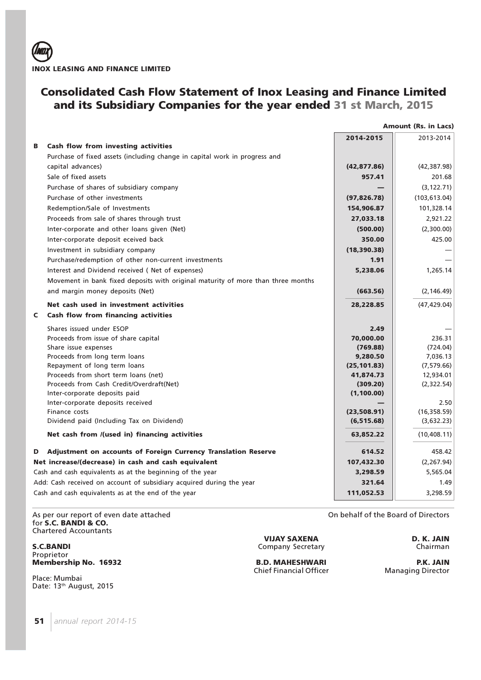## Consolidated Cash Flow Statement of Inox Leasing and Finance Limited and its Subsidiary Companies for the year ended 31 st March, 2015

|   | <b>Amount (Rs. in Lacs)</b>                                                      |               |               |
|---|----------------------------------------------------------------------------------|---------------|---------------|
|   |                                                                                  | 2014-2015     | 2013-2014     |
| в | Cash flow from investing activities                                              |               |               |
|   | Purchase of fixed assets (including change in capital work in progress and       |               |               |
|   | capital advances)                                                                | (42, 877.86)  | (42, 387.98)  |
|   | Sale of fixed assets                                                             | 957.41        | 201.68        |
|   | Purchase of shares of subsidiary company                                         |               | (3, 122.71)   |
|   | Purchase of other investments                                                    | (97, 826.78)  | (103, 613.04) |
|   | Redemption/Sale of Investments                                                   | 154,906.87    | 101,328.14    |
|   | Proceeds from sale of shares through trust                                       | 27,033.18     | 2,921.22      |
|   | Inter-corporate and other loans given (Net)                                      | (500,00)      | (2,300.00)    |
|   | Inter-corporate deposit eceived back                                             | 350.00        | 425.00        |
|   | Investment in subsidiary company                                                 | (18, 390, 38) |               |
|   | Purchase/redemption of other non-current investments                             | 1.91          |               |
|   | Interest and Dividend received (Net of expenses)                                 | 5,238,06      | 1,265.14      |
|   | Movement in bank fixed deposits with original maturity of more than three months |               |               |
|   | and margin money deposits (Net)                                                  | (663.56)      | (2, 146.49)   |
|   | Net cash used in investment activities                                           | 28,228.85     | (47, 429.04)  |
| C | Cash flow from financing activities                                              |               |               |
|   | Shares issued under ESOP                                                         | 2.49          |               |
|   | Proceeds from issue of share capital                                             | 70,000.00     | 236.31        |
|   | Share issue expenses                                                             | (769.88)      | (724.04)      |
|   | Proceeds from long term loans                                                    | 9,280.50      | 7,036.13      |
|   | Repayment of long term loans                                                     | (25, 101.83)  | (7,579.66)    |
|   | Proceeds from short term loans (net)                                             | 41,874.73     | 12,934.01     |
|   | Proceeds from Cash Credit/Overdraft(Net)                                         | (309.20)      | (2,322.54)    |
|   | Inter-corporate deposits paid<br>Inter-corporate deposits received               | (1, 100.00)   | 2.50          |
|   | Finance costs                                                                    | (23,508.91)   | (16, 358.59)  |
|   | Dividend paid (Including Tax on Dividend)                                        | (6, 515.68)   | (3,632.23)    |
|   | Net cash from /(used in) financing activities                                    | 63,852.22     | (10, 408.11)  |
|   |                                                                                  |               |               |
| D | Adjustment on accounts of Foreign Currency Translation Reserve                   | 614.52        | 458.42        |
|   | Net increase/(decrease) in cash and cash equivalent                              | 107,432.30    | (2, 267.94)   |
|   | Cash and cash equivalents as at the beginning of the year                        | 3,298.59      | 5,565.04      |
|   | Add: Cash received on account of subsidiary acquired during the year             | 321.64        | 1.49          |
|   | Cash and cash equivalents as at the end of the year                              | 111,052.53    | 3,298.59      |

As per our report of even date attached and of Directors on behalf of the Board of Directors for S.C. BANDI & CO. Chartered Accountants

S.C.BANDI Company Secretary Proprietor

Place: Mumbai Date: 13<sup>th</sup> August, 2015 VIJAY SAXENA<br>
ompany Secretary<br>
Chairman

Membership No. 16932 **B.D. MAHESHWARI P.K. JAIN** P.K. JAIN P.K. JAIN P.K. JAIN Chief Financial Officer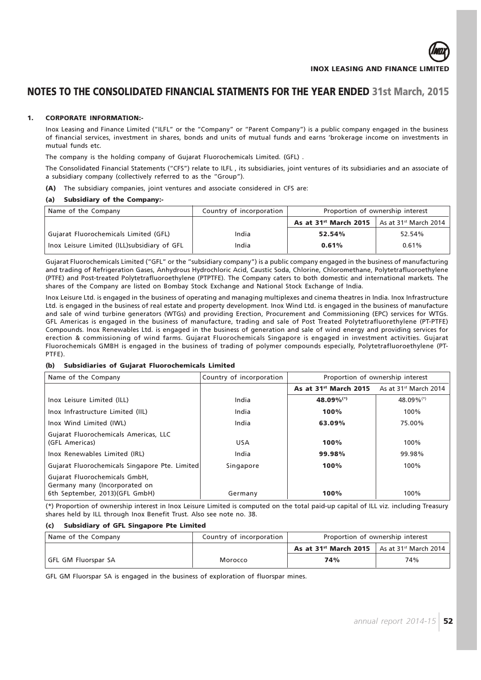#### 1. CORPORATE INFORMATION:-

Inox Leasing and Finance Limited ("ILFL" or the "Company" or "Parent Company") is a public company engaged in the business of financial services, investment in shares, bonds and units of mutual funds and earns 'brokerage income on investments in mutual funds etc.

The company is the holding company of Gujarat Fluorochemicals Limited. (GFL) .

The Consolidated Financial Statements ("CFS") relate to ILFL , its subsidiaries, joint ventures of its subsidiaries and an associate of a subsidiary company (collectively referred to as the "Group").

(A) The subsidiary companies, joint ventures and associate considered in CFS are:

#### (a) Subsidiary of the Company:-

| Name of the Company                          | Country of incorporation | Proportion of ownership interest  |                                   |  |
|----------------------------------------------|--------------------------|-----------------------------------|-----------------------------------|--|
|                                              |                          | As at 31 <sup>st</sup> March 2015 | As at 31 <sup>st</sup> March 2014 |  |
| Gujarat Fluorochemicals Limited (GFL)        | India                    | 52.54%                            | 52.54%                            |  |
| Inox Leisure Limited (ILL) subsidiary of GFL | India                    | 0.61%                             | 0.61%                             |  |

Gujarat Fluorochemicals Limited ("GFL" or the "subsidiary company") is a public company engaged in the business of manufacturing and trading of Refrigeration Gases, Anhydrous Hydrochloric Acid, Caustic Soda, Chlorine, Chloromethane, Polytetrafluoroethylene (PTFE) and Post-treated Polytetrafluoroethylene (PTPTFE). The Company caters to both domestic and international markets. The shares of the Company are listed on Bombay Stock Exchange and National Stock Exchange of India.

Inox Leisure Ltd. is engaged in the business of operating and managing multiplexes and cinema theatres in India. Inox Infrastructure Ltd. is engaged in the business of real estate and property development. Inox Wind Ltd. is engaged in the business of manufacture and sale of wind turbine generators (WTGs) and providing Erection, Procurement and Commissioning (EPC) services for WTGs. GFL Americas is engaged in the business of manufacture, trading and sale of Post Treated Polytetrafluorethylene (PT-PTFE) Compounds. Inox Renewables Ltd. is engaged in the business of generation and sale of wind energy and providing services for erection & commissioning of wind farms. Gujarat Fluorochemicals Singapore is engaged in investment activities. Gujarat Fluorochemicals GMBH is engaged in the business of trading of polymer compounds especially, Polytetrafluoroethylene (PT-PTFE).

#### (b) Subsidiaries of Gujarat Fluorochemicals Limited

| Name of the Company                                                                              | Country of incorporation | Proportion of ownership interest  |                                   |  |
|--------------------------------------------------------------------------------------------------|--------------------------|-----------------------------------|-----------------------------------|--|
|                                                                                                  |                          | As at 31 <sup>st</sup> March 2015 | As at 31 <sup>st</sup> March 2014 |  |
| Inox Leisure Limited (ILL)                                                                       | India                    | $48.09\%$ <sup>(*)</sup>          | $48.09\%$ <sup>(*)</sup>          |  |
| Inox Infrastructure Limited (IIL)                                                                | India                    | 100%                              | 100%                              |  |
| Inox Wind Limited (IWL)                                                                          | India                    | 63.09%                            | 75.00%                            |  |
| Gujarat Fluorochemicals Americas, LLC<br>(GFL Americas)                                          | <b>USA</b>               | 100%                              | 100%                              |  |
| Inox Renewables Limited (IRL)                                                                    | India                    | 99.98%                            | 99.98%                            |  |
| Gujarat Fluorochemicals Singapore Pte. Limited                                                   | Singapore                | 100%                              | 100%                              |  |
| Gujarat Fluorochemicals GmbH,<br>Germany many (Incorporated on<br>6th September, 2013)(GFL GmbH) | Germany                  | 100%                              | 100%                              |  |

(\*) Proportion of ownership interest in Inox Leisure Limited is computed on the total paid-up capital of ILL viz. including Treasury shares held by ILL through Inox Benefit Trust. Also see note no. 38.

#### (c) Subsidiary of GFL Singapore Pte Limited

| Name of the Company | Country of incorporation | Proportion of ownership interest                                           |     |  |
|---------------------|--------------------------|----------------------------------------------------------------------------|-----|--|
|                     |                          | <b>As at 31st March 2015</b> $\parallel$ As at 31st March 2014 $\parallel$ |     |  |
| GFL GM Fluorspar SA | Morocco                  | 74%                                                                        | 74% |  |

GFL GM Fluorspar SA is engaged in the business of exploration of fluorspar mines.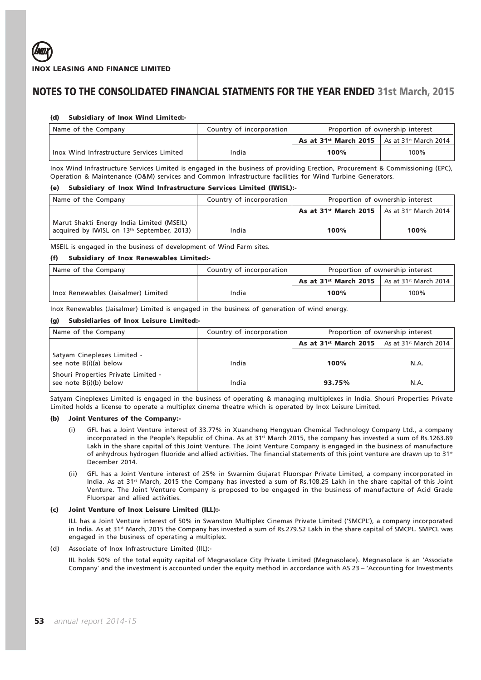#### (d) Subsidiary of Inox Wind Limited:-

| Name of the Company                       | Country of incorporation | Proportion of ownership interest                               |      |
|-------------------------------------------|--------------------------|----------------------------------------------------------------|------|
|                                           |                          | <b>As at 31st March 2015</b> $\parallel$ As at 31st March 2014 |      |
| Inox Wind Infrastructure Services Limited | India                    | $100\%$                                                        | 100% |

Inox Wind Infrastructure Services Limited is engaged in the business of providing Erection, Procurement & Commissioning (EPC), Operation & Maintenance (O&M) services and Common Infrastructure facilities for Wind Turbine Generators.

#### (e) Subsidiary of Inox Wind Infrastructure Services Limited (IWISL):-

| Name of the Company                                                                     | Country of incorporation | Proportion of ownership interest |                                           |  |
|-----------------------------------------------------------------------------------------|--------------------------|----------------------------------|-------------------------------------------|--|
|                                                                                         |                          | As at $31^{st}$ March 2015       | $\vert$ As at 31 <sup>st</sup> March 2014 |  |
| Marut Shakti Energy India Limited (MSEIL)<br>acquired by IWISL on 13th September, 2013) | India                    | $100\%$                          | 100%                                      |  |

MSEIL is engaged in the business of development of Wind Farm sites.

#### (f) Subsidiary of Inox Renewables Limited:-

| Name of the Company                 | Country of incorporation | Proportion of ownership interest                           |      |  |
|-------------------------------------|--------------------------|------------------------------------------------------------|------|--|
|                                     |                          | <b>As at 31st March 2015</b> $\vert$ As at 31st March 2014 |      |  |
| Inox Renewables (Jaisalmer) Limited | India                    | 100%                                                       | 100% |  |

Inox Renewables (Jaisalmer) Limited is engaged in the business of generation of wind energy.

#### (g) Subsidiaries of Inox Leisure Limited:-

| Name of the Company                                           | Country of incorporation | Proportion of ownership interest                                |             |
|---------------------------------------------------------------|--------------------------|-----------------------------------------------------------------|-------------|
|                                                               |                          | As at $31^{st}$ March 2015<br>As at 31 <sup>st</sup> March 2014 |             |
| Satyam Cineplexes Limited -<br>see note B(i)(a) below         | India                    | 100%                                                            | <b>N.A.</b> |
| Shouri Properties Private Limited -<br>see note B(i)(b) below | India                    | 93.75%                                                          | N.A.        |

Satyam Cineplexes Limited is engaged in the business of operating & managing multiplexes in India. Shouri Properties Private Limited holds a license to operate a multiplex cinema theatre which is operated by Inox Leisure Limited.

#### (b) Joint Ventures of the Company:-

- GFL has a Joint Venture interest of 33.77% in Xuancheng Hengyuan Chemical Technology Company Ltd., a company incorporated in the People's Republic of China. As at 31<sup>st</sup> March 2015, the company has invested a sum of Rs.1263.89 Lakh in the share capital of this Joint Venture. The Joint Venture Company is engaged in the business of manufacture of anhydrous hydrogen fluoride and allied activities. The financial statements of this joint venture are drawn up to 31st December 2014.
- (ii) GFL has a Joint Venture interest of 25% in Swarnim Gujarat Fluorspar Private Limited, a company incorporated in India. As at 31<sup>st</sup> March, 2015 the Company has invested a sum of Rs.108.25 Lakh in the share capital of this Joint Venture. The Joint Venture Company is proposed to be engaged in the business of manufacture of Acid Grade Fluorspar and allied activities.

#### (c) Joint Venture of Inox Leisure Limited (ILL):-

ILL has a Joint Venture interest of 50% in Swanston Multiplex Cinemas Private Limited ('SMCPL'), a company incorporated in India. As at 31<sup>st</sup> March, 2015 the Company has invested a sum of Rs.279.52 Lakh in the share capital of SMCPL. SMPCL was engaged in the business of operating a multiplex.

#### (d) Associate of Inox Infrastructure Limited (IIL):-

IIL holds 50% of the total equity capital of Megnasolace City Private Limited (Megnasolace). Megnasolace is an 'Associate Company' and the investment is accounted under the equity method in accordance with AS 23 – 'Accounting for Investments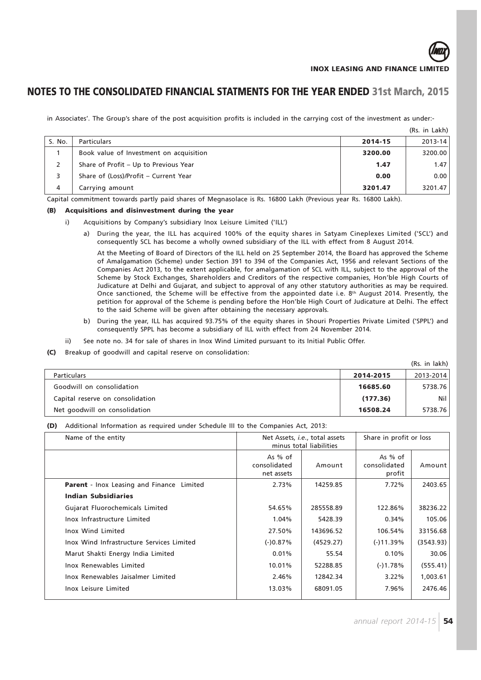in Associates'. The Group's share of the post acquisition profits is included in the carrying cost of the investment as under:-

|        |                                         |         | (Rs. in Lakh) |
|--------|-----------------------------------------|---------|---------------|
| S. No. | <b>Particulars</b>                      | 2014-15 | $2013 - 14$   |
|        | Book value of Investment on acquisition | 3200.00 | 3200.00       |
|        | Share of Profit - Up to Previous Year   | 1.47    | 1.47          |
|        | Share of (Loss)/Profit - Current Year   | 0.00    | 0.00          |
|        | Carrying amount                         | 3201.47 | 3201.47       |

Capital commitment towards partly paid shares of Megnasolace is Rs. 16800 Lakh (Previous year Rs. 16800 Lakh).

#### (B) Acquisitions and disinvestment during the year

- i) Acquisitions by Company's subsidiary Inox Leisure Limited ('ILL')
	- a) During the year, the ILL has acquired 100% of the equity shares in Satyam Cineplexes Limited ('SCL') and consequently SCL has become a wholly owned subsidiary of the ILL with effect from 8 August 2014.

At the Meeting of Board of Directors of the ILL held on 25 September 2014, the Board has approved the Scheme of Amalgamation (Scheme) under Section 391 to 394 of the Companies Act, 1956 and relevant Sections of the Companies Act 2013, to the extent applicable, for amalgamation of SCL with ILL, subject to the approval of the Scheme by Stock Exchanges, Shareholders and Creditors of the respective companies, Hon'ble High Courts of Judicature at Delhi and Gujarat, and subject to approval of any other statutory authorities as may be required. Once sanctioned, the Scheme will be effective from the appointed date i.e. 8<sup>th</sup> August 2014. Presently, the petition for approval of the Scheme is pending before the Hon'ble High Court of Judicature at Delhi. The effect to the said Scheme will be given after obtaining the necessary approvals.

- b) During the year, ILL has acquired 93.75% of the equity shares in Shouri Properties Private Limited ('SPPL') and consequently SPPL has become a subsidiary of ILL with effect from 24 November 2014.
- ii) See note no. 34 for sale of shares in Inox Wind Limited pursuant to its Initial Public Offer.

#### (C) Breakup of goodwill and capital reserve on consolidation:

|                                  |           | (Rs. in lakh) |
|----------------------------------|-----------|---------------|
| <b>Particulars</b>               | 2014-2015 | 2013-2014     |
| Goodwill on consolidation        | 16685.60  | 5738.76       |
| Capital reserve on consolidation | (177.36)  | Nil I         |
| Net goodwill on consolidation    | 16508.24  | 5738.76       |

#### (D) Additional Information as required under Schedule III to the Companies Act, 2013:

| Name of the entity                               |                                         | Net Assets, <i>i.e.</i> , total assets<br>minus total liabilities | Share in profit or loss             |           |  |
|--------------------------------------------------|-----------------------------------------|-------------------------------------------------------------------|-------------------------------------|-----------|--|
|                                                  | As $%$ of<br>consolidated<br>net assets | Amount                                                            | As $%$ of<br>consolidated<br>profit | Amount    |  |
| <b>Parent</b> - Inox Leasing and Finance Limited | 2.73%                                   | 14259.85                                                          | 7.72%                               | 2403.65   |  |
| <b>Indian Subsidiaries</b>                       |                                         |                                                                   |                                     |           |  |
| Gujarat Fluorochemicals Limited                  | 54.65%                                  | 285558.89                                                         | 122.86%                             | 38236.22  |  |
| Inox Infrastructure Limited                      | 1.04%                                   | 5428.39                                                           | 0.34%                               | 105.06    |  |
| Inox Wind Limited                                | 27.50%                                  | 143696.52                                                         | 106.54%                             | 33156.68  |  |
| Inox Wind Infrastructure Services Limited        | $(-)0.87%$                              | (4529.27)                                                         | $(-)11.39%$                         | (3543.93) |  |
| Marut Shakti Energy India Limited                | 0.01%                                   | 55.54                                                             | 0.10%                               | 30.06     |  |
| Inox Renewables Limited                          | 10.01%                                  | 52288.85                                                          | $(-)1.78%$                          | (555.41)  |  |
| Inox Renewables Jaisalmer Limited                | 2.46%                                   | 12842.34                                                          | 3.22%                               | 1,003.61  |  |
| Inox Leisure Limited                             | 13.03%                                  | 68091.05                                                          | 7.96%                               | 2476.46   |  |
|                                                  |                                         |                                                                   |                                     |           |  |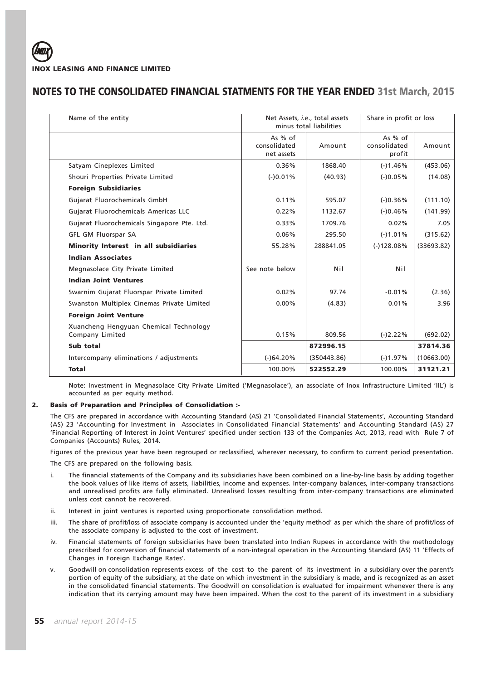| Name of the entity                                        |                                         | Net Assets, i.e., total assets<br>minus total liabilities | Share in profit or loss             |            |  |  |
|-----------------------------------------------------------|-----------------------------------------|-----------------------------------------------------------|-------------------------------------|------------|--|--|
|                                                           | As $%$ of<br>consolidated<br>net assets | Amount                                                    | As $%$ of<br>consolidated<br>profit | Amount     |  |  |
| Satyam Cineplexes Limited                                 | 0.36%                                   | 1868.40                                                   | $(-)1.46%$                          | (453.06)   |  |  |
| Shouri Properties Private Limited                         | $(-)0.01%$                              | (40.93)                                                   | $(-)0.05%$                          | (14.08)    |  |  |
| <b>Foreign Subsidiaries</b>                               |                                         |                                                           |                                     |            |  |  |
| Gujarat Fluorochemicals GmbH                              | 0.11%                                   | 595.07                                                    | $(-)0.36%$                          | (111.10)   |  |  |
| Gujarat Fluorochemicals Americas LLC                      | 0.22%                                   | 1132.67                                                   | $(-)0.46%$                          | (141.99)   |  |  |
| Gujarat Fluorochemicals Singapore Pte. Ltd.               | 0.33%                                   | 1709.76                                                   | 0.02%                               | 7.05       |  |  |
| GFL GM Fluorspar SA                                       | 0.06%                                   | 295.50                                                    | $(-)1.01%$                          | (315.62)   |  |  |
| Minority Interest in all subsidiaries                     | 55.28%                                  | 288841.05                                                 | $(-)128.08%$                        | (33693.82) |  |  |
| <b>Indian Associates</b>                                  |                                         |                                                           |                                     |            |  |  |
| Megnasolace City Private Limited                          | See note below                          | Nil                                                       | Nil                                 |            |  |  |
| <b>Indian Joint Ventures</b>                              |                                         |                                                           |                                     |            |  |  |
| Swarnim Gujarat Fluorspar Private Limited                 | 0.02%                                   | 97.74                                                     | $-0.01%$                            | (2.36)     |  |  |
| Swanston Multiplex Cinemas Private Limited                | $0.00\%$                                | (4.83)                                                    | 0.01%                               | 3.96       |  |  |
| <b>Foreign Joint Venture</b>                              |                                         |                                                           |                                     |            |  |  |
| Xuancheng Hengyuan Chemical Technology<br>Company Limited | 0.15%                                   | 809.56                                                    | $(-)2.22%$                          | (692.02)   |  |  |
| Sub total                                                 |                                         | 872996.15                                                 |                                     | 37814.36   |  |  |
| Intercompany eliminations / adjustments                   | $(-)64.20%$                             | (350443.86)                                               | $(-)1.97%$                          | (10663.00) |  |  |
| <b>Total</b>                                              | 100.00%                                 | 522552.29                                                 | 100.00%                             | 31121.21   |  |  |

Note: Investment in Megnasolace City Private Limited ('Megnasolace'), an associate of Inox Infrastructure Limited 'IIL') is accounted as per equity method.

#### 2. Basis of Preparation and Principles of Consolidation :-

The CFS are prepared in accordance with Accounting Standard (AS) 21 'Consolidated Financial Statements', Accounting Standard (AS) 23 'Accounting for Investment in Associates in Consolidated Financial Statements' and Accounting Standard (AS) 27 'Financial Reporting of Interest in Joint Ventures' specified under section 133 of the Companies Act, 2013, read with Rule 7 of Companies (Accounts) Rules, 2014.

Figures of the previous year have been regrouped or reclassified, wherever necessary, to confirm to current period presentation.

The CFS are prepared on the following basis.

- i. The financial statements of the Company and its subsidiaries have been combined on a line-by-line basis by adding together the book values of like items of assets, liabilities, income and expenses. Inter-company balances, inter-company transactions and unrealised profits are fully eliminated. Unrealised losses resulting from inter-company transactions are eliminated unless cost cannot be recovered.
- ii. Interest in joint ventures is reported using proportionate consolidation method.
- iii. The share of profit/loss of associate company is accounted under the 'equity method' as per which the share of profit/loss of the associate company is adjusted to the cost of investment.
- iv. Financial statements of foreign subsidiaries have been translated into Indian Rupees in accordance with the methodology prescribed for conversion of financial statements of a non-integral operation in the Accounting Standard (AS) 11 'Effects of Changes in Foreign Exchange Rates'.
- v. Goodwill on consolidation represents excess of the cost to the parent of its investment in a subsidiary over the parent's portion of equity of the subsidiary, at the date on which investment in the subsidiary is made, and is recognized as an asset in the consolidated financial statements. The Goodwill on consolidation is evaluated for impairment whenever there is any indication that its carrying amount may have been impaired. When the cost to the parent of its investment in a subsidiary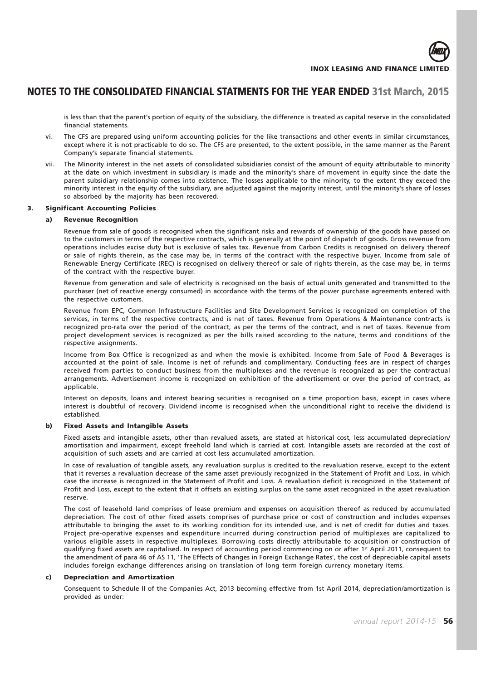

is less than that the parent's portion of equity of the subsidiary, the difference is treated as capital reserve in the consolidated financial statements.

- vi. The CFS are prepared using uniform accounting policies for the like transactions and other events in similar circumstances, except where it is not practicable to do so. The CFS are presented, to the extent possible, in the same manner as the Parent Company's separate financial statements.
- vii. The Minority interest in the net assets of consolidated subsidiaries consist of the amount of equity attributable to minority at the date on which investment in subsidiary is made and the minority's share of movement in equity since the date the parent subsidiary relationship comes into existence. The losses applicable to the minority, to the extent they exceed the minority interest in the equity of the subsidiary, are adjusted against the majority interest, until the minority's share of losses so absorbed by the majority has been recovered.

#### 3. Significant Accounting Policies

#### a) Revenue Recognition

Revenue from sale of goods is recognised when the significant risks and rewards of ownership of the goods have passed on to the customers in terms of the respective contracts, which is generally at the point of dispatch of goods. Gross revenue from operations includes excise duty but is exclusive of sales tax. Revenue from Carbon Credits is recognised on delivery thereof or sale of rights therein, as the case may be, in terms of the contract with the respective buyer. Income from sale of Renewable Energy Certificate (REC) is recognised on delivery thereof or sale of rights therein, as the case may be, in terms of the contract with the respective buyer.

Revenue from generation and sale of electricity is recognised on the basis of actual units generated and transmitted to the purchaser (net of reactive energy consumed) in accordance with the terms of the power purchase agreements entered with the respective customers.

Revenue from EPC, Common Infrastructure Facilities and Site Development Services is recognized on completion of the services, in terms of the respective contracts, and is net of taxes. Revenue from Operations & Maintenance contracts is recognized pro-rata over the period of the contract, as per the terms of the contract, and is net of taxes. Revenue from project development services is recognized as per the bills raised according to the nature, terms and conditions of the respective assignments.

Income from Box Office is recognized as and when the movie is exhibited. Income from Sale of Food & Beverages is accounted at the point of sale. Income is net of refunds and complimentary. Conducting fees are in respect of charges received from parties to conduct business from the multiplexes and the revenue is recognized as per the contractual arrangements. Advertisement income is recognized on exhibition of the advertisement or over the period of contract, as applicable.

Interest on deposits, loans and interest bearing securities is recognised on a time proportion basis, except in cases where interest is doubtful of recovery. Dividend income is recognised when the unconditional right to receive the dividend is established.

#### b) Fixed Assets and Intangible Assets

Fixed assets and intangible assets, other than revalued assets, are stated at historical cost, less accumulated depreciation/ amortisation and impairment, except freehold land which is carried at cost. Intangible assets are recorded at the cost of acquisition of such assets and are carried at cost less accumulated amortization.

In case of revaluation of tangible assets, any revaluation surplus is credited to the revaluation reserve, except to the extent that it reverses a revaluation decrease of the same asset previously recognized in the Statement of Profit and Loss, in which case the increase is recognized in the Statement of Profit and Loss. A revaluation deficit is recognized in the Statement of Profit and Loss, except to the extent that it offsets an existing surplus on the same asset recognized in the asset revaluation reserve.

The cost of leasehold land comprises of lease premium and expenses on acquisition thereof as reduced by accumulated depreciation. The cost of other fixed assets comprises of purchase price or cost of construction and includes expenses attributable to bringing the asset to its working condition for its intended use, and is net of credit for duties and taxes. Project pre-operative expenses and expenditure incurred during construction period of multiplexes are capitalized to various eligible assets in respective multiplexes. Borrowing costs directly attributable to acquisition or construction of qualifying fixed assets are capitalised. In respect of accounting period commencing on or after 1st April 2011, consequent to the amendment of para 46 of AS 11, 'The Effects of Changes in Foreign Exchange Rates', the cost of depreciable capital assets includes foreign exchange differences arising on translation of long term foreign currency monetary items.

#### c) Depreciation and Amortization

Consequent to Schedule II of the Companies Act, 2013 becoming effective from 1st April 2014, depreciation/amortization is provided as under: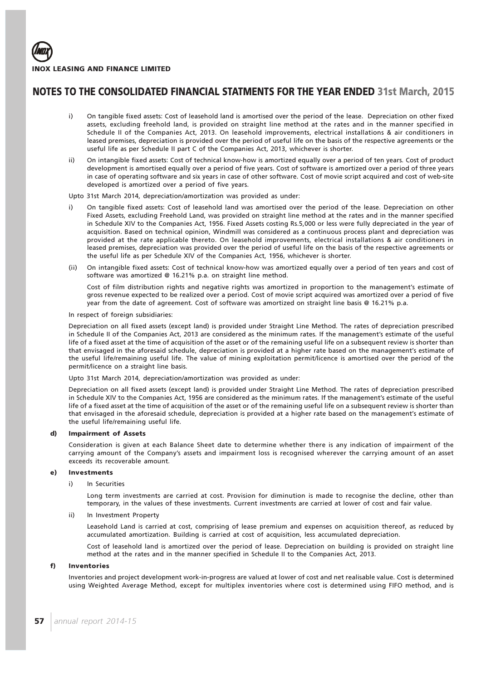- i) On tangible fixed assets: Cost of leasehold land is amortised over the period of the lease. Depreciation on other fixed assets, excluding freehold land, is provided on straight line method at the rates and in the manner specified in Schedule II of the Companies Act, 2013. On leasehold improvements, electrical installations & air conditioners in leased premises, depreciation is provided over the period of useful life on the basis of the respective agreements or the useful life as per Schedule II part C of the Companies Act, 2013, whichever is shorter.
- ii) On intangible fixed assets: Cost of technical know-how is amortized equally over a period of ten years. Cost of product development is amortised equally over a period of five years. Cost of software is amortized over a period of three years in case of operating software and six years in case of other software. Cost of movie script acquired and cost of web-site developed is amortized over a period of five years.

Upto 31st March 2014, depreciation/amortization was provided as under:

- i) On tangible fixed assets: Cost of leasehold land was amortised over the period of the lease. Depreciation on other Fixed Assets, excluding Freehold Land, was provided on straight line method at the rates and in the manner specified in Schedule XIV to the Companies Act, 1956. Fixed Assets costing Rs.5,000 or less were fully depreciated in the year of acquisition. Based on technical opinion, Windmill was considered as a continuous process plant and depreciation was provided at the rate applicable thereto. On leasehold improvements, electrical installations & air conditioners in leased premises, depreciation was provided over the period of useful life on the basis of the respective agreements or the useful life as per Schedule XIV of the Companies Act, 1956, whichever is shorter.
- On intangible fixed assets: Cost of technical know-how was amortized equally over a period of ten years and cost of software was amortized @ 16.21% p.a. on straight line method.

Cost of film distribution rights and negative rights was amortized in proportion to the management's estimate of gross revenue expected to be realized over a period. Cost of movie script acquired was amortized over a period of five year from the date of agreement. Cost of software was amortized on straight line basis @ 16.21% p.a.

#### In respect of foreign subsidiaries:

Depreciation on all fixed assets (except land) is provided under Straight Line Method. The rates of depreciation prescribed in Schedule II of the Companies Act, 2013 are considered as the minimum rates. If the management's estimate of the useful life of a fixed asset at the time of acquisition of the asset or of the remaining useful life on a subsequent review is shorter than that envisaged in the aforesaid schedule, depreciation is provided at a higher rate based on the management's estimate of the useful life/remaining useful life. The value of mining exploitation permit/licence is amortised over the period of the permit/licence on a straight line basis.

#### Upto 31st March 2014, depreciation/amortization was provided as under:

Depreciation on all fixed assets (except land) is provided under Straight Line Method. The rates of depreciation prescribed in Schedule XIV to the Companies Act, 1956 are considered as the minimum rates. If the management's estimate of the useful life of a fixed asset at the time of acquisition of the asset or of the remaining useful life on a subsequent review is shorter than that envisaged in the aforesaid schedule, depreciation is provided at a higher rate based on the management's estimate of the useful life/remaining useful life.

#### d) Impairment of Assets

Consideration is given at each Balance Sheet date to determine whether there is any indication of impairment of the carrying amount of the Company's assets and impairment loss is recognised wherever the carrying amount of an asset exceeds its recoverable amount.

#### e) Investments

i) In Securities

Long term investments are carried at cost. Provision for diminution is made to recognise the decline, other than temporary, in the values of these investments. Current investments are carried at lower of cost and fair value.

ii) In Investment Property

Leasehold Land is carried at cost, comprising of lease premium and expenses on acquisition thereof, as reduced by accumulated amortization. Building is carried at cost of acquisition, less accumulated depreciation.

Cost of leasehold land is amortized over the period of lease. Depreciation on building is provided on straight line method at the rates and in the manner specified in Schedule II to the Companies Act, 2013.

#### f) Inventories

Inventories and project development work-in-progress are valued at lower of cost and net realisable value. Cost is determined using Weighted Average Method, except for multiplex inventories where cost is determined using FIFO method, and is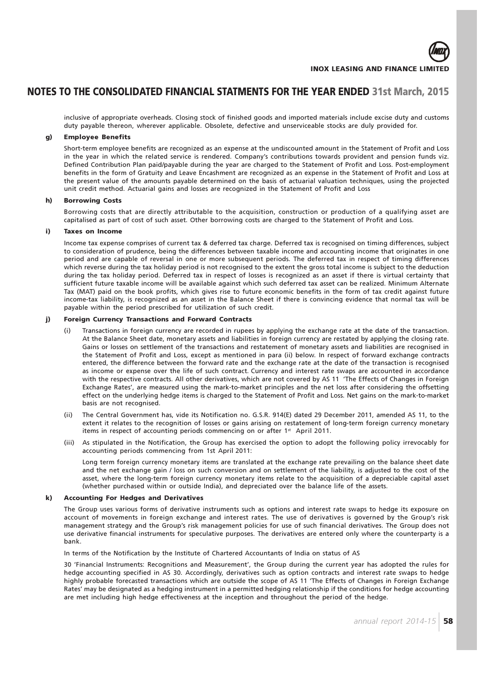

inclusive of appropriate overheads. Closing stock of finished goods and imported materials include excise duty and customs duty payable thereon, wherever applicable. Obsolete, defective and unserviceable stocks are duly provided for.

#### g) Employee Benefits

Short-term employee benefits are recognized as an expense at the undiscounted amount in the Statement of Profit and Loss in the year in which the related service is rendered. Company's contributions towards provident and pension funds viz. Defined Contribution Plan paid/payable during the year are charged to the Statement of Profit and Loss. Post-employment benefits in the form of Gratuity and Leave Encashment are recognized as an expense in the Statement of Profit and Loss at the present value of the amounts payable determined on the basis of actuarial valuation techniques, using the projected unit credit method. Actuarial gains and losses are recognized in the Statement of Profit and Loss

#### h) Borrowing Costs

Borrowing costs that are directly attributable to the acquisition, construction or production of a qualifying asset are capitalised as part of cost of such asset. Other borrowing costs are charged to the Statement of Profit and Loss.

#### i) Taxes on Income

Income tax expense comprises of current tax & deferred tax charge. Deferred tax is recognised on timing differences, subject to consideration of prudence, being the differences between taxable income and accounting income that originates in one period and are capable of reversal in one or more subsequent periods. The deferred tax in respect of timing differences which reverse during the tax holiday period is not recognised to the extent the gross total income is subject to the deduction during the tax holiday period. Deferred tax in respect of losses is recognized as an asset if there is virtual certainty that sufficient future taxable income will be available against which such deferred tax asset can be realized. Minimum Alternate Tax (MAT) paid on the book profits, which gives rise to future economic benefits in the form of tax credit against future income-tax liability, is recognized as an asset in the Balance Sheet if there is convincing evidence that normal tax will be payable within the period prescribed for utilization of such credit.

#### j) Foreign Currency Transactions and Forward Contracts

- Transactions in foreign currency are recorded in rupees by applying the exchange rate at the date of the transaction. At the Balance Sheet date, monetary assets and liabilities in foreign currency are restated by applying the closing rate. Gains or losses on settlement of the transactions and restatement of monetary assets and liabilities are recognised in the Statement of Profit and Loss, except as mentioned in para (ii) below. In respect of forward exchange contracts entered, the difference between the forward rate and the exchange rate at the date of the transaction is recognised as income or expense over the life of such contract. Currency and interest rate swaps are accounted in accordance with the respective contracts. All other derivatives, which are not covered by AS 11 'The Effects of Changes in Foreign Exchange Rates', are measured using the mark-to-market principles and the net loss after considering the offsetting effect on the underlying hedge items is charged to the Statement of Profit and Loss. Net gains on the mark-to-market basis are not recognised.
- (ii) The Central Government has, vide its Notification no. G.S.R. 914(E) dated 29 December 2011, amended AS 11, to the extent it relates to the recognition of losses or gains arising on restatement of long-term foreign currency monetary items in respect of accounting periods commencing on or after 1<sup>st</sup> April 2011.
- (iii) As stipulated in the Notification, the Group has exercised the option to adopt the following policy irrevocably for accounting periods commencing from 1st April 2011:

Long term foreign currency monetary items are translated at the exchange rate prevailing on the balance sheet date and the net exchange gain / loss on such conversion and on settlement of the liability, is adjusted to the cost of the asset, where the long-term foreign currency monetary items relate to the acquisition of a depreciable capital asset (whether purchased within or outside India), and depreciated over the balance life of the assets.

#### k) Accounting For Hedges and Derivatives

The Group uses various forms of derivative instruments such as options and interest rate swaps to hedge its exposure on account of movements in foreign exchange and interest rates. The use of derivatives is governed by the Group's risk management strategy and the Group's risk management policies for use of such financial derivatives. The Group does not use derivative financial instruments for speculative purposes. The derivatives are entered only where the counterparty is a bank.

In terms of the Notification by the Institute of Chartered Accountants of India on status of AS

30 'Financial Instruments: Recognitions and Measurement', the Group during the current year has adopted the rules for hedge accounting specified in AS 30. Accordingly, derivatives such as option contracts and interest rate swaps to hedge highly probable forecasted transactions which are outside the scope of AS 11 'The Effects of Changes in Foreign Exchange Rates' may be designated as a hedging instrument in a permitted hedging relationship if the conditions for hedge accounting are met including high hedge effectiveness at the inception and throughout the period of the hedge.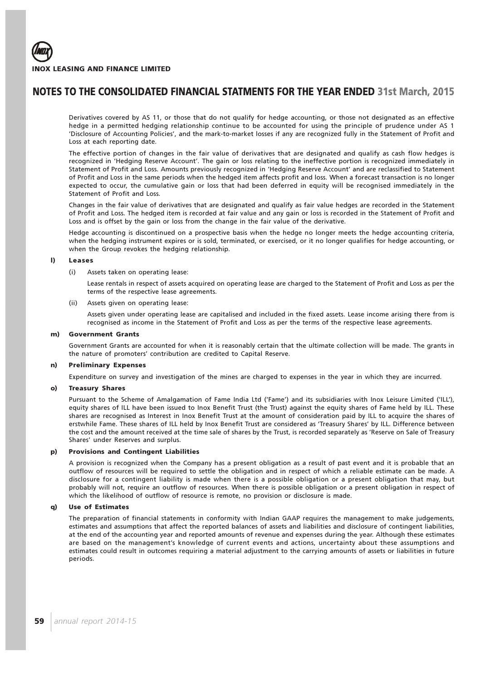

Derivatives covered by AS 11, or those that do not qualify for hedge accounting, or those not designated as an effective hedge in a permitted hedging relationship continue to be accounted for using the principle of prudence under AS 1 'Disclosure of Accounting Policies', and the mark-to-market losses if any are recognized fully in the Statement of Profit and Loss at each reporting date.

The effective portion of changes in the fair value of derivatives that are designated and qualify as cash flow hedges is recognized in 'Hedging Reserve Account'. The gain or loss relating to the ineffective portion is recognized immediately in Statement of Profit and Loss. Amounts previously recognized in 'Hedging Reserve Account' and are reclassified to Statement of Profit and Loss in the same periods when the hedged item affects profit and loss. When a forecast transaction is no longer expected to occur, the cumulative gain or loss that had been deferred in equity will be recognised immediately in the Statement of Profit and Loss.

Changes in the fair value of derivatives that are designated and qualify as fair value hedges are recorded in the Statement of Profit and Loss. The hedged item is recorded at fair value and any gain or loss is recorded in the Statement of Profit and Loss and is offset by the gain or loss from the change in the fair value of the derivative.

Hedge accounting is discontinued on a prospective basis when the hedge no longer meets the hedge accounting criteria, when the hedging instrument expires or is sold, terminated, or exercised, or it no longer qualifies for hedge accounting, or when the Group revokes the hedging relationship.

#### l) Leases

(i) Assets taken on operating lease:

Lease rentals in respect of assets acquired on operating lease are charged to the Statement of Profit and Loss as per the terms of the respective lease agreements.

(ii) Assets given on operating lease:

Assets given under operating lease are capitalised and included in the fixed assets. Lease income arising there from is recognised as income in the Statement of Profit and Loss as per the terms of the respective lease agreements.

#### m) Government Grants

Government Grants are accounted for when it is reasonably certain that the ultimate collection will be made. The grants in the nature of promoters' contribution are credited to Capital Reserve.

#### n) Preliminary Expenses

Expenditure on survey and investigation of the mines are charged to expenses in the year in which they are incurred.

#### o) Treasury Shares

Pursuant to the Scheme of Amalgamation of Fame India Ltd ('Fame') and its subsidiaries with Inox Leisure Limited ('ILL'), equity shares of ILL have been issued to Inox Benefit Trust (the Trust) against the equity shares of Fame held by ILL. These shares are recognised as Interest in Inox Benefit Trust at the amount of consideration paid by ILL to acquire the shares of erstwhile Fame. These shares of ILL held by Inox Benefit Trust are considered as 'Treasury Shares' by ILL. Difference between the cost and the amount received at the time sale of shares by the Trust, is recorded separately as 'Reserve on Sale of Treasury Shares' under Reserves and surplus.

#### p) Provisions and Contingent Liabilities

A provision is recognized when the Company has a present obligation as a result of past event and it is probable that an outflow of resources will be required to settle the obligation and in respect of which a reliable estimate can be made. A disclosure for a contingent liability is made when there is a possible obligation or a present obligation that may, but probably will not, require an outflow of resources. When there is possible obligation or a present obligation in respect of which the likelihood of outflow of resource is remote, no provision or disclosure is made.

#### q) Use of Estimates

The preparation of financial statements in conformity with Indian GAAP requires the management to make judgements, estimates and assumptions that affect the reported balances of assets and liabilities and disclosure of contingent liabilities, at the end of the accounting year and reported amounts of revenue and expenses during the year. Although these estimates are based on the management's knowledge of current events and actions, uncertainty about these assumptions and estimates could result in outcomes requiring a material adjustment to the carrying amounts of assets or liabilities in future periods.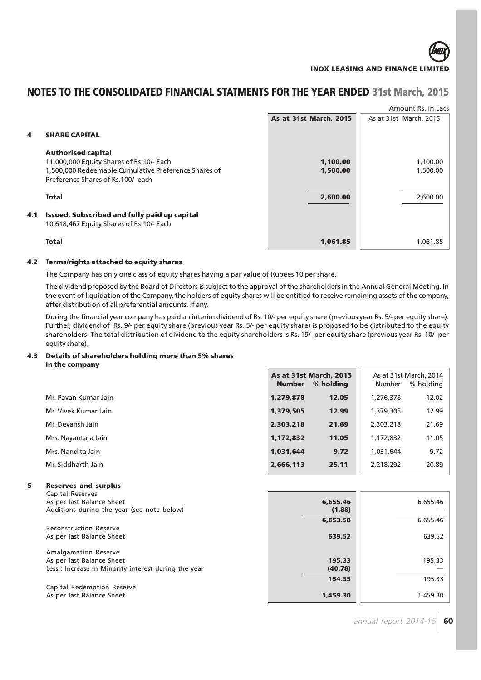$\blacksquare$ 

## NOTES TO THE CONSOLIDATED FINANCIAL STATMENTS FOR THE YEAR ENDED 31st March, 2015

|                           |                                                                                          |                        | Amount Rs. in Lacs     |
|---------------------------|------------------------------------------------------------------------------------------|------------------------|------------------------|
|                           |                                                                                          | As at 31st March, 2015 | As at 31st March, 2015 |
| 4<br><b>SHARE CAPITAL</b> |                                                                                          |                        |                        |
| <b>Authorised capital</b> |                                                                                          |                        |                        |
|                           | 11,000,000 Equity Shares of Rs.10/- Each                                                 | 1,100.00               | 1,100.00               |
|                           | 1,500,000 Redeemable Cumulative Preference Shares of                                     | 1,500.00               | 1,500.00               |
|                           | Preference Shares of Rs.100/- each                                                       |                        |                        |
| <b>Total</b>              |                                                                                          | 2,600.00               | 2,600.00               |
| 4.1                       | Issued, Subscribed and fully paid up capital<br>10,618,467 Equity Shares of Rs.10/- Each |                        |                        |
| <b>Total</b>              |                                                                                          | 1,061.85               | 1.061.85               |

#### 4.2 Terms/rights attached to equity shares

The Company has only one class of equity shares having a par value of Rupees 10 per share.

The dividend proposed by the Board of Directors is subject to the approval of the shareholders in the Annual General Meeting. In the event of liquidation of the Company, the holders of equity shares will be entitled to receive remaining assets of the company, after distribution of all preferential amounts, if any.

During the financial year company has paid an interim dividend of Rs. 10/- per equity share (previous year Rs. 5/- per equity share). Further, dividend of Rs. 9/- per equity share (previous year Rs. 5/- per equity share) is proposed to be distributed to the equity shareholders. The total distribution of dividend to the equity shareholders is Rs. 19/- per equity share (previous year Rs. 10/- per equity share).

#### 4.3 Details of shareholders holding more than 5% shares in the company

|    |                             | <b>Number</b> | <b>As at 31st March, 2015</b><br>$%$ holding | Number    | As at 31st March, 2014<br>% holding |
|----|-----------------------------|---------------|----------------------------------------------|-----------|-------------------------------------|
|    | Mr. Pavan Kumar Jain        | 1,279,878     | 12.05                                        | 1,276,378 | 12.02                               |
|    | Mr. Vivek Kumar Jain        | 1,379,505     | 12.99                                        | 1,379,305 | 12.99                               |
|    | Mr. Devansh Jain            | 2,303,218     | 21.69                                        | 2,303,218 | 21.69                               |
|    | Mrs. Navantara Jain         | 1,172,832     | 11.05                                        | 1,172,832 | 11.05                               |
|    | Mrs. Nandita Jain           | 1,031,644     | 9.72                                         | 1,031,644 | 9.72                                |
|    | Mr. Siddharth Jain          | 2,666,113     | 25.11                                        | 2,218,292 | 20.89                               |
| 5. | <b>Reserves and surplus</b> |               |                                              |           |                                     |

| Capital Reserves                                    |          |          |
|-----------------------------------------------------|----------|----------|
| As per last Balance Sheet                           | 6,655.46 | 6,655.46 |
| Additions during the year (see note below)          | (1.88)   |          |
|                                                     | 6,653.58 | 6,655.46 |
| <b>Reconstruction Reserve</b>                       |          |          |
| As per last Balance Sheet                           | 639.52   | 639.52   |
| Amalgamation Reserve                                |          |          |
| As per last Balance Sheet                           | 195.33   | 195.33   |
| Less: Increase in Minority interest during the year | (40.78)  |          |
|                                                     | 154.55   | 195.33   |
| Capital Redemption Reserve                          |          |          |
| As per last Balance Sheet                           | 1,459.30 | 1,459.30 |
|                                                     |          |          |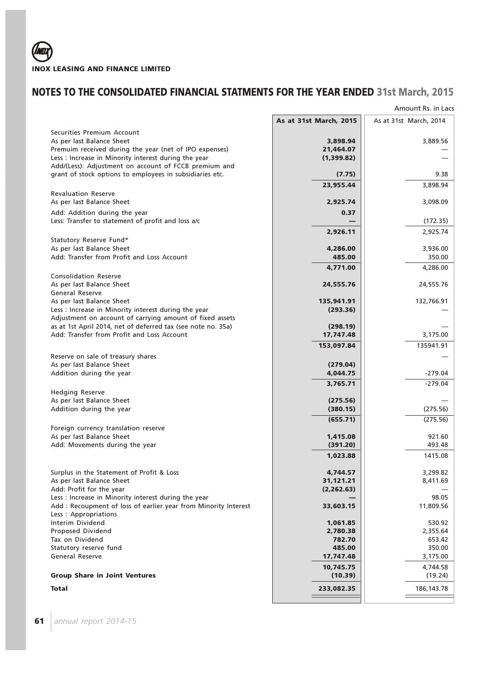

|                                                                                                                  |                        | Amount Rs. in Lacs     |
|------------------------------------------------------------------------------------------------------------------|------------------------|------------------------|
|                                                                                                                  | As at 31st March, 2015 | As at 31st March, 2014 |
| Securities Premium Account                                                                                       |                        |                        |
| As per last Balance Sheet                                                                                        | 3,898.94               | 3,889.56               |
| Premuim received during the year (net of IPO expenses)                                                           | 21,464.07              |                        |
| Less: Increase in Minority interest during the year                                                              | (1,399.82)             |                        |
| Add/(Less): Adjustment on account of FCCB premium and                                                            |                        |                        |
| grant of stock options to employees in subsidiaries etc.                                                         | (7.75)                 | 9.38                   |
|                                                                                                                  | 23,955.44              | 3,898.94               |
| <b>Revaluation Reserve</b>                                                                                       |                        |                        |
| As per last Balance Sheet                                                                                        | 2,925.74               | 3,098.09               |
| Add: Addition during the year                                                                                    | 0.37                   |                        |
| Less: Transfer to statement of profit and loss a/c                                                               |                        | (172.35)               |
|                                                                                                                  | 2,926.11               | 2,925.74               |
| Statutory Reserve Fund*                                                                                          |                        |                        |
| As per last Balance Sheet                                                                                        | 4,286.00               | 3,936.00               |
| Add: Transfer from Profit and Loss Account                                                                       | 485.00                 | 350.00                 |
|                                                                                                                  | 4,771.00               | 4,286.00               |
| <b>Consolidation Reserve</b>                                                                                     |                        |                        |
| As per last Balance Sheet                                                                                        | 24,555.76              | 24,555.76              |
| <b>General Reserve</b>                                                                                           |                        |                        |
| As per last Balance Sheet                                                                                        | 135,941.91<br>(293.36) | 132,766.91             |
| Less : Increase in Minority interest during the year<br>Adjustment on account of carrying amount of fixed assets |                        |                        |
| as at 1st April 2014, net of deferred tax (see note no. 35a)                                                     | (298.19)               |                        |
| Add: Transfer from Profit and Loss Account                                                                       | 17,747.48              | 3,175.00               |
|                                                                                                                  | 153,097.84             | 135941.91              |
|                                                                                                                  |                        |                        |
| Reserve on sale of treasury shares                                                                               |                        |                        |
| As per last Balance Sheet<br>Addition during the year                                                            | (279.04)<br>4,044.75   | -279.04                |
|                                                                                                                  |                        |                        |
| <b>Hedging Reserve</b>                                                                                           | 3,765.71               | $-279.04$              |
| As per last Balance Sheet                                                                                        | (275.56)               |                        |
| Addition during the year                                                                                         | (380.15)               | (275.56)               |
|                                                                                                                  | (655.71)               | (275.56)               |
| Foreign currency translation reserve                                                                             |                        |                        |
| As per last Balance Sheet                                                                                        | 1,415.08               | 921.60                 |
| Add: Movements during the year                                                                                   | (391.20)               | 493.48                 |
|                                                                                                                  | 1,023.88               | 1415.08                |
| Surplus in the Statement of Profit & Loss                                                                        | 4,744.57               | 3,299.82               |
| As per last Balance Sheet                                                                                        | 31,121.21              | 8,411.69               |
| Add: Profit for the year                                                                                         | (2, 262.63)            |                        |
| Less : Increase in Minority interest during the year                                                             |                        | 98.05                  |
| Add : Recoupment of loss of earlier year from Minority Interest                                                  | 33,603.15              | 11,809.56              |
| Less: Appropriations                                                                                             |                        |                        |
| Interim Dividend                                                                                                 | 1,061.85               | 530.92                 |
| Proposed Dividend                                                                                                | 2,780.38               | 2,355.64               |
| Tax on Dividend                                                                                                  | 782.70                 | 653.42                 |
| Statutory reserve fund<br>General Reserve                                                                        | 485.00<br>17,747.48    | 350.00<br>3,175.00     |
|                                                                                                                  |                        |                        |
|                                                                                                                  | 10,745.75              | 4,744.58               |
| <b>Group Share in Joint Ventures</b>                                                                             | (10.39)                | (19.24)                |
| Total                                                                                                            | 233,082.35             | 186, 143. 78           |
|                                                                                                                  |                        |                        |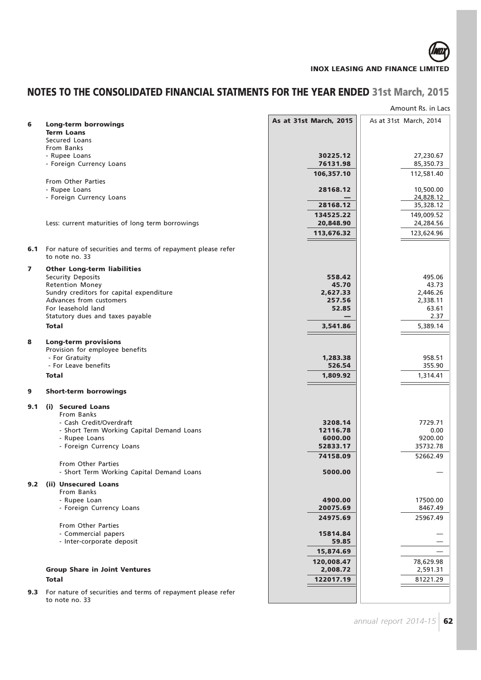# INOX LEASING AND FINANCE LIMITED

## NOTES TO THE CONSOLIDATED FINANCIAL STATMENTS FOR THE YEAR ENDED 31st March, 2015

|     |                                                                                    |                        | Amount Rs. in Lacs     |
|-----|------------------------------------------------------------------------------------|------------------------|------------------------|
| 6   | Long-term borrowings                                                               | As at 31st March, 2015 | As at 31st March, 2014 |
|     | <b>Term Loans</b>                                                                  |                        |                        |
|     | Secured Loans                                                                      |                        |                        |
|     | From Banks                                                                         |                        |                        |
|     | - Rupee Loans                                                                      | 30225.12               | 27,230.67              |
|     | - Foreign Currency Loans                                                           | 76131.98               | 85,350.73              |
|     |                                                                                    | 106,357.10             | 112,581.40             |
|     | From Other Parties                                                                 |                        |                        |
|     | - Rupee Loans                                                                      | 28168.12               | 10,500.00              |
|     | - Foreign Currency Loans                                                           |                        | 24,828.12              |
|     |                                                                                    | 28168.12               | 35,328.12              |
|     |                                                                                    | 134525.22              | 149,009.52             |
|     | Less: current maturities of long term borrowings                                   | 20,848.90              | 24,284.56              |
|     |                                                                                    | 113,676.32             | 123,624.96             |
|     |                                                                                    |                        |                        |
|     | 6.1 For nature of securities and terms of repayment please refer<br>to note no. 33 |                        |                        |
| 7   | <b>Other Long-term liabilities</b>                                                 |                        |                        |
|     | Security Deposits                                                                  | 558.42                 | 495.06                 |
|     | <b>Retention Money</b>                                                             | 45.70                  | 43.73                  |
|     | Sundry creditors for capital expenditure                                           | 2,627.33               | 2,446.26               |
|     | Advances from customers                                                            | 257.56                 | 2,338.11               |
|     | For leasehold land                                                                 | 52.85                  | 63.61                  |
|     | Statutory dues and taxes payable                                                   |                        | 2.37                   |
|     | <b>Total</b>                                                                       | 3,541.86               | 5,389.14               |
| 8   | <b>Long-term provisions</b>                                                        |                        |                        |
|     | Provision for employee benefits                                                    |                        |                        |
|     | - For Gratuity                                                                     | 1,283.38               | 958.51                 |
|     | - For Leave benefits                                                               | 526.54                 | 355.90                 |
|     | Total                                                                              | 1,809.92               | 1,314.41               |
| 9   | <b>Short-term borrowings</b>                                                       |                        |                        |
| 9.1 | (i) Secured Loans                                                                  |                        |                        |
|     | From Banks                                                                         |                        |                        |
|     | - Cash Credit/Overdraft                                                            | 3208.14                | 7729.71                |
|     | - Short Term Working Capital Demand Loans                                          | 12116.78               | 0.00                   |
|     | - Rupee Loans                                                                      | 6000.00                | 9200.00                |
|     | - Foreign Currency Loans                                                           | 52833.17               | 35732.78               |
|     |                                                                                    | 74158.09               | 52662.49               |
|     | From Other Parties<br>- Short Term Working Capital Demand Loans                    | 5000.00                |                        |
|     | 9.2 (ii) Unsecured Loans<br>From Banks                                             |                        |                        |
|     | - Rupee Loan                                                                       | 4900.00                | 17500.00               |
|     | - Foreign Currency Loans                                                           | 20075.69               | 8467.49                |
|     |                                                                                    | 24975.69               | 25967.49               |
|     | From Other Parties                                                                 |                        |                        |
|     | - Commercial papers                                                                | 15814.84               |                        |
|     | - Inter-corporate deposit                                                          | 59.85                  |                        |
|     |                                                                                    | 15,874.69              |                        |
|     |                                                                                    |                        |                        |
|     |                                                                                    | 120,008.47             | 78,629.98              |
|     | <b>Group Share in Joint Ventures</b>                                               | 2,008.72               | 2,591.31               |
|     | Total                                                                              | 122017.19              | 81221.29               |
| 9.3 | For nature of securities and terms of repayment please refer<br>to note no. 33     |                        |                        |

to note no. 33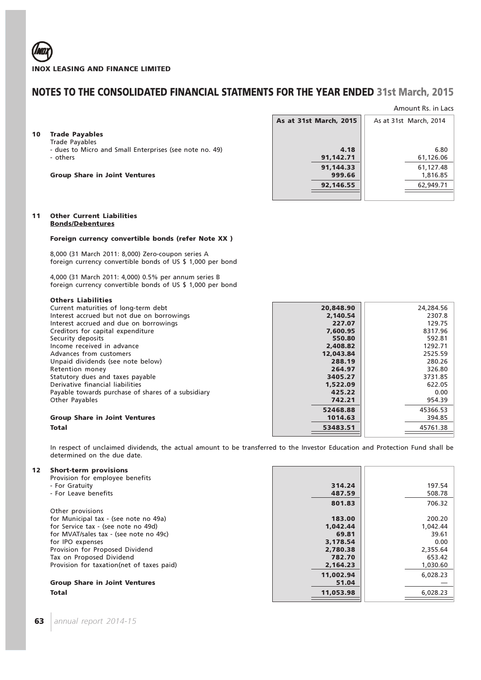#### Amount Rs. in Lacs

#### 10 Trade Payables

Trade Payables

- 
- 

Group Share in Joint Ventures

## **As at 31st March, 2015** As at 31st March, 2014 - dues to Micro and Small Enterprises (see note no. 49) **4.18** 4.18 **4.18** 6.80<br>61,126.06 **91,142.71** 61,126.06 - others 91,142.71 61,126.06 **91,144.33** 61,127.48<br>**999.66** 1,816.85 **92,146.55** 62,949.71

#### 11 Other Current Liabilities Bonds/Debentures

#### Foreign currency convertible bonds (refer Note XX )

8,000 (31 March 2011: 8,000) Zero-coupon series A foreign currency convertible bonds of US \$ 1,000 per bond

4,000 (31 March 2011: 4,000) 0.5% per annum series B foreign currency convertible bonds of US \$ 1,000 per bond

#### Others Liabilities

| 20,848.90 | 24,284.56 |
|-----------|-----------|
| 2,140.54  | 2307.8    |
| 227.07    | 129.75    |
| 7,600.95  | 8317.96   |
| 550.80    | 592.81    |
| 2,408.82  | 1292.71   |
| 12,043.84 | 2525.59   |
| 288.19    | 280.26    |
| 264.97    | 326.80    |
| 3405.27   | 3731.85   |
| 1,522.09  | 622.05    |
| 425.22    | 0.00      |
| 742.21    | 954.39    |
| 52468.88  | 45366.53  |
| 1014.63   | 394.85    |
|           |           |

In respect of unclaimed dividends, the actual amount to be transferred to the Investor Education and Protection Fund shall be determined on the due date.

Total 53483.51 45761.38

#### 12 Short-term provisions

- Provision for employee benefits<br>- For Gratuity
- 
- For Leave benefits

# Group Share in Joint Ventures

| <b>Short-term provisions</b>              |           |          |
|-------------------------------------------|-----------|----------|
| Provision for employee benefits           |           |          |
| - For Gratuity                            | 314.24    | 197.54   |
| - For Leave benefits                      | 487.59    | 508.78   |
|                                           | 801.83    | 706.32   |
| Other provisions                          |           |          |
| for Municipal tax - (see note no 49a)     | 183.00    | 200.20   |
| for Service tax - (see note no 49d)       | 1.042.44  | 1.042.44 |
| for MVAT/sales tax - (see note no 49c)    | 69.81     | 39.61    |
| for IPO expenses                          | 3,178.54  | 0.00     |
| Provision for Proposed Dividend           | 2,780.38  | 2,355.64 |
| Tax on Proposed Dividend                  | 782.70    | 653.42   |
| Provision for taxation(net of taxes paid) | 2,164.23  | 1,030.60 |
|                                           | 11,002.94 | 6,028.23 |
| <b>Group Share in Joint Ventures</b>      | 51.04     |          |
| Total                                     | 11,053.98 | 6,028.23 |
|                                           |           |          |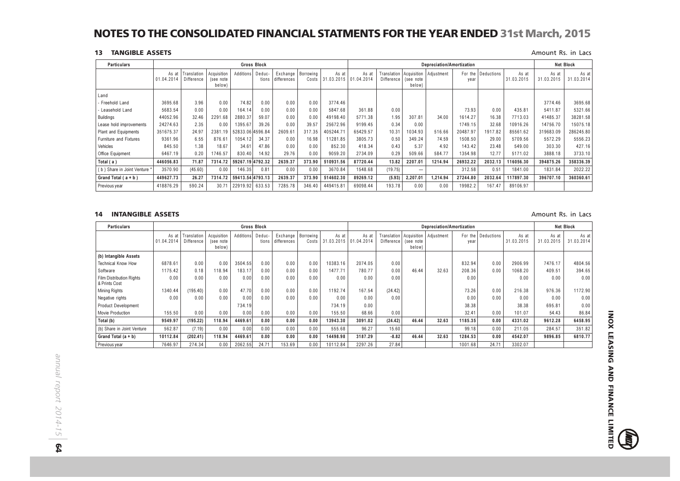#### 13 TANGIBLE ASSETS

| <b>TANGIBLE ASSETS</b><br>13 |                     |                           |                                    |                  |                 |                                     |        | Amount Rs. in Lacs  |                           |                           |                                    |            |          |                      |                     |                     |                     |
|------------------------------|---------------------|---------------------------|------------------------------------|------------------|-----------------|-------------------------------------|--------|---------------------|---------------------------|---------------------------|------------------------------------|------------|----------|----------------------|---------------------|---------------------|---------------------|
| <b>Particulars</b>           | <b>Gross Block</b>  |                           |                                    |                  |                 |                                     |        |                     | Depreciation/Amortization |                           |                                    |            |          |                      |                     | <b>Net Block</b>    |                     |
|                              | As at<br>01.04.2014 | Translation<br>Difference | Acquisition<br>(see note<br>below) | Additions        | Deduc-<br>tions | Exchange   Borrowing<br>differences | Costs  | As at<br>31.03.2015 | As at<br>01.04.2014       | Translation<br>Difference | Acquisition<br>(see note<br>below) | Adjustment | year     | For the I Deductions | As at<br>31.03.2015 | As at<br>31.03.2015 | As at<br>31.03.2014 |
| Land                         |                     |                           |                                    |                  |                 |                                     |        |                     |                           |                           |                                    |            |          |                      |                     |                     |                     |
| Freehold Land                | 3695.68             | 3.96                      | 0.00                               | 74.82            | 0.00            | 0.00                                | 0.00   | 3774.46             |                           |                           |                                    |            |          |                      |                     | 3774.46             | 3695.68             |
| Leasehold Land               | 5683.54             | 0.00                      | 0.00                               | 164.14           | 0.00            | 0.00                                | 0.00   | 5847.68             | 361.88                    | 0.00                      |                                    |            | 73.93    | 0.00                 | 435.81              | 5411.87             | 5321.66             |
| <b>Buildings</b>             | 44052.96            | 32.46                     | 2291.68                            | 2880.37          | 59.07           | 0.00                                | 0.00   | 49198.40            | 5771.38                   | 1.95                      | 307.81                             | 34.00      | 1614.27  | 16.38                | 7713.03             | 41485.37            | 38281.58            |
| Lease hold improvements      | 24274.63            | 2.35                      | 0.00                               | 1395.67          | 39.26           | 0.00                                | 39.57  | 25672.96            | 9199.45                   | 0.34                      | 0.00                               |            | 1749.15  | 32.68                | 10916.26            | 14756.70            | 15075.18            |
| Plant and Equipments         | 351675.37           | 24.97                     | 2381.19                            | 52833.06 4596.84 |                 | 2609.61                             | 317.35 | 405244.71           | 65429.57                  | 10.31                     | 1034.93                            | 516.66     | 20487.97 | 1917.82              | 85561.62            | 319683.09           | 286245.80           |
| Furniture and Fixtures       | 9361.96             | 6.55                      | 876.61                             | 1054.12          | 34.37           | 0.00                                | 16.98  | 11281.85            | 3805.73                   | 0.50                      | 349.24                             | 74.59      | 1508.50  | 29.00                | 5709.56             | 5572.29             | 5556.23             |
| Vehicles                     | 845.50              | 1.38                      | 18.67                              | 34.61            | 47.86           | 0.00                                | 0.00   | 852.30              | 418.34                    | 0.43                      | 5.37                               | 4.92       | 143.42   | 23.48                | 549.00              | 303.30              | 427.16              |
| Office Equipment             | 6467.19             | 0.20                      | 1746.57                            | 830.40           | 14.92           | 29.76                               | 0.00   | 9059.20             | 2734.09                   | 0.29                      | 509.66                             | 584.77     | 1354.98  | 12.77                | 5171.02             | 3888.18             | 3733.10             |
| Total (a)                    | 446056.83           | 71.87                     | 7314.72                            | 59267.19 4792.32 |                 | 2639.37                             | 373.90 | 510931.56           | 87720.44                  | 13.82                     | 2207.01                            | 1214.94    | 26932.22 | 2032.13              | 116056.30           | 394875.26           | 358336.39           |
| b) Share in Joint Venture *  | 3570.90             | (45.60)                   | 0.00                               | 146.35           | 0.81            | 0.00                                | 0.00   | 3670.84             | 1548.68                   | (19.75)                   |                                    |            | 312.58   | 0.51                 | 1841.00             | 1831.84             | 2022.22             |
| Grand Total $(a + b)$        | 449627.73           | 26.27                     | 7314.72                            | 59413.54 4793.13 |                 | 2639.37                             | 373.90 | 514602.30           | 89269.12                  | (5.93)                    | 2,207.01                           | 1,214.94   | 27244.80 | 2032.64              | 117897.30           | 396707.10           | 360360.61           |
| Previous year                | 418876.29           | 590.24                    | 30.71                              | 22919.92         | 633.53          | 7285.78                             | 346.40 | 449415.81           | 69098.44                  | 193.78                    | 0.00                               | 0.00       | 19982.2  | 167.47               | 89106.97            |                     |                     |

#### 14 INTANGIBLE ASSETS

**S** Amount Rs. in Lacs

| Particulars                                      | <b>Gross Block</b>  |                           |                                    |           |                 |                         |                    | Depreciation/Amortization |                     |                           |                                    |            |                 |            | <b>Net Block</b>    |                     |                     |
|--------------------------------------------------|---------------------|---------------------------|------------------------------------|-----------|-----------------|-------------------------|--------------------|---------------------------|---------------------|---------------------------|------------------------------------|------------|-----------------|------------|---------------------|---------------------|---------------------|
|                                                  | As at<br>01.04.2014 | Translation<br>Difference | Acquisition<br>(see note<br>below) | Additions | Deduc-<br>tions | Exchange<br>differences | Borrowing<br>Costs | As at<br>31.03.2015       | As at<br>01.04.2014 | Translation<br>Difference | Acquisition<br>(see note<br>below) | Adiustment | For the<br>vear | Deductions | As at<br>31.03.2015 | As at<br>31.03.2015 | As at<br>31.03.2014 |
| (b) Intangible Assets                            |                     |                           |                                    |           |                 |                         |                    |                           |                     |                           |                                    |            |                 |            |                     |                     |                     |
| <b>Technical Know How</b>                        | 6878.61             | 0.00                      | 0.00                               | 3504.55   | 0.00            | 0.00                    | 0.00               | 10383.16                  | 2074.05             | 0.00                      |                                    |            | 832.94          | 0.00       | 2906.99             | 7476.17             | 4804.56             |
| Software                                         | 1175.42             | 0.18                      | 118.94                             | 183.17    | 0.00            | 0.00                    | 0.00               | 1477.71                   | 780.77              | 0.00                      | 46.44                              | 32.63      | 208.36          | 0.00       | 1068.20             | 409.51              | 394.65              |
| <b>Film Distribution Rights</b><br>& Prints Cost | 0.00                | 0.00                      | 0.00                               | 0.00      | 0.00            | 0.00                    | 0.00               | 0.00                      | 0.00                | 0.00                      |                                    |            | 0.00            |            | 0.00                | 0.00                | 0.00                |
| Mining Rights                                    | 1340.44             | (195.40)                  | 0.00                               | 47.70     | 0.00            | 0.00                    | 0.00               | 1192.74                   | 167.54              | (24.42)                   |                                    |            | 73.26           | 0.00       | 216.38              | 976.36              | 1172.90             |
| Negative rights                                  | 0.00                | 0.00                      | 0.00                               | 0.00      | 0.00            | 0.00                    | 0.00               | 0.00                      | 0.00                | 0.00                      |                                    |            | 0.00            | 0.00       | 0.00                | 0.00                | 0.00                |
| <b>Product Development</b>                       |                     |                           |                                    | 734.19    |                 |                         |                    | 734.19                    | 0.00                |                           |                                    |            | 38.38           |            | 38.38               | 695.81              | 0.00                |
| Movie Production                                 | 155.50              | 0.00                      | 0.00                               | 0.00      | 0.00            | 0.00                    | 0.00               | 155.50                    | 68.66               | 0.00                      |                                    |            | 32.41           | 0.00       | 101.07              | 54.43               | 86.84               |
| Total (b)                                        | 9549.97             | (195.22)                  | 118.94                             | 4469.61   | 0.00            | 0.00                    | 0.00               | 13943.30                  | 3091.02             | (24.42)                   | 46.44                              | 32.63      | 1185.35         | 0.00       | 4331.02             | 9612.28             | 6458.95             |
| (b) Share in Joint Venture                       | 562.87              | (7.19)                    | 0.00                               | 0.00      | 0.00            | 0.00                    | 0.00               | 555.68                    | 96.27               | 15.60                     |                                    |            | 99.18           | 0.00       | 211.05              | 284.57              | 351.82              |
| Grand Total $(a + b)$                            | 10112.84            | (202.41)                  | 118.94                             | 4469.61   | 0.00            | 0.00                    | 0.00               | 14498.98                  | 3187.29             | $-8.82$                   | 46.44                              | 32.63      | 1284.53         | 0.00       | 4542.07             | 9896.85             | 6810.77             |
| Previous year                                    | 7646.97             | 274.34                    | 0.00                               | 2062.55   | 24.71           | 153.69                  | 0.00               | 10112.84                  | 2297.26             | 27.84                     |                                    |            | 1001.68         | 24.71      | 3302.07             |                     |                     |

annual report 2014-15 annual report 2014-15 **64**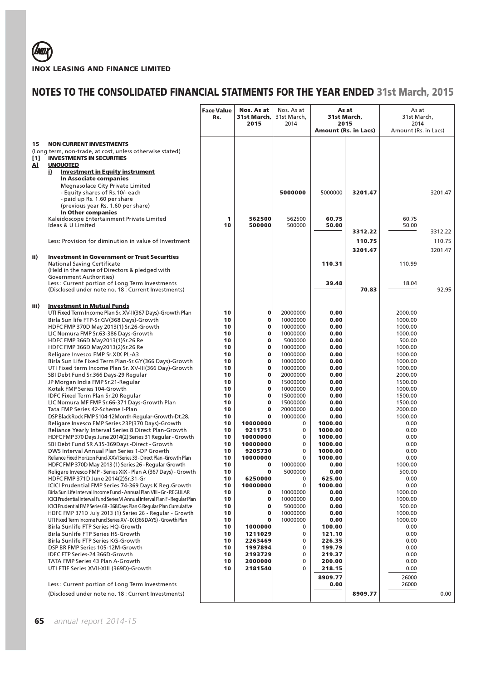|                            |                                                                                                                                                                                                                                                                                                                                                                                                                                                                                                                                                                                                                                                                                                                                                                                                                                                                                                                                                                                                                                                 | <b>Face Value</b><br>Rs.                                                                                       | Nos. As at<br>31st March,<br>2015                                                                                                                                                                                                                                           | Nos. As at<br>31st March.<br>2014                                                                                                                                                                                    | As at<br>31st March,<br>2015                                                                                                                                                                |                             | As at<br>31st March,<br>2014                                                                                                                                                                        |                   |
|----------------------------|-------------------------------------------------------------------------------------------------------------------------------------------------------------------------------------------------------------------------------------------------------------------------------------------------------------------------------------------------------------------------------------------------------------------------------------------------------------------------------------------------------------------------------------------------------------------------------------------------------------------------------------------------------------------------------------------------------------------------------------------------------------------------------------------------------------------------------------------------------------------------------------------------------------------------------------------------------------------------------------------------------------------------------------------------|----------------------------------------------------------------------------------------------------------------|-----------------------------------------------------------------------------------------------------------------------------------------------------------------------------------------------------------------------------------------------------------------------------|----------------------------------------------------------------------------------------------------------------------------------------------------------------------------------------------------------------------|---------------------------------------------------------------------------------------------------------------------------------------------------------------------------------------------|-----------------------------|-----------------------------------------------------------------------------------------------------------------------------------------------------------------------------------------------------|-------------------|
|                            |                                                                                                                                                                                                                                                                                                                                                                                                                                                                                                                                                                                                                                                                                                                                                                                                                                                                                                                                                                                                                                                 |                                                                                                                |                                                                                                                                                                                                                                                                             |                                                                                                                                                                                                                      |                                                                                                                                                                                             | <b>Amount (Rs. in Lacs)</b> | Amount (Rs. in Lacs)                                                                                                                                                                                |                   |
| 15<br>$\mathbf{[1]}$<br>A] | <b>NON CURRENT INVESTMENTS</b><br>(Long term, non-trade, at cost, unless otherwise stated)<br><b>INVESTMENTS IN SECURITIES</b><br><b>UNQUOTED</b><br><b>Investment in Equity instrument</b><br>i)                                                                                                                                                                                                                                                                                                                                                                                                                                                                                                                                                                                                                                                                                                                                                                                                                                               |                                                                                                                |                                                                                                                                                                                                                                                                             |                                                                                                                                                                                                                      |                                                                                                                                                                                             |                             |                                                                                                                                                                                                     |                   |
|                            | In Associate companies<br>Megnasolace City Private Limited<br>- Equity shares of Rs.10/- each<br>- paid up Rs. 1.60 per share<br>(previous year Rs. 1.60 per share)<br>In Other companies                                                                                                                                                                                                                                                                                                                                                                                                                                                                                                                                                                                                                                                                                                                                                                                                                                                       |                                                                                                                |                                                                                                                                                                                                                                                                             | 5000000                                                                                                                                                                                                              | 5000000                                                                                                                                                                                     | 3201.47                     |                                                                                                                                                                                                     | 3201.47           |
|                            | Kaleidoscope Entertainment Private Limited<br>Ideas & U Limited                                                                                                                                                                                                                                                                                                                                                                                                                                                                                                                                                                                                                                                                                                                                                                                                                                                                                                                                                                                 | 1<br>10                                                                                                        | 562500<br>500000                                                                                                                                                                                                                                                            | 562500<br>500000                                                                                                                                                                                                     | 60.75<br>50.00                                                                                                                                                                              | 3312.22                     | 60.75<br>50.00                                                                                                                                                                                      | 3312.22           |
|                            | Less: Provision for diminution in value of Investment                                                                                                                                                                                                                                                                                                                                                                                                                                                                                                                                                                                                                                                                                                                                                                                                                                                                                                                                                                                           |                                                                                                                |                                                                                                                                                                                                                                                                             |                                                                                                                                                                                                                      |                                                                                                                                                                                             | 110.75<br>3201.47           |                                                                                                                                                                                                     | 110.75<br>3201.47 |
| ii)                        | <b>Investment in Government or Trust Securities</b><br><b>National Saving Certificate</b><br>(Held in the name of Directors & pledged with                                                                                                                                                                                                                                                                                                                                                                                                                                                                                                                                                                                                                                                                                                                                                                                                                                                                                                      |                                                                                                                |                                                                                                                                                                                                                                                                             |                                                                                                                                                                                                                      | 110.31                                                                                                                                                                                      |                             | 110.99                                                                                                                                                                                              |                   |
|                            | Government Authorities)<br>Less: Current portion of Long Term Investments<br>(Disclosed under note no. 18 : Current Investments)                                                                                                                                                                                                                                                                                                                                                                                                                                                                                                                                                                                                                                                                                                                                                                                                                                                                                                                |                                                                                                                |                                                                                                                                                                                                                                                                             |                                                                                                                                                                                                                      | 39.48                                                                                                                                                                                       | 70.83                       | 18.04                                                                                                                                                                                               | 92.95             |
| iii)                       | <b>Investment in Mutual Funds</b><br>UTI Fixed Term Income Plan Sr. XV-II(367 Days)-Growth Plan<br>Birla Sun life FTP-Sr.GV(368 Days)-Growth<br>HDFC FMP 370D May 2013(1) Sr.26-Growth<br>LIC Nomura FMP Sr.63-386 Days-Growth<br>HDFC FMP 366D May2013(1)Sr.26 Re<br>HDFC FMP 366D May2013(2)Sr.26 Re<br>Religare Invesco FMP Sr.XIX PL-A3<br>Birla Sun Life Fixed Term Plan-Sr.GY(366 Days)-Growth<br>UTI Fixed term Income Plan Sr. XV-III(366 Day)-Growth<br>SBI Debt Fund Sr.366 Days-29 Regular<br>JP Morgan India FMP Sr.21-Regular<br>Kotak FMP Series 104-Growth<br>IDFC Fixed Term Plan Sr.20 Regular<br>LIC Nomura MF FMP Sr.66-371 Days-Growth Plan<br>Tata FMP Series 42-Scheme I-Plan<br>DSP BlackRock FMP S104-12Month-Regular-Growth-Dt.28.<br>Religare Invesco FMP Series 23P(370 Days)-Growth<br>Reliance Yearly Interval Series 8 Direct Plan-Growth<br>HDFC FMP 370 Days June 2014(2) Series 31 Regular - Growth                                                                                                            | 10<br>10<br>10<br>10<br>10<br>10<br>10<br>10<br>10<br>10<br>10<br>10<br>10<br>10<br>10<br>10<br>10<br>10<br>10 | $\bf{0}$<br>$\mathbf 0$<br>$\mathbf 0$<br>$\mathbf 0$<br>$\mathbf 0$<br>$\mathbf{0}$<br>$\mathbf{0}$<br>$\mathbf 0$<br>$\mathbf 0$<br>$\mathbf 0$<br>$\mathbf 0$<br>$\mathbf 0$<br>$\mathbf 0$<br>$\mathbf 0$<br>$\mathbf 0$<br>$\bf{0}$<br>10000000<br>9211751<br>10000000 | 20000000<br>10000000<br>10000000<br>10000000<br>5000000<br>10000000<br>10000000<br>10000000<br>10000000<br>20000000<br>15000000<br>10000000<br>15000000<br>15000000<br>20000000<br>10000000<br>0<br>0<br>$\mathbf 0$ | 0.00<br>0.00<br>0.00<br>0.00<br>0.00<br>0.00<br>0.00<br>0.00<br>0.00<br>0.00<br>0.00<br>0.00<br>0.00<br>0.00<br>0.00<br>0.00<br>1000.00<br>1000.00<br>1000.00                               |                             | 2000.00<br>1000.00<br>1000.00<br>1000.00<br>500.00<br>1000.00<br>1000.00<br>1000.00<br>1000.00<br>2000.00<br>1500.00<br>1000.00<br>1500.00<br>1500.00<br>2000.00<br>1000.00<br>0.00<br>0.00<br>0.00 |                   |
|                            | SBI Debt Fund SR A35-369Days -Direct - Growth<br>DWS Interval Annual Plan Series 1-DP Growth<br>Reliance Fixed Horizon Fund-XXVI Series 33 - Direct Plan -Growth Plan<br>HDFC FMP 370D May 2013 (1) Series 26 - Regular Growth<br>Religare Invesco FMP - Series XIX - Plan A (367 Days) - Growth<br>HDFC FMP 371D June 2014(2)Sr.31-Gr<br>ICICI Prudential FMP Series 74-369 Days K Reg. Growth<br>Birla Sun Life Interval Income Fund - Annual Plan VIII - Gr - REGULAR<br>ICICI Prudential Interval Fund Series VI Annual Interval Plan F - Regular Plan<br>ICICI Prudential FMP Series 68 - 368 Days Plan G Regular Plan Cumulative<br>HDFC FMP 371D July 2013 (1) Series 26 - Regular - Growth<br>UTI Fixed Term Income Fund Series XV - IX (366 DAYS) - Growth Plan<br>Birla Sunlife FTP Series HQ-Growth<br>Birla Sunlife FTP Series HS-Growth<br>Birla Sunlife FTP Series KG-Growth<br>DSP BR FMP Series 105-12M-Growth<br>IDFC FTP Series-24 366D-Growth<br>TATA FMP Series 43 Plan A-Growth<br>UTI FTIF Series XVII-XIII (369D)-Growth | 10<br>10<br>10<br>10<br>10<br>10<br>10<br>10<br>10<br>10<br>10<br>10<br>10<br>10<br>10<br>10<br>10<br>10<br>10 | 10000000<br>9205730<br>10000000<br>$\Omega$<br>$\mathbf 0$<br>6250000<br>10000000<br>0<br>$\bf o$<br>$\bf o$<br>$\bf{0}$<br>$\bf{0}$<br>1000000<br>1211029<br>2263469<br>1997894<br>2193729<br>2000000<br>2181540                                                           | $\mathbf 0$<br>$\mathbf 0$<br>0<br>10000000<br>5000000<br>0<br>0<br>10000000<br>10000000<br>5000000<br>10000000<br>10000000<br>0<br>0<br>0<br>0<br>0<br>0<br>0                                                       | 1000.00<br>1000.00<br>1000.00<br>0.00<br>0.00<br>625.00<br>1000.00<br>0.00<br>0.00<br>0.00<br>0.00<br>0.00<br>100.00<br>121.10<br>226.35<br>199.79<br>219.37<br>200.00<br>218.15<br>8909.77 |                             | 0.00<br>0.00<br>0.00<br>1000.00<br>500.00<br>0.00<br>0.00<br>1000.00<br>1000.00<br>500.00<br>1000.00<br>1000.00<br>0.00<br>0.00<br>0.00<br>0.00<br>0.00<br>0.00<br>0.00<br>26000                    |                   |
|                            | Less: Current portion of Long Term Investments<br>(Disclosed under note no. 18 : Current Investments)                                                                                                                                                                                                                                                                                                                                                                                                                                                                                                                                                                                                                                                                                                                                                                                                                                                                                                                                           |                                                                                                                |                                                                                                                                                                                                                                                                             |                                                                                                                                                                                                                      | 0.00                                                                                                                                                                                        | 8909.77                     | 26000                                                                                                                                                                                               | 0.00              |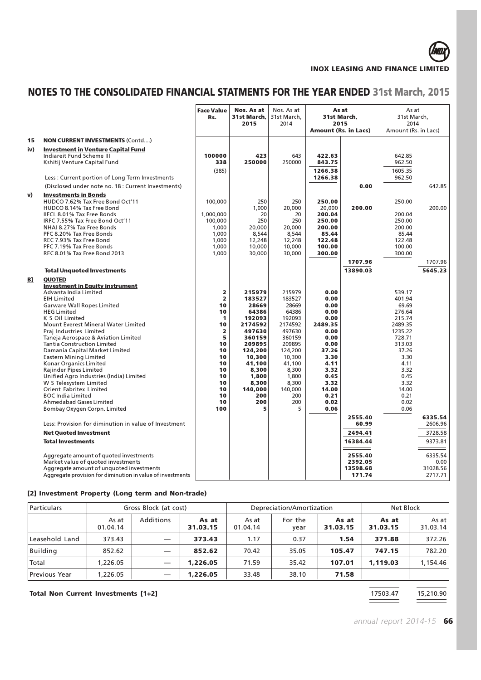

|     |                                                                                                                                                                                                                                                                                                                                                                                                                                                                                                                                                                                                                                                                        | <b>Face Value</b><br>Rs.                                                                                                                      | Nos. As at<br>31st March.<br>2015                                                                                                                                             | Nos. As at<br>31st March.<br>2014                                                                                                                                             | As at<br>31st March,<br>2015<br><b>Amount (Rs. in Lacs)</b>                                                                                               |                                          | As at<br>31st March,<br>2014<br>Amount (Rs. in Lacs)                                                                                                                      |                                        |
|-----|------------------------------------------------------------------------------------------------------------------------------------------------------------------------------------------------------------------------------------------------------------------------------------------------------------------------------------------------------------------------------------------------------------------------------------------------------------------------------------------------------------------------------------------------------------------------------------------------------------------------------------------------------------------------|-----------------------------------------------------------------------------------------------------------------------------------------------|-------------------------------------------------------------------------------------------------------------------------------------------------------------------------------|-------------------------------------------------------------------------------------------------------------------------------------------------------------------------------|-----------------------------------------------------------------------------------------------------------------------------------------------------------|------------------------------------------|---------------------------------------------------------------------------------------------------------------------------------------------------------------------------|----------------------------------------|
| 15  | <b>NON CURRENT INVESTMENTS (Contd)</b>                                                                                                                                                                                                                                                                                                                                                                                                                                                                                                                                                                                                                                 |                                                                                                                                               |                                                                                                                                                                               |                                                                                                                                                                               |                                                                                                                                                           |                                          |                                                                                                                                                                           |                                        |
| iv) | <b>Investment in Venture Capital Fund</b><br>Indiareit Fund Scheme III<br>Kshitij Venture Capital Fund                                                                                                                                                                                                                                                                                                                                                                                                                                                                                                                                                                 | 100000<br>338                                                                                                                                 | 423<br>250000                                                                                                                                                                 | 643<br>250000                                                                                                                                                                 | 422.63<br>843.75                                                                                                                                          |                                          | 642.85<br>962.50                                                                                                                                                          |                                        |
|     | Less: Current portion of Long Term Investments                                                                                                                                                                                                                                                                                                                                                                                                                                                                                                                                                                                                                         | (385)                                                                                                                                         |                                                                                                                                                                               |                                                                                                                                                                               | 1266.38<br>1266.38                                                                                                                                        |                                          | 1605.35<br>962.50                                                                                                                                                         |                                        |
|     | (Disclosed under note no. 18 : Current Investments)                                                                                                                                                                                                                                                                                                                                                                                                                                                                                                                                                                                                                    |                                                                                                                                               |                                                                                                                                                                               |                                                                                                                                                                               |                                                                                                                                                           | 0.00                                     |                                                                                                                                                                           | 642.85                                 |
| v)  | <b>Investments in Bonds</b><br>HUDCO 7.62% Tax Free Bond Oct'11<br>HUDCO 8.14% Tax Free Bond<br>IIFCL 8.01% Tax Free Bonds<br>IRFC 7.55% Tax Free Bond Oct'11<br>NHAI 8.27% Tax Free Bonds<br>PFC 8.20% Tax Free Bonds<br>REC 7.93% Tax Free Bond<br>PFC 7.19% Tax Free Bonds                                                                                                                                                                                                                                                                                                                                                                                          | 100,000<br>1,000,000<br>100,000<br>1,000<br>1,000<br>1,000<br>1,000                                                                           | 250<br>1.000<br>20<br>250<br>20,000<br>8,544<br>12,248<br>10.000                                                                                                              | 250<br>20.000<br>20<br>250<br>20,000<br>8,544<br>12,248<br>10,000                                                                                                             | 250.00<br>20,000<br>200.04<br>250.00<br>200.00<br>85.44<br>122.48<br>100.00                                                                               | 200.00                                   | 250.00<br>200.04<br>250.00<br>200.00<br>85.44<br>122.48<br>100.00                                                                                                         | 200.00                                 |
|     | REC 8.01% Tax Free Bond 2013                                                                                                                                                                                                                                                                                                                                                                                                                                                                                                                                                                                                                                           | 1,000                                                                                                                                         | 30,000                                                                                                                                                                        | 30,000                                                                                                                                                                        | 300.00                                                                                                                                                    | 1707.96                                  | 300.00                                                                                                                                                                    | 1707.96                                |
|     | <b>Total Unquoted Investments</b>                                                                                                                                                                                                                                                                                                                                                                                                                                                                                                                                                                                                                                      |                                                                                                                                               |                                                                                                                                                                               |                                                                                                                                                                               |                                                                                                                                                           | 13890.03                                 |                                                                                                                                                                           | 5645.23                                |
| B]  | <b>OUOTED</b><br><b>Investment in Equity instrument</b><br>Advanta India Limited<br><b>EIH Limited</b><br><b>Garware Wall Ropes Limited</b><br><b>HEG Limited</b><br>K S Oil Limited<br><b>Mount Everest Mineral Water Limited</b><br>Prai Industries Limited<br>Taneja Aerospace & Aviation Limited<br><b>Tantia Construction Limited</b><br>Damania Capital Market Limited<br><b>Eastern Mining Limited</b><br>Konar Organics Limited<br><b>Rajinder Pipes Limited</b><br>Unified Agro Industries (India) Limited<br>W S Telesystem Limited<br><b>Orient Fabritex Limited</b><br><b>BOC</b> India Limited<br>Ahmedabad Gases Limited<br>Bombay Oxygen Corpn. Limited | 2<br>$\overline{2}$<br>10<br>10<br>1<br>10<br>$\overline{\mathbf{z}}$<br>5<br>10<br>10<br>10<br>10<br>10<br>10<br>10<br>10<br>10<br>10<br>100 | 215979<br>183527<br>28669<br>64386<br>192093<br>2174592<br>497630<br>360159<br>209895<br>124,200<br>10,300<br>41,100<br>8,300<br>1,800<br>8,300<br>140,000<br>200<br>200<br>5 | 215979<br>183527<br>28669<br>64386<br>192093<br>2174592<br>497630<br>360159<br>209895<br>124,200<br>10,300<br>41,100<br>8,300<br>1,800<br>8,300<br>140,000<br>200<br>200<br>5 | 0.00<br>0.00<br>0.00<br>0.00<br>0.00<br>2489.35<br>0.00<br>0.00<br>0.00<br>37.26<br>3.30<br>4.11<br>3.32<br>0.45<br>3.32<br>14.00<br>0.21<br>0.02<br>0.06 | 2555.40                                  | 539.17<br>401.94<br>69.69<br>276.64<br>215.74<br>2489.35<br>1235.22<br>728.71<br>313.03<br>37.26<br>3.30<br>4.11<br>3.32<br>0.45<br>3.32<br>14.00<br>0.21<br>0.02<br>0.06 | 6335.54                                |
|     | Less: Provision for diminution in value of Investment                                                                                                                                                                                                                                                                                                                                                                                                                                                                                                                                                                                                                  |                                                                                                                                               |                                                                                                                                                                               |                                                                                                                                                                               |                                                                                                                                                           | 60.99                                    |                                                                                                                                                                           | 2606.96                                |
|     | <b>Net Ouoted Investment</b>                                                                                                                                                                                                                                                                                                                                                                                                                                                                                                                                                                                                                                           |                                                                                                                                               |                                                                                                                                                                               |                                                                                                                                                                               |                                                                                                                                                           | 2494.41                                  |                                                                                                                                                                           | 3728.58                                |
|     | <b>Total Investments</b>                                                                                                                                                                                                                                                                                                                                                                                                                                                                                                                                                                                                                                               |                                                                                                                                               |                                                                                                                                                                               |                                                                                                                                                                               |                                                                                                                                                           | 16384.44                                 |                                                                                                                                                                           | 9373.81                                |
|     | Aggregate amount of quoted investments<br>Market value of quoted investments<br>Aggregate amount of unquoted investments<br>Aggregate provision for diminution in value of investments                                                                                                                                                                                                                                                                                                                                                                                                                                                                                 |                                                                                                                                               |                                                                                                                                                                               |                                                                                                                                                                               |                                                                                                                                                           | 2555.40<br>2392.05<br>13598.68<br>171.74 |                                                                                                                                                                           | 6335.54<br>0.00<br>31028.56<br>2717.71 |

#### [2] Investment Property (Long term and Non-trade)

| Particulars          | Gross Block (at cost) |                  |                   |                   | Depreciation/Amortization | Net Block         |                   |                       |
|----------------------|-----------------------|------------------|-------------------|-------------------|---------------------------|-------------------|-------------------|-----------------------|
|                      | As at<br>01.04.14     | <b>Additions</b> | As at<br>31.03.15 | As at<br>01.04.14 | For the<br>year           | As at<br>31.03.15 | As at<br>31.03.15 | As at $ $<br>31.03.14 |
| Leasehold Land       | 373.43                |                  | 373.43            | 1.17              | 0.37                      | 1.54              | 371.88            | 372.26                |
| Building             | 852.62                |                  | 852.62            | 70.42             | 35.05                     | 105.47            | 747.15            | 782.20                |
| Total                | 1,226.05              |                  | 1,226.05          | 71.59             | 35.42                     | 107.01            | 1,119.03          | 1.154.46              |
| <b>Previous Year</b> | 1,226.05              |                  | 1,226.05          | 33.48             | 38.10                     | 71.58             |                   |                       |

#### **Total Non Current Investments [1+2]** 15,210.90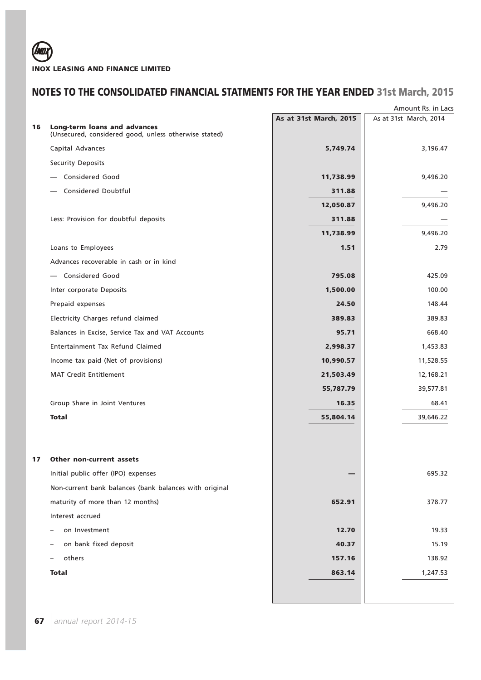|    |                                                                                       |                        | Amount Rs. in Lacs     |
|----|---------------------------------------------------------------------------------------|------------------------|------------------------|
| 16 | Long-term loans and advances<br>(Unsecured, considered good, unless otherwise stated) | As at 31st March, 2015 | As at 31st March, 2014 |
|    | Capital Advances                                                                      | 5,749.74               | 3,196.47               |
|    | Security Deposits                                                                     |                        |                        |
|    | Considered Good                                                                       | 11,738.99              | 9,496.20               |
|    | Considered Doubtful                                                                   | 311.88                 |                        |
|    |                                                                                       | 12,050.87              | 9,496.20               |
|    | Less: Provision for doubtful deposits                                                 | 311.88                 |                        |
|    |                                                                                       | 11,738.99              | 9,496.20               |
|    | Loans to Employees                                                                    | 1.51                   | 2.79                   |
|    | Advances recoverable in cash or in kind                                               |                        |                        |
|    | - Considered Good                                                                     | 795.08                 | 425.09                 |
|    | Inter corporate Deposits                                                              | 1,500.00               | 100.00                 |
|    | Prepaid expenses                                                                      | 24.50                  | 148.44                 |
|    | Electricity Charges refund claimed                                                    | 389.83                 | 389.83                 |
|    | Balances in Excise, Service Tax and VAT Accounts                                      | 95.71                  | 668.40                 |
|    | Entertainment Tax Refund Claimed                                                      | 2,998.37               | 1,453.83               |
|    | Income tax paid (Net of provisions)                                                   | 10,990.57              | 11,528.55              |
|    | <b>MAT Credit Entitlement</b>                                                         | 21,503.49              | 12,168.21              |
|    |                                                                                       | 55,787.79              | 39,577.81              |
|    | Group Share in Joint Ventures                                                         | 16.35                  | 68.41                  |
|    | <b>Total</b>                                                                          | 55,804.14              | 39,646.22              |
| 17 | Other non-current assets                                                              |                        |                        |
|    | Initial public offer (IPO) expenses                                                   |                        | 695.32                 |
|    | Non-current bank balances (bank balances with original                                |                        |                        |
|    | maturity of more than 12 months)                                                      | 652.91                 | 378.77                 |
|    | Interest accrued                                                                      |                        |                        |
|    | on Investment                                                                         | 12.70                  | 19.33                  |
|    | on bank fixed deposit                                                                 | 40.37                  | 15.19                  |
|    | others                                                                                | 157.16                 | 138.92                 |
|    | <b>Total</b>                                                                          | 863.14                 | 1,247.53               |
|    |                                                                                       |                        |                        |
|    |                                                                                       |                        |                        |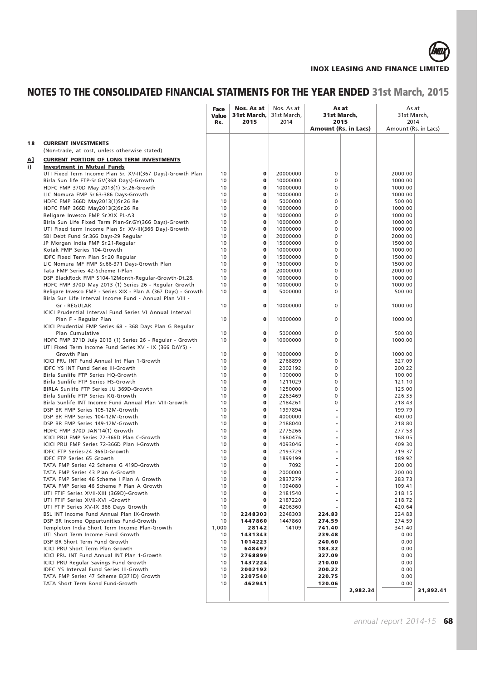

|    |                                                                                                               | Face<br><b>Value</b><br>Rs. | Nos. As at<br>31st March,<br>2015 | Nos. As at<br>31st March,<br>2014 | As at<br>31st March,<br>2015 |          | As at<br>31st March,<br>2014 |           |
|----|---------------------------------------------------------------------------------------------------------------|-----------------------------|-----------------------------------|-----------------------------------|------------------------------|----------|------------------------------|-----------|
|    |                                                                                                               |                             |                                   |                                   | <b>Amount (Rs. in Lacs)</b>  |          | Amount (Rs. in Lacs)         |           |
| 18 | <b>CURRENT INVESTMENTS</b>                                                                                    |                             |                                   |                                   |                              |          |                              |           |
|    | (Non-trade, at cost, unless otherwise stated)                                                                 |                             |                                   |                                   |                              |          |                              |           |
| A] | <b>CURRENT PORTION OF LONG TERM INVESTMENTS</b>                                                               |                             |                                   |                                   |                              |          |                              |           |
| i) | <b>Investment in Mutual Funds</b>                                                                             |                             |                                   |                                   |                              |          |                              |           |
|    | UTI Fixed Term Income Plan Sr. XV-II(367 Days)-Growth Plan<br>Birla Sun life FTP-Sr.GV(368 Days)-Growth       | 10<br>10                    | 0<br>0                            | 20000000<br>10000000              | 0<br>0                       |          | 2000.00<br>1000.00           |           |
|    | HDFC FMP 370D May 2013(1) Sr.26-Growth                                                                        | 10                          | 0                                 | 10000000                          | $\Omega$                     |          | 1000.00                      |           |
|    | LIC Nomura FMP Sr.63-386 Days-Growth                                                                          | 10                          | 0                                 | 10000000                          | 0                            |          | 1000.00                      |           |
|    | HDFC FMP 366D May2013(1)Sr.26 Re                                                                              | 10                          | 0                                 | 5000000                           | 0                            |          | 500.00                       |           |
|    | HDFC FMP 366D May2013(2)Sr.26 Re                                                                              | 10                          | $\mathbf{0}$                      | 10000000                          | 0                            |          | 1000.00                      |           |
|    | Religare Invesco FMP Sr.XIX PL-A3<br>Birla Sun Life Fixed Term Plan-Sr.GY(366 Days)-Growth                    | 10<br>10                    | $\bf{0}$<br>0                     | 10000000<br>10000000              | $\circ$<br>0                 |          | 1000.00<br>1000.00           |           |
|    | UTI Fixed term Income Plan Sr. XV-III(366 Day)-Growth                                                         | 10                          | $\mathbf 0$                       | 10000000                          | $\circ$                      |          | 1000.00                      |           |
|    | SBI Debt Fund Sr.366 Days-29 Regular                                                                          | 10                          | 0                                 | 20000000                          | $\Omega$                     |          | 2000.00                      |           |
|    | JP Morgan India FMP Sr.21-Regular                                                                             | 10                          | $\mathbf 0$                       | 15000000                          | 0                            |          | 1500.00                      |           |
|    | Kotak FMP Series 104-Growth                                                                                   | 10                          | 0                                 | 10000000                          | 0                            |          | 1000.00                      |           |
|    | IDFC Fixed Term Plan Sr.20 Regular                                                                            | 10                          | $\mathbf{0}$                      | 15000000                          | 0                            |          | 1500.00                      |           |
|    | LIC Nomura MF FMP Sr.66-371 Days-Growth Plan                                                                  | 10                          | $\bf{0}$                          | 15000000                          | $\circ$                      |          | 1500.00                      |           |
|    | Tata FMP Series 42-Scheme I-Plan                                                                              | 10                          | 0                                 | 20000000                          | 0                            |          | 2000.00                      |           |
|    | DSP BlackRock FMP S104-12Month-Regular-Growth-Dt.28.<br>HDFC FMP 370D May 2013 (1) Series 26 - Regular Growth | 10<br>10                    | $\mathbf 0$<br>0                  | 10000000<br>10000000              | 0<br>$\Omega$                |          | 1000.00<br>1000.00           |           |
|    | Religare Invesco FMP - Series XIX - Plan A (367 Days) - Growth                                                | 10                          | 0                                 | 5000000                           | 0                            |          | 500.00                       |           |
|    | Birla Sun Life Interval Income Fund - Annual Plan VIII -                                                      |                             |                                   |                                   |                              |          |                              |           |
|    | Gr - REGULAR                                                                                                  | 10                          | 0                                 | 10000000                          | 0                            |          | 1000.00                      |           |
|    | ICICI Prudential Interval Fund Series VI Annual Interval                                                      |                             |                                   |                                   |                              |          |                              |           |
|    | Plan F - Regular Plan                                                                                         | 10                          | 0                                 | 10000000                          | 0                            |          | 1000.00                      |           |
|    | ICICI Prudential FMP Series 68 - 368 Days Plan G Regular                                                      |                             |                                   |                                   |                              |          |                              |           |
|    | Plan Cumulative<br>HDFC FMP 371D July 2013 (1) Series 26 - Regular - Growth                                   | 10<br>10                    | 0<br>$\mathbf{0}$                 | 5000000<br>10000000               | 0<br>0                       |          | 500.00<br>1000.00            |           |
|    | UTI Fixed Term Income Fund Series XV - IX (366 DAYS) -                                                        |                             |                                   |                                   |                              |          |                              |           |
|    | Growth Plan                                                                                                   | 10                          | 0                                 | 10000000                          | 0                            |          | 1000.00                      |           |
|    | ICICI PRU INT Fund Annual Int Plan 1-Growth                                                                   | 10                          | $\mathbf 0$                       | 2768899                           | 0                            |          | 327.09                       |           |
|    | IDFC YS INT Fund Series III-Growth                                                                            | 10                          | 0                                 | 2002192                           | 0                            |          | 200.22                       |           |
|    | Birla Sunlife FTP Series HQ-Growth                                                                            | 10                          | 0                                 | 1000000                           | $\mathbf 0$                  |          | 100.00                       |           |
|    | Birla Sunlife FTP Series HS-Growth                                                                            | 10                          | 0                                 | 1211029                           | 0                            |          | 121.10                       |           |
|    | BIRLA Sunlife FTP Series JU 369D-Growth<br>Birla Sunlife FTP Series KG-Growth                                 | 10<br>10                    | 0<br>0                            | 1250000<br>2263469                | 0<br>$\Omega$                |          | 125.00<br>226.35             |           |
|    | Birla Sunlife INT Income Fund Annual Plan VIII-Growth                                                         | 10                          | 0                                 | 2184261                           | 0                            |          | 218.43                       |           |
|    | DSP BR FMP Series 105-12M-Growth                                                                              | 10                          | 0                                 | 1997894                           |                              |          | 199.79                       |           |
|    | DSP BR FMP Series 104-12M-Growth                                                                              | 10                          | $\mathbf{0}$                      | 4000000                           |                              |          | 400.00                       |           |
|    | DSP BR FMP Series 149-12M-Growth                                                                              | 10                          | 0                                 | 2188040                           |                              |          | 218.80                       |           |
|    | HDFC FMP 370D JAN'14(1) Growth                                                                                | 10                          | 0                                 | 2775266                           |                              |          | 277.53                       |           |
|    | ICICI PRU FMP Series 72-366D Plan C-Growth                                                                    | 10                          | 0                                 | 1680476                           |                              |          | 168.05                       |           |
|    | ICICI PRU FMP Series 72-366D Plan I-Growth<br>IDFC FTP Series-24 366D-Growth                                  | 10<br>10                    | 0<br>0                            | 4093046<br>2193729                |                              |          | 409.30<br>219.37             |           |
|    | IDFC FTP Series 65 Growth                                                                                     | 10                          | 0                                 | 1899199                           |                              |          | 189.92                       |           |
|    | TATA FMP Series 42 Scheme G 419D-Growth                                                                       | 10                          | 0                                 | 7092                              |                              |          | 200.00                       |           |
|    | TATA FMP Series 43 Plan A-Growth                                                                              | 10                          | 0                                 | 2000000                           |                              |          | 200.00                       |           |
|    | TATA FMP Series 46 Scheme I Plan A Growth                                                                     | 10                          | 0                                 | 2837279                           |                              |          | 283.73                       |           |
|    | TATA FMP Series 46 Scheme P Plan A Growth                                                                     | 10                          | 0                                 | 1094080                           |                              |          | 109.41                       |           |
|    | UTI FTIF Series XVII-XIII (369D)-Growth                                                                       | 10                          | 0                                 | 2181540                           |                              |          | 218.15                       |           |
|    | UTI FTIF Series XVII-XVI -Growth<br>UTI FTIF Series XV-IX 366 Days Growth                                     | 10<br>10                    | 0<br>0                            | 2187220<br>4206360                |                              |          | 218.72<br>420.64             |           |
|    | BSL INT Income Fund Annual Plan IX-Growth                                                                     | 10                          | 2248303                           | 2248303                           | 224.83                       |          | 224.83                       |           |
|    | DSP BR Income Oppurtunities Fund-Growth                                                                       | 10                          | 1447860                           | 1447860                           | 274.59                       |          | 274.59                       |           |
|    | Templeton India Short Term Income Plan-Growth                                                                 | 1,000                       | 28142                             | 14109                             | 741.40                       |          | 341.40                       |           |
|    | UTI Short Term Income Fund Growth                                                                             | 10                          | 1431343                           |                                   | 239.48                       |          | 0.00                         |           |
|    | DSP BR Short Term Fund Growth                                                                                 | 10                          | 1014223                           |                                   | 240.60                       |          | 0.00                         |           |
|    | ICICI PRU Short Term Plan Growth<br>ICICI PRU INT Fund Annual INT Plan 1-Growth                               | 10                          | 648497                            |                                   | 183.32                       |          | 0.00                         |           |
|    | ICICI PRU Regular Savings Fund Growth                                                                         | 10<br>10                    | 2768899<br>1437224                |                                   | 327.09<br>210.00             |          | 0.00<br>0.00                 |           |
|    | IDFC YS Interval Fund Series III-Growth                                                                       | 10                          | 2002192                           |                                   | 200.22                       |          | 0.00                         |           |
|    | TATA FMP Series 47 Scheme E(371D) Growth                                                                      | 10                          | 2207540                           |                                   | 220.75                       |          | 0.00                         |           |
|    | TATA Short Term Bond Fund-Growth                                                                              | 10                          | 462941                            |                                   | 120.06                       |          | 0.00                         |           |
|    |                                                                                                               |                             |                                   |                                   |                              | 2,982.34 |                              | 31,892.41 |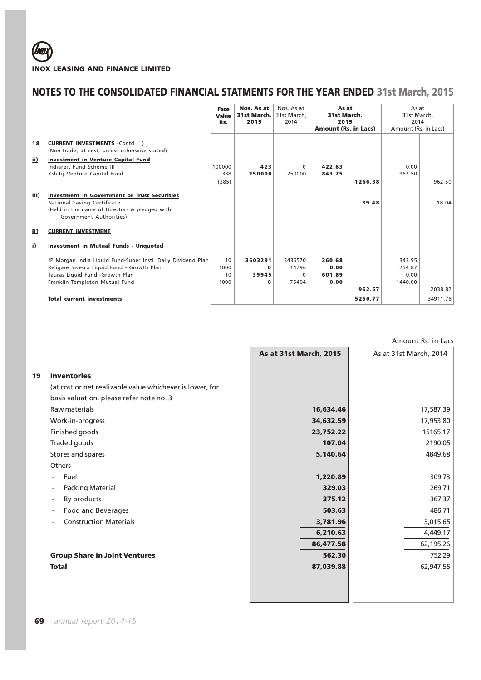|      |                                                                                                                                                                | <b>Face</b><br><b>Value</b><br>Rs. | Nos. As at<br><b>31st March.</b> 31st March.<br>2015 | Nos. As at<br>2014 | As at<br>31st March.<br>2015<br><b>Amount (Rs. in Lacs)</b> |         | As at<br>31st March,<br>2014<br>Amount (Rs. in Lacs) |          |
|------|----------------------------------------------------------------------------------------------------------------------------------------------------------------|------------------------------------|------------------------------------------------------|--------------------|-------------------------------------------------------------|---------|------------------------------------------------------|----------|
| 18   | <b>CURRENT INVESTMENTS (Contd)</b><br>(Non-trade, at cost, unless otherwise stated)                                                                            |                                    |                                                      |                    |                                                             |         |                                                      |          |
| ii)  | <b>Investment in Venture Capital Fund</b>                                                                                                                      |                                    |                                                      |                    |                                                             |         |                                                      |          |
|      | Indiareit Fund Scheme III<br>Kshitij Venture Capital Fund                                                                                                      | 100000<br>338                      | 423<br>250000                                        | 0<br>250000        | 422.63<br>843.75                                            |         | 0.00<br>962.50                                       |          |
|      |                                                                                                                                                                | (385)                              |                                                      |                    |                                                             | 1266.38 |                                                      | 962.50   |
| iii) | <b>Investment in Government or Trust Securities</b><br>National Saving Certificate<br>(Held in the name of Directors & pledged with<br>Government Authorities) |                                    |                                                      |                    |                                                             | 39.48   |                                                      | 18.04    |
| B]   | <b>CURRENT INVESTMENT</b>                                                                                                                                      |                                    |                                                      |                    |                                                             |         |                                                      |          |
| i)   | <b>Investment in Mutual Funds - Unquoted</b>                                                                                                                   |                                    |                                                      |                    |                                                             |         |                                                      |          |
|      | JP Morgan India Liquid Fund-Super Instl. Daily Dividend Plan                                                                                                   | 10                                 | 3603291                                              | 3436570            | 360.68                                                      |         | 343.95                                               |          |
|      | Religare Invesco Liquid Fund - Growth Plan                                                                                                                     | 1000                               | $\Omega$                                             | 14796              | 0.00                                                        |         | 254.87                                               |          |
|      | Tauras Liquid Fund -Growth Plan                                                                                                                                | 10                                 | 39945                                                | 0                  | 601.89                                                      |         | 0.00                                                 |          |
|      | Franklin Templeton Mutual Fund                                                                                                                                 | 1000                               | 0                                                    | 75404              | 0.00                                                        |         | 1440.00                                              |          |
|      |                                                                                                                                                                |                                    |                                                      |                    |                                                             | 962.57  |                                                      | 2038.82  |
|      | Total current investments                                                                                                                                      |                                    |                                                      |                    |                                                             | 5250.77 |                                                      | 34911.78 |

Amount Rs. in Lacs

|    |                                                          | As at 31st March, 2015 | As at 31st March, 2014 |
|----|----------------------------------------------------------|------------------------|------------------------|
| 19 | <b>Inventories</b>                                       |                        |                        |
|    | (at cost or net realizable value whichever is lower, for |                        |                        |
|    | basis valuation, please refer note no. 3                 |                        |                        |
|    | Raw materials                                            | 16,634.46              | 17,587.39              |
|    | Work-in-progress                                         | 34,632.59              | 17,953.80              |
|    | Finished goods                                           | 23,752.22              | 15165.17               |
|    | Traded goods                                             | 107.04                 | 2190.05                |
|    | Stores and spares                                        | 5,140.64               | 4849.68                |
|    | Others                                                   |                        |                        |
|    | Fuel<br>$\overline{\phantom{a}}$                         | 1,220.89               | 309.73                 |
|    | <b>Packing Material</b><br>$\overline{a}$                | 329.03                 | 269.71                 |
|    | By products<br>$\overline{a}$                            | 375.12                 | 367.37                 |
|    | Food and Beverages<br>$\overline{\phantom{a}}$           | 503.63                 | 486.71                 |
|    | <b>Construction Materials</b>                            | 3,781.96               | 3,015.65               |
|    |                                                          | 6,210.63               | 4,449.17               |
|    |                                                          | 86,477.58              | 62,195.26              |
|    | <b>Group Share in Joint Ventures</b>                     | 562.30                 | 752.29                 |
|    | <b>Total</b>                                             | 87,039.88              | 62,947.55              |
|    |                                                          |                        |                        |
|    |                                                          |                        |                        |
|    |                                                          |                        |                        |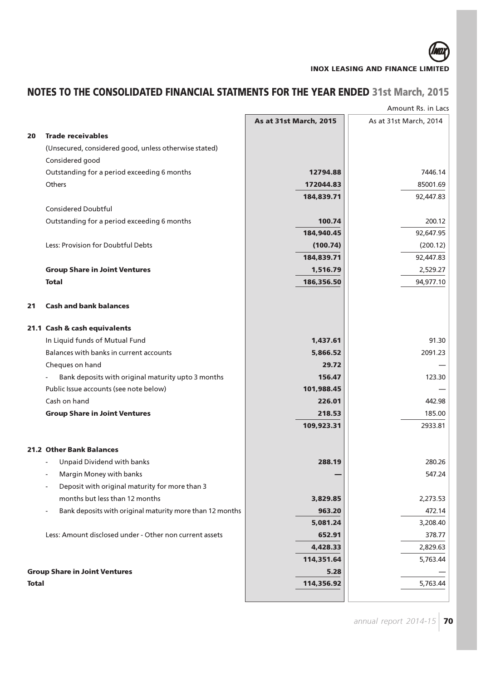# INOX LEASING AND FINANCE LIMITED

## NOTES TO THE CONSOLIDATED FINANCIAL STATMENTS FOR THE YEAR ENDED 31st March, 2015

|              |                                                          |                               | Amount Rs. in Lacs     |
|--------------|----------------------------------------------------------|-------------------------------|------------------------|
|              |                                                          | <b>As at 31st March, 2015</b> | As at 31st March, 2014 |
| 20           | <b>Trade receivables</b>                                 |                               |                        |
|              | (Unsecured, considered good, unless otherwise stated)    |                               |                        |
|              | Considered good                                          |                               |                        |
|              | Outstanding for a period exceeding 6 months              | 12794.88                      | 7446.14                |
|              | <b>Others</b>                                            | 172044.83                     | 85001.69               |
|              |                                                          | 184,839.71                    | 92,447.83              |
|              | <b>Considered Doubtful</b>                               |                               |                        |
|              | Outstanding for a period exceeding 6 months              | 100.74                        | 200.12                 |
|              |                                                          | 184,940.45                    | 92,647.95              |
|              | Less: Provision for Doubtful Debts                       | (100.74)                      | (200.12)               |
|              |                                                          | 184,839.71                    | 92,447.83              |
|              | <b>Group Share in Joint Ventures</b>                     | 1,516.79                      | 2,529.27               |
|              | <b>Total</b>                                             | 186,356.50                    | 94,977.10              |
| 21           | <b>Cash and bank balances</b>                            |                               |                        |
|              | 21.1 Cash & cash equivalents                             |                               |                        |
|              | In Liquid funds of Mutual Fund                           | 1,437.61                      | 91.30                  |
|              | Balances with banks in current accounts                  | 5,866.52                      | 2091.23                |
|              | Cheques on hand                                          | 29.72                         |                        |
|              | Bank deposits with original maturity upto 3 months       | 156.47                        | 123.30                 |
|              | Public Issue accounts (see note below)                   | 101,988.45                    |                        |
|              | Cash on hand                                             | 226.01                        | 442.98                 |
|              | <b>Group Share in Joint Ventures</b>                     | 218.53                        | 185.00                 |
|              |                                                          | 109,923.31                    | 2933.81                |
|              | <b>21.2 Other Bank Balances</b>                          |                               |                        |
|              | Unpaid Dividend with banks                               | 288.19                        | 280.26                 |
|              | Margin Money with banks<br>$\overline{a}$                |                               | 547.24                 |
|              | Deposit with original maturity for more than 3           |                               |                        |
|              | months but less than 12 months                           | 3,829.85                      | 2,273.53               |
|              | Bank deposits with original maturity more than 12 months | 963.20                        | 472.14                 |
|              |                                                          | 5,081.24                      | 3,208.40               |
|              | Less: Amount disclosed under - Other non current assets  | 652.91                        | 378.77                 |
|              |                                                          | 4,428.33                      | 2,829.63               |
|              |                                                          | 114,351.64                    | 5,763.44               |
|              | <b>Group Share in Joint Ventures</b>                     | 5.28                          |                        |
| <b>Total</b> |                                                          | 114,356.92                    | 5,763.44               |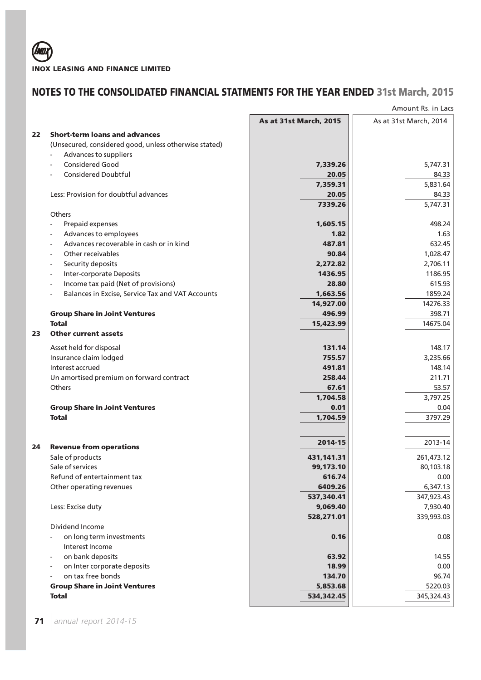|    |                                                                     |                        | Amount Rs. in Lacs     |
|----|---------------------------------------------------------------------|------------------------|------------------------|
|    |                                                                     | As at 31st March, 2015 | As at 31st March, 2014 |
| 22 | <b>Short-term loans and advances</b>                                |                        |                        |
|    | (Unsecured, considered good, unless otherwise stated)               |                        |                        |
|    | Advances to suppliers<br>$\overline{\phantom{a}}$                   |                        |                        |
|    | <b>Considered Good</b>                                              | 7,339.26               | 5,747.31               |
|    | Considered Doubtful                                                 | 20.05                  | 84.33                  |
|    |                                                                     | 7,359.31               | 5,831.64               |
|    | Less: Provision for doubtful advances                               | 20.05                  | 84.33                  |
|    |                                                                     | 7339.26                | 5,747.31               |
|    | <b>Others</b>                                                       |                        |                        |
|    | Prepaid expenses<br>$\overline{a}$                                  | 1,605.15               | 498.24                 |
|    | Advances to employees<br>$\overline{\phantom{a}}$                   | 1.82                   | 1.63                   |
|    | Advances recoverable in cash or in kind<br>$\overline{\phantom{a}}$ | 487.81                 | 632.45                 |
|    | Other receivables                                                   | 90.84                  | 1,028.47               |
|    | Security deposits                                                   | 2,272.82               | 2,706.11               |
|    | Inter-corporate Deposits<br>$\sim$                                  | 1436.95                | 1186.95                |
|    | Income tax paid (Net of provisions)                                 | 28.80                  | 615.93                 |
|    | Balances in Excise, Service Tax and VAT Accounts                    | 1,663.56               | 1859.24                |
|    |                                                                     | 14,927.00              | 14276.33               |
|    | <b>Group Share in Joint Ventures</b>                                | 496.99                 | 398.71                 |
|    | <b>Total</b>                                                        | 15,423.99              | 14675.04               |
| 23 | <b>Other current assets</b>                                         |                        |                        |
|    | Asset held for disposal                                             | 131.14                 | 148.17                 |
|    | Insurance claim lodged                                              | 755.57                 | 3,235.66               |
|    | Interest accrued                                                    | 491.81                 | 148.14                 |
|    | Un amortised premium on forward contract                            | 258.44                 | 211.71                 |
|    | Others                                                              | 67.61                  | 53.57                  |
|    |                                                                     | 1,704.58               | 3,797.25               |
|    | <b>Group Share in Joint Ventures</b>                                | 0.01                   | 0.04                   |
|    | <b>Total</b>                                                        | 1,704.59               | 3797.29                |
|    |                                                                     |                        |                        |
|    |                                                                     | 2014-15                | 2013-14                |
| 24 | <b>Revenue from operations</b>                                      |                        |                        |
|    | Sale of products                                                    | 431,141.31             | 261,473.12             |
|    | Sale of services                                                    | 99,173.10              | 80,103.18              |
|    | Refund of entertainment tax                                         | 616.74                 | 0.00                   |
|    | Other operating revenues                                            | 6409.26                | 6,347.13               |
|    |                                                                     | 537,340.41             | 347,923.43             |
|    | Less: Excise duty                                                   | 9,069.40               | 7,930.40               |
|    |                                                                     | 528,271.01             | 339,993.03             |
|    | Dividend Income                                                     |                        |                        |
|    | on long term investments                                            | 0.16                   | 0.08                   |
|    | Interest Income                                                     |                        |                        |
|    | on bank deposits                                                    | 63.92                  | 14.55                  |
|    | on Inter corporate deposits<br>$\overline{\phantom{a}}$             | 18.99                  | 0.00                   |
|    | on tax free bonds                                                   | 134.70                 | 96.74                  |
|    | <b>Group Share in Joint Ventures</b>                                | 5,853.68               | 5220.03                |
|    | <b>Total</b>                                                        | 534,342.45             | 345,324.43             |
|    |                                                                     |                        |                        |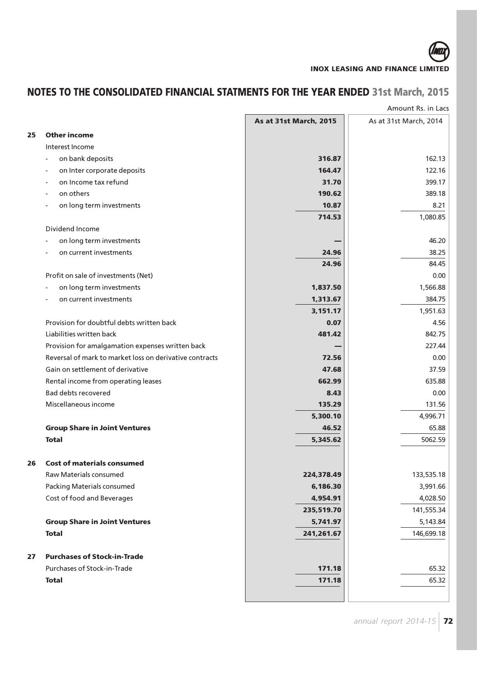# INOX LEASING AND FINANCE LIMITED

|    |                                                         |                        | Amount Rs. in Lacs     |
|----|---------------------------------------------------------|------------------------|------------------------|
|    |                                                         | As at 31st March, 2015 | As at 31st March, 2014 |
| 25 | <b>Other income</b>                                     |                        |                        |
|    | Interest Income                                         |                        |                        |
|    | on bank deposits                                        | 316.87                 | 162.13                 |
|    | on Inter corporate deposits<br>÷,                       | 164.47                 | 122.16                 |
|    | on Income tax refund                                    | 31.70                  | 399.17                 |
|    | on others                                               | 190.62                 | 389.18                 |
|    | on long term investments                                | 10.87                  | 8.21                   |
|    |                                                         | 714.53                 | 1,080.85               |
|    | Dividend Income                                         |                        |                        |
|    | on long term investments                                |                        | 46.20                  |
|    | on current investments                                  | 24.96                  | 38.25                  |
|    |                                                         | 24.96                  | 84.45                  |
|    | Profit on sale of investments (Net)                     |                        | 0.00                   |
|    | on long term investments                                | 1,837.50               | 1,566.88               |
|    | on current investments                                  | 1,313.67               | 384.75                 |
|    |                                                         | 3,151.17               | 1,951.63               |
|    | Provision for doubtful debts written back               | 0.07                   | 4.56                   |
|    | Liabilities written back                                | 481.42                 | 842.75                 |
|    | Provision for amalgamation expenses written back        |                        | 227.44                 |
|    | Reversal of mark to market loss on derivative contracts | 72.56                  | 0.00                   |
|    | Gain on settlement of derivative                        | 47.68                  | 37.59                  |
|    | Rental income from operating leases                     | 662.99                 | 635.88                 |
|    | <b>Bad debts recovered</b>                              | 8.43                   | 0.00                   |
|    | Miscellaneous income                                    | 135.29                 | 131.56                 |
|    |                                                         | 5,300.10               | 4,996.71               |
|    | <b>Group Share in Joint Ventures</b>                    | 46.52                  | 65.88                  |
|    | <b>Total</b>                                            | 5,345.62               | 5062.59                |
|    |                                                         |                        |                        |
| 26 | <b>Cost of materials consumed</b>                       |                        |                        |
|    | Raw Materials consumed                                  | 224,378.49             | 133,535.18             |
|    | Packing Materials consumed                              | 6,186.30               | 3,991.66               |
|    | Cost of food and Beverages                              | 4,954.91               | 4,028.50               |
|    |                                                         | 235,519.70             | 141,555.34             |
|    | <b>Group Share in Joint Ventures</b>                    | 5,741.97               | 5,143.84               |
|    | <b>Total</b>                                            | 241,261.67             | 146,699.18             |
| 27 | <b>Purchases of Stock-in-Trade</b>                      |                        |                        |
|    | Purchases of Stock-in-Trade                             | 171.18                 | 65.32                  |
|    | <b>Total</b>                                            | 171.18                 | 65.32                  |
|    |                                                         |                        |                        |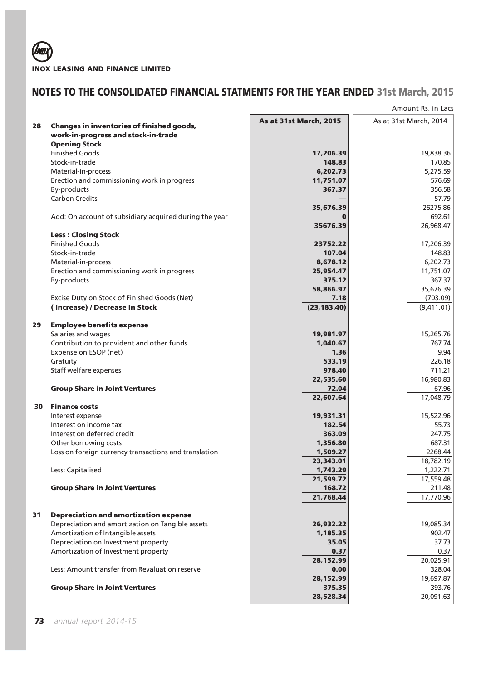|    | Amount Rs. in Lacs                                                 |                               |                        |  |
|----|--------------------------------------------------------------------|-------------------------------|------------------------|--|
|    |                                                                    | <b>As at 31st March, 2015</b> | As at 31st March, 2014 |  |
| 28 | Changes in inventories of finished goods,                          |                               |                        |  |
|    | work-in-progress and stock-in-trade                                |                               |                        |  |
|    | <b>Opening Stock</b>                                               |                               |                        |  |
|    | <b>Finished Goods</b><br>Stock-in-trade                            | 17,206.39                     | 19,838.36              |  |
|    |                                                                    | 148.83<br>6,202.73            | 170.85<br>5,275.59     |  |
|    | Material-in-process<br>Erection and commissioning work in progress | 11,751.07                     | 576.69                 |  |
|    | <b>By-products</b>                                                 | 367.37                        | 356.58                 |  |
|    | <b>Carbon Credits</b>                                              |                               | 57.79                  |  |
|    |                                                                    | 35,676.39                     | 26275.86               |  |
|    | Add: On account of subsidiary acquired during the year             |                               | 692.61                 |  |
|    |                                                                    | 35676.39                      | 26,968.47              |  |
|    | <b>Less: Closing Stock</b>                                         |                               |                        |  |
|    | <b>Finished Goods</b>                                              | 23752.22                      | 17,206.39              |  |
|    | Stock-in-trade                                                     | 107.04                        | 148.83                 |  |
|    | Material-in-process                                                | 8,678.12                      | 6,202.73               |  |
|    | Erection and commissioning work in progress                        | 25,954.47                     | 11,751.07              |  |
|    | By-products                                                        | 375.12                        | 367.37                 |  |
|    |                                                                    | 58,866.97                     | 35,676.39              |  |
|    | Excise Duty on Stock of Finished Goods (Net)                       | 7.18                          | (703.09)               |  |
|    | (Increase) / Decrease In Stock                                     | (23, 183.40)                  | (9,411.01)             |  |
|    |                                                                    |                               |                        |  |
| 29 | <b>Employee benefits expense</b>                                   |                               |                        |  |
|    | Salaries and wages                                                 | 19,981.97                     | 15,265.76              |  |
|    | Contribution to provident and other funds                          | 1,040.67                      | 767.74                 |  |
|    | Expense on ESOP (net)                                              | 1.36                          | 9.94                   |  |
|    | Gratuity                                                           | 533.19                        | 226.18                 |  |
|    | Staff welfare expenses                                             | 978.40                        | 711.21                 |  |
|    |                                                                    | 22,535.60                     | 16,980.83              |  |
|    | <b>Group Share in Joint Ventures</b>                               | 72.04<br>22,607.64            | 67.96<br>17,048.79     |  |
| 30 | <b>Finance costs</b>                                               |                               |                        |  |
|    | Interest expense                                                   | 19,931.31                     | 15,522.96              |  |
|    | Interest on income tax                                             | 182.54                        | 55.73                  |  |
|    | Interest on deferred credit                                        | 363.09                        | 247.75                 |  |
|    | Other borrowing costs                                              | 1,356.80                      | 687.31                 |  |
|    | Loss on foreign currency transactions and translation              | 1,509.27                      | 2268.44                |  |
|    |                                                                    | 23,343.01                     | 18,782.19              |  |
|    | Less: Capitalised                                                  | 1,743.29                      | 1,222.71               |  |
|    |                                                                    | 21,599.72                     | 17,559.48              |  |
|    | <b>Group Share in Joint Ventures</b>                               | 168.72                        | 211.48                 |  |
|    |                                                                    | 21,768.44                     | 17,770.96              |  |
|    |                                                                    |                               |                        |  |
| 31 | <b>Depreciation and amortization expense</b>                       |                               |                        |  |
|    | Depreciation and amortization on Tangible assets                   | 26,932.22                     | 19,085.34              |  |
|    | Amortization of Intangible assets                                  | 1,185.35                      | 902.47                 |  |
|    | Depreciation on Investment property                                | 35.05                         | 37.73                  |  |
|    | Amortization of Investment property                                | 0.37                          | 0.37                   |  |
|    |                                                                    | 28,152.99                     | 20,025.91              |  |
|    | Less: Amount transfer from Revaluation reserve                     | 0.00                          | 328.04                 |  |
|    |                                                                    | 28,152.99                     | 19,697.87              |  |
|    | <b>Group Share in Joint Ventures</b>                               | 375.35                        | 393.76                 |  |
|    |                                                                    | 28,528.34                     | 20,091.63              |  |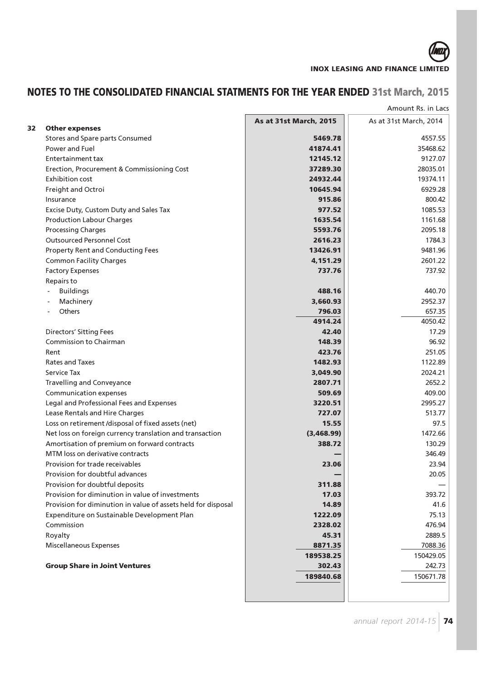# INOX LEASING AND FINANCE LIMITED

|    |                                                               |                        | Amount Rs. in Lacs     |
|----|---------------------------------------------------------------|------------------------|------------------------|
|    |                                                               | As at 31st March, 2015 | As at 31st March, 2014 |
| 32 | <b>Other expenses</b>                                         |                        |                        |
|    | Stores and Spare parts Consumed                               | 5469.78                | 4557.55                |
|    | Power and Fuel                                                | 41874.41               | 35468.62               |
|    | Entertainment tax                                             | 12145.12               | 9127.07                |
|    | Erection, Procurement & Commissioning Cost                    | 37289.30               | 28035.01               |
|    | <b>Exhibition cost</b>                                        | 24932.44               | 19374.11               |
|    | Freight and Octroi                                            | 10645.94               | 6929.28                |
|    | Insurance                                                     | 915.86                 | 800.42                 |
|    | Excise Duty, Custom Duty and Sales Tax                        | 977.52                 | 1085.53                |
|    | <b>Production Labour Charges</b>                              | 1635.54                | 1161.68                |
|    | Processing Charges                                            | 5593.76                | 2095.18                |
|    | <b>Outsourced Personnel Cost</b>                              | 2616.23                | 1784.3                 |
|    | Property Rent and Conducting Fees                             | 13426.91               | 9481.96                |
|    | <b>Common Facility Charges</b>                                | 4,151.29               | 2601.22                |
|    | <b>Factory Expenses</b>                                       | 737.76                 | 737.92                 |
|    | Repairs to                                                    |                        |                        |
|    | <b>Buildings</b><br>$\overline{\phantom{a}}$                  | 488.16                 | 440.70                 |
|    | Machinery                                                     | 3,660.93               | 2952.37                |
|    | Others                                                        | 796.03                 | 657.35                 |
|    |                                                               | 4914.24                | 4050.42                |
|    | Directors' Sitting Fees                                       | 42.40                  | 17.29                  |
|    | <b>Commission to Chairman</b>                                 | 148.39                 | 96.92                  |
|    | Rent                                                          | 423.76                 | 251.05                 |
|    | <b>Rates and Taxes</b>                                        | 1482.93                | 1122.89                |
|    | Service Tax                                                   | 3,049.90               | 2024.21                |
|    | <b>Travelling and Conveyance</b>                              | 2807.71                | 2652.2                 |
|    | Communication expenses                                        | 509.69                 | 409.00                 |
|    | Legal and Professional Fees and Expenses                      | 3220.51                | 2995.27                |
|    | Lease Rentals and Hire Charges                                | 727.07                 | 513.77                 |
|    | Loss on retirement /disposal of fixed assets (net)            | 15.55                  | 97.5                   |
|    | Net loss on foreign currency translation and transaction      | (3,468.99)             | 1472.66                |
|    | Amortisation of premium on forward contracts                  | 388.72                 | 130.29                 |
|    | MTM loss on derivative contracts                              |                        | 346.49                 |
|    | Provision for trade receivables                               | 23.06                  | 23.94                  |
|    | Provision for doubtful advances                               |                        | 20.05                  |
|    | Provision for doubtful deposits                               | 311.88                 |                        |
|    | Provision for diminution in value of investments              | 17.03                  | 393.72                 |
|    | Provision for diminution in value of assets held for disposal | 14.89                  | 41.6                   |
|    | Expenditure on Sustainable Development Plan                   | 1222.09                | 75.13                  |
|    | Commission                                                    | 2328.02                | 476.94                 |
|    | Royalty                                                       | 45.31                  | 2889.5                 |
|    | Miscellaneous Expenses                                        | 8871.35                | 7088.36                |
|    |                                                               | 189538.25              | 150429.05              |
|    | <b>Group Share in Joint Ventures</b>                          | 302.43                 | 242.73                 |
|    |                                                               | 189840.68              | 150671.78              |
|    |                                                               |                        |                        |
|    |                                                               |                        |                        |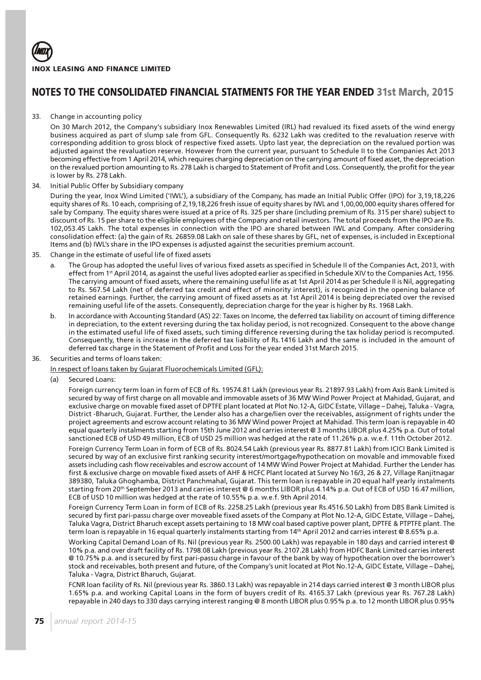

#### 33. Change in accounting policy

On 30 March 2012, the Company's subsidiary Inox Renewables Limited (IRL) had revalued its fixed assets of the wind energy business acquired as part of slump sale from GFL. Consequently Rs. 6232 Lakh was credited to the revaluation reserve with corresponding addition to gross block of respective fixed assets. Upto last year, the depreciation on the revalued portion was adjusted against the revaluation reserve. However from the current year, pursuant to Schedule II to the Companies Act 2013 becoming effective from 1 April 2014, which requires charging depreciation on the carrying amount of fixed asset, the depreciation on the revalued portion amounting to Rs. 278 Lakh is charged to Statement of Profit and Loss. Consequently, the profit for the year is lower by Rs. 278 Lakh.

#### 34. Initial Public Offer by Subsidiary company

During the year, Inox Wind Limited ('IWL'), a subsidiary of the Company, has made an Initial Public Offer (IPO) for 3,19,18,226 equity shares of Rs. 10 each, comprising of 2,19,18,226 fresh issue of equity shares by IWL and 1,00,00,000 equity shares offered for sale by Company. The equity shares were issued at a price of Rs. 325 per share (including premium of Rs. 315 per share) subject to discount of Rs. 15 per share to the eligible employees of the Company and retail investors. The total proceeds from the IPO are Rs. 102,053.45 Lakh. The total expenses in connection with the IPO are shared between IWL and Company. After considering consolidation effect: (a) the gain of Rs. 26859.08 Lakh on sale of these shares by GFL, net of expenses, is included in Exceptional Items and (b) IWL's share in the IPO expenses is adjusted against the securities premium account.

- 35. Change in the estimate of useful life of fixed assets
	- a. The Group has adopted the useful lives of various fixed assets as specified in Schedule II of the Companies Act, 2013, with effect from 1<sup>st</sup> April 2014, as against the useful lives adopted earlier as specified in Schedule XIV to the Companies Act, 1956. The carrying amount of fixed assets, where the remaining useful life as at 1st April 2014 as per Schedule II is Nil, aggregating to Rs. 567.54 Lakh (net of deferred tax credit and effect of minority interest), is recognized in the opening balance of retained earnings. Further, the carrying amount of fixed assets as at 1st April 2014 is being depreciated over the revised remaining useful life of the assets. Consequently, depreciation charge for the year is higher by Rs. 1968 Lakh.
	- b. In accordance with Accounting Standard (AS) 22: Taxes on Income, the deferred tax liability on account of timing difference in depreciation, to the extent reversing during the tax holiday period, is not recognized. Consequent to the above change in the estimated useful life of fixed assets, such timing difference reversing during the tax holiday period is recomputed. Consequently, there is increase in the deferred tax liability of Rs.1416 Lakh and the same is included in the amount of deferred tax charge in the Statement of Profit and Loss for the year ended 31st March 2015.
- 36. Securities and terms of loans taken:

In respect of loans taken by Gujarat Fluorochemicals Limited (GFL):

(a) Secured Loans:

Foreign currency term loan in form of ECB of Rs. 19574.81 Lakh (previous year Rs. 21897.93 Lakh) from Axis Bank Limited is secured by way of first charge on all movable and immovable assets of 36 MW Wind Power Project at Mahidad, Gujarat, and exclusive charge on movable fixed asset of DPTFE plant located at Plot No.12-A, GIDC Estate, Village – Dahej, Taluka - Vagra, District -Bharuch, Gujarat. Further, the Lender also has a charge/lien over the receivables, assignment of rights under the project agreements and escrow account relating to 36 MW Wind power Project at Mahidad. This term loan is repayable in 40 equal quarterly instalments starting from 15th June 2012 and carries interest @ 3 months LIBOR plus 4.25% p.a. Out of total sanctioned ECB of USD 49 million, ECB of USD 25 million was hedged at the rate of 11.26% p.a. w.e.f. 11th October 2012.

Foreign Currency Term Loan in form of ECB of Rs. 8024.54 Lakh (previous year Rs. 8877.81 Lakh) from ICICI Bank Limited is secured by way of an exclusive first ranking security interest/mortgage/hypothecation on movable and immovable fixed assets including cash flow receivables and escrow account of 14 MW Wind Power Project at Mahidad. Further the Lender has first & exclusive charge on movable fixed assets of AHF & HCFC Plant located at Survey No 16/3, 26 & 27, Village Ranjitnagar 389380, Taluka Ghoghamba, District Panchmahal, Gujarat. This term loan is repayable in 20 equal half yearly instalments starting from 20<sup>th</sup> September 2013 and carries interest @ 6 months LIBOR plus 4.14% p.a. Out of ECB of USD 16.47 million, ECB of USD 10 million was hedged at the rate of 10.55% p.a. w.e.f. 9th April 2014.

Foreign Currency Term Loan in form of ECB of Rs. 2258.25 Lakh (previous year Rs.4516.50 Lakh) from DBS Bank Limited is secured by first pari-passu charge over moveable fixed assets of the Company at Plot No.12-A, GIDC Estate, Village – Dahej, Taluka Vagra, District Bharuch except assets pertaining to 18 MW coal based captive power plant, DPTFE & PTPTFE plant. The term loan is repayable in 16 equal quarterly instalments starting from 14th April 2012 and carries interest @ 8.65% p.a.

Working Capital Demand Loan of Rs. Nil (previous year Rs. 2500.00 Lakh) was repayable in 180 days and carried interest @ 10% p.a. and over draft facility of Rs. 1798.08 Lakh (previous year Rs. 2107.28 Lakh) from HDFC Bank Limited carries interest @ 10.75% p.a. and is secured by first pari-passu charge in favour of the bank by way of hypothecation over the borrower's stock and receivables, both present and future, of the Company's unit located at Plot No.12-A, GIDC Estate, Village – Dahej, Taluka - Vagra, District Bharuch, Gujarat.

FCNR loan facility of Rs. Nil (previous year Rs. 3860.13 Lakh) was repayable in 214 days carried interest @ 3 month LIBOR plus 1.65% p.a. and working Capital Loans in the form of buyers credit of Rs. 4165.37 Lakh (previous year Rs. 767.28 Lakh) repayable in 240 days to 330 days carrying interest ranging @ 8 month LIBOR plus 0.95% p.a. to 12 month LIBOR plus 0.95%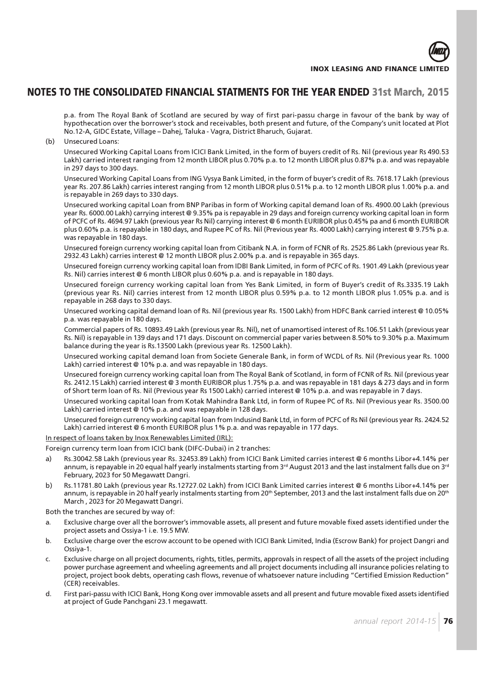

p.a. from The Royal Bank of Scotland are secured by way of first pari-passu charge in favour of the bank by way of hypothecation over the borrower's stock and receivables, both present and future, of the Company's unit located at Plot No.12-A, GIDC Estate, Village – Dahej, Taluka - Vagra, District Bharuch, Gujarat.

(b) Unsecured Loans:

Unsecured Working Capital Loans from ICICI Bank Limited, in the form of buyers credit of Rs. Nil (previous year Rs 490.53 Lakh) carried interest ranging from 12 month LIBOR plus 0.70% p.a. to 12 month LIBOR plus 0.87% p.a. and was repayable in 297 days to 300 days.

Unsecured Working Capital Loans from ING Vysya Bank Limited, in the form of buyer's credit of Rs. 7618.17 Lakh (previous year Rs. 207.86 Lakh) carries interest ranging from 12 month LIBOR plus 0.51% p.a. to 12 month LIBOR plus 1.00% p.a. and is repayable in 269 days to 330 days.

Unsecured working capital Loan from BNP Paribas in form of Working capital demand loan of Rs. 4900.00 Lakh (previous year Rs. 6000.00 Lakh) carrying interest @ 9.35% pa is repayable in 29 days and foreign currency working capital loan in form of PCFC of Rs. 4694.97 Lakh (previous year Rs Nil) carrying interest @ 6 month EURIBOR plus 0.45% pa and 6 month EURIBOR plus 0.60% p.a. is repayable in 180 days, and Rupee PC of Rs. Nil (Previous year Rs. 4000 Lakh) carrying interest @ 9.75% p.a. was repayable in 180 days.

Unsecured foreign currency working capital loan from Citibank N.A. in form of FCNR of Rs. 2525.86 Lakh (previous year Rs. 2932.43 Lakh) carries interest @ 12 month LIBOR plus 2.00% p.a. and is repayable in 365 days.

Unsecured foreign currency working capital loan from IDBI Bank Limited, in form of PCFC of Rs. 1901.49 Lakh (previous year Rs. Nil) carries interest @ 6 month LIBOR plus 0.60% p.a. and is repayable in 180 days.

Unsecured foreign currency working capital loan from Yes Bank Limited, in form of Buyer's credit of Rs.3335.19 Lakh (previous year Rs. Nil) carries interest from 12 month LIBOR plus 0.59% p.a. to 12 month LIBOR plus 1.05% p.a. and is repayable in 268 days to 330 days.

Unsecured working capital demand loan of Rs. Nil (previous year Rs. 1500 Lakh) from HDFC Bank carried interest @ 10.05% p.a. was repayable in 180 days.

Commercial papers of Rs. 10893.49 Lakh (previous year Rs. Nil), net of unamortised interest of Rs.106.51 Lakh (previous year Rs. Nil) is repayable in 139 days and 171 days. Discount on commercial paper varies between 8.50% to 9.30% p.a. Maximum balance during the year is Rs.13500 Lakh (previous year Rs. 12500 Lakh).

Unsecured working capital demand loan from Societe Generale Bank, in form of WCDL of Rs. Nil (Previous year Rs. 1000 Lakh) carried interest @ 10% p.a. and was repayable in 180 days.

Unsecured foreign currency working capital loan from The Royal Bank of Scotland, in form of FCNR of Rs. Nil (previous year Rs. 2412.15 Lakh) carried interest @ 3 month EURIBOR plus 1.75% p.a. and was repayable in 181 days & 273 days and in form of Short term loan of Rs. Nil (Previous year Rs 1500 Lakh) carried interest @ 10% p.a. and was repayable in 7 days.

Unsecured working capital loan from Kotak Mahindra Bank Ltd, in form of Rupee PC of Rs. Nil (Previous year Rs. 3500.00 Lakh) carried interest @ 10% p.a. and was repayable in 128 days.

Unsecured foreign currency working capital loan from Indusind Bank Ltd, in form of PCFC of Rs Nil (previous year Rs. 2424.52 Lakh) carried interest @ 6 month EURIBOR plus 1% p.a. and was repayable in 177 days.

In respect of loans taken by Inox Renewables Limited (IRL):

Foreign currency term loan from ICICI bank (DIFC-Dubai) in 2 tranches:

- a) Rs.30042.58 Lakh (previous year Rs. 32453.89 Lakh) from ICICI Bank Limited carries interest @ 6 months Libor+4.14% per annum, is repayable in 20 equal half yearly instalments starting from 3<sup>rd</sup> August 2013 and the last instalment falls due on 3<sup>rd</sup> February, 2023 for 50 Megawatt Dangri.
- b) Rs.11781.80 Lakh (previous year Rs.12727.02 Lakh) from ICICI Bank Limited carries interest @ 6 months Libor+4.14% per annum, is repayable in 20 half yearly instalments starting from 20<sup>th</sup> September, 2013 and the last instalment falls due on 20<sup>th</sup> March , 2023 for 20 Megawatt Dangri.

Both the tranches are secured by way of:

- a. Exclusive charge over all the borrower's immovable assets, all present and future movable fixed assets identified under the project assets and Ossiya-1 i.e. 19.5 MW.
- b. Exclusive charge over the escrow account to be opened with ICICI Bank Limited, India (Escrow Bank) for project Dangri and Ossiya-1.
- c. Exclusive charge on all project documents, rights, titles, permits, approvals in respect of all the assets of the project including power purchase agreement and wheeling agreements and all project documents including all insurance policies relating to project, project book debts, operating cash flows, revenue of whatsoever nature including "Certified Emission Reduction" (CER) receivables.
- d. First pari-passu with ICICI Bank, Hong Kong over immovable assets and all present and future movable fixed assets identified at project of Gude Panchgani 23.1 megawatt.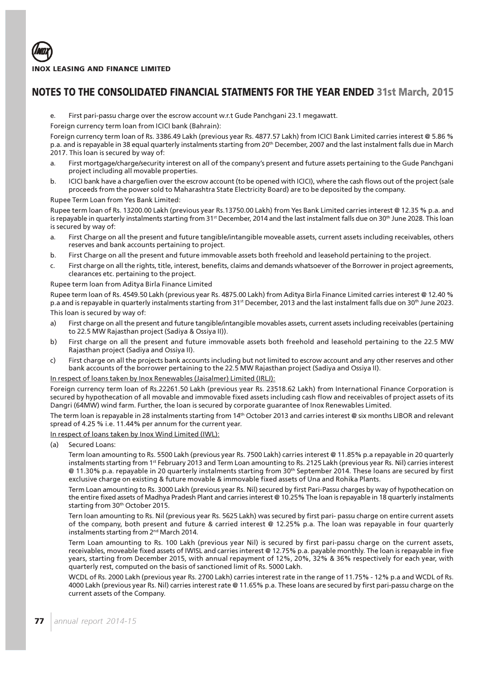e. First pari-passu charge over the escrow account w.r.t Gude Panchgani 23.1 megawatt.

Foreign currency term loan from ICICI bank (Bahrain):

Foreign currency term loan of Rs. 3386.49 Lakh (previous year Rs. 4877.57 Lakh) from ICICI Bank Limited carries interest @ 5.86 % p.a. and is repayable in 38 equal quarterly instalments starting from 20th December, 2007 and the last instalment falls due in March 2017. This loan is secured by way of:

- a. First mortgage/charge/security interest on all of the company's present and future assets pertaining to the Gude Panchgani project including all movable properties.
- b. ICICI bank have a charge/lien over the escrow account (to be opened with ICICI), where the cash flows out of the project (sale proceeds from the power sold to Maharashtra State Electricity Board) are to be deposited by the company.

Rupee Term Loan from Yes Bank Limited:

Rupee term loan of Rs. 13200.00 Lakh (previous year Rs.13750.00 Lakh) from Yes Bank Limited carries interest @ 12.35 % p.a. and is repayable in quarterly instalments starting from 31<sup>st</sup> December, 2014 and the last instalment falls due on 30<sup>th</sup> June 2028. This loan is secured by way of:

- a. First Charge on all the present and future tangible/intangible moveable assets, current assets including receivables, others reserves and bank accounts pertaining to project.
- b. First Charge on all the present and future immovable assets both freehold and leasehold pertaining to the project.
- c. First charge on all the rights, title, interest, benefits, claims and demands whatsoever of the Borrower in project agreements, clearances etc. pertaining to the project.

Rupee term loan from Aditya Birla Finance Limited

Rupee term loan of Rs. 4549.50 Lakh (previous year Rs. 4875.00 Lakh) from Aditya Birla Finance Limited carries interest @ 12.40 % p.a and is repayable in quarterly instalments starting from 31<sup>st</sup> December, 2013 and the last instalment falls due on 30<sup>th</sup> June 2023. This loan is secured by way of:

- a) First charge on all the present and future tangible/intangible movables assets, current assets including receivables (pertaining to 22.5 MW Rajasthan project (Sadiya & Ossiya II)).
- b) First charge on all the present and future immovable assets both freehold and leasehold pertaining to the 22.5 MW Rajasthan project (Sadiya and Ossiya II).
- c) First charge on all the projects bank accounts including but not limited to escrow account and any other reserves and other bank accounts of the borrower pertaining to the 22.5 MW Rajasthan project (Sadiya and Ossiya II).

In respect of loans taken by Inox Renewables (Jaisalmer) Limited (IRLJ):

Foreign currency term loan of Rs.22261.50 Lakh (previous year Rs. 23518.62 Lakh) from International Finance Corporation is secured by hypothecation of all movable and immovable fixed assets including cash flow and receivables of project assets of its Dangri (64MW) wind farm. Further, the loan is secured by corporate guarantee of Inox Renewables Limited.

The term loan is repayable in 28 instalments starting from 14<sup>th</sup> October 2013 and carries interest @ six months LIBOR and relevant spread of 4.25 % i.e. 11.44% per annum for the current year.

In respect of loans taken by Inox Wind Limited (IWL):

(a) Secured Loans:

Term loan amounting to Rs. 5500 Lakh (previous year Rs. 7500 Lakh) carries interest @ 11.85% p.a repayable in 20 quarterly instalments starting from 1st February 2013 and Term Loan amounting to Rs. 2125 Lakh (previous year Rs. Nil) carries interest @ 11.30% p.a. repayable in 20 quarterly instalments starting from 30<sup>th</sup> September 2014. These loans are secured by first exclusive charge on existing & future movable & immovable fixed assets of Una and Rohika Plants.

Term Loan amounting to Rs. 3000 Lakh (previous year Rs. Nil) secured by first Pari-Passu charges by way of hypothecation on the entire fixed assets of Madhya Pradesh Plant and carries interest @ 10.25% The loan is repayable in 18 quarterly instalments starting from 30th October 2015.

Tern loan amounting to Rs. Nil (previous year Rs. 5625 Lakh) was secured by first pari- passu charge on entire current assets of the company, both present and future & carried interest @ 12.25% p.a. The loan was repayable in four quarterly instalments starting from 2<sup>nd</sup> March 2014.

Term Loan amounting to Rs. 100 Lakh (previous year Nil) is secured by first pari-passu charge on the current assets, receivables, moveable fixed assets of IWISL and carries interest @ 12.75% p.a. payable monthly. The loan is repayable in five years, starting from December 2015, with annual repayment of 12%, 20%, 32% & 36% respectively for each year, with quarterly rest, computed on the basis of sanctioned limit of Rs. 5000 Lakh.

WCDL of Rs. 2000 Lakh (previous year Rs. 2700 Lakh) carries interest rate in the range of 11.75% - 12% p.a and WCDL of Rs. 4000 Lakh (previous year Rs. Nil) carries interest rate @ 11.65% p.a. These loans are secured by first pari-passu charge on the current assets of the Company.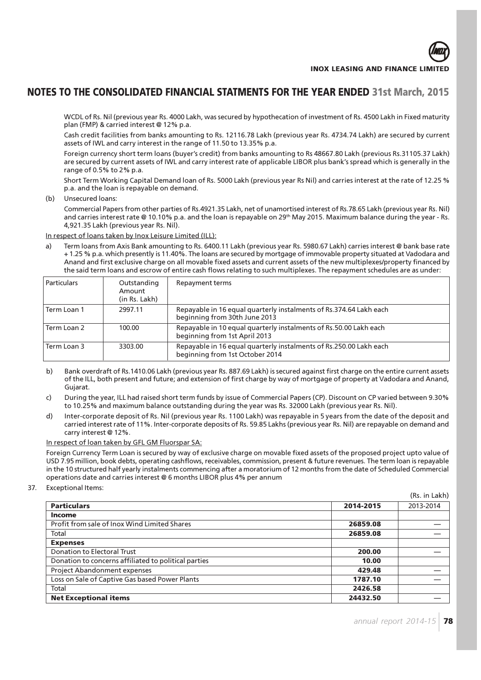

WCDL of Rs. Nil (previous year Rs. 4000 Lakh, was secured by hypothecation of investment of Rs. 4500 Lakh in Fixed maturity plan (FMP) & carried interest @ 12% p.a.

Cash credit facilities from banks amounting to Rs. 12116.78 Lakh (previous year Rs. 4734.74 Lakh) are secured by current assets of IWL and carry interest in the range of 11.50 to 13.35% p.a.

Foreign currency short term loans (buyer's credit) from banks amounting to Rs 48667.80 Lakh (previous Rs.31105.37 Lakh) are secured by current assets of IWL and carry interest rate of applicable LIBOR plus bank's spread which is generally in the range of 0.5% to 2% p.a.

Short Term Working Capital Demand loan of Rs. 5000 Lakh (previous year Rs Nil) and carries interest at the rate of 12.25 % p.a. and the loan is repayable on demand.

(b) Unsecured loans:

Commercial Papers from other parties of Rs.4921.35 Lakh, net of unamortised interest of Rs.78.65 Lakh (previous year Rs. Nil) and carries interest rate @ 10.10% p.a. and the loan is repayable on 29<sup>th</sup> May 2015. Maximum balance during the year - Rs. 4,921.35 Lakh (previous year Rs. Nil).

In respect of loans taken by Inox Leisure Limited (ILL):

a) Term loans from Axis Bank amounting to Rs. 6400.11 Lakh (previous year Rs. 5980.67 Lakh) carries interest @ bank base rate + 1.25 % p.a. which presently is 11.40%. The loans are secured by mortgage of immovable property situated at Vadodara and Anand and first exclusive charge on all movable fixed assets and current assets of the new multiplexes/property financed by the said term loans and escrow of entire cash flows relating to such multiplexes. The repayment schedules are as under:

| <b>Particulars</b> | Outstanding<br>Amount<br>(in Rs. Lakh) | Repayment terms                                                                                       |
|--------------------|----------------------------------------|-------------------------------------------------------------------------------------------------------|
| Term Loan 1        | 2997.11                                | Repayable in 16 equal quarterly instalments of Rs.374.64 Lakh each<br>beginning from 30th June 2013   |
| Term Loan 2        | 100.00                                 | Repayable in 10 equal quarterly instalments of Rs.50.00 Lakh each<br>beginning from 1st April 2013    |
| Term Loan 3        | 3303.00                                | Repayable in 16 equal quarterly instalments of Rs.250.00 Lakh each<br>beginning from 1st October 2014 |

- b) Bank overdraft of Rs.1410.06 Lakh (previous year Rs. 887.69 Lakh) is secured against first charge on the entire current assets of the ILL, both present and future; and extension of first charge by way of mortgage of property at Vadodara and Anand, Gujarat.
- c) During the year, ILL had raised short term funds by issue of Commercial Papers (CP). Discount on CP varied between 9.30% to 10.25% and maximum balance outstanding during the year was Rs. 32000 Lakh (previous year Rs. Nil).
- d) Inter-corporate deposit of Rs. Nil (previous year Rs. 1100 Lakh) was repayable in 5 years from the date of the deposit and carried interest rate of 11%. Inter-corporate deposits of Rs. 59.85 Lakhs (previous year Rs. Nil) are repayable on demand and carry interest @ 12%.

In respect of loan taken by GFL GM Fluorspar SA:

Foreign Currency Term Loan is secured by way of exclusive charge on movable fixed assets of the proposed project upto value of USD 7.95 million, book debts, operating cashflows, receivables, commission, present & future revenues. The term loan is repayable in the 10 structured half yearly instalments commencing after a moratorium of 12 months from the date of Scheduled Commercial operations date and carries interest @ 6 months LIBOR plus 4% per annum

37. Exceptional Items:

|                                                      |           | (Rs. in Lakh) |
|------------------------------------------------------|-----------|---------------|
| <b>Particulars</b>                                   | 2014-2015 | 2013-2014     |
| Income                                               |           |               |
| Profit from sale of Inox Wind Limited Shares         | 26859.08  |               |
| Total                                                | 26859.08  |               |
| <b>Expenses</b>                                      |           |               |
| Donation to Electoral Trust                          | 200.00    |               |
| Donation to concerns affiliated to political parties | 10.00     |               |
| <b>Project Abandonment expenses</b>                  | 429.48    |               |
| Loss on Sale of Captive Gas based Power Plants       | 1787.10   |               |
| Total                                                | 2426.58   |               |
| <b>Net Exceptional items</b>                         | 24432.50  |               |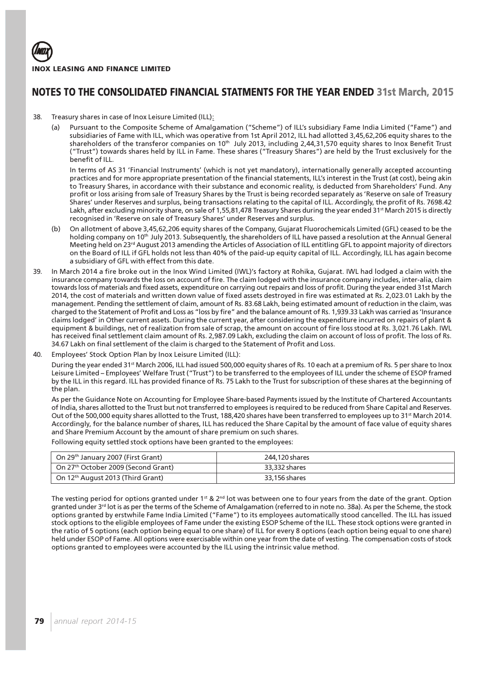

- 38. Treasury shares in case of Inox Leisure Limited (ILL):
	- (a) Pursuant to the Composite Scheme of Amalgamation ("Scheme") of ILL's subsidiary Fame India Limited ("Fame") and subsidiaries of Fame with ILL, which was operative from 1st April 2012, ILL had allotted 3,45,62,206 equity shares to the shareholders of the transferor companies on 10<sup>th</sup> July 2013, including 2,44,31,570 equity shares to Inox Benefit Trust ("Trust") towards shares held by ILL in Fame. These shares ("Treasury Shares") are held by the Trust exclusively for the benefit of ILL.

In terms of AS 31 'Financial Instruments' (which is not yet mandatory), internationally generally accepted accounting practices and for more appropriate presentation of the financial statements, ILL's interest in the Trust (at cost), being akin to Treasury Shares, in accordance with their substance and economic reality, is deducted from Shareholders' Fund. Any profit or loss arising from sale of Treasury Shares by the Trust is being recorded separately as 'Reserve on sale of Treasury Shares' under Reserves and surplus, being transactions relating to the capital of ILL. Accordingly, the profit of Rs. 7698.42 Lakh, after excluding minority share, on sale of 1,55,81,478 Treasury Shares during the year ended 31<sup>st</sup> March 2015 is directly recognised in 'Reserve on sale of Treasury Shares' under Reserves and surplus.

- (b) On allotment of above 3,45,62,206 equity shares of the Company, Gujarat Fluorochemicals Limited (GFL) ceased to be the holding company on 10th July 2013. Subsequently, the shareholders of ILL have passed a resolution at the Annual General Meeting held on 23rd August 2013 amending the Articles of Association of ILL entitling GFL to appoint majority of directors on the Board of ILL if GFL holds not less than 40% of the paid-up equity capital of ILL. Accordingly, ILL has again become a subsidiary of GFL with effect from this date.
- 39. In March 2014 a fire broke out in the Inox Wind Limited (IWL)'s factory at Rohika, Gujarat. IWL had lodged a claim with the insurance company towards the loss on account of fire. The claim lodged with the insurance company includes, inter-alia, claim towards loss of materials and fixed assets, expenditure on carrying out repairs and loss of profit. During the year ended 31st March 2014, the cost of materials and written down value of fixed assets destroyed in fire was estimated at Rs. 2,023.01 Lakh by the management. Pending the settlement of claim, amount of Rs. 83.68 Lakh, being estimated amount of reduction in the claim, was charged to the Statement of Profit and Loss as "loss by fire" and the balance amount of Rs. 1,939.33 Lakh was carried as 'Insurance claims lodged' in Other current assets. During the current year, after considering the expenditure incurred on repairs of plant & equipment & buildings, net of realization from sale of scrap, the amount on account of fire loss stood at Rs. 3,021.76 Lakh. IWL has received final settlement claim amount of Rs. 2,987.09 Lakh, excluding the claim on account of loss of profit. The loss of Rs. 34.67 Lakh on final settlement of the claim is charged to the Statement of Profit and Loss.
- 40. Employees' Stock Option Plan by Inox Leisure Limited (ILL):

During the year ended 31<sup>st</sup> March 2006, ILL had issued 500,000 equity shares of Rs. 10 each at a premium of Rs. 5 per share to Inox Leisure Limited – Employees' Welfare Trust ("Trust") to be transferred to the employees of ILL under the scheme of ESOP framed by the ILL in this regard. ILL has provided finance of Rs. 75 Lakh to the Trust for subscription of these shares at the beginning of the plan.

As per the Guidance Note on Accounting for Employee Share-based Payments issued by the Institute of Chartered Accountants of India, shares allotted to the Trust but not transferred to employees is required to be reduced from Share Capital and Reserves. Out of the 500,000 equity shares allotted to the Trust, 188,420 shares have been transferred to employees up to 31<sup>st</sup> March 2014. Accordingly, for the balance number of shares, ILL has reduced the Share Capital by the amount of face value of equity shares and Share Premium Account by the amount of share premium on such shares.

Following equity settled stock options have been granted to the employees:

| On 29 <sup>th</sup> January 2007 (First Grant)  | 244,120 shares |
|-------------------------------------------------|----------------|
| On 27 <sup>th</sup> October 2009 (Second Grant) | 33,332 shares  |
| On 12 <sup>th</sup> August 2013 (Third Grant)   | 33,156 shares  |

The vesting period for options granted under 1<sup>st</sup> & 2<sup>nd</sup> lot was between one to four years from the date of the grant. Option granted under 3<sup>rd</sup> lot is as per the terms of the Scheme of Amalgamation (referred to in note no. 38a). As per the Scheme, the stock options granted by erstwhile Fame India Limited ("Fame") to its employees automatically stood cancelled. The ILL has issued stock options to the eligible employees of Fame under the existing ESOP Scheme of the ILL. These stock options were granted in the ratio of 5 options (each option being equal to one share) of ILL for every 8 options (each option being equal to one share) held under ESOP of Fame. All options were exercisable within one year from the date of vesting. The compensation costs of stock options granted to employees were accounted by the ILL using the intrinsic value method.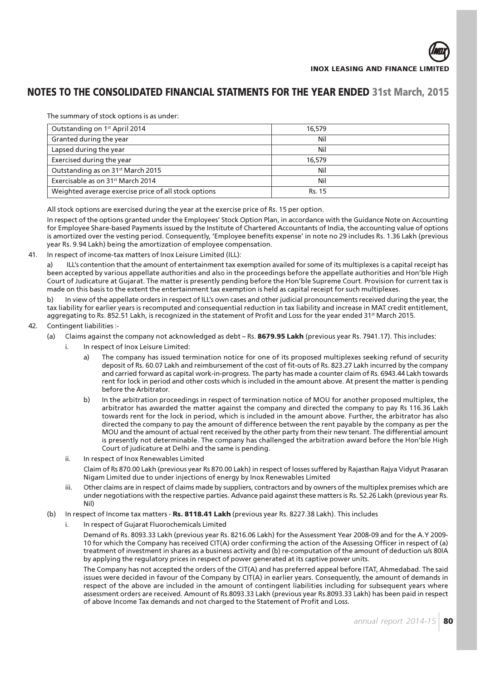The summary of stock options is as under:

| Outstanding on 1st April 2014                        | 16,579 |  |
|------------------------------------------------------|--------|--|
| Granted during the year                              | Nil    |  |
| Lapsed during the year                               | Nil    |  |
| Exercised during the year                            | 16,579 |  |
| Outstanding as on 31 <sup>st</sup> March 2015        | Nil    |  |
| Exercisable as on 31 <sup>st</sup> March 2014        | Nil    |  |
| Weighted average exercise price of all stock options | Rs. 15 |  |

All stock options are exercised during the year at the exercise price of Rs. 15 per option.

In respect of the options granted under the Employees' Stock Option Plan, in accordance with the Guidance Note on Accounting for Employee Share-based Payments issued by the Institute of Chartered Accountants of India, the accounting value of options is amortized over the vesting period. Consequently, 'Employee benefits expense' in note no 29 includes Rs. 1.36 Lakh (previous year Rs. 9.94 Lakh) being the amortization of employee compensation.

#### 41. In respect of income-tax matters of Inox Leisure Limited (ILL):

ILL's contention that the amount of entertainment tax exemption availed for some of its multiplexes is a capital receipt has been accepted by various appellate authorities and also in the proceedings before the appellate authorities and Hon'ble High Court of Judicature at Gujarat. The matter is presently pending before the Hon'ble Supreme Court. Provision for current tax is made on this basis to the extent the entertainment tax exemption is held as capital receipt for such multiplexes.

In view of the appellate orders in respect of ILL's own cases and other judicial pronouncements received during the year, the tax liability for earlier years is recomputed and consequential reduction in tax liability and increase in MAT credit entitlement, aggregating to Rs. 852.51 Lakh, is recognized in the statement of Profit and Loss for the year ended 31<sup>st</sup> March 2015.

#### 42. Contingent liabilities :-

- (a) Claims against the company not acknowledged as debt Rs. 8679.95 Lakh (previous year Rs. 7941.17). This includes:
	- i. In respect of Inox Leisure Limited:
		- a) The company has issued termination notice for one of its proposed multiplexes seeking refund of security deposit of Rs. 60.07 Lakh and reimbursement of the cost of fit-outs of Rs. 823.27 Lakh incurred by the company and carried forward as capital work-in-progress. The party has made a counter claim of Rs. 6943.44 Lakh towards rent for lock in period and other costs which is included in the amount above. At present the matter is pending before the Arbitrator.
		- b) In the arbitration proceedings in respect of termination notice of MOU for another proposed multiplex, the arbitrator has awarded the matter against the company and directed the company to pay Rs 116.36 Lakh towards rent for the lock in period, which is included in the amount above. Further, the arbitrator has also directed the company to pay the amount of difference between the rent payable by the company as per the MOU and the amount of actual rent received by the other party from their new tenant. The differential amount is presently not determinable. The company has challenged the arbitration award before the Hon'ble High Court of judicature at Delhi and the same is pending.
	- ii. In respect of Inox Renewables Limited Claim of Rs 870.00 Lakh (previous year Rs 870.00 Lakh) in respect of losses suffered by Rajasthan Rajya Vidyut Prasaran Nigam Limited due to under injections of energy by Inox Renewables Limited
	- iii. Other claims are in respect of claims made by suppliers, contractors and by owners of the multiplex premises which are under negotiations with the respective parties. Advance paid against these matters is Rs. 52.26 Lakh (previous year Rs. Nil)
- (b) In respect of Income tax matters Rs. 8118.41 Lakh (previous year Rs. 8227.38 Lakh). This includes
	- i. In respect of Gujarat Fluorochemicals Limited

Demand of Rs. 8093.33 Lakh (previous year Rs. 8216.06 Lakh) for the Assessment Year 2008-09 and for the A.Y 2009- 10 for which the Company has received CIT(A) order confirming the action of the Assessing Officer in respect of (a) treatment of investment in shares as a business activity and (b) re-computation of the amount of deduction u/s 80IA by applying the regulatory prices in respect of power generated at its captive power units.

The Company has not accepted the orders of the CIT(A) and has preferred appeal before ITAT, Ahmedabad. The said issues were decided in favour of the Company by CIT(A) in earlier years. Consequently, the amount of demands in respect of the above are included in the amount of contingent liabilities including for subsequent years where assessment orders are received. Amount of Rs.8093.33 Lakh (previous year Rs.8093.33 Lakh) has been paid in respect of above Income Tax demands and not charged to the Statement of Profit and Loss.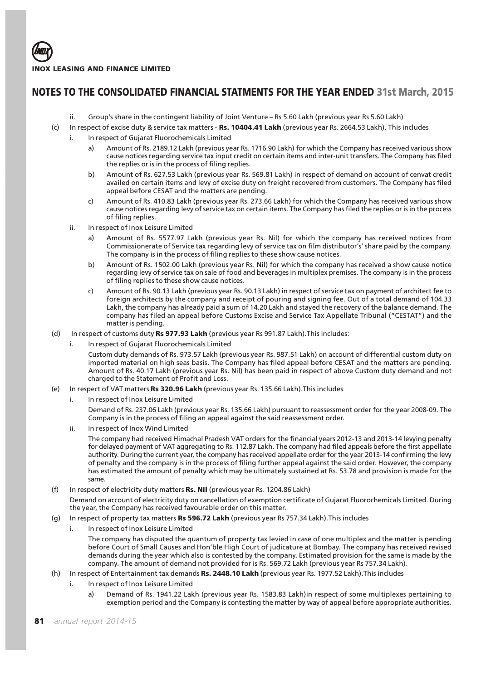- ii. Group's share in the contingent liability of Joint Venture Rs 5.60 Lakh (previous year Rs 5.60 Lakh)
- (c) In respect of excise duty & service tax matters Rs. 10404.41 Lakh (previous year Rs. 2664.53 Lakh). This includes
	- i. In respect of Gujarat Fluorochemicals Limited
		- a) Amount of Rs. 2189.12 Lakh (previous year Rs. 1716.90 Lakh) for which the Company has received various show cause notices regarding service tax input credit on certain items and inter-unit transfers. The Company has filed the replies or is in the process of filing replies.
		- b) Amount of Rs. 627.53 Lakh (previous year Rs. 569.81 Lakh) in respect of demand on account of cenvat credit availed on certain items and levy of excise duty on freight recovered from customers. The Company has filed appeal before CESAT and the matters are pending.
		- c) Amount of Rs. 410.83 Lakh (previous year Rs. 273.66 Lakh) for which the Company has received various show cause notices regarding levy of service tax on certain items. The Company has filed the replies or is in the process of filing replies.
		- ii. In respect of Inox Leisure Limited
			- a) Amount of Rs. 5577.97 Lakh (previous year Rs. Nil) for which the company has received notices from Commissionerate of Service tax regarding levy of service tax on film distributor's' share paid by the company. The company is in the process of filing replies to these show cause notices.
			- b) Amount of Rs. 1502.00 Lakh (previous year Rs. Nil) for which the company has received a show cause notice regarding levy of service tax on sale of food and beverages in multiplex premises. The company is in the process of filing replies to these show cause notices.
			- c) Amount of Rs. 90.13 Lakh (previous year Rs. 90.13 Lakh) in respect of service tax on payment of architect fee to foreign architects by the company and receipt of pouring and signing fee. Out of a total demand of 104.33 Lakh, the company has already paid a sum of 14.20 Lakh and stayed the recovery of the balance demand. The company has filed an appeal before Customs Excise and Service Tax Appellate Tribunal ("CESTAT") and the matter is pending.
- (d) In respect of customs duty  $\text{Rs } 977.93$  Lakh (previous year Rs 991.87 Lakh). This includes:
	- i. In respect of Gujarat Fluorochemicals Limited

Custom duty demands of Rs. 973.57 Lakh (previous year Rs. 987.51 Lakh) on account of differential custom duty on imported material on high seas basis. The Company has filed appeal before CESAT and the matters are pending. Amount of Rs. 40.17 Lakh (previous year Rs. Nil) has been paid in respect of above Custom duty demand and not charged to the Statement of Profit and Loss.

- (e) In respect of VAT matters Rs 320.96 Lakh (previous year Rs. 135.66 Lakh). This includes
	- i. In respect of Inox Leisure Limited

Demand of Rs. 237.06 Lakh (previous year Rs. 135.66 Lakh) pursuant to reassessment order for the year 2008-09. The Company is in the process of filing an appeal against the said reassessment order.

ii. In respect of Inox Wind Limited

The company had received Himachal Pradesh VAT orders for the financial years 2012-13 and 2013-14 levying penalty for delayed payment of VAT aggregating to Rs. 112.87 Lakh. The company had filed appeals before the first appellate authority. During the current year, the company has received appellate order for the year 2013-14 confirming the levy of penalty and the company is in the process of filing further appeal against the said order. However, the company has estimated the amount of penalty which may be ultimately sustained at Rs. 53.78 and provision is made for the same.

(f) In respect of electricity duty matters  $\text{Rs.}$  Nil (previous year Rs. 1204.86 Lakh)

Demand on account of electricity duty on cancellation of exemption certificate of Gujarat Fluorochemicals Limited. During the year, the Company has received favourable order on this matter.

- (g) In respect of property tax matters Rs 596.72 Lakh (previous year Rs 757.34 Lakh). This includes
	- i. In respect of Inox Leisure Limited

The company has disputed the quantum of property tax levied in case of one multiplex and the matter is pending before Court of Small Causes and Hon'ble High Court of judicature at Bombay. The company has received revised demands during the year which also is contested by the company. Estimated provision for the same is made by the company. The amount of demand not provided for is Rs. 569.72 Lakh (previous year Rs 757.34 Lakh).

- (h) In respect of Entertainment tax demands Rs. 2448.10 Lakh (previous year Rs. 1977.52 Lakh). This includes
	- i. In respect of Inox Leisure Limited
		- a) Demand of Rs. 1941.22 Lakh (previous year Rs. 1583.83 Lakh)in respect of some multiplexes pertaining to exemption period and the Company is contesting the matter by way of appeal before appropriate authorities.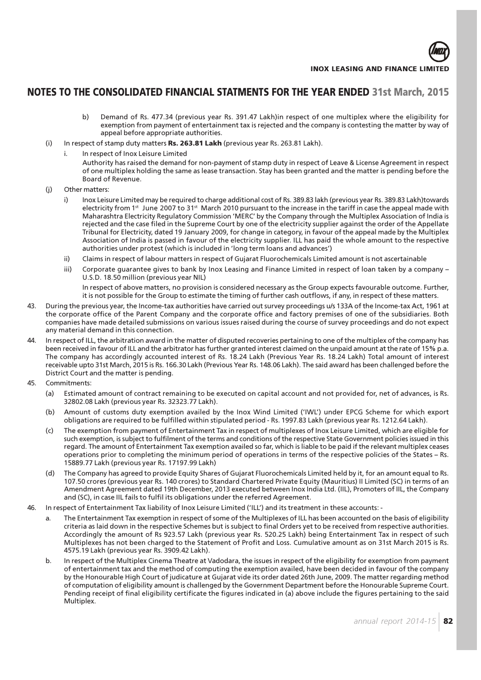

- b) Demand of Rs. 477.34 (previous year Rs. 391.47 Lakh)in respect of one multiplex where the eligibility for exemption from payment of entertainment tax is rejected and the company is contesting the matter by way of appeal before appropriate authorities.
- (i) In respect of stamp duty matters Rs. 263.81 Lakh (previous year Rs. 263.81 Lakh).
	- In respect of Inox Leisure Limited
		- Authority has raised the demand for non-payment of stamp duty in respect of Leave & License Agreement in respect of one multiplex holding the same as lease transaction. Stay has been granted and the matter is pending before the Board of Revenue.
- (j) Other matters:
	- i) Inox Leisure Limited may be required to charge additional cost of Rs. 389.83 lakh (previous year Rs. 389.83 Lakh)towards electricity from 1<sup>st</sup> June 2007 to 31<sup>st</sup> March 2010 pursuant to the increase in the tariff in case the appeal made with Maharashtra Electricity Regulatory Commission 'MERC' by the Company through the Multiplex Association of India is rejected and the case filed in the Supreme Court by one of the electricity supplier against the order of the Appellate Tribunal for Electricity, dated 19 January 2009, for change in category, in favour of the appeal made by the Multiplex Association of India is passed in favour of the electricity supplier. ILL has paid the whole amount to the respective authorities under protest (which is included in 'long term loans and advances')
	- ii) Claims in respect of labour matters in respect of Gujarat Fluorochemicals Limited amount is not ascertainable
	- iii) Corporate guarantee gives to bank by Inox Leasing and Finance Limited in respect of loan taken by a company U.S.D. 18.50 million (previous year NIL)

In respect of above matters, no provision is considered necessary as the Group expects favourable outcome. Further, it is not possible for the Group to estimate the timing of further cash outflows, if any, in respect of these matters.

- 43. During the previous year, the Income-tax authorities have carried out survey proceedings u/s 133A of the Income-tax Act, 1961 at the corporate office of the Parent Company and the corporate office and factory premises of one of the subsidiaries. Both companies have made detailed submissions on various issues raised during the course of survey proceedings and do not expect any material demand in this connection.
- 44. In respect of ILL, the arbitration award in the matter of disputed recoveries pertaining to one of the multiplex of the company has been received in favour of ILL and the arbitrator has further granted interest claimed on the unpaid amount at the rate of 15% p.a. The company has accordingly accounted interest of Rs. 18.24 Lakh (Previous Year Rs. 18.24 Lakh) Total amount of interest receivable upto 31st March, 2015 is Rs. 166.30 Lakh (Previous Year Rs. 148.06 Lakh). The said award has been challenged before the District Court and the matter is pending.
- 45. Commitments:
	- (a) Estimated amount of contract remaining to be executed on capital account and not provided for, net of advances, is Rs. 32802.08 Lakh (previous year Rs. 32323.77 Lakh).
	- (b) Amount of customs duty exemption availed by the Inox Wind Limited ('IWL') under EPCG Scheme for which export obligations are required to be fulfilled within stipulated period - Rs. 1997.83 Lakh (previous year Rs. 1212.64 Lakh).
	- (c) The exemption from payment of Entertainment Tax in respect of multiplexes of Inox Leisure Limited, which are eligible for such exemption, is subject to fulfilment of the terms and conditions of the respective State Government policies issued in this regard. The amount of Entertainment Tax exemption availed so far, which is liable to be paid if the relevant multiplex ceases operations prior to completing the minimum period of operations in terms of the respective policies of the States – Rs. 15889.77 Lakh (previous year Rs. 17197.99 Lakh)
	- (d) The Company has agreed to provide Equity Shares of Gujarat Fluorochemicals Limited held by it, for an amount equal to Rs. 107.50 crores (previous year Rs. 140 crores) to Standard Chartered Private Equity (Mauritius) II Limited (SC) in terms of an Amendment Agreement dated 19th December, 2013 executed between Inox India Ltd. (IIL), Promoters of IIL, the Company and (SC), in case IIL fails to fulfil its obligations under the referred Agreement.
- 46. In respect of Entertainment Tax liability of Inox Leisure Limited ('ILL') and its treatment in these accounts:
	- a. The Entertainment Tax exemption in respect of some of the Multiplexes of ILL has been accounted on the basis of eligibility criteria as laid down in the respective Schemes but is subject to final Orders yet to be received from respective authorities. Accordingly the amount of Rs 923.57 Lakh (previous year Rs. 520.25 Lakh) being Entertainment Tax in respect of such Multiplexes has not been charged to the Statement of Profit and Loss. Cumulative amount as on 31st March 2015 is Rs. 4575.19 Lakh (previous year Rs. 3909.42 Lakh).
	- b. In respect of the Multiplex Cinema Theatre at Vadodara, the issues in respect of the eligibility for exemption from payment of entertainment tax and the method of computing the exemption availed, have been decided in favour of the company by the Honourable High Court of judicature at Gujarat vide its order dated 26th June, 2009. The matter regarding method of computation of eligibility amount is challenged by the Government Department before the Honourable Supreme Court. Pending receipt of final eligibility certificate the figures indicated in (a) above include the figures pertaining to the said Multiplex.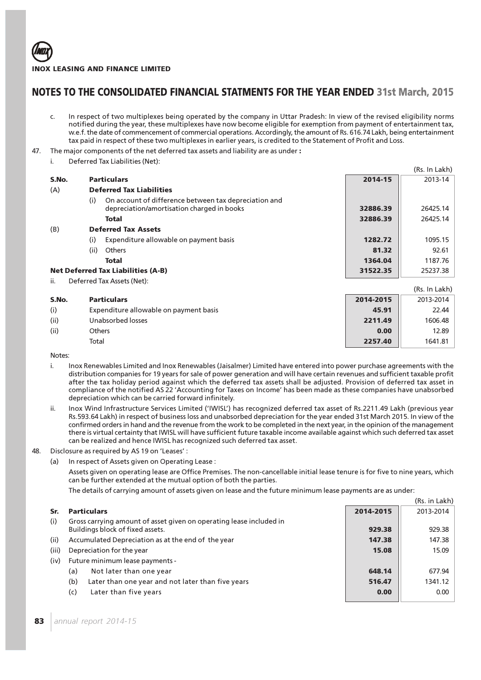

- c. In respect of two multiplexes being operated by the company in Uttar Pradesh: In view of the revised eligibility norms notified during the year, these multiplexes have now become eligible for exemption from payment of entertainment tax, w.e.f. the date of commencement of commercial operations. Accordingly, the amount of Rs. 616.74 Lakh, being entertainment tax paid in respect of these two multiplexes in earlier years, is credited to the Statement of Profit and Loss.
- 47. The major components of the net deferred tax assets and liability are as under :
	- i. Deferred Tax Liabilities (Net):

|       |                                                                                                            |           | (Rs. In Lakh) |
|-------|------------------------------------------------------------------------------------------------------------|-----------|---------------|
| S.No. | <b>Particulars</b>                                                                                         | 2014-15   | 2013-14       |
| (A)   | <b>Deferred Tax Liabilities</b>                                                                            |           |               |
|       | (i)<br>On account of difference between tax depreciation and<br>depreciation/amortisation charged in books | 32886.39  | 26425.14      |
|       | <b>Total</b>                                                                                               | 32886.39  | 26425.14      |
| (B)   | <b>Deferred Tax Assets</b>                                                                                 |           |               |
|       | Expenditure allowable on payment basis<br>(i)                                                              | 1282.72   | 1095.15       |
|       | (ii)<br><b>Others</b>                                                                                      | 81.32     | 92.61         |
|       | <b>Total</b>                                                                                               | 1364.04   | 1187.76       |
|       | <b>Net Deferred Tax Liabilities (A-B)</b>                                                                  | 31522.35  | 25237.38      |
| ii.   | Deferred Tax Assets (Net):                                                                                 |           |               |
|       |                                                                                                            |           | (Rs. In Lakh) |
| S.No. | <b>Particulars</b>                                                                                         | 2014-2015 | 2013-2014     |
| (i)   | Expenditure allowable on payment basis                                                                     | 45.91     | 22.44         |
| (ii)  | Unabsorbed losses                                                                                          | 2211.49   | 1606.48       |
| (ii)  | <b>Others</b>                                                                                              | 0.00      | 12.89         |
|       | Total                                                                                                      | 2257.40   | 1641.81       |

#### Notes:

- i. Inox Renewables Limited and Inox Renewables (Jaisalmer) Limited have entered into power purchase agreements with the distribution companies for 19 years for sale of power generation and will have certain revenues and sufficient taxable profit after the tax holiday period against which the deferred tax assets shall be adjusted. Provision of deferred tax asset in compliance of the notified AS 22 'Accounting for Taxes on Income' has been made as these companies have unabsorbed depreciation which can be carried forward infinitely.
- ii. Inox Wind Infrastructure Services Limited ('IWISL') has recognized deferred tax asset of Rs.2211.49 Lakh (previous year Rs.593.64 Lakh) in respect of business loss and unabsorbed depreciation for the year ended 31st March 2015. In view of the confirmed orders in hand and the revenue from the work to be completed in the next year, in the opinion of the management there is virtual certainty that IWISL will have sufficient future taxable income available against which such deferred tax asset can be realized and hence IWISL has recognized such deferred tax asset.

48. Disclosure as required by AS 19 on 'Leases' :

(a) In respect of Assets given on Operating Lease:

Assets given on operating lease are Office Premises. The non-cancellable initial lease tenure is for five to nine years, which can be further extended at the mutual option of both the parties.

The details of carrying amount of assets given on lease and the future minimum lease payments are as under:

|       |                                                                                                         |           | (Rs. in Lakh) |
|-------|---------------------------------------------------------------------------------------------------------|-----------|---------------|
| Sr.   | <b>Particulars</b>                                                                                      | 2014-2015 | 2013-2014     |
| (i)   | Gross carrying amount of asset given on operating lease included in<br>Buildings block of fixed assets. | 929.38    | 929.38        |
| (ii)  | Accumulated Depreciation as at the end of the year                                                      | 147.38    | 147.38        |
| (iii) | Depreciation for the year                                                                               | 15.08     | 15.09         |
| (iv)  | Future minimum lease payments -                                                                         |           |               |
|       | Not later than one year<br>(a)                                                                          | 648.14    | 677.94        |
|       | Later than one year and not later than five years<br>(b)                                                | 516.47    | 1341.12       |
|       | Later than five years<br>(c)                                                                            | 0.00      | 0.00          |
|       |                                                                                                         |           |               |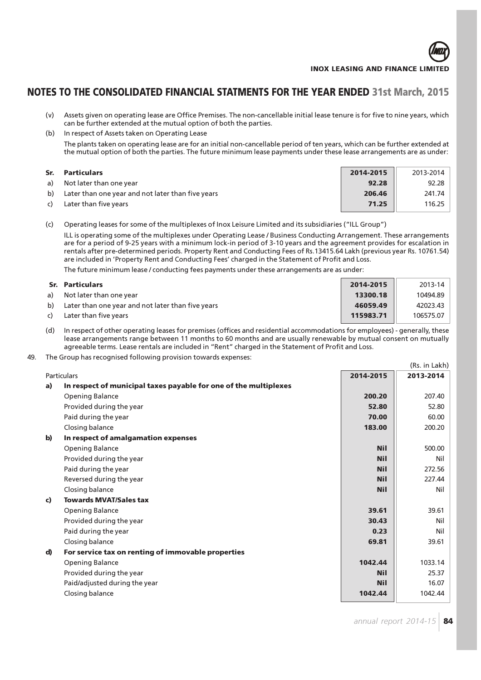

- (v) Assets given on operating lease are Office Premises. The non-cancellable initial lease tenure is for five to nine years, which can be further extended at the mutual option of both the parties.
- (b) In respect of Assets taken on Operating Lease The plants taken on operating lease are for an initial non-cancellable period of ten years, which can be further extended at the mutual option of both the parties. The future minimum lease payments under these lease arrangements are as under:

| Sr. | <b>Particulars</b>                                | 2014-2015 | 2013-2014 |
|-----|---------------------------------------------------|-----------|-----------|
| a)  | Not later than one year                           | 92.28     | 92.28     |
| b)  | Later than one year and not later than five years | 206.46    | 241.74    |
|     | Later than five years                             | 71.25     | 116.25    |

(c) Operating leases for some of the multiplexes of Inox Leisure Limited and its subsidiaries ("ILL Group")

ILL is operating some of the multiplexes under Operating Lease / Business Conducting Arrangement. These arrangements are for a period of 9-25 years with a minimum lock-in period of 3-10 years and the agreement provides for escalation in rentals after pre-determined periods. Property Rent and Conducting Fees of Rs.13415.64 Lakh (previous year Rs. 10761.54) are included in 'Property Rent and Conducting Fees' charged in the Statement of Profit and Loss.

The future minimum lease / conducting fees payments under these arrangements are as under:

|    | <b>Sr.</b> Particulars                            | 2014-2015 | 2013-14   |
|----|---------------------------------------------------|-----------|-----------|
|    | Not later than one year                           | 13300.18  | 10494.89  |
| b) | Later than one year and not later than five years | 46059.49  | 42023.43  |
|    | Later than five years                             | 115983.71 | 106575.07 |

(d) In respect of other operating leases for premises (offices and residential accommodations for employees) - generally, these lease arrangements range between 11 months to 60 months and are usually renewable by mutual consent on mutually agreeable terms. Lease rentals are included in "Rent" charged in the Statement of Profit and Loss.

49. The Group has recognised following provision towards expenses:

|    |                                                                  |            | (RS. III LAKII) |
|----|------------------------------------------------------------------|------------|-----------------|
|    | Particulars                                                      | 2014-2015  | 2013-2014       |
| a) | In respect of municipal taxes payable for one of the multiplexes |            |                 |
|    | Opening Balance                                                  | 200.20     | 207.40          |
|    | Provided during the year                                         | 52.80      | 52.80           |
|    | Paid during the year                                             | 70.00      | 60.00           |
|    | Closing balance                                                  | 183.00     | 200.20          |
| b) | In respect of amalgamation expenses                              |            |                 |
|    | Opening Balance                                                  | <b>Nil</b> | 500.00          |
|    | Provided during the year                                         | <b>Nil</b> | Nil             |
|    | Paid during the year                                             | <b>Nil</b> | 272.56          |
|    | Reversed during the year                                         | <b>Nil</b> | 227.44          |
|    | Closing balance                                                  | <b>Nil</b> | Nil             |
| c) | <b>Towards MVAT/Sales tax</b>                                    |            |                 |
|    | <b>Opening Balance</b>                                           | 39.61      | 39.61           |
|    | Provided during the year                                         | 30.43      | Nil             |
|    | Paid during the year                                             | 0.23       | Nil             |
|    | Closing balance                                                  | 69.81      | 39.61           |
| d) | For service tax on renting of immovable properties               |            |                 |
|    | Opening Balance                                                  | 1042.44    | 1033.14         |
|    | Provided during the year                                         | <b>Nil</b> | 25.37           |
|    | Paid/adjusted during the year                                    | <b>Nil</b> | 16.07           |
|    | Closing balance                                                  | 1042.44    | 1042.44         |
|    |                                                                  |            |                 |

 $(D_6 \text{ in } L_6 | A)$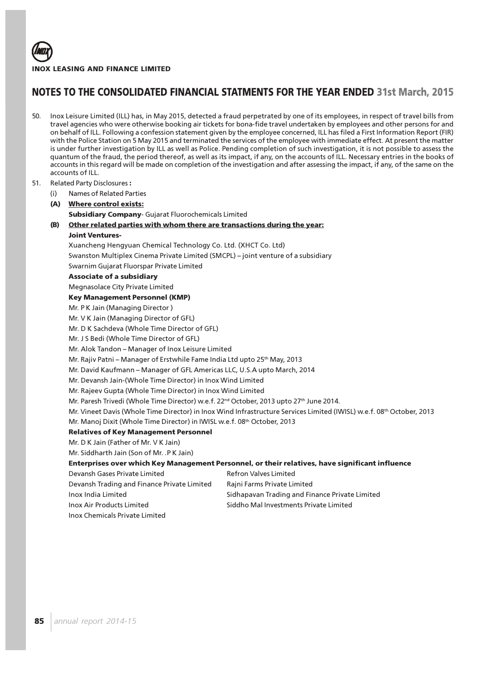

| 50. | Inox Leisure Limited (ILL) has, in May 2015, detected a fraud perpetrated by one of its employees, in respect of travel bills from<br>travel agencies who were otherwise booking air tickets for bona-fide travel undertaken by employees and other persons for and<br>on behalf of ILL. Following a confession statement given by the employee concerned, ILL has filed a First Information Report (FIR)<br>with the Police Station on 5 May 2015 and terminated the services of the employee with immediate effect. At present the matter<br>is under further investigation by ILL as well as Police. Pending completion of such investigation, it is not possible to assess the<br>quantum of the fraud, the period thereof, as well as its impact, if any, on the accounts of ILL. Necessary entries in the books of<br>accounts in this regard will be made on completion of the investigation and after assessing the impact, if any, of the same on the<br>accounts of ILL.<br>Related Party Disclosures: |                                                                                                                 |                                                                                                                                 |  |  |  |  |  |
|-----|------------------------------------------------------------------------------------------------------------------------------------------------------------------------------------------------------------------------------------------------------------------------------------------------------------------------------------------------------------------------------------------------------------------------------------------------------------------------------------------------------------------------------------------------------------------------------------------------------------------------------------------------------------------------------------------------------------------------------------------------------------------------------------------------------------------------------------------------------------------------------------------------------------------------------------------------------------------------------------------------------------------|-----------------------------------------------------------------------------------------------------------------|---------------------------------------------------------------------------------------------------------------------------------|--|--|--|--|--|
| 51. |                                                                                                                                                                                                                                                                                                                                                                                                                                                                                                                                                                                                                                                                                                                                                                                                                                                                                                                                                                                                                  |                                                                                                                 |                                                                                                                                 |  |  |  |  |  |
|     | (i)                                                                                                                                                                                                                                                                                                                                                                                                                                                                                                                                                                                                                                                                                                                                                                                                                                                                                                                                                                                                              | Names of Related Parties                                                                                        |                                                                                                                                 |  |  |  |  |  |
|     |                                                                                                                                                                                                                                                                                                                                                                                                                                                                                                                                                                                                                                                                                                                                                                                                                                                                                                                                                                                                                  | (A) Where control exists:                                                                                       |                                                                                                                                 |  |  |  |  |  |
|     |                                                                                                                                                                                                                                                                                                                                                                                                                                                                                                                                                                                                                                                                                                                                                                                                                                                                                                                                                                                                                  | <b>Subsidiary Company-</b> Gujarat Fluorochemicals Limited                                                      |                                                                                                                                 |  |  |  |  |  |
|     | (B)                                                                                                                                                                                                                                                                                                                                                                                                                                                                                                                                                                                                                                                                                                                                                                                                                                                                                                                                                                                                              | Other related parties with whom there are transactions during the year:                                         |                                                                                                                                 |  |  |  |  |  |
|     |                                                                                                                                                                                                                                                                                                                                                                                                                                                                                                                                                                                                                                                                                                                                                                                                                                                                                                                                                                                                                  | <b>Joint Ventures-</b>                                                                                          |                                                                                                                                 |  |  |  |  |  |
|     |                                                                                                                                                                                                                                                                                                                                                                                                                                                                                                                                                                                                                                                                                                                                                                                                                                                                                                                                                                                                                  | Xuancheng Hengyuan Chemical Technology Co. Ltd. (XHCT Co. Ltd)                                                  |                                                                                                                                 |  |  |  |  |  |
|     |                                                                                                                                                                                                                                                                                                                                                                                                                                                                                                                                                                                                                                                                                                                                                                                                                                                                                                                                                                                                                  | Swanston Multiplex Cinema Private Limited (SMCPL) - joint venture of a subsidiary                               |                                                                                                                                 |  |  |  |  |  |
|     |                                                                                                                                                                                                                                                                                                                                                                                                                                                                                                                                                                                                                                                                                                                                                                                                                                                                                                                                                                                                                  | Swarnim Gujarat Fluorspar Private Limited                                                                       |                                                                                                                                 |  |  |  |  |  |
|     |                                                                                                                                                                                                                                                                                                                                                                                                                                                                                                                                                                                                                                                                                                                                                                                                                                                                                                                                                                                                                  | <b>Associate of a subsidiary</b>                                                                                |                                                                                                                                 |  |  |  |  |  |
|     |                                                                                                                                                                                                                                                                                                                                                                                                                                                                                                                                                                                                                                                                                                                                                                                                                                                                                                                                                                                                                  | Megnasolace City Private Limited                                                                                |                                                                                                                                 |  |  |  |  |  |
|     |                                                                                                                                                                                                                                                                                                                                                                                                                                                                                                                                                                                                                                                                                                                                                                                                                                                                                                                                                                                                                  | <b>Key Management Personnel (KMP)</b>                                                                           |                                                                                                                                 |  |  |  |  |  |
|     |                                                                                                                                                                                                                                                                                                                                                                                                                                                                                                                                                                                                                                                                                                                                                                                                                                                                                                                                                                                                                  | Mr. P K Jain (Managing Director)                                                                                |                                                                                                                                 |  |  |  |  |  |
|     |                                                                                                                                                                                                                                                                                                                                                                                                                                                                                                                                                                                                                                                                                                                                                                                                                                                                                                                                                                                                                  | Mr. V K Jain (Managing Director of GFL)                                                                         |                                                                                                                                 |  |  |  |  |  |
|     |                                                                                                                                                                                                                                                                                                                                                                                                                                                                                                                                                                                                                                                                                                                                                                                                                                                                                                                                                                                                                  | Mr. D K Sachdeva (Whole Time Director of GFL)                                                                   |                                                                                                                                 |  |  |  |  |  |
|     |                                                                                                                                                                                                                                                                                                                                                                                                                                                                                                                                                                                                                                                                                                                                                                                                                                                                                                                                                                                                                  | Mr. J S Bedi (Whole Time Director of GFL)                                                                       |                                                                                                                                 |  |  |  |  |  |
|     |                                                                                                                                                                                                                                                                                                                                                                                                                                                                                                                                                                                                                                                                                                                                                                                                                                                                                                                                                                                                                  | Mr. Alok Tandon - Manager of Inox Leisure Limited                                                               |                                                                                                                                 |  |  |  |  |  |
|     |                                                                                                                                                                                                                                                                                                                                                                                                                                                                                                                                                                                                                                                                                                                                                                                                                                                                                                                                                                                                                  | Mr. Rajiv Patni – Manager of Erstwhile Fame India Ltd upto 25 <sup>th</sup> May, 2013                           |                                                                                                                                 |  |  |  |  |  |
|     |                                                                                                                                                                                                                                                                                                                                                                                                                                                                                                                                                                                                                                                                                                                                                                                                                                                                                                                                                                                                                  | Mr. David Kaufmann – Manager of GFL Americas LLC, U.S.A upto March, 2014                                        |                                                                                                                                 |  |  |  |  |  |
|     |                                                                                                                                                                                                                                                                                                                                                                                                                                                                                                                                                                                                                                                                                                                                                                                                                                                                                                                                                                                                                  | Mr. Devansh Jain-(Whole Time Director) in Inox Wind Limited                                                     |                                                                                                                                 |  |  |  |  |  |
|     |                                                                                                                                                                                                                                                                                                                                                                                                                                                                                                                                                                                                                                                                                                                                                                                                                                                                                                                                                                                                                  | Mr. Rajeev Gupta (Whole Time Director) in Inox Wind Limited                                                     |                                                                                                                                 |  |  |  |  |  |
|     |                                                                                                                                                                                                                                                                                                                                                                                                                                                                                                                                                                                                                                                                                                                                                                                                                                                                                                                                                                                                                  | Mr. Paresh Trivedi (Whole Time Director) w.e.f. 22 <sup>nd</sup> October, 2013 upto 27 <sup>th</sup> June 2014. |                                                                                                                                 |  |  |  |  |  |
|     |                                                                                                                                                                                                                                                                                                                                                                                                                                                                                                                                                                                                                                                                                                                                                                                                                                                                                                                                                                                                                  |                                                                                                                 | Mr. Vineet Davis (Whole Time Director) in Inox Wind Infrastructure Services Limited (IWISL) w.e.f. 08th October, 2013           |  |  |  |  |  |
|     |                                                                                                                                                                                                                                                                                                                                                                                                                                                                                                                                                                                                                                                                                                                                                                                                                                                                                                                                                                                                                  | Mr. Manoj Dixit (Whole Time Director) in IWISL w.e.f. 08th October, 2013                                        |                                                                                                                                 |  |  |  |  |  |
|     |                                                                                                                                                                                                                                                                                                                                                                                                                                                                                                                                                                                                                                                                                                                                                                                                                                                                                                                                                                                                                  | <b>Relatives of Key Management Personnel</b>                                                                    |                                                                                                                                 |  |  |  |  |  |
|     |                                                                                                                                                                                                                                                                                                                                                                                                                                                                                                                                                                                                                                                                                                                                                                                                                                                                                                                                                                                                                  | Mr. D K Jain (Father of Mr. V K Jain)                                                                           |                                                                                                                                 |  |  |  |  |  |
|     |                                                                                                                                                                                                                                                                                                                                                                                                                                                                                                                                                                                                                                                                                                                                                                                                                                                                                                                                                                                                                  | Mr. Siddharth Jain (Son of Mr. .P K Jain)                                                                       |                                                                                                                                 |  |  |  |  |  |
|     |                                                                                                                                                                                                                                                                                                                                                                                                                                                                                                                                                                                                                                                                                                                                                                                                                                                                                                                                                                                                                  | Devansh Gases Private Limited                                                                                   | Enterprises over which Key Management Personnel, or their relatives, have significant influence<br><b>Refron Valves Limited</b> |  |  |  |  |  |
|     |                                                                                                                                                                                                                                                                                                                                                                                                                                                                                                                                                                                                                                                                                                                                                                                                                                                                                                                                                                                                                  |                                                                                                                 |                                                                                                                                 |  |  |  |  |  |
|     |                                                                                                                                                                                                                                                                                                                                                                                                                                                                                                                                                                                                                                                                                                                                                                                                                                                                                                                                                                                                                  | Devansh Trading and Finance Private Limited                                                                     | Rajni Farms Private Limited                                                                                                     |  |  |  |  |  |
|     |                                                                                                                                                                                                                                                                                                                                                                                                                                                                                                                                                                                                                                                                                                                                                                                                                                                                                                                                                                                                                  | Inox India Limited<br><b>Inox Air Products Limited</b>                                                          | Sidhapavan Trading and Finance Private Limited<br>Siddho Mal Investments Private Limited                                        |  |  |  |  |  |
|     |                                                                                                                                                                                                                                                                                                                                                                                                                                                                                                                                                                                                                                                                                                                                                                                                                                                                                                                                                                                                                  | <b>Inox Chemicals Private Limited</b>                                                                           |                                                                                                                                 |  |  |  |  |  |
|     |                                                                                                                                                                                                                                                                                                                                                                                                                                                                                                                                                                                                                                                                                                                                                                                                                                                                                                                                                                                                                  |                                                                                                                 |                                                                                                                                 |  |  |  |  |  |
|     |                                                                                                                                                                                                                                                                                                                                                                                                                                                                                                                                                                                                                                                                                                                                                                                                                                                                                                                                                                                                                  |                                                                                                                 |                                                                                                                                 |  |  |  |  |  |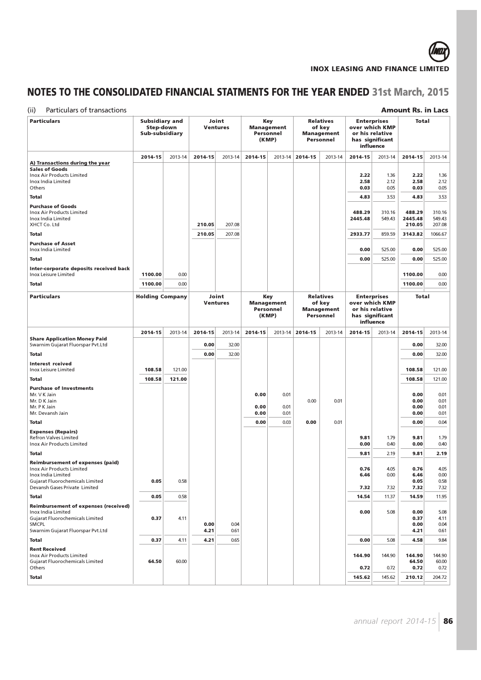

| Particulars of transactions<br>(ii)                                                                                                                              |                                               |         |                          |              |                                                |             |                                                              |           |                                                                                         |                      | <b>Amount Rs. in Lacs</b>    |                              |
|------------------------------------------------------------------------------------------------------------------------------------------------------------------|-----------------------------------------------|---------|--------------------------|--------------|------------------------------------------------|-------------|--------------------------------------------------------------|-----------|-----------------------------------------------------------------------------------------|----------------------|------------------------------|------------------------------|
| <b>Particulars</b>                                                                                                                                               | Subsidiary and<br>Step-down<br>Sub-subsidiary |         | Joint<br><b>Ventures</b> |              | Key<br>Management<br>Personnel<br>(KMP)        |             | <b>Relatives</b><br>of key<br><b>Management</b><br>Personnel |           | <b>Enterprises</b><br>over which KMP<br>or his relative<br>has significant<br>influence |                      | Total                        |                              |
|                                                                                                                                                                  | 2014-15                                       | 2013-14 | 2014-15                  | 2013-14      | 2014-15                                        | 2013-14     | 2014-15                                                      | 2013-14   | 2014-15                                                                                 | 2013-14              | 2014-15                      | 2013-14                      |
| A) Transactions during the year<br><b>Sales of Goods</b><br>Inox Air Products Limited<br><b>Inox India Limited</b><br>Others                                     |                                               |         |                          |              |                                                |             |                                                              |           | 2.22<br>2.58<br>0.03                                                                    | 1.36<br>2.12<br>0.05 | 2.22<br>2.58<br>0.03         | 1.36<br>2.12<br>0.05         |
| Total                                                                                                                                                            |                                               |         |                          |              |                                                |             |                                                              |           | 4.83                                                                                    | 3.53                 | 4.83                         | 3.53                         |
| <b>Purchase of Goods</b><br>Inox Air Products Limited<br>Inox India Limited<br>XHCT Co. Ltd                                                                      |                                               |         | 210.05                   | 207.08       |                                                |             |                                                              |           | 488.29<br>2445.48                                                                       | 310.16<br>549.43     | 488.29<br>2445.48<br>210.05  | 310.16<br>549.43<br>207.08   |
| Total                                                                                                                                                            |                                               |         | 210.05                   | 207.08       |                                                |             |                                                              |           | 2933.77                                                                                 | 859.59               | 3143.82                      | 1066.67                      |
| <b>Purchase of Asset</b><br><b>Inox India Limited</b>                                                                                                            |                                               |         |                          |              |                                                |             |                                                              |           | 0.00                                                                                    | 525.00               | 0.00                         | 525.00                       |
| Total                                                                                                                                                            |                                               |         |                          |              |                                                |             |                                                              |           | 0.00                                                                                    | 525.00               | 0.00                         | 525.00                       |
| Inter-corporate deposits received back<br>Inox Leisure Limited                                                                                                   | 1100.00                                       | 0.00    |                          |              |                                                |             |                                                              |           |                                                                                         |                      | 1100.00                      | 0.00                         |
| Total                                                                                                                                                            | 1100.00                                       | 0.00    |                          |              |                                                |             |                                                              |           |                                                                                         |                      | 1100.00                      | 0.00                         |
|                                                                                                                                                                  |                                               |         |                          |              |                                                |             |                                                              | Relatives |                                                                                         |                      | <b>Total</b>                 |                              |
| <b>Particulars</b>                                                                                                                                               | <b>Holding Company</b>                        |         | Joint<br><b>Ventures</b> |              | Key<br><b>Management</b><br>Personnel<br>(KMP) |             | of key<br><b>Management</b><br>Personnel                     |           | <b>Enterprises</b><br>over which KMP<br>or his relative<br>has significant<br>influence |                      |                              |                              |
|                                                                                                                                                                  | 2014-15                                       | 2013-14 | 2014-15                  | 2013-14      | 2014-15                                        | $2013 - 14$ | 2014-15                                                      | 2013-14   | 2014-15                                                                                 | 2013-14              | 2014-15                      | 2013-14                      |
| <b>Share Application Money Paid</b><br>Swarnim Gujarat Fluorspar Pvt.Ltd                                                                                         |                                               |         | 0.00                     | 32.00        |                                                |             |                                                              |           |                                                                                         |                      | 0.00                         | 32.00                        |
| Total                                                                                                                                                            |                                               |         | 0.00                     | 32.00        |                                                |             |                                                              |           |                                                                                         |                      | 0.00                         | 32.00                        |
| <b>Interest rceived</b>                                                                                                                                          |                                               |         |                          |              |                                                |             |                                                              |           |                                                                                         |                      |                              |                              |
| Inox Leisure Limited                                                                                                                                             | 108.58                                        | 121.00  |                          |              |                                                |             |                                                              |           |                                                                                         |                      | 108.58                       | 121.00                       |
| Total                                                                                                                                                            | 108.58                                        | 121.00  |                          |              |                                                |             |                                                              |           |                                                                                         |                      | 108.58                       | 121.00                       |
| <b>Purchase of Investments</b>                                                                                                                                   |                                               |         |                          |              |                                                |             |                                                              |           |                                                                                         |                      |                              |                              |
| Mr. V K Jain<br>Mr. D K Jain                                                                                                                                     |                                               |         |                          |              | 0.00                                           | 0.01        | 0.00                                                         | 0.01      |                                                                                         |                      | 0.00<br>0.00                 | 0.01<br>0.01                 |
| Mr. P K Jain                                                                                                                                                     |                                               |         |                          |              | 0.00                                           | 0.01        |                                                              |           |                                                                                         |                      | 0.00                         | 0.01                         |
| Mr. Devansh Jain                                                                                                                                                 |                                               |         |                          |              | 0.00                                           | 0.01        |                                                              |           |                                                                                         |                      | 0.00                         | 0.01                         |
| Total                                                                                                                                                            |                                               |         |                          |              | 0.00                                           | 0.03        | 0.00                                                         | 0.01      |                                                                                         |                      | 0.00                         | 0.04                         |
| <b>Expenses (Repairs)</b><br><b>Refron Valves Limited</b><br><b>Inox Air Products Limited</b>                                                                    |                                               |         |                          |              |                                                |             |                                                              |           | 9.81<br>0.00                                                                            | 1.79<br>0.40         | 9.81<br>0.00                 | 1.79<br>0.40                 |
| Total                                                                                                                                                            |                                               |         |                          |              |                                                |             |                                                              |           | 9.81                                                                                    | 2.19                 | 9.81                         | 2.19                         |
| <b>Reimbursement of expenses (paid)</b><br>Inox Air Products Limited<br>Inox India Limited<br>Gujarat Fluorochemicals Limited<br>Devansh Gases Private Limited   | 0.05                                          | 0.58    |                          |              |                                                |             |                                                              |           | 0.76<br>6.46<br>7.32                                                                    | 4.05<br>0.00<br>7.32 | 0.76<br>6.46<br>0.05<br>7.32 | 4.05<br>0.00<br>0.58<br>7.32 |
| Total                                                                                                                                                            | 0.05                                          | 0.58    |                          |              |                                                |             |                                                              |           | 14.54                                                                                   | 11.37                | 14.59                        | 11.95                        |
| <b>Reimbursement of expenses (received)</b><br><b>Inox India Limited</b><br>Gujarat Fluorochemicals Limited<br><b>SMCPL</b><br>Swarnim Gujarat Fluorspar Pvt.Ltd | 0.37                                          | 4.11    | 0.00<br>4.21             | 0.04<br>0.61 |                                                |             |                                                              |           | 0.00                                                                                    | 5.08                 | 0.00<br>0.37<br>0.00<br>4.21 | 5.08<br>4.11<br>0.04<br>0.61 |
| Total                                                                                                                                                            | 0.37                                          | 4.11    | 4.21                     | 0.65         |                                                |             |                                                              |           | 0.00                                                                                    | 5.08                 | 4.58                         | 9.84                         |
| <b>Rent Received</b><br>Inox Air Products Limited<br>Gujarat Fluorochemicals Limited                                                                             | 64.50                                         | 60.00   |                          |              |                                                |             |                                                              |           | 144.90                                                                                  | 144.90               | 144.90<br>64.50              | 144.90<br>60.00              |
| Others                                                                                                                                                           |                                               |         |                          |              |                                                |             |                                                              |           | 0.72                                                                                    | 0.72                 | 0.72                         | 0.72                         |
| Total                                                                                                                                                            |                                               |         |                          |              |                                                |             |                                                              |           | 145.62                                                                                  | 145.62               | 210.12                       | 204.72                       |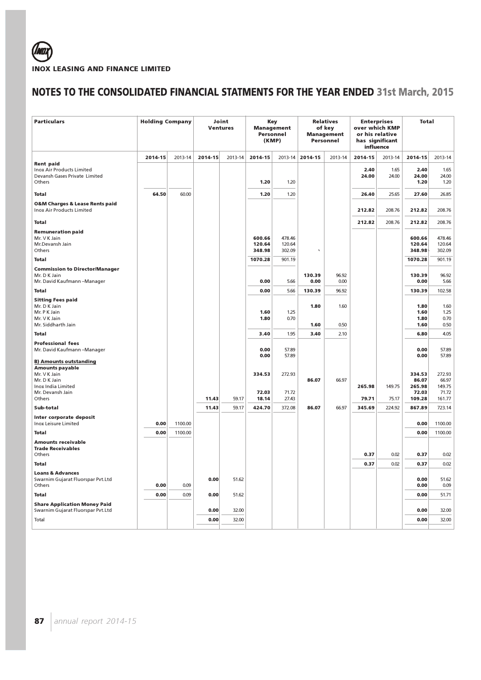| Particulars                                                                                                                                 | <b>Holding Company</b> |         | Joint<br><b>Ventures</b> |         | Key<br><b>Management</b><br>Personnel<br>(KMP) |                            | <b>Relatives</b><br>of key<br><b>Management</b><br>Personnel |               | <b>Enterprises</b><br>over which KMP<br>or his relative<br>has significant<br>influence |                 | Total                                        |                                              |
|---------------------------------------------------------------------------------------------------------------------------------------------|------------------------|---------|--------------------------|---------|------------------------------------------------|----------------------------|--------------------------------------------------------------|---------------|-----------------------------------------------------------------------------------------|-----------------|----------------------------------------------|----------------------------------------------|
|                                                                                                                                             | 2014-15                | 2013-14 | 2014-15                  | 2013-14 | 2014-15                                        | 2013-14                    | 2014-15                                                      | 2013-14       | 2014-15                                                                                 | 2013-14         | 2014-15                                      | 2013-14                                      |
| <b>Rent paid</b><br>Inox Air Products Limited<br>Devansh Gases Private Limited<br>Others                                                    |                        |         |                          |         | 1.20                                           | 1.20                       |                                                              |               | 2.40<br>24.00                                                                           | 1.65<br>24.00   | 2.40<br>24.00<br>1.20                        | 1.65<br>24.00<br>1.20                        |
| <b>Total</b>                                                                                                                                | 64.50                  | 60.00   |                          |         | 1.20                                           | 1.20                       |                                                              |               | 26.40                                                                                   | 25.65           | 27.60                                        | 26.85                                        |
| <b>O&amp;M Charges &amp; Lease Rents paid</b><br>Inox Air Products Limited                                                                  |                        |         |                          |         |                                                |                            |                                                              |               | 212.82                                                                                  | 208.76          | 212.82                                       | 208.76                                       |
| Total                                                                                                                                       |                        |         |                          |         |                                                |                            |                                                              |               | 212.82                                                                                  | 208.76          | 212.82                                       | 208.76                                       |
| <b>Remuneration paid</b><br>Mr. V K Jain<br>Mr.Devansh Jain<br>Others                                                                       |                        |         |                          |         | 600.66<br>120.64<br>348.98                     | 478.46<br>120.64<br>302.09 |                                                              |               |                                                                                         |                 | 600.66<br>120.64<br>348.98                   | 478.46<br>120.64<br>302.09                   |
| Total                                                                                                                                       |                        |         |                          |         | 1070.28                                        | 901.19                     |                                                              |               |                                                                                         |                 | 1070.28                                      | 901.19                                       |
| <b>Commission to Director/Manager</b><br>Mr. D K Jain<br>Mr. David Kaufmann-Manager                                                         |                        |         |                          |         | 0.00                                           | 5.66                       | 130.39<br>0.00                                               | 96.92<br>0.00 |                                                                                         |                 | 130.39<br>0.00                               | 96.92<br>5.66                                |
| Total                                                                                                                                       |                        |         |                          |         | 0.00                                           | 5.66                       | 130.39                                                       | 96.92         |                                                                                         |                 | 130.39                                       | 102.58                                       |
| <b>Sitting Fees paid</b><br>Mr. D K Jain<br>Mr. PK Jain<br>Mr. V K Jain<br>Mr. Siddharth Jain                                               |                        |         |                          |         | 1.60<br>1.80                                   | 1.25<br>0.70               | 1.80<br>1.60                                                 | 1.60<br>0.50  |                                                                                         |                 | 1.80<br>1.60<br>1.80<br>1.60                 | 1.60<br>1.25<br>0.70<br>0.50                 |
| Total                                                                                                                                       |                        |         |                          |         | 3.40                                           | 1.95                       | 3.40                                                         | 2.10          |                                                                                         |                 | 6.80                                         | 4.05                                         |
| <b>Professional fees</b><br>Mr. David Kaufmann-Manager                                                                                      |                        |         |                          |         | 0.00<br>0.00                                   | 57.89<br>57.89             |                                                              |               |                                                                                         |                 | 0.00<br>0.00                                 | 57.89<br>57.89                               |
| <b>B) Amounts outstanding</b><br><b>Amounts payable</b><br>Mr. V K Jain<br>Mr. D K Jain<br>Inox India Limited<br>Mr. Devansh Jain<br>Others |                        |         | 11.43                    | 59.17   | 334.53<br>72.03<br>18.14                       | 272.93<br>71.72<br>27.43   | 86.07                                                        | 66.97         | 265.98<br>79.71                                                                         | 149.75<br>75.17 | 334.53<br>86.07<br>265.98<br>72.03<br>109.28 | 272.93<br>66.97<br>149.75<br>71.72<br>161.77 |
| Sub-total                                                                                                                                   |                        |         | 11.43                    | 59.17   | 424.70                                         | 372.08                     | 86.07                                                        | 66.97         | 345.69                                                                                  | 224.92          | 867.89                                       | 723.14                                       |
| Inter corporate deposit<br>Inox Leisure Limited                                                                                             | 0.00                   | 1100.00 |                          |         |                                                |                            |                                                              |               |                                                                                         |                 | 0.00                                         | 1100.00                                      |
| Total                                                                                                                                       | 0.00                   | 1100.00 |                          |         |                                                |                            |                                                              |               |                                                                                         |                 | 0.00                                         | 1100.00                                      |
| <b>Amounts receivable</b><br><b>Trade Receivables</b><br>Others                                                                             |                        |         |                          |         |                                                |                            |                                                              |               | 0.37                                                                                    | 0.02            | 0.37                                         | 0.02                                         |
| Total                                                                                                                                       |                        |         |                          |         |                                                |                            |                                                              |               | 0.37                                                                                    | 0.02            | 0.37                                         | 0.02                                         |
| <b>Loans &amp; Advances</b><br>Swarnim Gujarat Fluorspar Pvt.Ltd<br>Others                                                                  | 0.00                   | 0.09    | 0.00                     | 51.62   |                                                |                            |                                                              |               |                                                                                         |                 | 0.00<br>0.00                                 | 51.62<br>0.09                                |
| Total                                                                                                                                       | 0.00                   | 0.09    | 0.00                     | 51.62   |                                                |                            |                                                              |               |                                                                                         |                 | 0.00                                         | 51.71                                        |
| <b>Share Application Money Paid</b><br>Swarnim Gujarat Fluorspar Pvt.Ltd                                                                    |                        |         | 0.00                     | 32.00   |                                                |                            |                                                              |               |                                                                                         |                 | 0.00                                         | 32.00                                        |
| Total                                                                                                                                       |                        |         | 0.00                     | 32.00   |                                                |                            |                                                              |               |                                                                                         |                 | 0.00                                         | 32.00                                        |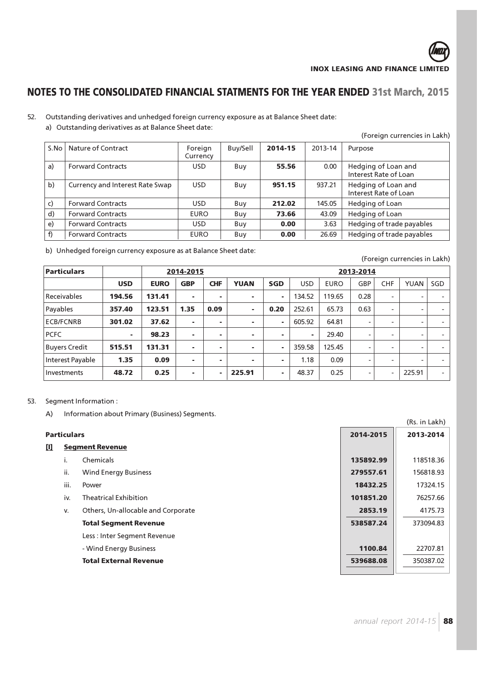

52. Outstanding derivatives and unhedged foreign currency exposure as at Balance Sheet date: a) Outstanding derivatives as at Balance Sheet date:

#### (Foreign currencies in Lakh)

| S.No | Nature of Contract              | Foreign<br>Currency | Buy/Sell | 2014-15 | 2013-14 | Purpose                                      |
|------|---------------------------------|---------------------|----------|---------|---------|----------------------------------------------|
| a)   | <b>Forward Contracts</b>        | <b>USD</b>          | Buy      | 55.56   | 0.00    | Hedging of Loan and<br>Interest Rate of Loan |
| b)   | Currency and Interest Rate Swap | <b>USD</b>          | Buy      | 951.15  | 937.21  | Hedging of Loan and<br>Interest Rate of Loan |
| c)   | <b>Forward Contracts</b>        | <b>USD</b>          | Buy      | 212.02  | 145.05  | Hedging of Loan                              |
| d)   | <b>Forward Contracts</b>        | <b>EURO</b>         | Buy      | 73.66   | 43.09   | Hedging of Loan                              |
| e)   | <b>Forward Contracts</b>        | <b>USD</b>          | Buy      | 0.00    | 3.63    | Hedging of trade payables                    |
| f)   | <b>Forward Contracts</b>        | <b>EURO</b>         | Buy      | 0.00    | 26.69   | Hedging of trade payables                    |

b) Unhedged foreign currency exposure as at Balance Sheet date:

(Foreign currencies in Lakh)

(Rs. in Lakh)

| <b>Particulars</b>   |            |             | 2014-2015      |            |             |            | 2013-2014  |             |                          |                          |                          |                          |  |  |
|----------------------|------------|-------------|----------------|------------|-------------|------------|------------|-------------|--------------------------|--------------------------|--------------------------|--------------------------|--|--|
|                      | <b>USD</b> | <b>EURO</b> | <b>GBP</b>     | <b>CHF</b> | <b>YUAN</b> | <b>SGD</b> | <b>USD</b> | <b>EURO</b> | GBP                      | <b>CHF</b>               | <b>YUAN</b>              | SGD                      |  |  |
| Receivables          | 194.56     | 131.41      |                | ۰          | ٠           |            | 134.52     | 119.65      | 0.28                     | $\overline{\phantom{a}}$ | $\overline{\phantom{a}}$ |                          |  |  |
| Payables             | 357.40     | 123.51      | 1.35           | 0.09       | ٠           | 0.20       | 252.61     | 65.73       | 0.63                     | ٠                        | $\overline{\phantom{a}}$ | $\sim$                   |  |  |
| <b>ECB/FCNRB</b>     | 301.02     | 37.62       |                | ۰          | ٠           |            | 605.92     | 64.81       | -                        | $\overline{\phantom{a}}$ | $\overline{\phantom{a}}$ | $\sim$                   |  |  |
| <b>PCFC</b>          | ۰          | 98.23       | ۰              | ۰          | ۰           |            | ۰          | 29.40       | $\overline{\phantom{0}}$ | ۰                        | $\overline{\phantom{a}}$ | -                        |  |  |
| <b>Buyers Credit</b> | 515.51     | 131.31      | $\blacksquare$ | ۰          | ۰           |            | 359.58     | 125.45      | $\overline{\phantom{0}}$ | -                        | $\overline{\phantom{a}}$ |                          |  |  |
| Interest Payable     | 1.35       | 0.09        | ۰              | ۰          | ۰           |            | 1.18       | 0.09        | $\overline{\phantom{0}}$ | $\overline{\phantom{0}}$ | $\overline{\phantom{a}}$ | $\sim$                   |  |  |
| Investments          | 48.72      | 0.25        | ۰              | ٠          | 225.91      | ۰          | 48.37      | 0.25        | ۰                        | ۰                        | 225.91                   | $\overline{\phantom{0}}$ |  |  |

#### 53. Segment Information :

A) Information about Primary (Business) Segments.

#### Particulars 2014-2015 2013-2014

#### [I] Segment Revenue

- i. Chemicals 135892.99 118518.36
- ii. Wind Energy Business 279557.61 279557.61 156818.93
- iii. Power 17324.15 18432.25 2014 18432.25 2014 18432.25 2014 18432.25 2014 18432.25 2014 18432.25 2014 17324.
- iv. Theatrical Exhibition 101851.20 76257.66
- v. Others, Un-allocable and Corporate 2853.19 4175.73

#### **Total Segment Revenue 62.6 States 12.6 States 12.6 States 12.6 States 12.6 States 12.6 States 12.6 States 12.6 States 12.6 States 12.6 States 12.6 States 12.6 States 12.6 States 12.6 States 12.6 States 12.6 States 12.6 St**

Less : Inter Segment Revenue

- Wind Energy Business 22707.81

#### Total External Revenue 539688.08 350387.02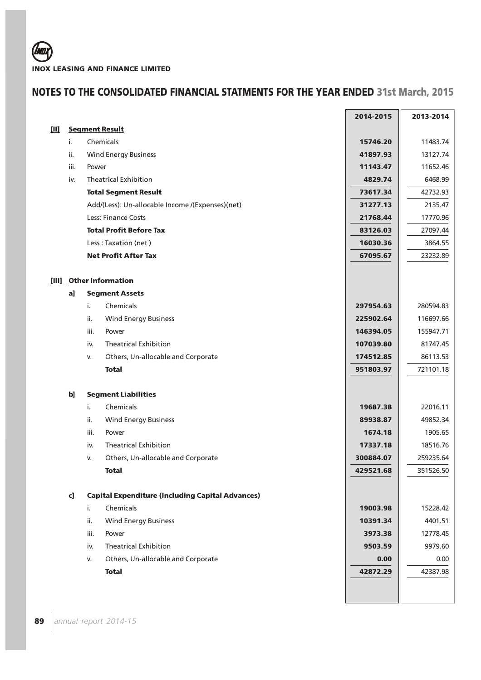|   |      |       |                                                         | 2014-2015 | 2013-2014 |
|---|------|-------|---------------------------------------------------------|-----------|-----------|
| Ш |      |       | <b>Segment Result</b>                                   |           |           |
|   | i.   |       | Chemicals                                               | 15746.20  | 11483.74  |
|   | ii.  |       | Wind Energy Business                                    | 41897.93  | 13127.74  |
|   | iii. | Power |                                                         | 11143.47  | 11652.46  |
|   | iv.  |       | <b>Theatrical Exhibition</b>                            | 4829.74   | 6468.99   |
|   |      |       | <b>Total Segment Result</b>                             | 73617.34  | 42732.93  |
|   |      |       | Add/(Less): Un-allocable Income /(Expenses)(net)        | 31277.13  | 2135.47   |
|   |      |       | <b>Less: Finance Costs</b>                              | 21768.44  | 17770.96  |
|   |      |       | <b>Total Profit Before Tax</b>                          | 83126.03  | 27097.44  |
|   |      |       | Less: Taxation (net)                                    | 16030.36  | 3864.55   |
|   |      |       | <b>Net Profit After Tax</b>                             | 67095.67  | 23232.89  |
|   |      |       |                                                         |           |           |
|   |      |       | [III] Other Information                                 |           |           |
|   | a]   |       | <b>Segment Assets</b>                                   |           |           |
|   |      | i.    | Chemicals                                               | 297954.63 | 280594.83 |
|   |      | ii.   | <b>Wind Energy Business</b>                             | 225902.64 | 116697.66 |
|   |      | iii.  | Power                                                   | 146394.05 | 155947.71 |
|   |      | iv.   | <b>Theatrical Exhibition</b>                            | 107039.80 | 81747.45  |
|   |      | v.    | Others, Un-allocable and Corporate                      | 174512.85 | 86113.53  |
|   |      |       | <b>Total</b>                                            | 951803.97 | 721101.18 |
|   |      |       |                                                         |           |           |
|   | b]   |       | <b>Segment Liabilities</b>                              |           |           |
|   |      | i.    | Chemicals                                               | 19687.38  | 22016.11  |
|   |      | ii.   | <b>Wind Energy Business</b>                             | 89938.87  | 49852.34  |
|   |      | iii.  | Power                                                   | 1674.18   | 1905.65   |
|   |      | iv.   | <b>Theatrical Exhibition</b>                            | 17337.18  | 18516.76  |
|   |      | v.    | Others, Un-allocable and Corporate                      | 300884.07 | 259235.64 |
|   |      |       | Total                                                   | 429521.68 | 351526.50 |
|   | c]   |       | <b>Capital Expenditure (Including Capital Advances)</b> |           |           |
|   |      | i.    | Chemicals                                               | 19003.98  | 15228.42  |
|   |      | ii.   | <b>Wind Energy Business</b>                             | 10391.34  | 4401.51   |
|   |      | iii.  | Power                                                   | 3973.38   | 12778.45  |
|   |      | iv.   | <b>Theatrical Exhibition</b>                            | 9503.59   | 9979.60   |
|   |      | v.    | Others, Un-allocable and Corporate                      | 0.00      | 0.00      |
|   |      |       | <b>Total</b>                                            | 42872.29  | 42387.98  |
|   |      |       |                                                         |           |           |
|   |      |       |                                                         |           |           |
|   |      |       |                                                         |           |           |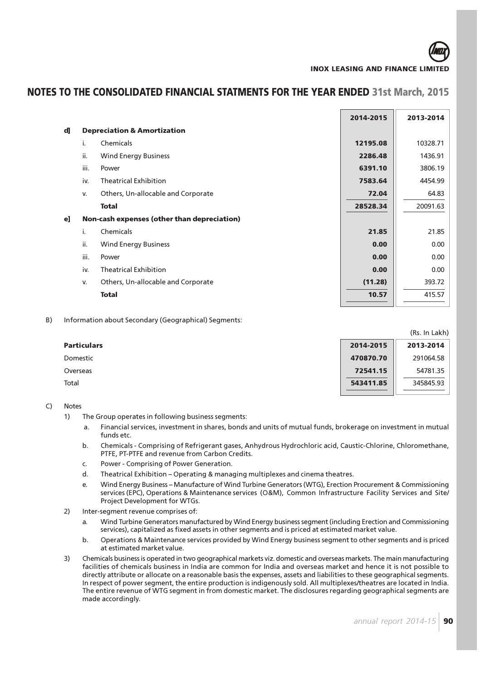|       |      |                                             | 2014-2015 | 2013-2014 |
|-------|------|---------------------------------------------|-----------|-----------|
| ď     |      | <b>Depreciation &amp; Amortization</b>      |           |           |
|       | i.   | Chemicals                                   | 12195.08  | 10328.71  |
|       | ii.  | <b>Wind Energy Business</b>                 | 2286.48   | 1436.91   |
|       | iii. | Power                                       | 6391.10   | 3806.19   |
|       | iv.  | <b>Theatrical Exhibition</b>                | 7583.64   | 4454.99   |
|       | V.   | Others, Un-allocable and Corporate          | 72.04     | 64.83     |
|       |      | <b>Total</b>                                | 28528.34  | 20091.63  |
| $e$ ] |      | Non-cash expenses (other than depreciation) |           |           |
|       | i.   | Chemicals                                   | 21.85     | 21.85     |
|       | ii.  | <b>Wind Energy Business</b>                 | 0.00      | 0.00      |
|       | iii. | Power                                       | 0.00      | 0.00      |
|       | iv.  | <b>Theatrical Exhibition</b>                | 0.00      | 0.00      |
|       | V.   | Others, Un-allocable and Corporate          | (11.28)   | 393.72    |
|       |      | <b>Total</b>                                | 10.57     | 415.57    |
|       |      |                                             |           |           |

B) Information about Secondary (Geographical) Segments:

|                    |           | (Rs. In Lakh) |
|--------------------|-----------|---------------|
| <b>Particulars</b> | 2014-2015 | 2013-2014     |
| Domestic           | 470870.70 | 291064.58     |
| Overseas           | 72541.15  | 54781.35      |
| Total              | 543411.85 | 345845.93     |
|                    |           |               |

#### C) Notes

- 1) The Group operates in following business segments:
	- a. Financial services, investment in shares, bonds and units of mutual funds, brokerage on investment in mutual funds etc.
	- b. Chemicals Comprising of Refrigerant gases, Anhydrous Hydrochloric acid, Caustic-Chlorine, Chloromethane, PTFE, PT-PTFE and revenue from Carbon Credits.
	- c. Power Comprising of Power Generation.
	- d. Theatrical Exhibition Operating & managing multiplexes and cinema theatres.
	- e. Wind Energy Business Manufacture of Wind Turbine Generators (WTG), Erection Procurement & Commissioning services (EPC), Operations & Maintenance services (O&M), Common Infrastructure Facility Services and Site/ Project Development for WTGs.
- 2) Inter-segment revenue comprises of:
	- a. Wind Turbine Generators manufactured by Wind Energy business segment (including Erection and Commissioning services), capitalized as fixed assets in other segments and is priced at estimated market value.
	- b. Operations & Maintenance services provided by Wind Energy business segment to other segments and is priced at estimated market value.
- 3) Chemicals business is operated in two geographical markets viz. domestic and overseas markets. The main manufacturing facilities of chemicals business in India are common for India and overseas market and hence it is not possible to directly attribute or allocate on a reasonable basis the expenses, assets and liabilities to these geographical segments. In respect of power segment, the entire production is indigenously sold. All multiplexes/theatres are located in India. The entire revenue of WTG segment in from domestic market. The disclosures regarding geographical segments are made accordingly.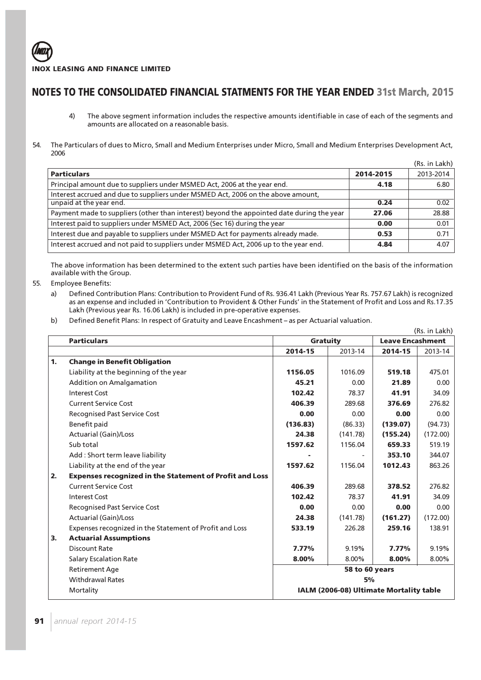- 4) The above segment information includes the respective amounts identifiable in case of each of the segments and amounts are allocated on a reasonable basis.
- 54. The Particulars of dues to Micro, Small and Medium Enterprises under Micro, Small and Medium Enterprises Development Act, 2006

|                                                                                           |           | (Rs. in Lakh) |
|-------------------------------------------------------------------------------------------|-----------|---------------|
| <b>Particulars</b>                                                                        | 2014-2015 | 2013-2014     |
| Principal amount due to suppliers under MSMED Act, 2006 at the year end.                  | 4.18      | 6.80          |
| Interest accrued and due to suppliers under MSMED Act, 2006 on the above amount,          |           |               |
| unpaid at the year end.                                                                   | 0.24      | 0.02          |
| Payment made to suppliers (other than interest) beyond the appointed date during the year | 27.06     | 28.88         |
| Interest paid to suppliers under MSMED Act, 2006 (Sec 16) during the year                 | 0.00      | 0.01          |
| Interest due and payable to suppliers under MSMED Act for payments already made.          | 0.53      | 0.71          |
| Interest accrued and not paid to suppliers under MSMED Act, 2006 up to the year end.      | 4.84      | 4.07          |

The above information has been determined to the extent such parties have been identified on the basis of the information available with the Group.

- 55. Employee Benefits:
	- a) Defined Contribution Plans: Contribution to Provident Fund of Rs. 936.41 Lakh (Previous Year Rs. 757.67 Lakh) is recognized as an expense and included in 'Contribution to Provident & Other Funds' in the Statement of Profit and Loss and Rs.17.35 Lakh (Previous year Rs. 16.06 Lakh) is included in pre-operative expenses.
	- b) Defined Benefit Plans: In respect of Gratuity and Leave Encashment as per Actuarial valuation.

|    |                                                                |                                         |          |                         | (Rs. in Lakh) |  |  |
|----|----------------------------------------------------------------|-----------------------------------------|----------|-------------------------|---------------|--|--|
|    | <b>Particulars</b>                                             | Gratuity                                |          | <b>Leave Encashment</b> |               |  |  |
|    |                                                                | 2014-15                                 | 2013-14  | 2014-15                 | 2013-14       |  |  |
| 1. | <b>Change in Benefit Obligation</b>                            |                                         |          |                         |               |  |  |
|    | Liability at the beginning of the year                         | 1156.05                                 | 1016.09  | 519.18                  | 475.01        |  |  |
|    | <b>Addition on Amalgamation</b>                                | 45.21                                   | 0.00     | 21.89                   | 0.00          |  |  |
|    | Interest Cost                                                  | 102.42                                  | 78.37    | 41.91                   | 34.09         |  |  |
|    | <b>Current Service Cost</b>                                    | 406.39                                  | 289.68   | 376.69                  | 276.82        |  |  |
|    | <b>Recognised Past Service Cost</b>                            | 0.00                                    | 0.00     | 0.00                    | 0.00          |  |  |
|    | Benefit paid                                                   | (136.83)                                | (86.33)  | (139.07)                | (94.73)       |  |  |
|    | <b>Actuarial (Gain)/Loss</b>                                   | 24.38                                   | (141.78) | (155.24)                | (172.00)      |  |  |
|    | Sub total                                                      | 1597.62                                 | 1156.04  | 659.33                  | 519.19        |  |  |
|    | Add : Short term leave liability                               |                                         |          | 353.10                  | 344.07        |  |  |
|    | Liability at the end of the year                               | 1597.62                                 | 1156.04  | 1012.43                 | 863.26        |  |  |
| 2. | <b>Expenses recognized in the Statement of Profit and Loss</b> |                                         |          |                         |               |  |  |
|    | <b>Current Service Cost</b>                                    | 406.39                                  | 289.68   | 378.52                  | 276.82        |  |  |
|    | <b>Interest Cost</b>                                           | 102.42                                  | 78.37    | 41.91                   | 34.09         |  |  |
|    | <b>Recognised Past Service Cost</b>                            | 0.00                                    | 0.00     | 0.00                    | 0.00          |  |  |
|    | <b>Actuarial (Gain)/Loss</b>                                   | 24.38                                   | (141.78) | (161.27)                | (172.00)      |  |  |
|    | Expenses recognized in the Statement of Profit and Loss        | 533.19                                  | 226.28   | 259.16                  | 138.91        |  |  |
| 3. | <b>Actuarial Assumptions</b>                                   |                                         |          |                         |               |  |  |
|    | Discount Rate                                                  | 7.77%                                   | 9.19%    | 7.77%                   | 9.19%         |  |  |
|    | <b>Salary Escalation Rate</b>                                  | 8.00%                                   | 8.00%    | 8.00%                   | 8.00%         |  |  |
|    | <b>Retirement Age</b>                                          | 58 to 60 years                          |          |                         |               |  |  |
|    | <b>Withdrawal Rates</b>                                        |                                         | 5%       |                         |               |  |  |
|    | Mortality                                                      | IALM (2006-08) Ultimate Mortality table |          |                         |               |  |  |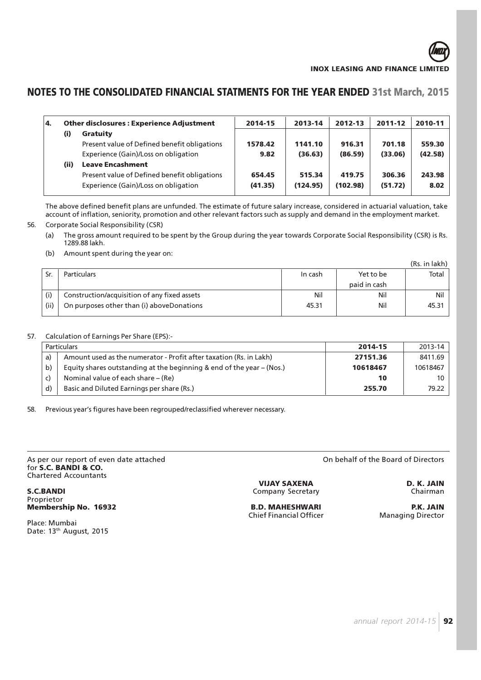| 4. |      | <b>Other disclosures: Experience Adjustment</b> | 2014-15 | 2013-14  | 2012-13  | 2011-12 | 2010-11 |
|----|------|-------------------------------------------------|---------|----------|----------|---------|---------|
|    | (i)  | Gratuity                                        |         |          |          |         |         |
|    |      | Present value of Defined benefit obligations    | 1578.42 | 1141.10  | 916.31   | 701.18  | 559.30  |
|    |      | Experience (Gain)/Loss on obligation            | 9.82    | (36.63)  | (86.59)  | (33.06) | (42.58) |
|    | (ii) | <b>Leave Encashment</b>                         |         |          |          |         |         |
|    |      | Present value of Defined benefit obligations    | 654.45  | 515.34   | 419.75   | 306.36  | 243.98  |
|    |      | Experience (Gain)/Loss on obligation            | (41.35) | (124.95) | (102.98) | (51.72) | 8.02    |

The above defined benefit plans are unfunded. The estimate of future salary increase, considered in actuarial valuation, take account of inflation, seniority, promotion and other relevant factors such as supply and demand in the employment market.

56. Corporate Social Responsibility (CSR)

- (a) The gross amount required to be spent by the Group during the year towards Corporate Social Responsibility (CSR) is Rs. 1289.88 lakh.
- (b) Amount spent during the year on:

|      |                                              |         |              | (Rs. in lakh) |
|------|----------------------------------------------|---------|--------------|---------------|
| Sr.  | <b>Particulars</b>                           | In cash | Yet to be    | Total         |
|      |                                              |         | paid in cash |               |
| (i)  | Construction/acquisition of any fixed assets | Nil     | Nil          | Nil           |
| (ii) | On purposes other than (i) aboveDonations    | 45.31   | Nil          | 45.31         |
|      |                                              |         |              |               |

#### 57. Calculation of Earnings Per Share (EPS):-

|    | <b>Particulars</b>                                                    | 2014-15  | 2013-14  |
|----|-----------------------------------------------------------------------|----------|----------|
| a) | Amount used as the numerator - Profit after taxation (Rs. in Lakh)    | 27151.36 | 8411.69  |
| b) | Equity shares outstanding at the beginning & end of the year - (Nos.) | 10618467 | 10618467 |
| C) | Nominal value of each share – (Re)                                    | 10       | 10       |
| d) | Basic and Diluted Earnings per share (Rs.)                            | 255.70   | 79.22    |

#### 58. Previous year's figures have been regrouped/reclassified wherever necessary.

As per our report of even date attached On behalf of the Board of Directors for S.C. BANDI & CO. Chartered Accountants

S.C.BANDI Company Secretary Company Secretary Proprietor

Place: Mumbai Date: 13<sup>th</sup> August, 2015

**VIJAY SAXENA D. K. JAIN**<br>
ompany Secretary **D. K. JAIN** 

Membership No. 16932 **B.D. MAHESHWARI P.K. JAIN** P.K. JAIN P.K. JAIN P.K. JAIN P.K. JAIN

**Managing Director**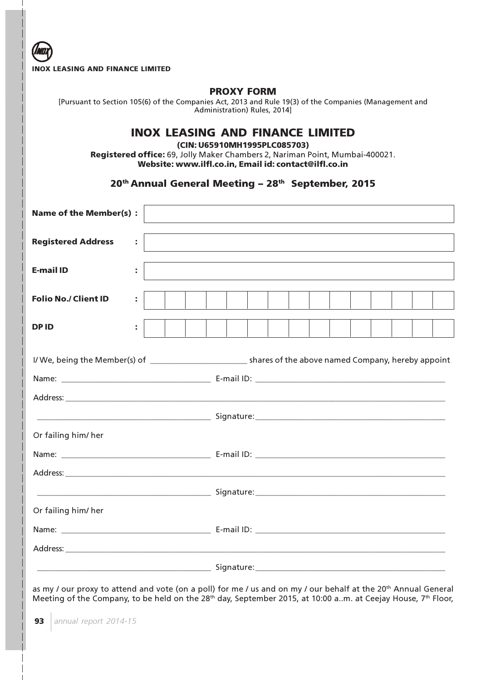INOX LEASING AND FINANCE LIMITED

#### PROXY FORM

[Pursuant to Section 105(6) of the Companies Act, 2013 and Rule 19(3) of the Companies (Management and Administration) Rules, 2014]

## INOX LEASING AND FINANCE LIMITED

(CIN: U65910MH1995PLC085703)

Registered office: 69, Jolly Maker Chambers 2, Nariman Point, Mumbai-400021. Website: www.ilfl.co.in, Email id: contact@ilfl.co.in

## 20<sup>th</sup> Annual General Meeting - 28<sup>th</sup> September, 2015

| <b>Name of the Member(s):</b>                                                                                                                                                                                                                                                                                  |    |  | and the control of the control of the control of the control of the control of the control of the control of the |  |  |  |  |  |  |
|----------------------------------------------------------------------------------------------------------------------------------------------------------------------------------------------------------------------------------------------------------------------------------------------------------------|----|--|------------------------------------------------------------------------------------------------------------------|--|--|--|--|--|--|
| <b>Registered Address</b>                                                                                                                                                                                                                                                                                      | ÷. |  | and the control of the control of the control of the control of the control of the control of the control of the |  |  |  |  |  |  |
| <b>E-mail ID</b>                                                                                                                                                                                                                                                                                               | t  |  |                                                                                                                  |  |  |  |  |  |  |
| <b>Folio No./ Client ID</b>                                                                                                                                                                                                                                                                                    |    |  |                                                                                                                  |  |  |  |  |  |  |
| <b>DPID</b>                                                                                                                                                                                                                                                                                                    | ÷  |  |                                                                                                                  |  |  |  |  |  |  |
|                                                                                                                                                                                                                                                                                                                |    |  |                                                                                                                  |  |  |  |  |  |  |
|                                                                                                                                                                                                                                                                                                                |    |  |                                                                                                                  |  |  |  |  |  |  |
|                                                                                                                                                                                                                                                                                                                |    |  |                                                                                                                  |  |  |  |  |  |  |
|                                                                                                                                                                                                                                                                                                                |    |  |                                                                                                                  |  |  |  |  |  |  |
| Or failing him/ her                                                                                                                                                                                                                                                                                            |    |  |                                                                                                                  |  |  |  |  |  |  |
|                                                                                                                                                                                                                                                                                                                |    |  |                                                                                                                  |  |  |  |  |  |  |
|                                                                                                                                                                                                                                                                                                                |    |  |                                                                                                                  |  |  |  |  |  |  |
|                                                                                                                                                                                                                                                                                                                |    |  |                                                                                                                  |  |  |  |  |  |  |
| Or failing him/ her                                                                                                                                                                                                                                                                                            |    |  |                                                                                                                  |  |  |  |  |  |  |
|                                                                                                                                                                                                                                                                                                                |    |  |                                                                                                                  |  |  |  |  |  |  |
|                                                                                                                                                                                                                                                                                                                |    |  |                                                                                                                  |  |  |  |  |  |  |
|                                                                                                                                                                                                                                                                                                                |    |  |                                                                                                                  |  |  |  |  |  |  |
| as my / our proxy to attend and vote (on a poll) for me / us and on my / our behalf at the 20 <sup>th</sup> Annual General<br>Meeting of the Company, to be held on the 28 <sup>th</sup> day, September 2015, at 10:00 a.m. at Ceejay House, 7 <sup>th</sup> Floor,<br>$\mathsf{Q2}$   annual roport $2014.15$ |    |  |                                                                                                                  |  |  |  |  |  |  |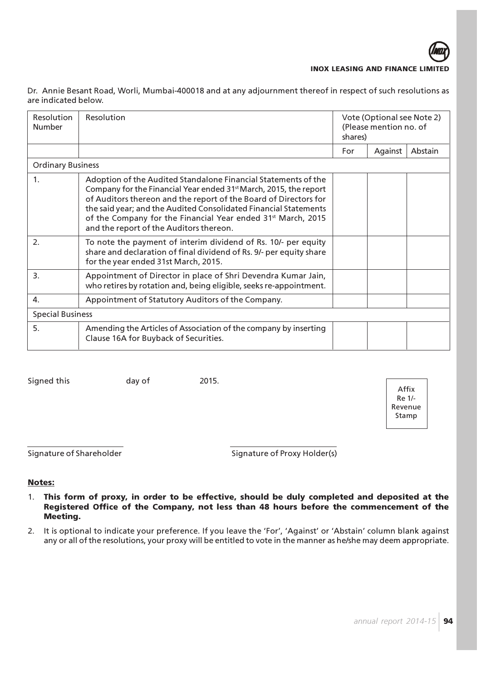

Dr. Annie Besant Road, Worli, Mumbai-400018 and at any adjournment thereof in respect of such resolutions as are indicated below.

| <b>Resolution</b><br><b>Number</b> | Resolution                                                                                                                                                                                                                                                                                                                                                                                                     | Vote (Optional see Note 2)<br>(Please mention no. of<br>shares) |         |         |  |  |  |  |
|------------------------------------|----------------------------------------------------------------------------------------------------------------------------------------------------------------------------------------------------------------------------------------------------------------------------------------------------------------------------------------------------------------------------------------------------------------|-----------------------------------------------------------------|---------|---------|--|--|--|--|
|                                    |                                                                                                                                                                                                                                                                                                                                                                                                                | For                                                             | Against | Abstain |  |  |  |  |
| <b>Ordinary Business</b>           |                                                                                                                                                                                                                                                                                                                                                                                                                |                                                                 |         |         |  |  |  |  |
| $\mathbf{1}$ .                     | Adoption of the Audited Standalone Financial Statements of the<br>Company for the Financial Year ended 31 <sup>st</sup> March, 2015, the report<br>of Auditors thereon and the report of the Board of Directors for<br>the said year; and the Audited Consolidated Financial Statements<br>of the Company for the Financial Year ended 31 <sup>st</sup> March, 2015<br>and the report of the Auditors thereon. |                                                                 |         |         |  |  |  |  |
| $\overline{2}$ .                   | To note the payment of interim dividend of Rs. 10/- per equity<br>share and declaration of final dividend of Rs. 9/- per equity share<br>for the year ended 31st March, 2015.                                                                                                                                                                                                                                  |                                                                 |         |         |  |  |  |  |
| 3.                                 | Appointment of Director in place of Shri Devendra Kumar Jain,<br>who retires by rotation and, being eligible, seeks re-appointment.                                                                                                                                                                                                                                                                            |                                                                 |         |         |  |  |  |  |
| 4.                                 | Appointment of Statutory Auditors of the Company.                                                                                                                                                                                                                                                                                                                                                              |                                                                 |         |         |  |  |  |  |
| <b>Special Business</b>            |                                                                                                                                                                                                                                                                                                                                                                                                                |                                                                 |         |         |  |  |  |  |
| 5.                                 | Amending the Articles of Association of the company by inserting<br>Clause 16A for Buyback of Securities.                                                                                                                                                                                                                                                                                                      |                                                                 |         |         |  |  |  |  |

Signed this day of 2015.

Affix Re 1/- Revenue Stamp

Signature of Shareholder Signature of Proxy Holder(s)

#### Notes:

- 1. This form of proxy, in order to be effective, should be duly completed and deposited at the Registered Office of the Company, not less than 48 hours before the commencement of the Meeting.
- 2. It is optional to indicate your preference. If you leave the 'For', 'Against' or 'Abstain' column blank against any or all of the resolutions, your proxy will be entitled to vote in the manner as he/she may deem appropriate.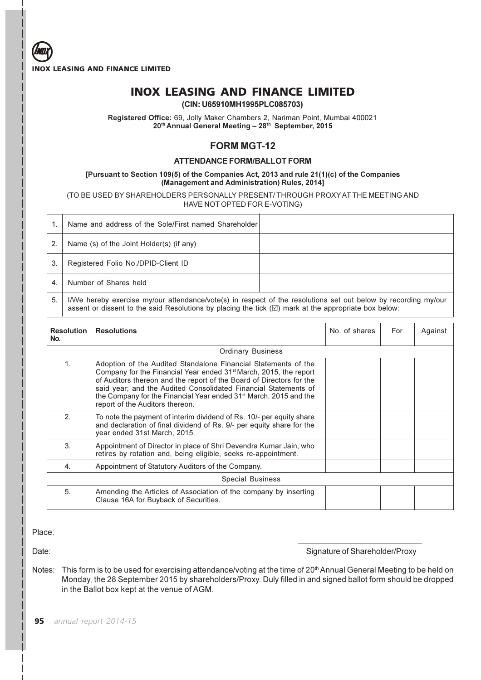INOX LEASING AND FINANCE LIMITED

## INOX LEASING AND FINANCE LIMITED

(CIN: U65910MH1995PLC085703)

Registered Office: 69, Jolly Maker Chambers 2, Nariman Point, Mumbai 400021 20<sup>th</sup> Annual General Meeting - 28<sup>th</sup> September, 2015

### FORM MGT-12

#### ATTENDANCE FORM/BALLOT FORM

[Pursuant to Section 109(5) of the Companies Act, 2013 and rule 21(1)(c) of the Companies (Management and Administration) Rules, 2014]

(TO BE USED BY SHAREHOLDERS PERSONALLY PRESENT/ THROUGH PROXY AT THE MEETING AND HAVE NOT OPTED FOR E-VOTING)

|                | Name and address of the Sole/First named Shareholder                                                             |  |
|----------------|------------------------------------------------------------------------------------------------------------------|--|
| 2 <sub>1</sub> | Name (s) of the Joint Holder(s) (if any)                                                                         |  |
| 3.             | Registered Folio No./DPID-Client ID                                                                              |  |
| 4.             | Number of Shares held                                                                                            |  |
| Б.             | $1/Ma$ bereby evercise my/our attendance/vote(s) in respect of the resolutions set out below by recording my/our |  |

5. I/We hereby exercise my/our attendance/vote(s) in respect of the resolutions set out below by recording my/our assent or dissent to the said Resolutions by placing the tick  $(\boxtimes)$  mark at the appropriate box below:

| <b>Resolution</b><br>No. | <b>Resolutions</b>                                                                                                                                                                                                                                                                                                                                                                                             | No. of shares | For | Against |
|--------------------------|----------------------------------------------------------------------------------------------------------------------------------------------------------------------------------------------------------------------------------------------------------------------------------------------------------------------------------------------------------------------------------------------------------------|---------------|-----|---------|
|                          | <b>Ordinary Business</b>                                                                                                                                                                                                                                                                                                                                                                                       |               |     |         |
| $\mathbf{1}$ .           | Adoption of the Audited Standalone Financial Statements of the<br>Company for the Financial Year ended 31 <sup>st</sup> March, 2015, the report<br>of Auditors thereon and the report of the Board of Directors for the<br>said year; and the Audited Consolidated Financial Statements of<br>the Company for the Financial Year ended 31 <sup>st</sup> March, 2015 and the<br>report of the Auditors thereon. |               |     |         |
| 2.                       | To note the payment of interim dividend of Rs. 10/- per equity share<br>and declaration of final dividend of Rs. 9/- per equity share for the<br>year ended 31st March, 2015.                                                                                                                                                                                                                                  |               |     |         |
| 3.                       | Appointment of Director in place of Shri Devendra Kumar Jain, who<br>retires by rotation and, being eligible, seeks re-appointment.                                                                                                                                                                                                                                                                            |               |     |         |
| 4.                       | Appointment of Statutory Auditors of the Company.                                                                                                                                                                                                                                                                                                                                                              |               |     |         |
|                          | <b>Special Business</b>                                                                                                                                                                                                                                                                                                                                                                                        |               |     |         |
| 5.                       | Amending the Articles of Association of the company by inserting<br>Clause 16A for Buyback of Securities.                                                                                                                                                                                                                                                                                                      |               |     |         |

Place:

Date: Signature of Shareholder/Proxy

Notes: This form is to be used for exercising attendance/voting at the time of 20<sup>th</sup> Annual General Meeting to be held on Monday, the 28 September 2015 by shareholders/Proxy. Duly filled in and signed ballot form should be dropped in the Ballot box kept at the venue of AGM.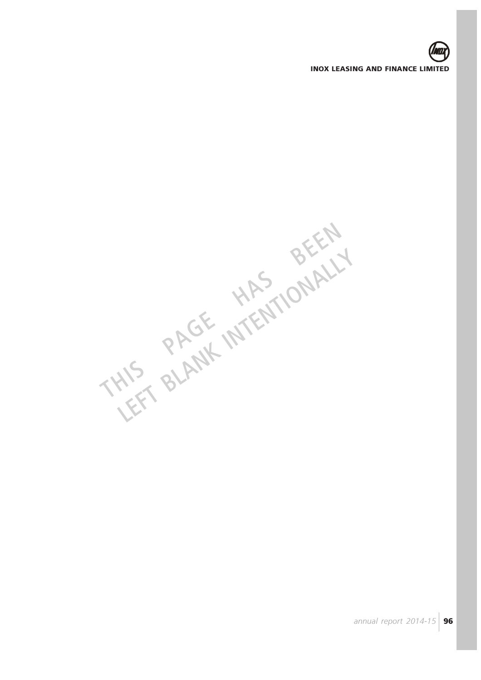

THIS PAGE MITENIONALLY LEFT BLANK INTENTIONALLY